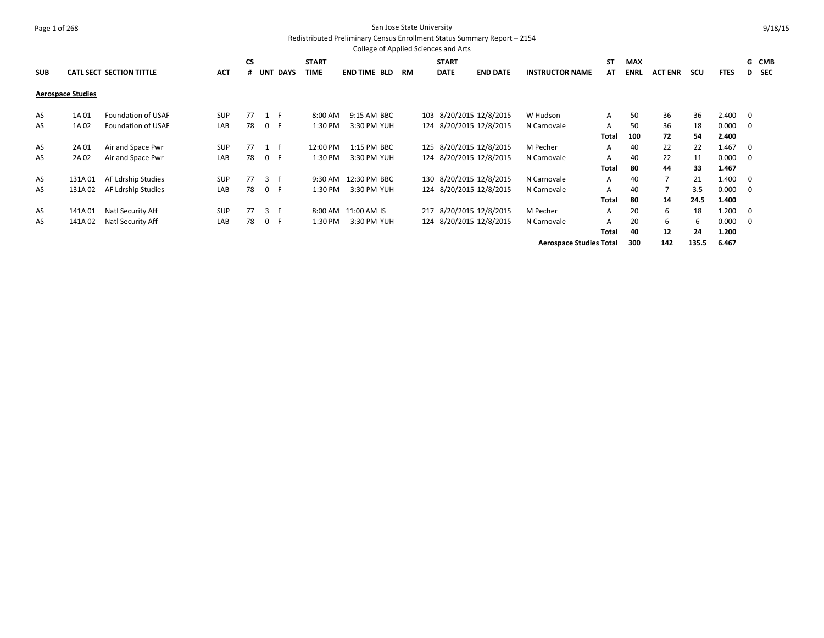#### Page 1 of 268 San Jose State University Redistributed Preliminary Census Enrollment Status Summary Report – 2154

|            |                          |                                 |            |           |       |            |              | College of Applied Sciences and Arts |    |              |                         |                                |       |             |                |       |             |                         |       |
|------------|--------------------------|---------------------------------|------------|-----------|-------|------------|--------------|--------------------------------------|----|--------------|-------------------------|--------------------------------|-------|-------------|----------------|-------|-------------|-------------------------|-------|
|            |                          |                                 |            | <b>CS</b> |       |            | <b>START</b> |                                      |    | <b>START</b> |                         |                                | ST    | <b>MAX</b>  |                |       |             |                         | G CMB |
| <b>SUB</b> |                          | <b>CATL SECT SECTION TITTLE</b> | <b>ACT</b> |           |       | # UNT DAYS | <b>TIME</b>  | <b>END TIME BLD</b>                  | RM | <b>DATE</b>  | <b>END DATE</b>         | <b>INSTRUCTOR NAME</b>         | AT    | <b>ENRL</b> | <b>ACT ENR</b> | scu   | <b>FTES</b> |                         | D SEC |
|            | <b>Aerospace Studies</b> |                                 |            |           |       |            |              |                                      |    |              |                         |                                |       |             |                |       |             |                         |       |
| AS         | 1A 01                    | Foundation of USAF              | <b>SUP</b> | 77        | 1 F   |            | 8:00 AM      | 9:15 AM BBC                          |    |              | 103 8/20/2015 12/8/2015 | W Hudson                       | A     | 50          | 36             | 36    | 2.400       | $\overline{\mathbf{0}}$ |       |
| AS         | 1A 02                    | Foundation of USAF              | LAB        | 78        | 0 F   |            | 1:30 PM      | 3:30 PM YUH                          |    |              | 124 8/20/2015 12/8/2015 | N Carnovale                    | A     | 50          | 36             | 18    | 0.000       | - 0                     |       |
|            |                          |                                 |            |           |       |            |              |                                      |    |              |                         |                                | Total | 100         | 72             | 54    | 2.400       |                         |       |
| AS         | 2A 01                    | Air and Space Pwr               | <b>SUP</b> | 77        | $1$ F |            | 12:00 PM     | 1:15 PM BBC                          |    |              | 125 8/20/2015 12/8/2015 | M Pecher                       | A     | 40          | 22             | 22    | 1.467       | 0                       |       |
| AS         | 2A 02                    | Air and Space Pwr               | LAB        | 78        | 0 F   |            | 1:30 PM      | 3:30 PM YUH                          |    |              | 124 8/20/2015 12/8/2015 | N Carnovale                    | A     | 40          | 22             | 11    | 0.000       | - 0                     |       |
|            |                          |                                 |            |           |       |            |              |                                      |    |              |                         |                                | Total | 80          | 44             | 33    | 1.467       |                         |       |
| AS         | 131A01                   | AF Ldrship Studies              | <b>SUP</b> | 77        | 3 F   |            |              | 9:30 AM 12:30 PM BBC                 |    |              | 130 8/20/2015 12/8/2015 | N Carnovale                    | A     | 40          | 7              | 21    | 1.400       | 0                       |       |
| AS         | 131A02                   | AF Ldrship Studies              | LAB        | 78        | 0 F   |            | 1:30 PM      | 3:30 PM YUH                          |    |              | 124 8/20/2015 12/8/2015 | N Carnovale                    | A     | 40          |                | 3.5   | 0.000       | - 0                     |       |
|            |                          |                                 |            |           |       |            |              |                                      |    |              |                         |                                | Total | 80          | 14             | 24.5  | 1.400       |                         |       |
| AS         | 141A01                   | Natl Security Aff               | <b>SUP</b> | 77        | 3 F   |            |              | 8:00 AM 11:00 AM IS                  |    |              | 217 8/20/2015 12/8/2015 | M Pecher                       | A     | 20          | 6              | 18    | 1.200       | 0                       |       |
| AS         | 141A02                   | Natl Security Aff               | LAB        | 78        | 0 F   |            | 1:30 PM      | 3:30 PM YUH                          |    |              | 124 8/20/2015 12/8/2015 | N Carnovale                    | A     | 20          | 6              | 6     | 0.000       | 0                       |       |
|            |                          |                                 |            |           |       |            |              |                                      |    |              |                         |                                | Total | 40          | 12             | 24    | 1.200       |                         |       |
|            |                          |                                 |            |           |       |            |              |                                      |    |              |                         | <b>Aerospace Studies Total</b> |       | 300         | 142            | 135.5 | 6.467       |                         |       |

9/18/15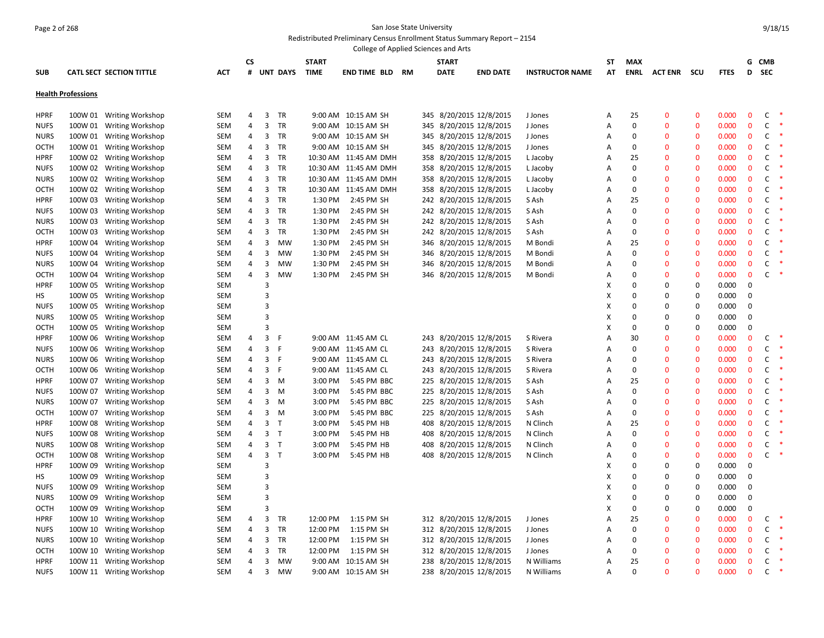#### Page 2 of 268 San Jose State University Redistributed Preliminary Census Enrollment Status Summary Report – 2154

|             |                                                      |                                 |                          |                |                |                 |             | College of Applied Sciences and Arts |              |             |                         |                 |                        |            |             |                |                |             |              |              |        |
|-------------|------------------------------------------------------|---------------------------------|--------------------------|----------------|----------------|-----------------|-------------|--------------------------------------|--------------|-------------|-------------------------|-----------------|------------------------|------------|-------------|----------------|----------------|-------------|--------------|--------------|--------|
|             |                                                      |                                 | CS                       |                |                | <b>START</b>    |             |                                      | <b>START</b> |             |                         |                 | ST                     | <b>MAX</b> |             |                |                |             | G CMB        |              |        |
| <b>SUB</b>  |                                                      | <b>CATL SECT SECTION TITTLE</b> | <b>ACT</b>               | #              |                | <b>UNT DAYS</b> | <b>TIME</b> | END TIME BLD                         | RM           | <b>DATE</b> |                         | <b>END DATE</b> | <b>INSTRUCTOR NAME</b> | AT         | <b>ENRL</b> | <b>ACT ENR</b> | scu            | <b>FTES</b> | D            | <b>SEC</b>   |        |
|             |                                                      |                                 |                          |                |                |                 |             |                                      |              |             |                         |                 |                        |            |             |                |                |             |              |              |        |
|             | <b>Health Professions</b>                            |                                 |                          |                |                |                 |             |                                      |              |             |                         |                 |                        |            |             |                |                |             |              |              |        |
|             |                                                      |                                 |                          |                |                |                 |             |                                      |              |             |                         |                 |                        |            |             |                |                |             |              |              |        |
| <b>HPRF</b> |                                                      | 100W 01 Writing Workshop        | <b>SEM</b>               | 4              | 3              | TR              |             | 9:00 AM 10:15 AM SH                  |              |             | 345 8/20/2015 12/8/2015 |                 | J Jones                | Α          | 25          | $\mathbf 0$    | $\mathbf 0$    | 0.000       | $\mathbf 0$  | C            |        |
| <b>NUFS</b> |                                                      | 100W 01 Writing Workshop        | <b>SEM</b>               | 4              | 3              | TR              |             | 9:00 AM 10:15 AM SH                  |              |             | 345 8/20/2015 12/8/2015 |                 | J Jones                | Α          | $\mathbf 0$ | $\mathbf 0$    | $\mathbf 0$    | 0.000       | $\mathbf 0$  | C            |        |
| <b>NURS</b> |                                                      | 100W 01 Writing Workshop        | <b>SEM</b>               | 4              | 3              | TR              |             | 9:00 AM 10:15 AM SH                  |              |             | 345 8/20/2015 12/8/2015 |                 | J Jones                | Α          | $\mathbf 0$ | $\mathbf 0$    | $\mathbf 0$    | 0.000       | $\mathbf 0$  | C            |        |
| OCTH        |                                                      | 100W 01 Writing Workshop        | <b>SEM</b>               | 4              | 3              | TR              |             | 9:00 AM 10:15 AM SH                  |              |             | 345 8/20/2015 12/8/2015 |                 | J Jones                | Α          | $\mathbf 0$ | $\mathbf 0$    | $\mathbf 0$    | 0.000       | $\mathbf 0$  | C            |        |
| <b>HPRF</b> |                                                      | 100W 02 Writing Workshop        | <b>SEM</b>               | 4              | 3              | TR              |             | 10:30 AM 11:45 AM DMH                |              |             | 358 8/20/2015 12/8/2015 |                 | L Jacoby               | Α          | 25          | $\mathbf{0}$   | $\bf{0}$       | 0.000       | $\mathbf{0}$ | C            |        |
| <b>NUFS</b> |                                                      | 100W 02 Writing Workshop        | <b>SEM</b>               | 4              | 3              | TR              |             | 10:30 AM 11:45 AM DMH                |              |             | 358 8/20/2015 12/8/2015 |                 | L Jacoby               | Α          | $\mathbf 0$ | $\mathbf 0$    | $\mathbf 0$    | 0.000       | $\mathbf 0$  | C            |        |
| <b>NURS</b> |                                                      | 100W 02 Writing Workshop        | <b>SEM</b>               | 4              | 3              | TR              |             | 10:30 AM 11:45 AM DMH                |              |             | 358 8/20/2015 12/8/2015 |                 | L Jacoby               | Α          | $\mathbf 0$ | $\mathbf 0$    | $\mathbf 0$    | 0.000       | $\mathbf 0$  | C            |        |
| <b>OCTH</b> |                                                      | 100W 02 Writing Workshop        | <b>SEM</b>               | 4              | 3              | TR              |             | 10:30 AM 11:45 AM DMH                |              |             | 358 8/20/2015 12/8/2015 |                 | L Jacoby               | Α          | $\mathbf 0$ | $\mathbf{0}$   | $\overline{0}$ | 0.000       | $\mathbf 0$  | C            | Ą      |
| <b>HPRF</b> |                                                      | 100W 03 Writing Workshop        | SEM                      | 4              | $\overline{3}$ | TR              | 1:30 PM     | 2:45 PM SH                           |              |             | 242 8/20/2015 12/8/2015 |                 | S Ash                  | Α          | 25          | $\mathbf{0}$   | $\mathbf 0$    | 0.000       | $\mathbf 0$  | C            |        |
| <b>NUFS</b> |                                                      | 100W 03 Writing Workshop        | <b>SEM</b>               | 4              | 3              | TR              | 1:30 PM     | 2:45 PM SH                           |              |             | 242 8/20/2015 12/8/2015 |                 | S Ash                  | Α          | $\mathbf 0$ | $\mathbf{0}$   | $\Omega$       | 0.000       | $\mathbf{0}$ | C            |        |
| <b>NURS</b> |                                                      | 100W 03 Writing Workshop        | <b>SEM</b>               | 4              | 3              | TR              | 1:30 PM     | 2:45 PM SH                           |              |             | 242 8/20/2015 12/8/2015 |                 | S Ash                  | Α          | $\mathbf 0$ | $\mathbf 0$    | $\mathbf 0$    | 0.000       | $\mathbf 0$  | C            |        |
| <b>OCTH</b> |                                                      | 100W 03 Writing Workshop        | <b>SEM</b>               | 4              | 3              | TR              | 1:30 PM     | 2:45 PM SH                           |              |             | 242 8/20/2015 12/8/2015 |                 | S Ash                  | Α          | $\mathbf 0$ | $\mathbf{0}$   | $\mathbf 0$    | 0.000       | $\mathbf 0$  | C            |        |
| <b>HPRF</b> |                                                      | 100W 04 Writing Workshop        | SEM                      | 4              | $\overline{3}$ | <b>MW</b>       | 1:30 PM     | 2:45 PM SH                           |              |             | 346 8/20/2015 12/8/2015 |                 | M Bondi                | Α          | 25          | $\Omega$       | $\mathbf 0$    | 0.000       | $\mathbf 0$  | C            |        |
| <b>NUFS</b> |                                                      | 100W 04 Writing Workshop        | SEM                      | 4              | 3              | MW              | 1:30 PM     | 2:45 PM SH                           |              |             | 346 8/20/2015 12/8/2015 |                 | M Bondi                | Α          | $\mathbf 0$ | $\mathbf{0}$   | $\Omega$       | 0.000       | $\mathbf{0}$ | C            | *      |
| <b>NURS</b> |                                                      | 100W 04 Writing Workshop        | <b>SEM</b>               | 4              | 3              | MW              | 1:30 PM     | 2:45 PM SH                           |              |             | 346 8/20/2015 12/8/2015 |                 | M Bondi                | Α          | $\mathbf 0$ | $\Omega$       | $\mathbf 0$    | 0.000       | $\mathbf 0$  | C            |        |
| <b>OCTH</b> |                                                      | 100W 04 Writing Workshop        | <b>SEM</b>               | 4              | 3              | <b>MW</b>       | 1:30 PM     | 2:45 PM SH                           |              |             | 346 8/20/2015 12/8/2015 |                 | M Bondi                | Α          | $\mathbf 0$ | $\mathbf{0}$   | $\overline{0}$ | 0.000       | $\mathbf 0$  | $\mathsf{C}$ | $\ast$ |
| <b>HPRF</b> |                                                      | 100W 05 Writing Workshop        | <b>SEM</b>               |                | $\overline{3}$ |                 |             |                                      |              |             |                         |                 |                        | X          | $\mathbf 0$ | 0              | $\mathbf 0$    | 0.000       | $\mathbf 0$  |              |        |
| HS          |                                                      | 100W 05 Writing Workshop        | <b>SEM</b>               |                | $\overline{3}$ |                 |             |                                      |              |             |                         |                 |                        | X          | $\mathbf 0$ | 0              | $\mathbf 0$    | 0.000       | $\mathbf 0$  |              |        |
| <b>NUFS</b> |                                                      | 100W 05 Writing Workshop        | <b>SEM</b>               |                | $\overline{3}$ |                 |             |                                      |              |             |                         |                 |                        | X          | $\mathbf 0$ | 0              | 0              | 0.000       | 0            |              |        |
| <b>NURS</b> |                                                      | 100W 05 Writing Workshop        | <b>SEM</b>               |                | $\overline{3}$ |                 |             |                                      |              |             |                         |                 |                        | X          | $\mathbf 0$ | 0              | 0              | 0.000       | $\mathbf 0$  |              |        |
| <b>OCTH</b> | 100W 05                                              | <b>Writing Workshop</b>         | <b>SEM</b>               |                | $\overline{3}$ |                 |             |                                      |              |             |                         |                 |                        | X          | $\mathbf 0$ | 0              | $\mathbf 0$    | 0.000       | $\mathbf 0$  |              |        |
| <b>HPRF</b> |                                                      | 100W 06 Writing Workshop        | SEM                      | 4              | 3              | -F              |             | 9:00 AM 11:45 AM CL                  |              |             | 243 8/20/2015 12/8/2015 |                 | S Rivera               | Α          | 30          | $\mathbf{0}$   | $\mathbf{0}$   | 0.000       | $\mathbf 0$  | C            | *<br>× |
| <b>NUFS</b> |                                                      | 100W 06 Writing Workshop        | <b>SEM</b>               | $\overline{4}$ | 3              | -F              |             | 9:00 AM 11:45 AM CL                  |              |             | 243 8/20/2015 12/8/2015 |                 | S Rivera               | Α          | $\mathbf 0$ | $\Omega$       | $\mathbf{0}$   | 0.000       | $\mathbf{0}$ | C            |        |
| <b>NURS</b> |                                                      | 100W 06 Writing Workshop        | <b>SEM</b>               | 4              | 3              | F               |             | 9:00 AM 11:45 AM CL                  |              |             | 243 8/20/2015 12/8/2015 |                 | S Rivera               | Α          | $\mathbf 0$ | $\Omega$       | $\Omega$       | 0.000       | $\mathbf 0$  | C            |        |
| <b>OCTH</b> | 100W 06                                              | <b>Writing Workshop</b>         | <b>SEM</b>               | 4              | 3              | -F              |             | 9:00 AM 11:45 AM CL                  |              |             | 243 8/20/2015 12/8/2015 |                 | S Rivera               | Α          | $\mathbf 0$ | $\mathbf 0$    | $\mathbf 0$    | 0.000       | $\mathbf 0$  | C            |        |
| <b>HPRF</b> |                                                      | 100W 07 Writing Workshop        | <b>SEM</b>               | 4              | 3              | M               | 3:00 PM     | 5:45 PM BBC                          |              |             | 225 8/20/2015 12/8/2015 |                 | S Ash                  | Α          | 25          | $\mathbf{0}$   | $\mathbf 0$    | 0.000       | $\mathbf 0$  | C            |        |
| <b>NUFS</b> | 100W 07                                              | <b>Writing Workshop</b>         | <b>SEM</b>               | 4              | $\overline{3}$ | M               | 3:00 PM     | 5:45 PM BBC                          |              |             | 225 8/20/2015 12/8/2015 |                 | S Ash                  | Α          | $\mathbf 0$ | $\Omega$       | $\mathbf 0$    | 0.000       | $\mathbf 0$  | C            |        |
| <b>NURS</b> | 100W 07                                              | <b>Writing Workshop</b>         | <b>SEM</b>               | 4              | 3              | M               | 3:00 PM     | 5:45 PM BBC                          |              |             | 225 8/20/2015 12/8/2015 |                 | S Ash                  | Α          | $\mathbf 0$ | $\mathbf{0}$   | $\Omega$       | 0.000       | $\mathbf{0}$ | C            | ×      |
| <b>OCTH</b> | 100W 07                                              | <b>Writing Workshop</b>         | <b>SEM</b>               | 4              | 3              | M               | 3:00 PM     | 5:45 PM BBC                          |              |             | 225 8/20/2015 12/8/2015 |                 | S Ash                  | Α          | $\mathbf 0$ | $\mathbf 0$    | $\mathbf 0$    | 0.000       | $\mathbf 0$  | C            |        |
| <b>HPRF</b> |                                                      | 100W 08 Writing Workshop        | <b>SEM</b>               | 4              | 3              | $\top$          | 3:00 PM     | 5:45 PM HB                           |              |             | 408 8/20/2015 12/8/2015 |                 | N Clinch               | Α          | 25          | $\mathbf 0$    | $\mathbf 0$    | 0.000       | $\mathbf 0$  | C            | 米      |
| <b>NUFS</b> | 100W 08                                              | <b>Writing Workshop</b>         | <b>SEM</b>               | $\overline{4}$ | 3              | T               | 3:00 PM     | 5:45 PM HB                           |              |             | 408 8/20/2015 12/8/2015 |                 | N Clinch               | Α          | $\mathbf 0$ | $\Omega$       | $\mathbf 0$    | 0.000       | $\mathbf 0$  | C            |        |
| <b>NURS</b> | 100W 08                                              | <b>Writing Workshop</b>         | <b>SEM</b>               | 4              | 3              | $\top$          | 3:00 PM     | 5:45 PM HB                           |              |             | 408 8/20/2015 12/8/2015 |                 | N Clinch               | Α          | $\mathbf 0$ | $\mathbf{0}$   | $\Omega$       | 0.000       | $\mathbf{0}$ | C            | ×      |
| <b>OCTH</b> | 100W 08                                              | <b>Writing Workshop</b>         | <b>SEM</b>               | 4              | 3              | $\mathsf{T}$    | 3:00 PM     | 5:45 PM HB                           |              |             | 408 8/20/2015 12/8/2015 |                 | N Clinch               | Α          | $\mathbf 0$ | $\Omega$       | $\Omega$       | 0.000       | $\mathbf 0$  | C            | $\ast$ |
| <b>HPRF</b> | 100W 09                                              | <b>Writing Workshop</b>         | <b>SEM</b>               |                | 3              |                 |             |                                      |              |             |                         |                 |                        | X          | $\mathbf 0$ | 0              | $\mathbf 0$    | 0.000       | $\mathbf 0$  |              |        |
| HS          | 100W 09                                              | <b>Writing Workshop</b>         | <b>SEM</b>               |                | 3              |                 |             |                                      |              |             |                         |                 |                        | X          | $\mathbf 0$ | 0              | $\mathbf 0$    | 0.000       | 0            |              |        |
| <b>NUFS</b> | 100W 09                                              | <b>Writing Workshop</b>         | <b>SEM</b>               |                | $\overline{3}$ |                 |             |                                      |              |             |                         |                 |                        | X          | $\mathbf 0$ | $\mathbf 0$    | $\mathbf 0$    | 0.000       | $\mathbf 0$  |              |        |
| <b>NURS</b> | 100W 09                                              | <b>Writing Workshop</b>         | <b>SEM</b>               |                | 3              |                 |             |                                      |              |             |                         |                 |                        | X          | $\mathbf 0$ | 0              | 0              | 0.000       | 0            |              |        |
| OCTH        | 100W 09                                              | <b>Writing Workshop</b>         | <b>SEM</b>               |                | $\overline{3}$ |                 |             |                                      |              |             |                         |                 |                        | X          | 0           | 0              | 0              | 0.000       | $\mathbf 0$  |              |        |
| <b>HPRF</b> | 100W 10                                              | <b>Writing Workshop</b>         | <b>SEM</b>               | 4              | 3              | TR              | 12:00 PM    | 1:15 PM SH                           |              |             | 312 8/20/2015 12/8/2015 |                 | J Jones                | Α          | 25          | $\mathbf 0$    | $\mathbf 0$    | 0.000       | $\mathbf 0$  | C            | *      |
| <b>NUFS</b> |                                                      | 100W 10 Writing Workshop        | <b>SEM</b>               | 4              | 3              | TR              | 12:00 PM    | 1:15 PM SH                           |              |             | 312 8/20/2015 12/8/2015 |                 | J Jones                | Α          | $\mathbf 0$ | $\mathbf{0}$   | $\overline{0}$ | 0.000       | $\mathbf 0$  | C            | -*     |
| <b>NURS</b> |                                                      | 100W 10 Writing Workshop        | SEM                      | 4              | 3              | TR              | 12:00 PM    | 1:15 PM SH                           |              |             | 312 8/20/2015 12/8/2015 |                 | J Jones                | Α          | $\mathbf 0$ | $\mathbf{0}$   | $\mathbf 0$    | 0.000       | $\mathbf 0$  | C            | ×      |
| <b>OCTH</b> |                                                      | 100W 10 Writing Workshop        | <b>SEM</b>               | 4              | 3              | TR              | 12:00 PM    | 1:15 PM SH                           |              |             | 312 8/20/2015 12/8/2015 |                 | J Jones                | Α          | 0           | $\mathbf 0$    | $\Omega$       | 0.000       | $\mathbf 0$  | C            | *      |
| <b>HPRF</b> |                                                      |                                 | <b>SEM</b><br><b>SEM</b> | 4              | 3              | <b>MW</b>       |             | 9:00 AM 10:15 AM SH                  |              |             | 238 8/20/2015 12/8/2015 |                 | N Williams             | Α          | 25          | $\Omega$       | $\overline{0}$ | 0.000       | $\mathbf 0$  | C            | ×      |
| <b>NUFS</b> | 100W 11 Writing Workshop<br>100W 11 Writing Workshop |                                 |                          | 4              | 3              | <b>MW</b>       |             | 9:00 AM 10:15 AM SH                  |              |             | 238 8/20/2015 12/8/2015 |                 | N Williams             | A          | $\Omega$    | $\Omega$       | $\Omega$       | 0.000       | $\Omega$     | C            | 米      |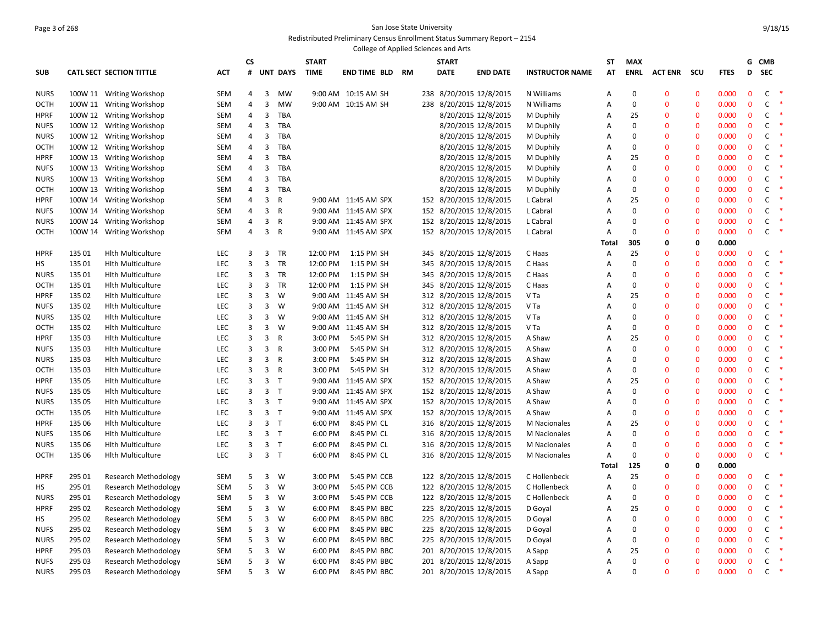### Page 3 of 268 San Jose State University Redistributed Preliminary Census Enrollment Status Summary Report – 2154

|             |        |                             |            |                |                |                 |              | College of Applied Sciences and Arts |    |     |                         |                     |                        |       |                |                |              |             |              |              |           |
|-------------|--------|-----------------------------|------------|----------------|----------------|-----------------|--------------|--------------------------------------|----|-----|-------------------------|---------------------|------------------------|-------|----------------|----------------|--------------|-------------|--------------|--------------|-----------|
|             |        |                             |            | <b>CS</b>      |                |                 | <b>START</b> |                                      |    |     | <b>START</b>            |                     |                        | SΤ    | <b>MAX</b>     |                |              |             |              | G CMB        |           |
| <b>SUB</b>  |        | CATL SECT SECTION TITTLE    | <b>ACT</b> | #              |                | <b>UNT DAYS</b> | <b>TIME</b>  | END TIME BLD                         | RM |     | <b>DATE</b>             | <b>END DATE</b>     | <b>INSTRUCTOR NAME</b> | AT    | <b>ENRL</b>    | <b>ACT ENR</b> | scu          | <b>FTES</b> | D            | <b>SEC</b>   |           |
| <b>NURS</b> |        | 100W 11 Writing Workshop    | SEM        | 4              | 3              | MW              |              | 9:00 AM 10:15 AM SH                  |    |     | 238 8/20/2015 12/8/2015 |                     | N Williams             | А     | $\mathbf 0$    | $\mathbf 0$    | $\mathbf{0}$ | 0.000       | $\mathbf 0$  | C            | $\ast$    |
| <b>OCTH</b> |        | 100W 11 Writing Workshop    | <b>SEM</b> | $\overline{4}$ | 3              | <b>MW</b>       |              | 9:00 AM 10:15 AM SH                  |    |     | 238 8/20/2015 12/8/2015 |                     | N Williams             | Α     | $\mathbf 0$    | $\mathbf{0}$   | $\mathbf{0}$ | 0.000       | $\mathbf{0}$ | $\mathsf{C}$ | $\ast$    |
| <b>HPRF</b> |        | 100W 12 Writing Workshop    | <b>SEM</b> | 4              | 3              | <b>TBA</b>      |              |                                      |    |     |                         | 8/20/2015 12/8/2015 | M Duphily              | Α     | 25             | $\Omega$       | $\mathbf 0$  | 0.000       | $\mathbf 0$  | C            |           |
| <b>NUFS</b> |        | 100W 12 Writing Workshop    | <b>SEM</b> | $\overline{4}$ | 3              | TBA             |              |                                      |    |     | 8/20/2015 12/8/2015     |                     | M Duphily              | Α     | $\Omega$       | $\mathbf{0}$   | $\mathbf{0}$ | 0.000       | $\mathbf{0}$ | C            | $\ast$    |
| <b>NURS</b> |        | 100W 12 Writing Workshop    | <b>SEM</b> | $\overline{4}$ | 3              | <b>TBA</b>      |              |                                      |    |     | 8/20/2015 12/8/2015     |                     | M Duphily              | А     | $\Omega$       | $\Omega$       | $\mathbf{0}$ | 0.000       | $\mathbf{0}$ | C            | $\ast$    |
| <b>OCTH</b> |        | 100W 12 Writing Workshop    | <b>SEM</b> | 4              | 3              | TBA             |              |                                      |    |     |                         | 8/20/2015 12/8/2015 | M Duphily              | Α     | $\mathbf 0$    | $\mathbf{0}$   | $\mathbf 0$  | 0.000       | $\mathbf 0$  | C            | ∗         |
| <b>HPRF</b> |        | 100W 13 Writing Workshop    | <b>SEM</b> | 4              | 3              | <b>TBA</b>      |              |                                      |    |     | 8/20/2015 12/8/2015     |                     | M Duphily              | Α     | 25             | $\Omega$       | $\Omega$     | 0.000       | $\mathbf{0}$ | C            | $\ast$    |
| <b>NUFS</b> |        | 100W 13 Writing Workshop    | <b>SEM</b> | 4              | 3              | TBA             |              |                                      |    |     |                         | 8/20/2015 12/8/2015 | M Duphily              | Α     | $\Omega$       | $\mathbf 0$    | $\mathbf 0$  | 0.000       | $\mathbf 0$  | C            | ∗         |
| <b>NURS</b> |        | 100W 13 Writing Workshop    | <b>SEM</b> | 4              | 3              | <b>TBA</b>      |              |                                      |    |     |                         | 8/20/2015 12/8/2015 | M Duphily              | Α     | $\Omega$       | $\Omega$       | $\Omega$     | 0.000       | $\mathbf{0}$ | C            | $\ast$    |
| OCTH        |        | 100W 13 Writing Workshop    | <b>SEM</b> | $\overline{4}$ | 3              | TBA             |              |                                      |    |     |                         | 8/20/2015 12/8/2015 |                        | Α     | $\Omega$       | $\mathbf{0}$   | $\Omega$     | 0.000       | $\mathbf{0}$ | $\mathsf{C}$ | $\ast$    |
| <b>HPRF</b> |        |                             | <b>SEM</b> | 4              | 3              | R               |              | 9:00 AM 11:45 AM SPX                 |    |     | 152 8/20/2015 12/8/2015 |                     | M Duphily<br>L Cabral  | Α     | 25             | $\Omega$       | $\Omega$     | 0.000       | $\mathbf{0}$ | C            | $\ast$    |
| <b>NUFS</b> |        | 100W 14 Writing Workshop    | <b>SEM</b> | $\overline{4}$ | 3              | $\mathsf{R}$    |              | 9:00 AM 11:45 AM SPX                 |    |     | 152 8/20/2015 12/8/2015 |                     | L Cabral               | A     | $\Omega$       | $\Omega$       | $\Omega$     | 0.000       | $\mathbf{0}$ | $\mathsf{C}$ | $\ast$    |
|             |        | 100W 14 Writing Workshop    |            | 4              | 3              | R               |              | 9:00 AM 11:45 AM SPX                 |    |     |                         |                     |                        | A     | $\Omega$       | $\Omega$       | $\Omega$     | 0.000       | $\mathbf{0}$ | C            | $\;$ $\;$ |
| <b>NURS</b> |        | 100W 14 Writing Workshop    | <b>SEM</b> |                |                |                 |              |                                      |    |     | 152 8/20/2015 12/8/2015 |                     | L Cabral               |       | $\Omega$       | $\Omega$       | $\Omega$     |             | $\mathbf{0}$ |              | $\ast$    |
| <b>OCTH</b> |        | 100W 14 Writing Workshop    | <b>SEM</b> | 4              | 3              | $\mathsf{R}$    |              | 9:00 AM 11:45 AM SPX                 |    |     | 152 8/20/2015 12/8/2015 |                     | L Cabral               | Α     | 305            | 0              | 0            | 0.000       |              | C            |           |
|             |        |                             |            |                |                |                 |              |                                      |    |     |                         |                     |                        | Total |                | $\Omega$       | $\Omega$     | 0.000       | $\mathbf 0$  | C            |           |
| <b>HPRF</b> | 135 01 | <b>Hith Multiculture</b>    | LEC        | 3              | $\overline{3}$ | TR<br><b>TR</b> | 12:00 PM     | 1:15 PM SH                           |    |     | 345 8/20/2015 12/8/2015 |                     | C Haas                 | Α     | 25<br>$\Omega$ | $\Omega$       | $\Omega$     | 0.000       | $\Omega$     |              | $\ast$    |
| HS          | 135 01 | <b>Hith Multiculture</b>    | LEC        | 3              | 3              |                 | 12:00 PM     | 1:15 PM SH                           |    | 345 | 8/20/2015 12/8/2015     |                     | C Haas                 | Α     | $\Omega$       |                |              | 0.000       |              | C            | $\ast$    |
| <b>NURS</b> | 135 01 | <b>Hlth Multiculture</b>    | LEC        | 3              | 3              | TR              | 12:00 PM     | 1:15 PM SH                           |    |     | 345 8/20/2015 12/8/2015 |                     | C Haas                 | Α     |                | $\Omega$       | $\Omega$     | 0.000       | $\mathbf{0}$ | $\mathsf{C}$ | $\ast$    |
| OCTH        | 135 01 | <b>Hlth Multiculture</b>    | LEC        | 3              | 3              | TR              | 12:00 PM     | 1:15 PM SH                           |    | 345 | 8/20/2015 12/8/2015     |                     | C Haas                 | A     | $\mathbf 0$    | $\Omega$       | $\Omega$     | 0.000       | $\mathbf 0$  | C            | $\ast$    |
| <b>HPRF</b> | 135 02 | <b>Hith Multiculture</b>    | LEC        | 3              | $\overline{3}$ | W               |              | 9:00 AM 11:45 AM SH                  |    |     | 312 8/20/2015 12/8/2015 |                     | V Ta                   | A     | 25             | $\Omega$       | $\Omega$     | 0.000       | $\mathbf{0}$ | $\mathsf{C}$ | $\ast$    |
| <b>NUFS</b> | 135 02 | <b>Hith Multiculture</b>    | LEC        | 3              | 3              | W               |              | 9:00 AM 11:45 AM SH                  |    |     | 312 8/20/2015 12/8/2015 |                     | V Ta                   | Α     | $\Omega$       | $\Omega$       | $\Omega$     | 0.000       | $\mathbf 0$  | C            | $\ast$    |
| <b>NURS</b> | 135 02 | <b>Hlth Multiculture</b>    | LEC        | 3              | 3              | W               |              | 9:00 AM 11:45 AM SH                  |    |     | 312 8/20/2015 12/8/2015 |                     | V Ta                   | A     | $\mathbf 0$    | $\overline{0}$ | $\Omega$     | 0.000       | $\mathbf 0$  | C            |           |
| <b>OCTH</b> | 135 02 | <b>Hith Multiculture</b>    | LEC        | 3              | 3              | W               |              | 9:00 AM 11:45 AM SH                  |    |     | 312 8/20/2015 12/8/2015 |                     | V Ta                   | Α     | $\Omega$       | $\Omega$       | $\mathbf{0}$ | 0.000       | $\mathbf{0}$ | C            | $\ast$    |
| <b>HPRF</b> | 135 03 | <b>Hlth Multiculture</b>    | LEC        | 3              | 3              | $\mathsf{R}$    | 3:00 PM      | 5:45 PM SH                           |    |     | 312 8/20/2015 12/8/2015 |                     | A Shaw                 | Α     | 25             | $\mathbf 0$    | $\Omega$     | 0.000       | $\mathbf 0$  | C            | $\ast$    |
| <b>NUFS</b> | 135 03 | <b>Hlth Multiculture</b>    | LEC        | 3              | 3              | $\mathsf R$     | 3:00 PM      | 5:45 PM SH                           |    |     | 312 8/20/2015 12/8/2015 |                     | A Shaw                 | A     | $\Omega$       | $\Omega$       | $\mathbf{0}$ | 0.000       | $\mathbf 0$  | C            | $\ast$    |
| <b>NURS</b> | 135 03 | <b>Hith Multiculture</b>    | LEC        | 3              | 3              | R               | 3:00 PM      | 5:45 PM SH                           |    |     | 312 8/20/2015 12/8/2015 |                     | A Shaw                 | Α     | $\Omega$       | $\Omega$       | $\Omega$     | 0.000       | $\mathbf 0$  | C            | $\ast$    |
| <b>OCTH</b> | 135 03 | <b>Hlth Multiculture</b>    | LEC        | 3              | 3              | R               | 3:00 PM      | 5:45 PM SH                           |    |     | 312 8/20/2015 12/8/2015 |                     | A Shaw                 | Α     | $\mathbf 0$    | $\mathbf{0}$   | $\mathbf{0}$ | 0.000       | $\mathbf 0$  | C            | $\ast$    |
| <b>HPRF</b> | 135 05 | <b>Hith Multiculture</b>    | LEC        | 3              | 3 <sub>T</sub> |                 |              | 9:00 AM 11:45 AM SPX                 |    |     | 152 8/20/2015 12/8/2015 |                     | A Shaw                 | Α     | 25             | $\mathbf{0}$   | $\Omega$     | 0.000       | $\pmb{0}$    | c            | $\ast$    |
| <b>NUFS</b> | 135 05 | <b>Hith Multiculture</b>    | LEC        | 3              | 3 <sub>T</sub> |                 |              | 9:00 AM 11:45 AM SPX                 |    |     | 152 8/20/2015 12/8/2015 |                     | A Shaw                 | Α     | $\Omega$       | $\mathbf{0}$   | $\mathbf{0}$ | 0.000       | $\mathbf 0$  | C            | $\ast$    |
| <b>NURS</b> | 135 05 | <b>Hith Multiculture</b>    | LEC        | 3              | 3 <sub>7</sub> |                 |              | 9:00 AM 11:45 AM SPX                 |    |     | 152 8/20/2015 12/8/2015 |                     | A Shaw                 | A     | $\Omega$       | $\Omega$       | $\Omega$     | 0.000       | $\mathbf 0$  | C            | $\ast$    |
| OCTH        | 135 05 | <b>Hith Multiculture</b>    | LEC        | 3              | 3 <sub>7</sub> |                 |              | 9:00 AM 11:45 AM SPX                 |    |     | 152 8/20/2015 12/8/2015 |                     | A Shaw                 | Α     | $\Omega$       | $\mathbf{0}$   | $\Omega$     | 0.000       | $\mathbf{0}$ | $\mathsf C$  | $\ast$    |
| <b>HPRF</b> | 135 06 | <b>Hlth Multiculture</b>    | LEC        | 3              | 3 <sub>7</sub> |                 | 6:00 PM      | 8:45 PM CL                           |    |     | 316 8/20/2015 12/8/2015 |                     | M Nacionales           | Α     | 25             | $\mathbf 0$    | $\Omega$     | 0.000       | $\mathbf 0$  | C            | $\ast$    |
| <b>NUFS</b> | 135 06 | <b>Hith Multiculture</b>    | LEC        | 3              | 3 <sub>7</sub> |                 | 6:00 PM      | 8:45 PM CL                           |    |     | 316 8/20/2015 12/8/2015 |                     | <b>M</b> Nacionales    | Α     | $\Omega$       | $\mathbf{0}$   | $\Omega$     | 0.000       | $\mathbf{0}$ | $\mathsf{C}$ | $\ast$    |
| <b>NURS</b> | 135 06 | <b>Hlth Multiculture</b>    | LEC        | 3              | 3 <sub>7</sub> |                 | 6:00 PM      | 8:45 PM CL                           |    |     | 316 8/20/2015 12/8/2015 |                     | M Nacionales           | Α     | $\mathbf 0$    | $\mathbf 0$    | $\Omega$     | 0.000       | $\mathbf 0$  | C            | $\ast$    |
| <b>OCTH</b> | 135 06 | <b>Hith Multiculture</b>    | LEC        | 3              | 3 <sub>T</sub> |                 | 6:00 PM      | 8:45 PM CL                           |    |     | 316 8/20/2015 12/8/2015 |                     | <b>M</b> Nacionales    | Α     | $\Omega$       | $\Omega$       | $\mathbf{0}$ | 0.000       | $\mathbf{0}$ | $\mathsf{C}$ | $\;$ $\;$ |
|             |        |                             |            |                |                |                 |              |                                      |    |     |                         |                     |                        | Total | 125            | 0              | $\Omega$     | 0.000       |              |              |           |
| <b>HPRF</b> | 295 01 | <b>Research Methodology</b> | <b>SEM</b> | 5              | 3              | W               | 3:00 PM      | 5:45 PM CCB                          |    |     | 122 8/20/2015 12/8/2015 |                     | C Hollenbeck           | Α     | 25             | $\overline{0}$ | $\mathbf{0}$ | 0.000       | $\bf{0}$     | C            | $\ast$    |
| HS          | 295 01 | <b>Research Methodology</b> | <b>SEM</b> | 5              | 3              | W               | 3:00 PM      | 5:45 PM CCB                          |    |     | 122 8/20/2015 12/8/2015 |                     | C Hollenbeck           | Α     | $\Omega$       | $\mathbf{0}$   | $\Omega$     | 0.000       | $\mathbf{0}$ | C            | $\ast$    |
| <b>NURS</b> | 295 01 | <b>Research Methodology</b> | <b>SEM</b> | 5              | 3              | W               | 3:00 PM      | 5:45 PM CCB                          |    |     | 122 8/20/2015 12/8/2015 |                     | C Hollenbeck           | Α     | $\mathbf 0$    | $\mathbf 0$    | $\mathbf{0}$ | 0.000       | $\mathbf 0$  | C            | $\ast$    |
| <b>HPRF</b> | 295 02 | <b>Research Methodology</b> | <b>SEM</b> | 5              | 3              | W               | 6:00 PM      | 8:45 PM BBC                          |    |     | 225 8/20/2015 12/8/2015 |                     | D Goyal                | Α     | 25             | $\mathbf{0}$   | $\Omega$     | 0.000       | $\mathbf 0$  | C            | $\ast$    |
| НS          | 295 02 | <b>Research Methodology</b> | <b>SEM</b> | 5              | 3              | W               | 6:00 PM      | 8:45 PM BBC                          |    |     | 225 8/20/2015 12/8/2015 |                     | D Goyal                | Α     | $\Omega$       | $\mathbf{0}$   | $\mathbf{0}$ | 0.000       | $\mathbf{0}$ | $\mathsf C$  | $\ast$    |
| <b>NUFS</b> | 295 02 | <b>Research Methodology</b> | <b>SEM</b> | 5              | 3              | W               | 6:00 PM      | 8:45 PM BBC                          |    |     | 225 8/20/2015 12/8/2015 |                     | D Goyal                | Α     | $\mathbf 0$    | $\mathbf 0$    | $\mathbf{0}$ | 0.000       | $\mathbf 0$  | C            | $\ast$    |
| <b>NURS</b> | 295 02 | Research Methodology        | <b>SEM</b> | 5              | 3              | W               | 6:00 PM      | 8:45 PM BBC                          |    |     | 225 8/20/2015 12/8/2015 |                     | D Goyal                | А     | $\Omega$       | $\mathbf{0}$   | $\mathbf{0}$ | 0.000       | $\mathbf{0}$ | $\mathsf{C}$ | $\ast$    |
| <b>HPRF</b> | 295 03 | <b>Research Methodology</b> | <b>SEM</b> | 5              | 3              | W               | 6:00 PM      | 8:45 PM BBC                          |    |     | 201 8/20/2015 12/8/2015 |                     | A Sapp                 | Α     | 25             | $\mathbf 0$    | $\mathbf 0$  | 0.000       | $\mathbf 0$  | C            | $\ast$    |
| <b>NUFS</b> | 295 03 | <b>Research Methodology</b> | <b>SEM</b> | 5              | 3              | <b>W</b>        | 6:00 PM      | 8:45 PM BBC                          |    |     | 201 8/20/2015 12/8/2015 |                     | A Sapp                 | A     | $\Omega$       | $\mathbf{0}$   | $\mathbf{0}$ | 0.000       | $\mathbf{0}$ | C            | $\ast$    |
| <b>NURS</b> | 295 03 | <b>Research Methodology</b> | <b>SEM</b> | 5              | $\overline{3}$ | W               | 6:00 PM      | 8:45 PM BBC                          |    |     | 201 8/20/2015 12/8/2015 |                     | A Sapp                 | A     | $\Omega$       | $\Omega$       | $\Omega$     | 0.000       | $\mathbf{0}$ | $\mathsf{C}$ | $\ast$    |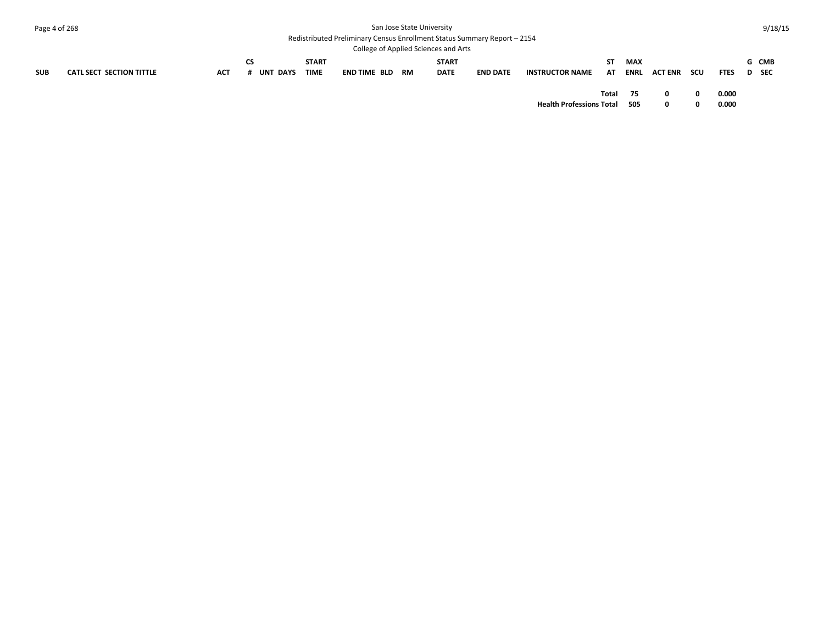| Page 4 of 268 |                                 |            |                              |                             |                                                                          | San Jose State University            |                 |                        |           |                    |                |     |             | 9/18/15        |
|---------------|---------------------------------|------------|------------------------------|-----------------------------|--------------------------------------------------------------------------|--------------------------------------|-----------------|------------------------|-----------|--------------------|----------------|-----|-------------|----------------|
|               |                                 |            |                              |                             | Redistributed Preliminary Census Enrollment Status Summary Report - 2154 | College of Applied Sciences and Arts |                 |                        |           |                    |                |     |             |                |
| <b>SUB</b>    | <b>CATL SECT SECTION TITTLE</b> | <b>ACT</b> | <b>CS</b><br><b>UNT DAYS</b> | <b>START</b><br><b>TIME</b> | END TIME BLD RM                                                          | <b>START</b><br><b>DATE</b>          | <b>END DATE</b> | <b>INSTRUCTOR NAME</b> | ST.<br>AT | <b>MAX</b><br>ENRL | <b>ACT ENR</b> | scu | <b>FTES</b> | G CMB<br>D SEC |
|               |                                 |            |                              |                             |                                                                          |                                      |                 |                        | Total     | 75                 |                |     | 0.000       |                |

**Health Professions Total 505 0 0 0.000**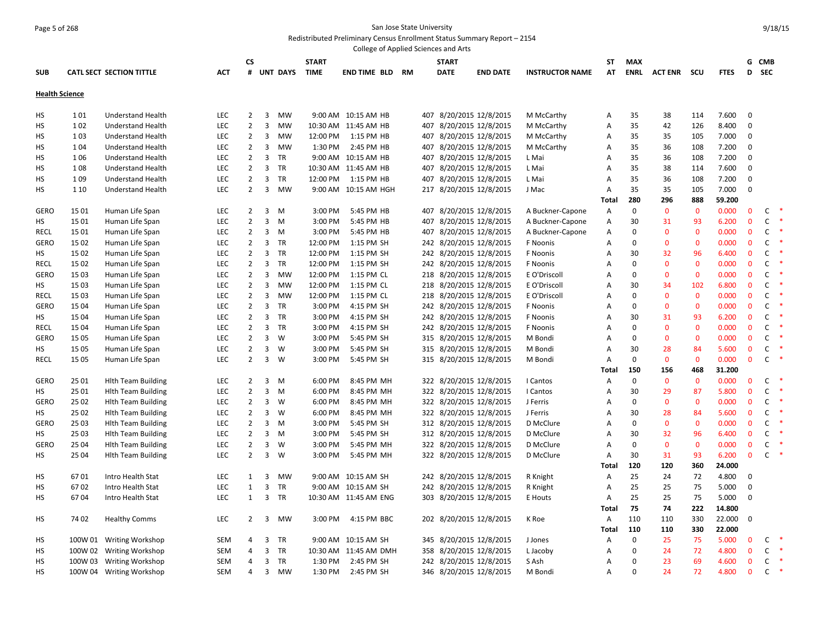#### Page 5 of 268 San Jose State University Redistributed Preliminary Census Enrollment Status Summary Report – 2154

College of Applied Sciences and Arts **SUB CATL SECT SECTION TITTLE ACT CS # UNT DAYS START TIME END TIME BLD RM START DATE END DATE INSTRUCTOR NAME ST AT MAX ENRL ACT ENR SCU FTES G CMB D SEC Health Science** HS 1 01 Understand Health LEC 2 3 MW 9:00 AM 10:15 AM HB 407 8/20/2015 12/8/2015 M McCarthy A 35 38 114 7.600 0 HS 1 02 Understand Health LEC 2 3 MW 10:30 AM 11:45 AM HB 407 8/20/2015 12/8/2015 M McCarthy A 35 42 126 8.400 0 HS 1 03 Understand Health LEC 2 3 MW 12:00 PM 1:15 PM HB 407 8/20/2015 12/8/2015 M McCarthy A 35 35 105 7.000 0 HS 1 04 Understand Health LEC 2 3 MW 1:30 PM 2:45 PM HB 407 8/20/2015 12/8/2015 M McCarthy A 35 36 108 7.200 0 HS 1 06 Understand Health LEC 2 3 TR 9:00 AM 10:15 AM HB 407 8/20/2015 12/8/2015 L Mai A 35 36 108 7.200 0 HS 1 08 Understand Health LEC 2 3 TR 10:30 AM 11:45 AM HB 407 8/20/2015 12/8/2015 L Mai A 35 38 114 7.600 0 HS 1 09 Understand Health LEC 2 3 TR 12:00 PM 1:15 PM HB 407 8/20/2015 12/8/2015 L Mai A 35 36 108 7.200 0 HS 1 10 Understand Health LEC 2 3 MW 9:00 AM 10:15 AM HGH 217 8/20/2015 12/8/2015 J Mac A 35 35 105 7.000 0 **Total 280 296 888 59.200** GERO 1501 Human Life Span 
LEC 2 3 M 3:00 PM 5:45 PM HB 407 8/20/2015 12/8/2015 A Buckner-Capone A 0 0 0.000 0 C HS 15 01 Human Life Span LEC 2 3 M 3:00 PM 5:45 PM HB 407 8/20/2015 12/8/2015 A Buckner-Capone A 30 31 93 6.200 0 C \* RECL 15 01 Human Life Span LEC 2 3 M 3:00 PM 5:45 PM HB 407 8/20/2015 12/8/2015 A Buckner-Capone A 0 0 0 0.000 0 C \* GERO 1502 Human Life Span 
LEC 2 3 TR 12:00 PM 1:15 PM SH 242 8/20/2015 12/8/2015 F Noonis A 0 0 0 0.000 0 C HS 15 02 Human Life Span LEC 2 3 TR 12:00 PM 1:15 PM SH 242 8/20/2015 12/8/2015 F Noonis A 30 32 96 6.400 0 C \* RECL 15 02 Human Life Span 
LEC 
2 
3 
TR 
12:00 PM 1:15 PM SH 
242 8/20/2015 12/8/2015 
FNoonis 
A 0 0 0 0.000 0 C GERO 15 03 Human Life Span 
LEC 2 3 MW 12:00 PM 1:15 PM CL 
218 8/20/2015 12/8/2015 E O'Driscoll 
A 0 0 0 0.000 0 C HS 15 03 Human Life Span LEC 2 3 MW 12:00 PM 1:15 PM CL 218 8/20/2015 12/8/2015 E O'Driscoll A 30 34 102 6.800 0 C \* RECL 15 03 Human Life Span 
LEC 
2 3 MW 
12:00 PM 1:15 PM CL 
218 8/20/2015 12/8/2015 
E O'Driscoll 
A 0 0 0 0.000 0 C GERO 15 04 Human Life Span 
LEC 2 3 TR 3:00 PM 4:15 PM SH 242 8/20/2015 12/8/2015 F Noonis A 0 0 0 0.000 0 C HS 15 04 Human Life Span LEC 2 3 TR 3:00 PM 4:15 PM SH 242 8/20/2015 12/8/2015 F Noonis A 30 31 93 6.200 0 C \* RECL 15 04 Human Life Span LEC 2 3 TR 3:00 PM 4:15 PM SH 242 8/20/2015 12/8/2015 F Noonis A 0 0 0 0.000 0 C \* GERO 15 05 Human Life Span LEC 2 3 W 3:00 PM 5:45 PM SH 315 8/20/2015 12/8/2015 M Bondi A 0 0 0 0.000 0 C \* HS 15 05 Human Life Span CLEC 2 3 W 3:00 PM 5:45 PM SH 315 8/20/2015 12/8/2015 M Bondi A 30 28 84 5.600 0 C RECL 15 05 Human Life Span 
LEC 
2 
3 
W 
3:00 PM
5:45 PM SH 315 8/20/2015 12/8/2015 
M Bondi 
A 0 0 0 0.000 0 C **Total 150 156 468 31.200** GERO 25 01 Hlth Team Building CLEC 2 3 M 6:00 PM 8:45 PM MH 322 8/20/2015 12/8/2015 I Cantos A 0 0 0 0.000 0 C HS 25 01 Hlth Team Building LEC 2 3 M 6:00 PM 8:45 PM MH 322 8/20/2015 12/8/2015 I Cantos A 30 29 87 5.800 0 C \* GERO 2502 Hlth Team Building CLEC 2 3 W 6:00 PM 8:45 PM MH 322 8/20/2015 12/8/2015 J Ferris A 0 0 0 0.000 0 C HS 25 02 Hlth Team Building CLEC 2 3 W 6:00 PM 8:45 PM MH 322 8/20/2015 12/8/2015 J Ferris A 30 28 84 5.600 0 C GERO 25 03 Hlth Team Building CLEC 2 3 M 3:00 PM 5:45 PM SH 312 8/20/2015 12/8/2015 D McClure A 0 0 0 0.000 0 C HS 25 03 Hlth Team Building LEC 2 3 M 3:00 PM 5:45 PM SH 312 8/20/2015 12/8/2015 D McClure A 30 32 96 6.400 0 C \* GERO 25 04 Hlth Team Building LEC 2 3 W 3:00 PM 5:45 PM MH 322 8/20/2015 12/8/2015 D McClure A 0 0 0 0.000 0 C \* HS 25 04 Hlth Team Building LEC 2 3 W 3:00 PM 5:45 PM MH 322 8/20/2015 12/8/2015 D McClure A 30 31 93 6.200 0 C \* **Total 120 120 360 24.000** HS 67 01 Intro Health Stat LEC 1 3 MW 9:00 AM 10:15 AM SH 242 8/20/2015 12/8/2015 R Knight A 25 24 72 4.800 0 HS 67 02 Intro Health Stat LEC 1 3 TR 9:00 AM 10:15 AM SH 242 8/20/2015 12/8/2015 R Knight A 25 25 75 5.000 0 HS 67 04 Intro Health Stat LEC 1 3 TR 10:30 AM 11:45 AM ENG 303 8/20/2015 12/8/2015 E Houts A 25 25 75 5.000 0 **Total 75 74 222 14.800** HS 74 02 Healthy Comms LEC 2 3 MW 3:00 PM 4:15 PM BBC 202 8/20/2015 12/8/2015 K Roe A 110 110 330 22.000 0 **Total 110 110 330 22.000** HS 100W 01 Writing Workshop SEM 4 3 TR 9:00 AM 10:15 AM SH 345 8/20/2015 12/8/2015 J Jones A 0 25 75 5.000 0 C \* HS 100W 02 Writing Workshop SEM 4 3 TR 10:30 AM 11:45 AM DMH 358 8/20/2015 12/8/2015 L Jacoby A 0 24 72 4.800 0 C \* HS 100W 03 Writing Workshop SEM 4 3 TR 1:30 PM 2:45 PM SH 242 8/20/2015 12/8/2015 SAsh A 0 23 69 4.600 0 C HS 100W 04 Writing Workshop SEM 4 3 MW 1:30 PM 2:45 PM SH 346 8/20/2015 12/8/2015 M Bondi A 0 24 72 4.800 0 C \*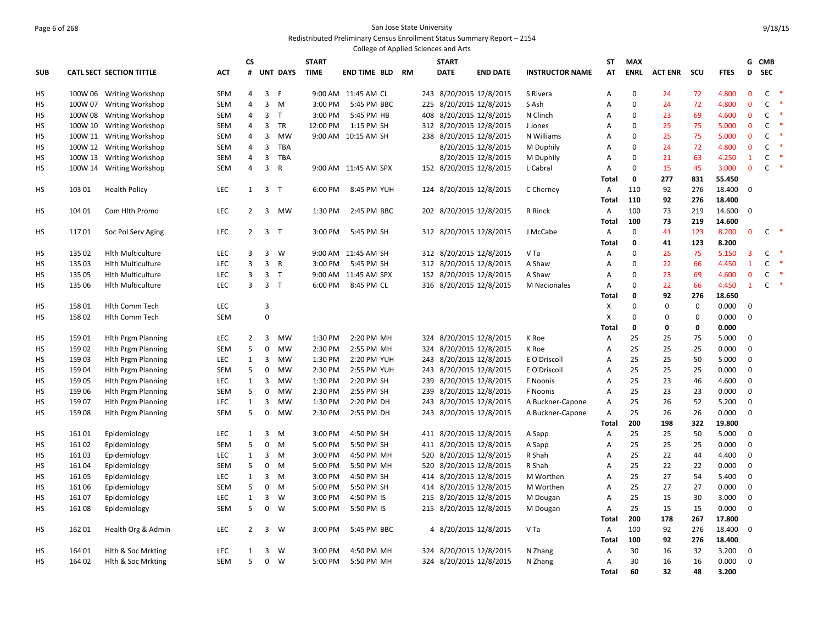#### Page 6 of 268 San Jose State University Redistributed Preliminary Census Enrollment Status Summary Report – 2154

|            | College of Applied Sciences and Arts<br><b>CS</b>              |                                 |            |                     |                         |                 |             |                        |              |     |             |                                                    |                        |                   |                            |                |             |                 |                                |                              |               |
|------------|----------------------------------------------------------------|---------------------------------|------------|---------------------|-------------------------|-----------------|-------------|------------------------|--------------|-----|-------------|----------------------------------------------------|------------------------|-------------------|----------------------------|----------------|-------------|-----------------|--------------------------------|------------------------------|---------------|
|            |                                                                |                                 |            |                     | <b>START</b>            |                 |             |                        | <b>START</b> |     |             | ST                                                 | <b>MAX</b>             |                   |                            |                | G           | <b>CMB</b>      |                                |                              |               |
| <b>SUB</b> |                                                                | <b>CATL SECT SECTION TITTLE</b> | ACT        | #                   |                         | <b>UNT DAYS</b> | <b>TIME</b> | <b>END TIME BLD RM</b> |              |     | <b>DATE</b> | <b>END DATE</b>                                    | <b>INSTRUCTOR NAME</b> | AT                | <b>ENRL</b>                | <b>ACT ENR</b> | scu         | <b>FTES</b>     | D                              | <b>SEC</b>                   |               |
| НS         | 100W 06 Writing Workshop<br>100W 07<br><b>Writing Workshop</b> |                                 | SEM        | 4                   | 3                       | -F              |             | 9:00 AM 11:45 AM CL    |              |     |             | 243 8/20/2015 12/8/2015                            | S Rivera               | Α                 | $\mathbf 0$                | 24             | 72          | 4.800           | $\mathbf 0$                    | $\mathsf{C}$                 | $\rightarrow$ |
| HS         |                                                                |                                 | SEM        | $\overline{4}$      | 3                       | M               | 3:00 PM     | 5:45 PM BBC            |              |     |             | 225 8/20/2015 12/8/2015                            | S Ash                  | А                 | $\mathbf 0$                | 24             | 72          | 4.800           | $\mathbf{0}$                   | $\mathsf{C}$                 | $\ast$        |
| НS         | 100W 08                                                        | <b>Writing Workshop</b>         | SEM        | 4                   | 3                       | $\top$          | 3:00 PM     | 5:45 PM HB             |              |     |             | 408 8/20/2015 12/8/2015                            | N Clinch               | Α                 | $\mathbf 0$                | 23             | 69          | 4.600           | $\mathbf 0$                    | C                            | -*            |
| НS         | 100W 10                                                        | <b>Writing Workshop</b>         | SEM        | 4                   | 3                       | TR              | 12:00 PM    | 1:15 PM SH             |              |     |             | 312 8/20/2015 12/8/2015                            | J Jones                | Α                 | $\mathbf 0$                | 25             | 75          | 5.000           | $\mathbf 0$                    | $\mathsf{C}$                 | $\ast$        |
| НS         |                                                                | 100W 11 Writing Workshop        | <b>SEM</b> | 4                   | 3                       | <b>MW</b>       |             | 9:00 AM 10:15 AM SH    |              |     |             | 238 8/20/2015 12/8/2015                            | N Williams             | A                 | $\mathbf 0$                | 25             | 75          | 5.000           | $\mathbf{0}$                   | $\mathsf{C}$                 | $\ast$        |
| HS         | 100W 12                                                        | <b>Writing Workshop</b>         | <b>SEM</b> | 4                   | 3                       | <b>TBA</b>      |             |                        |              |     |             | 8/20/2015 12/8/2015                                | M Duphily              | Α                 | $\mathbf 0$                | 24             | 72          | 4.800           | $\mathbf 0$                    | C                            | -*            |
| HS         | 100W 13                                                        | <b>Writing Workshop</b>         | <b>SEM</b> | 4                   | 3                       | <b>TBA</b>      |             |                        |              |     |             | 8/20/2015 12/8/2015                                | M Duphily              | Α                 | $\mathbf 0$                | 21             | 63          | 4.250           | $\mathbf{1}$                   | C                            | $\ast$        |
| HS         |                                                                | 100W 14 Writing Workshop        | <b>SEM</b> | 4                   | $\overline{\mathbf{3}}$ | $\mathsf{R}$    |             | 9:00 AM 11:45 AM SPX   |              |     |             | 152 8/20/2015 12/8/2015                            | L Cabral               | Α                 | $\mathbf 0$                | 15             | 45          | 3.000           | $\mathbf{0}$                   | $\mathsf{C}$                 | $\ast$        |
|            |                                                                |                                 |            |                     |                         |                 |             |                        |              |     |             |                                                    |                        | <b>Total</b>      | 0                          | 277            | 831         | 55.450          |                                |                              |               |
| НS         | 103 01                                                         | <b>Health Policy</b>            | LEC        | 1                   | 3 <sub>1</sub>          |                 | 6:00 PM     | 8:45 PM YUH            |              |     |             | 124 8/20/2015 12/8/2015                            | C Cherney              | Α                 | 110                        | 92             | 276         | 18.400          | $\mathbf 0$                    |                              |               |
|            | 104 01<br>Com Hith Promo                                       |                                 |            |                     |                         |                 |             |                        |              |     |             |                                                    |                        | <b>Total</b>      | 110                        | 92             | 276         | 18.400          |                                |                              |               |
| НS         |                                                                |                                 | LEC        | $\overline{2}$      |                         | 3 MW            | 1:30 PM     | 2:45 PM BBC            |              |     |             | 202 8/20/2015 12/8/2015                            | R Rinck                | Α                 | 100                        | 73             | 219         | 14.600          | $\mathbf 0$                    |                              |               |
|            |                                                                |                                 |            |                     |                         |                 |             |                        |              |     |             |                                                    |                        | <b>Total</b>      | 100                        | 73             | 219         | 14.600          |                                |                              |               |
| нs         | 11701                                                          | Soc Pol Serv Aging              | LEC        | $\overline{2}$      | 3 <sub>1</sub>          |                 | 3:00 PM     | 5:45 PM SH             |              |     |             | 312 8/20/2015 12/8/2015                            | J McCabe               | Α                 | $\mathbf 0$                | 41             | 123         | 8.200           | $\mathbf 0$                    | $\mathsf{C}$                 |               |
|            |                                                                |                                 |            |                     |                         |                 |             |                        |              |     |             |                                                    |                        | <b>Total</b>      | 0                          | 41             | 123         | 8.200           |                                |                              |               |
| нs         | 135 02                                                         | <b>Hith Multiculture</b>        | LEC        | 3                   | 3<br>3                  | W               |             | 9:00 AM 11:45 AM SH    |              |     |             | 312 8/20/2015 12/8/2015                            | V Ta                   | Α                 | $\mathbf 0$<br>$\mathbf 0$ | 25             | 75          | 5.150           | $\overline{3}$<br>$\mathbf{1}$ | C                            |               |
| НS         | 135 03                                                         | <b>Hith Multiculture</b>        | LEC        | 3<br>$\overline{3}$ | 3 <sub>T</sub>          | $\mathsf{R}$    | 3:00 PM     | 5:45 PM SH             |              |     |             | 312 8/20/2015 12/8/2015<br>152 8/20/2015 12/8/2015 | A Shaw                 | Α                 | $\mathbf 0$                | 22<br>23       | 66          | 4.450           | $\mathbf{0}$                   | $\mathsf{C}$<br>$\mathsf{C}$ | $\ast$        |
| HS         | 135 05                                                         | <b>Hith Multiculture</b>        | LEC        | 3                   |                         |                 |             | 9:00 AM 11:45 AM SPX   |              |     |             |                                                    | A Shaw                 | А                 |                            |                | 69          | 4.600           |                                |                              | $\ast$        |
| НS         | 135 06                                                         | <b>Hith Multiculture</b>        | LEC        |                     | 3 <sub>T</sub>          |                 | 6:00 PM     | 8:45 PM CL             |              |     |             | 316 8/20/2015 12/8/2015                            | <b>M</b> Nacionales    | Α                 | $\mathbf 0$<br>0           | 22<br>92       | 66<br>276   | 4.450<br>18.650 | $\mathbf{1}$                   | $\mathsf{C}$                 |               |
|            | 15801                                                          | Hith Comm Tech                  | <b>LEC</b> |                     | 3                       |                 |             |                        |              |     |             |                                                    |                        | <b>Total</b><br>х | $\Omega$                   | $\mathbf 0$    | $\mathbf 0$ | 0.000           | $\mathbf 0$                    |                              |               |
| HS<br>НS   | 15802                                                          | Hith Comm Tech                  | <b>SEM</b> |                     | $\mathbf 0$             |                 |             |                        |              |     |             |                                                    |                        | X                 | $\mathbf 0$                | $\mathbf 0$    | $\mathbf 0$ | 0.000           | $\mathbf 0$                    |                              |               |
|            |                                                                |                                 |            |                     |                         |                 |             |                        |              |     |             |                                                    |                        | <b>Total</b>      | 0                          | $\mathbf 0$    | 0           | 0.000           |                                |                              |               |
| нs         | 15901                                                          | <b>Hith Prgm Planning</b>       | LEC        | $\overline{2}$      | 3                       | MW              | 1:30 PM     | 2:20 PM MH             |              |     |             | 324 8/20/2015 12/8/2015                            | K Roe                  | Α                 | 25                         | 25             | 75          | 5.000           | 0                              |                              |               |
| НS         | 15902                                                          | <b>Hith Prgm Planning</b>       | SEM        | 5                   | $\mathbf 0$             | <b>MW</b>       | 2:30 PM     | 2:55 PM MH             |              |     |             | 324 8/20/2015 12/8/2015                            | K Roe                  | Α                 | 25                         | 25             | 25          | 0.000           | $\mathbf 0$                    |                              |               |
| НS         | 15903                                                          | <b>Hith Prgm Planning</b>       | LEC        | 1                   | 3                       | <b>MW</b>       | 1:30 PM     | 2:20 PM YUH            |              |     |             | 243 8/20/2015 12/8/2015                            | E O'Driscoll           | $\overline{A}$    | 25                         | 25             | 50          | 5.000           | $\mathbf 0$                    |                              |               |
| HS         | 15904                                                          | <b>Hith Prgm Planning</b>       | <b>SEM</b> | 5                   | 0                       | <b>MW</b>       | 2:30 PM     | 2:55 PM YUH            |              |     |             | 243 8/20/2015 12/8/2015                            | E O'Driscoll           | Α                 | 25                         | 25             | 25          | 0.000           | $\mathbf 0$                    |                              |               |
| НS         | 15905                                                          | <b>Hith Prgm Planning</b>       | LEC        | 1                   | 3                       | MW              | 1:30 PM     | 2:20 PM SH             |              |     |             | 239 8/20/2015 12/8/2015                            | F Noonis               | $\overline{A}$    | 25                         | 23             | 46          | 4.600           | $\mathbf 0$                    |                              |               |
| HS         | 15906                                                          | <b>Hith Prgm Planning</b>       | <b>SEM</b> | 5                   | $\mathbf 0$             | <b>MW</b>       | 2:30 PM     | 2:55 PM SH             |              |     |             | 239 8/20/2015 12/8/2015                            | F Noonis               | A                 | 25                         | 23             | 23          | 0.000           | $\mathbf 0$                    |                              |               |
| HS         | 15907                                                          | <b>Hith Prgm Planning</b>       | LEC        | $\mathbf{1}$        | 3                       | <b>MW</b>       | 1:30 PM     | 2:20 PM DH             |              |     |             | 243 8/20/2015 12/8/2015                            | A Buckner-Capone       | А                 | 25                         | 26             | 52          | 5.200           | $\mathbf 0$                    |                              |               |
| НS         | 15908                                                          | <b>Hith Prgm Planning</b>       | <b>SEM</b> | 5                   | $\mathbf 0$             | <b>MW</b>       | 2:30 PM     | 2:55 PM DH             |              | 243 |             | 8/20/2015 12/8/2015                                | A Buckner-Capone       | Α                 | 25                         | 26             | 26          | 0.000           | $\mathbf 0$                    |                              |               |
|            |                                                                |                                 |            |                     |                         |                 |             |                        |              |     |             |                                                    |                        | Total             | 200                        | 198            | 322         | 19.800          |                                |                              |               |
| HS         | 16101                                                          | Epidemiology                    | LEC        | 1                   | 3                       | M               | 3:00 PM     | 4:50 PM SH             |              |     |             | 411 8/20/2015 12/8/2015                            | A Sapp                 | Α                 | 25                         | 25             | 50          | 5.000           | $\mathbf 0$                    |                              |               |
| HS         | 16102                                                          | Epidemiology                    | <b>SEM</b> | 5                   | $\mathbf 0$             | M               | 5:00 PM     | 5:50 PM SH             |              |     |             | 411 8/20/2015 12/8/2015                            | A Sapp                 | А                 | 25                         | 25             | 25          | 0.000           | $\mathbf 0$                    |                              |               |
| НS         | 16103                                                          | Epidemiology                    | LEC        | $\mathbf{1}$        | 3                       | M               | 3:00 PM     | 4:50 PM MH             |              |     |             | 520 8/20/2015 12/8/2015                            | R Shah                 | Α                 | 25                         | 22             | 44          | 4.400           | $\mathbf 0$                    |                              |               |
| HS         | 16104                                                          | Epidemiology                    | <b>SEM</b> | 5                   | $\mathbf 0$             | M               | 5:00 PM     | 5:50 PM MH             |              |     |             | 520 8/20/2015 12/8/2015                            | R Shah                 | А                 | 25                         | 22             | 22          | 0.000           | $\mathbf 0$                    |                              |               |
| HS         | 16105                                                          | Epidemiology                    | LEC        | $\mathbf{1}$        | 3                       | M               | 3:00 PM     | 4:50 PM SH             |              |     |             | 414 8/20/2015 12/8/2015                            | M Worthen              | А                 | 25                         | 27             | 54          | 5.400           | $\mathbf 0$                    |                              |               |
| НS         | 16106                                                          | Epidemiology                    | <b>SEM</b> | 5                   | $\mathbf 0$             | M               | 5:00 PM     | 5:50 PM SH             |              |     |             | 414 8/20/2015 12/8/2015                            | M Worthen              | А                 | 25                         | 27             | 27          | 0.000           | $\mathbf 0$                    |                              |               |
| HS         | 16107                                                          | Epidemiology                    | LEC        | $\mathbf{1}$        | 3                       | W               | 3:00 PM     | 4:50 PM IS             |              |     |             | 215 8/20/2015 12/8/2015                            | M Dougan               | А                 | 25                         | 15             | 30          | 3.000           | $\mathbf 0$                    |                              |               |
| НS         | 16108                                                          | Epidemiology                    | <b>SEM</b> | 5                   | $\boldsymbol{0}$        | W               | 5:00 PM     | 5:50 PM IS             |              |     |             | 215 8/20/2015 12/8/2015                            | M Dougan               | Α                 | 25                         | 15             | 15          | 0.000           | $\mathbf 0$                    |                              |               |
|            |                                                                |                                 |            |                     |                         |                 |             |                        |              |     |             |                                                    |                        | <b>Total</b>      | 200                        | 178            | 267         | 17.800          |                                |                              |               |
| НS         | 162 01                                                         | Health Org & Admin              | LEC        | $\overline{2}$      | 3                       | W               | 3:00 PM     | 5:45 PM BBC            |              |     |             | 4 8/20/2015 12/8/2015                              | V Ta                   | Α                 | 100                        | 92             | 276         | 18.400          | $\Omega$                       |                              |               |
|            |                                                                |                                 |            |                     |                         |                 |             |                        |              |     |             |                                                    |                        | <b>Total</b>      | 100                        | 92             | 276         | 18.400          |                                |                              |               |
| НS         | 164 01                                                         | Hith & Soc Mrkting              | LEC        | $\mathbf{1}$        | 3                       | W               | 3:00 PM     | 4:50 PM MH             |              |     |             | 324 8/20/2015 12/8/2015                            | N Zhang                | Α                 | 30                         | 16             | 32          | 3.200           | 0                              |                              |               |
| HS.        | 164 02                                                         | Hith & Soc Mrkting              | <b>SEM</b> | 5                   |                         | $0 \quad W$     | 5:00 PM     | 5:50 PM MH             |              |     |             | 324 8/20/2015 12/8/2015                            | N Zhang                | A                 | 30                         | 16             | 16          | 0.000           | $\Omega$                       |                              |               |
|            |                                                                |                                 |            |                     |                         |                 |             |                        |              |     |             |                                                    |                        | <b>Total</b>      | 60                         | 32             | 48          | 3.200           |                                |                              |               |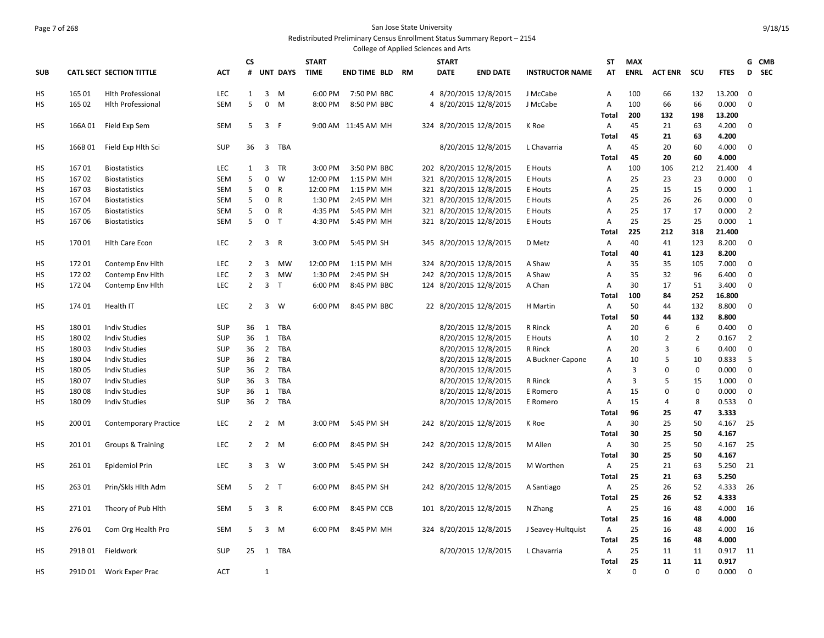#### Page 7 of 268 San Jose State University Redistributed Preliminary Census Enrollment Status Summary Report – 2154

| College of Applied Sciences and Arts |                                                                          |                                 |            |                |                |                 |              |                        |  |  |              |                         |                        |                |             |                |                |             |                 |  |
|--------------------------------------|--------------------------------------------------------------------------|---------------------------------|------------|----------------|----------------|-----------------|--------------|------------------------|--|--|--------------|-------------------------|------------------------|----------------|-------------|----------------|----------------|-------------|-----------------|--|
|                                      |                                                                          |                                 |            | CS             |                |                 | <b>START</b> |                        |  |  | <b>START</b> |                         |                        | ST             | <b>MAX</b>  |                |                |             | G CMB           |  |
| <b>SUB</b>                           |                                                                          | <b>CATL SECT SECTION TITTLE</b> | <b>ACT</b> | #              |                | <b>UNT DAYS</b> | <b>TIME</b>  | <b>END TIME BLD RM</b> |  |  | <b>DATE</b>  | <b>END DATE</b>         | <b>INSTRUCTOR NAME</b> | AT             | <b>ENRL</b> | <b>ACT ENR</b> | scu            | <b>FTES</b> | <b>SEC</b><br>D |  |
| HS                                   | 165 01<br><b>Hith Professional</b><br>165 02<br><b>Hith Professional</b> |                                 |            | $\mathbf{1}$   | 3              | M               | 6:00 PM      | 7:50 PM BBC            |  |  |              | 4 8/20/2015 12/8/2015   | J McCabe               | A              | 100         | 66             | 132            | 13.200      | $\mathbf 0$     |  |
| <b>HS</b>                            |                                                                          |                                 | <b>SEM</b> | 5              | $\mathbf 0$    | M               | 8:00 PM      | 8:50 PM BBC            |  |  |              | 4 8/20/2015 12/8/2015   | J McCabe               | $\overline{A}$ | 100         | 66             | 66             | 0.000       | $\mathbf 0$     |  |
|                                      |                                                                          |                                 |            |                |                |                 |              |                        |  |  |              |                         |                        | Total          | 200         | 132            | 198            | 13.200      |                 |  |
| HS                                   | 166A 01                                                                  | Field Exp Sem                   | <b>SEM</b> | 5              | 3 F            |                 |              | 9:00 AM 11:45 AM MH    |  |  |              | 324 8/20/2015 12/8/2015 | K Roe                  | A              | 45          | 21             | 63             | 4.200       | 0               |  |
|                                      |                                                                          |                                 |            |                |                |                 |              |                        |  |  |              |                         |                        | Total          | 45          | 21             | 63             | 4.200       |                 |  |
| HS                                   | 166B01                                                                   | Field Exp Hlth Sci              | <b>SUP</b> | 36             | $\overline{3}$ | TBA             |              |                        |  |  |              | 8/20/2015 12/8/2015     | L Chavarria            | A              | 45          | 20             | 60             | 4.000       | 0               |  |
|                                      |                                                                          |                                 |            |                |                |                 |              |                        |  |  |              |                         |                        | <b>Total</b>   | 45          | 20             | 60             | 4.000       |                 |  |
| HS                                   | 16701                                                                    | <b>Biostatistics</b>            | <b>LEC</b> | 1              | 3              | TR              | 3:00 PM      | 3:50 PM BBC            |  |  |              | 202 8/20/2015 12/8/2015 | E Houts                | A              | 100         | 106            | 212            | 21.400      | 4               |  |
| HS                                   | 16702                                                                    | <b>Biostatistics</b>            | <b>SEM</b> | 5              | 0              | W               | 12:00 PM     | 1:15 PM MH             |  |  |              | 321 8/20/2015 12/8/2015 | E Houts                | Α              | 25          | 23             | 23             | 0.000       | 0               |  |
| HS                                   | 16703                                                                    | <b>Biostatistics</b>            | <b>SEM</b> | 5              | $\mathbf 0$    | $\mathsf{R}$    | 12:00 PM     | 1:15 PM MH             |  |  |              | 321 8/20/2015 12/8/2015 | E Houts                | А              | 25          | 15             | 15             | 0.000       | $\mathbf{1}$    |  |
| HS                                   | 16704                                                                    | <b>Biostatistics</b>            | <b>SEM</b> | 5              | $\mathbf{0}$   | $\overline{R}$  | 1:30 PM      | 2:45 PM MH             |  |  |              | 321 8/20/2015 12/8/2015 | E Houts                | Α              | 25          | 26             | 26             | 0.000       | 0               |  |
| HS                                   | 16705                                                                    | <b>Biostatistics</b>            | <b>SEM</b> | 5              | $\mathbf 0$    | $\mathsf{R}$    | 4:35 PM      | 5:45 PM MH             |  |  |              | 321 8/20/2015 12/8/2015 | E Houts                | Α              | 25          | 17             | 17             | 0.000       | $\overline{2}$  |  |
| <b>HS</b>                            | 16706                                                                    | <b>Biostatistics</b>            | <b>SEM</b> | 5              | 0 <sub>T</sub> |                 | 4:30 PM      | 5:45 PM MH             |  |  |              | 321 8/20/2015 12/8/2015 | E Houts                | Α              | 25          | 25             | 25             | 0.000       | $\mathbf{1}$    |  |
|                                      |                                                                          |                                 |            |                |                |                 |              |                        |  |  |              |                         |                        | Total          | 225         | 212            | 318            | 21.400      |                 |  |
| HS                                   | 17001                                                                    | <b>Hith Care Econ</b>           | <b>LEC</b> | $\overline{2}$ | 3 R            |                 | 3:00 PM      | 5:45 PM SH             |  |  |              | 345 8/20/2015 12/8/2015 | D Metz                 | A              | 40          | 41             | 123            | 8.200       | 0               |  |
|                                      |                                                                          |                                 |            |                |                |                 |              |                        |  |  |              |                         |                        | Total          | 40          | 41             | 123            | 8.200       |                 |  |
| HS                                   | 17201                                                                    | Contemp Env Hlth                | LEC        | $\overline{2}$ | 3              | <b>MW</b>       | 12:00 PM     | 1:15 PM MH             |  |  |              | 324 8/20/2015 12/8/2015 | A Shaw                 | Α              | 35          | 35             | 105            | 7.000       | 0               |  |
| HS                                   | 17202                                                                    | Contemp Env Hith                | <b>LEC</b> | $\overline{2}$ | $\overline{3}$ | MW              | 1:30 PM      | 2:45 PM SH             |  |  |              | 242 8/20/2015 12/8/2015 | A Shaw                 | Α              | 35          | 32             | 96             | 6.400       | $\mathbf 0$     |  |
| HS                                   | 17204                                                                    | Contemp Env Hith                | LEC        | $\overline{2}$ | $\overline{3}$ | T               | 6:00 PM      | 8:45 PM BBC            |  |  |              | 124 8/20/2015 12/8/2015 | A Chan                 | A              | 30          | 17             | 51             | 3.400       | $\mathbf 0$     |  |
|                                      |                                                                          |                                 |            |                |                |                 |              |                        |  |  |              |                         |                        | <b>Total</b>   | 100         | 84             | 252            | 16.800      |                 |  |
| HS                                   | 17401                                                                    | Health IT                       | <b>LEC</b> | $\overline{2}$ | 3              | W               | 6:00 PM      | 8:45 PM BBC            |  |  |              | 22 8/20/2015 12/8/2015  | H Martin               | A              | 50          | 44             | 132            | 8.800       | $\mathbf 0$     |  |
|                                      |                                                                          |                                 |            |                |                |                 |              |                        |  |  |              |                         |                        | Total          | 50          | 44             | 132            | 8.800       |                 |  |
| HS                                   | 18001                                                                    | <b>Indiv Studies</b>            | <b>SUP</b> | 36             | 1              | TBA             |              |                        |  |  |              | 8/20/2015 12/8/2015     | R Rinck                | Α              | 20          | 6              | 6              | 0.400       | 0               |  |
| HS                                   | 18002                                                                    | <b>Indiv Studies</b>            | <b>SUP</b> | 36             | 1              | <b>TBA</b>      |              |                        |  |  |              | 8/20/2015 12/8/2015     | E Houts                | Α              | 10          | $\overline{2}$ | $\overline{2}$ | 0.167       | $\overline{2}$  |  |
| HS                                   | 18003                                                                    | <b>Indiv Studies</b>            | <b>SUP</b> | 36             | $\overline{2}$ | <b>TBA</b>      |              |                        |  |  |              | 8/20/2015 12/8/2015     | R Rinck                | A              | 20          | $\overline{3}$ | 6              | 0.400       | 0               |  |
| HS                                   | 18004                                                                    | <b>Indiv Studies</b>            | <b>SUP</b> | 36             | $\overline{2}$ | TBA             |              |                        |  |  |              | 8/20/2015 12/8/2015     | A Buckner-Capone       | Α              | 10          | 5              | 10             | 0.833       | 5               |  |
| <b>HS</b>                            | 18005                                                                    | <b>Indiv Studies</b>            | <b>SUP</b> | 36             | $\overline{2}$ | <b>TBA</b>      |              |                        |  |  |              | 8/20/2015 12/8/2015     |                        | A              | 3           | $\Omega$       | $\mathbf 0$    | 0.000       | $\mathbf 0$     |  |
| HS                                   | 18007                                                                    | <b>Indiv Studies</b>            | <b>SUP</b> | 36             | $\overline{3}$ | TBA             |              |                        |  |  |              | 8/20/2015 12/8/2015     | R Rinck                | A              | 3           | 5              | 15             | 1.000       | 0               |  |
| HS                                   | 18008                                                                    | <b>Indiv Studies</b>            | <b>SUP</b> | 36             | 1              | TBA             |              |                        |  |  |              | 8/20/2015 12/8/2015     | E Romero               | A              | 15          | $\mathbf 0$    | $\mathbf 0$    | 0.000       | $\mathbf 0$     |  |
| <b>HS</b>                            | 18009                                                                    | <b>Indiv Studies</b>            | <b>SUP</b> | 36             | $\overline{2}$ | TBA             |              |                        |  |  |              | 8/20/2015 12/8/2015     | E Romero               | $\overline{A}$ | 15          | 4              | 8              | 0.533       | $\mathbf 0$     |  |
|                                      |                                                                          |                                 |            |                |                |                 |              |                        |  |  |              |                         |                        | Total          | 96          | 25             | 47             | 3.333       |                 |  |
| HS                                   | 200 01                                                                   | <b>Contemporary Practice</b>    | <b>LEC</b> | $2^{\circ}$    | 2 M            |                 | 3:00 PM      | 5:45 PM SH             |  |  |              | 242 8/20/2015 12/8/2015 | K Roe                  | A              | 30          | 25             | 50             | 4.167       | 25              |  |
|                                      |                                                                          |                                 |            |                |                |                 |              |                        |  |  |              |                         |                        | Total          | 30          | 25             | 50             | 4.167       |                 |  |
| HS                                   | 201 01                                                                   | Groups & Training               | <b>LEC</b> | $\overline{2}$ | $2 \quad M$    |                 | 6:00 PM      | 8:45 PM SH             |  |  |              | 242 8/20/2015 12/8/2015 | M Allen                | Α              | 30          | 25             | 50             | 4.167       | 25              |  |
|                                      |                                                                          |                                 |            |                |                |                 |              |                        |  |  |              |                         |                        | Total          | 30          | 25             | 50             | 4.167       |                 |  |
| <b>HS</b>                            | 26101                                                                    | Epidemiol Prin                  | <b>LEC</b> | $\overline{3}$ | 3 W            |                 | 3:00 PM      | 5:45 PM SH             |  |  |              | 242 8/20/2015 12/8/2015 | M Worthen              | A              | 25          | 21             | 63             | 5.250       | 21              |  |
|                                      |                                                                          |                                 |            |                |                |                 |              |                        |  |  |              |                         |                        | <b>Total</b>   | 25          | 21             | 63             | 5.250       |                 |  |
| HS                                   | 26301                                                                    | Prin/Skls Hlth Adm              | <b>SEM</b> | 5              | 2 <sub>T</sub> |                 | 6:00 PM      | 8:45 PM SH             |  |  |              | 242 8/20/2015 12/8/2015 | A Santiago             | A              | 25          | 26             | 52             | 4.333       | 26              |  |
|                                      |                                                                          |                                 |            |                |                |                 |              |                        |  |  |              |                         |                        | <b>Total</b>   | 25          | 26             | 52             | 4.333       |                 |  |
| HS                                   | 27101                                                                    | Theory of Pub Hith              | <b>SEM</b> | 5              | 3 R            |                 | 6:00 PM      | 8:45 PM CCB            |  |  |              | 101 8/20/2015 12/8/2015 | N Zhang                | Α              | 25          | 16             | 48             | 4.000       | 16              |  |
|                                      |                                                                          |                                 |            |                |                |                 |              |                        |  |  |              |                         |                        | <b>Total</b>   | 25          | 16             | 48             | 4.000       |                 |  |
| HS                                   | 27601                                                                    | Com Org Health Pro              | <b>SEM</b> | 5              | 3              | M               | 6:00 PM      | 8:45 PM MH             |  |  |              | 324 8/20/2015 12/8/2015 | J Seavey-Hultquist     | Α              | 25          | 16             | 48             | 4.000       | 16              |  |
|                                      |                                                                          |                                 |            |                |                |                 |              |                        |  |  |              |                         |                        | Total          | 25          | 16             | 48             | 4.000       |                 |  |
| <b>HS</b>                            |                                                                          | 291B 01 Fieldwork               | <b>SUP</b> | 25             |                | 1 TBA           |              |                        |  |  |              | 8/20/2015 12/8/2015     | L Chavarria            | A              | 25          | 11             | 11             | 0.917       | 11              |  |
|                                      |                                                                          |                                 |            |                |                |                 |              |                        |  |  |              |                         |                        | <b>Total</b>   | 25          | 11             | 11             | 0.917       |                 |  |
| <b>HS</b>                            |                                                                          | 291D 01 Work Exper Prac         | <b>ACT</b> |                | 1              |                 |              |                        |  |  |              |                         |                        | X              | $\Omega$    | $\Omega$       | $\Omega$       | 0.000       | $\Omega$        |  |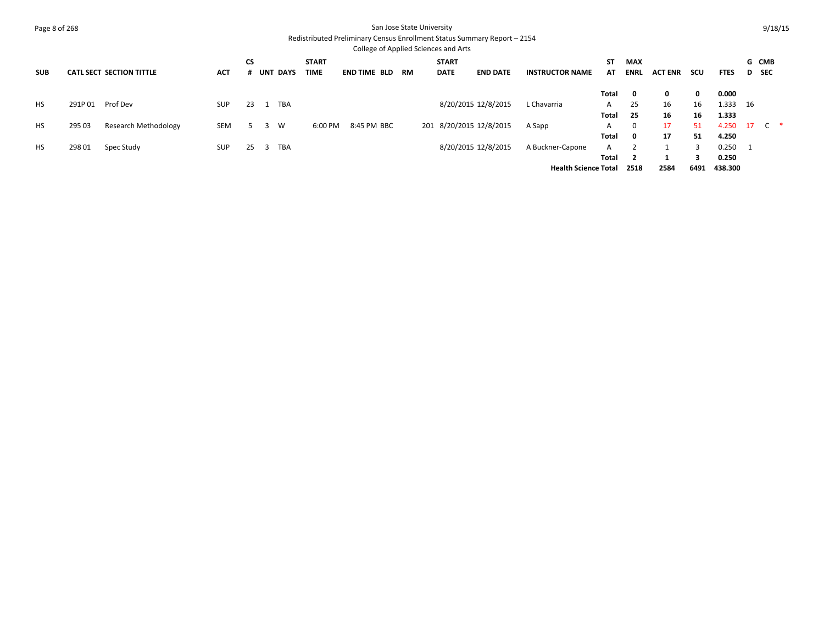| Page 8 of 268 |        |                                 |            |           |   |                 |                             |                     |           | San Jose State University<br>College of Applied Sciences and Arts | Redistributed Preliminary Census Enrollment Status Summary Report - 2154 |                                                 |                     |                           |                |                |                           |      | 9/18/15             |  |
|---------------|--------|---------------------------------|------------|-----------|---|-----------------|-----------------------------|---------------------|-----------|-------------------------------------------------------------------|--------------------------------------------------------------------------|-------------------------------------------------|---------------------|---------------------------|----------------|----------------|---------------------------|------|---------------------|--|
| <b>SUB</b>    |        | <b>CATL SECT SECTION TITTLE</b> | <b>ACT</b> | <b>CS</b> |   | <b>UNT DAYS</b> | <b>START</b><br><b>TIME</b> | <b>END TIME BLD</b> | <b>RM</b> | <b>START</b><br><b>DATE</b>                                       | <b>END DATE</b>                                                          | <b>INSTRUCTOR NAME</b>                          | <b>ST</b><br>AT.    | <b>MAX</b><br><b>ENRL</b> | <b>ACT ENR</b> | scu            | <b>FTES</b>               | D    | G CMB<br><b>SEC</b> |  |
| <b>HS</b>     | 291P01 | Prof Dev                        | <b>SUP</b> | 23        |   | TBA             |                             |                     |           |                                                                   | 8/20/2015 12/8/2015                                                      | L Chavarria                                     | Total<br>A<br>Total | - 0<br>25<br>25           | 0<br>16<br>16  | 0<br>16<br>16  | 0.000<br>1.333<br>1.333   | - 16 |                     |  |
| <b>HS</b>     | 295 03 | Research Methodology            | <b>SEM</b> |           | 3 | W               | 6:00 PM                     | 8:45 PM BBC         |           | 201 8/20/2015 12/8/2015                                           |                                                                          | A Sapp                                          | A<br>Total          | $\Omega$                  | 17<br>17       | 51<br>51       | 4.250<br>4.250            | 17   | C *                 |  |
| HS            | 298 01 | Spec Study                      | <b>SUP</b> | 25        | 3 | TBA             |                             |                     |           |                                                                   | 8/20/2015 12/8/2015                                                      | A Buckner-Capone<br><b>Health Science Total</b> | A<br>Total          | 2518                      | 1<br>2584      | ર<br>3<br>6491 | 0.250<br>0.250<br>438.300 |      |                     |  |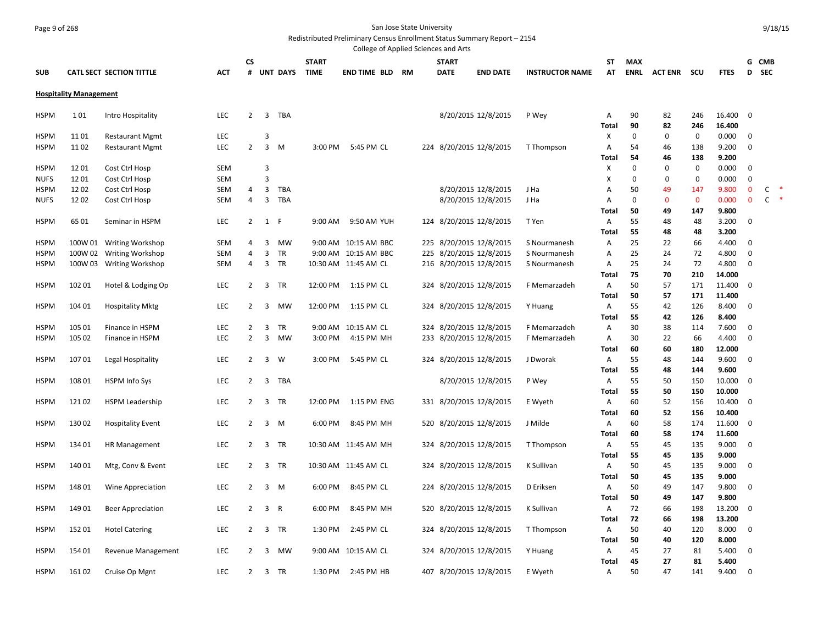## Page 9 of 268 San Jose State University

Redistributed Preliminary Census Enrollment Status Summary Report – 2154

|             |                                               |                          |            |                |                |                 |              | College of Applied Sciences and Arts |    |     |              |                         |                        |              |             |                    |                     |                |                             |                   |        |
|-------------|-----------------------------------------------|--------------------------|------------|----------------|----------------|-----------------|--------------|--------------------------------------|----|-----|--------------|-------------------------|------------------------|--------------|-------------|--------------------|---------------------|----------------|-----------------------------|-------------------|--------|
|             | <b>CATL SECT SECTION TITTLE</b><br><b>ACT</b> |                          |            | CS             |                |                 | <b>START</b> |                                      |    |     | <b>START</b> |                         |                        | ST           | <b>MAX</b>  |                    |                     |                | G                           | <b>CMB</b>        |        |
| <b>SUB</b>  |                                               |                          |            | #              |                | <b>UNT DAYS</b> | <b>TIME</b>  | END TIME BLD                         | RM |     | <b>DATE</b>  | <b>END DATE</b>         | <b>INSTRUCTOR NAME</b> | AT           | <b>ENRL</b> | <b>ACT ENR</b>     | scu                 | <b>FTES</b>    | D                           | <b>SEC</b>        |        |
|             | <b>Hospitality Management</b>                 |                          |            |                |                |                 |              |                                      |    |     |              |                         |                        |              |             |                    |                     |                |                             |                   |        |
|             | 101<br>Intro Hospitality                      |                          |            |                |                |                 |              |                                      |    |     |              |                         |                        |              |             |                    |                     |                |                             |                   |        |
| <b>HSPM</b> |                                               |                          | <b>LEC</b> | $\overline{2}$ | 3              | TBA             |              |                                      |    |     |              | 8/20/2015 12/8/2015     | P Wey                  | A            | 90          | 82                 | 246                 | 16.400         | $\mathbf 0$                 |                   |        |
|             |                                               |                          |            |                |                |                 |              |                                      |    |     |              |                         |                        | Total        | 90          | 82                 | 246                 | 16.400         |                             |                   |        |
| <b>HSPM</b> | 1101                                          | <b>Restaurant Mgmt</b>   | LEC        |                | 3              |                 |              |                                      |    |     |              |                         |                        | X            | 0           | 0                  | $\mathbf 0$         | 0.000          | $\mathbf 0$                 |                   |        |
| <b>HSPM</b> | 1102                                          | <b>Restaurant Mgmt</b>   | LEC        | $\overline{2}$ | 3              | M               | 3:00 PM      | 5:45 PM CL                           |    |     |              | 224 8/20/2015 12/8/2015 | T Thompson             | A            | 54          | 46                 | 138                 | 9.200          | $\mathbf 0$                 |                   |        |
|             |                                               |                          |            |                |                |                 |              |                                      |    |     |              |                         |                        | Total        | 54          | 46                 | 138                 | 9.200          |                             |                   |        |
| <b>HSPM</b> | 1201                                          | Cost Ctrl Hosp           | <b>SEM</b> |                | 3              |                 |              |                                      |    |     |              |                         |                        | Х            | 0           | 0                  | $\mathbf 0$         | 0.000          | $\mathbf 0$                 |                   |        |
| <b>NUFS</b> | 1201                                          | Cost Ctrl Hosp           | <b>SEM</b> | $\overline{4}$ | $\overline{3}$ |                 |              |                                      |    |     |              |                         |                        | X            | 0           | 0                  | $\mathbf 0$         | 0.000          | 0                           |                   |        |
| <b>HSPM</b> | 1202<br>1202                                  | Cost Ctrl Hosp           | <b>SEM</b> | $\overline{4}$ | 3<br>3         | TBA<br>TBA      |              |                                      |    |     |              | 8/20/2015 12/8/2015     | J Ha                   | Α            | 50<br>0     | 49<br>$\mathbf{0}$ | 147<br>$\mathbf{0}$ | 9.800<br>0.000 | $\mathbf 0$<br>$\mathbf{0}$ | C<br>$\mathsf{C}$ | $\ast$ |
| <b>NUFS</b> |                                               | Cost Ctrl Hosp           | SEM        |                |                |                 |              |                                      |    |     |              | 8/20/2015 12/8/2015     | J Ha                   | A<br>Total   | 50          | 49                 | 147                 | 9.800          |                             |                   |        |
| <b>HSPM</b> | 6501                                          | Seminar in HSPM          | LEC        | $\overline{2}$ | 1              | F               | 9:00 AM      | 9:50 AM YUH                          |    | 124 |              | 8/20/2015 12/8/2015     | T Yen                  | A            | 55          | 48                 | 48                  | 3.200          | $\mathbf 0$                 |                   |        |
|             |                                               |                          |            |                |                |                 |              |                                      |    |     |              |                         |                        | <b>Total</b> | 55          | 48                 | 48                  | 3.200          |                             |                   |        |
| <b>HSPM</b> | 100W 01                                       | <b>Writing Workshop</b>  | SEM        | $\overline{4}$ | 3              | <b>MW</b>       |              | 9:00 AM 10:15 AM BBC                 |    | 225 |              | 8/20/2015 12/8/2015     | S Nourmanesh           | A            | 25          | 22                 | 66                  | 4.400          | $\mathbf 0$                 |                   |        |
| <b>HSPM</b> | 100W 02                                       | <b>Writing Workshop</b>  | <b>SEM</b> | $\overline{4}$ | 3              | TR              |              | 9:00 AM 10:15 AM BBC                 |    | 225 |              | 8/20/2015 12/8/2015     | S Nourmanesh           | Α            | 25          | 24                 | 72                  | 4.800          | 0                           |                   |        |
| <b>HSPM</b> | 100W 03                                       | <b>Writing Workshop</b>  | SEM        | $\overline{4}$ | 3              | TR              |              | 10:30 AM 11:45 AM CL                 |    |     |              | 216 8/20/2015 12/8/2015 | S Nourmanesh           | Α            | 25          | 24                 | 72                  | 4.800          | 0                           |                   |        |
|             |                                               |                          |            |                |                |                 |              |                                      |    |     |              |                         |                        | Total        | 75          | 70                 | 210                 | 14.000         |                             |                   |        |
| <b>HSPM</b> | 102 01                                        | Hotel & Lodging Op       | <b>LEC</b> | 2              | 3              | TR              | 12:00 PM     | 1:15 PM CL                           |    |     |              | 324 8/20/2015 12/8/2015 | F Memarzadeh           | A            | 50          | 57                 | 171                 | 11.400         | $\mathbf 0$                 |                   |        |
|             |                                               |                          |            |                |                |                 |              |                                      |    |     |              |                         |                        | Total        | 50          | 57                 | 171                 | 11.400         |                             |                   |        |
| <b>HSPM</b> | 104 01                                        | <b>Hospitality Mktg</b>  | LEC        | $\overline{2}$ | 3              | <b>MW</b>       | 12:00 PM     | 1:15 PM CL                           |    |     |              | 324 8/20/2015 12/8/2015 | Y Huang                | Α            | 55          | 42                 | 126                 | 8.400          | 0                           |                   |        |
|             |                                               |                          |            |                |                |                 |              |                                      |    |     |              |                         |                        | <b>Total</b> | 55          | 42                 | 126                 | 8.400          |                             |                   |        |
| <b>HSPM</b> | 105 01                                        | Finance in HSPM          | LEC        | 2              | 3              | TR              | 9:00 AM      | 10:15 AM CL                          |    | 324 |              | 8/20/2015 12/8/2015     | F Memarzadeh           | A            | 30          | 38                 | 114                 | 7.600          | $\mathbf 0$                 |                   |        |
| <b>HSPM</b> | 105 02                                        | Finance in HSPM          | LEC        | $\overline{2}$ | 3              | <b>MW</b>       | 3:00 PM      | 4:15 PM MH                           |    |     |              | 233 8/20/2015 12/8/2015 | F Memarzadeh           | A            | 30          | 22                 | 66                  | 4.400          | $\mathbf 0$                 |                   |        |
|             |                                               |                          |            |                |                |                 |              |                                      |    |     |              |                         |                        | Total        | 60          | 60                 | 180                 | 12.000         |                             |                   |        |
| <b>HSPM</b> | 10701                                         | Legal Hospitality        | LEC        | 2              | 3              | W               | 3:00 PM      | 5:45 PM CL                           |    |     |              | 324 8/20/2015 12/8/2015 | J Dworak               | Α            | 55          | 48                 | 144                 | 9.600          | $\mathbf 0$                 |                   |        |
|             |                                               |                          |            |                |                |                 |              |                                      |    |     |              |                         |                        | <b>Total</b> | 55          | 48                 | 144                 | 9.600          |                             |                   |        |
| <b>HSPM</b> | 108 01                                        | <b>HSPM Info Sys</b>     | LEC        | 2              | $\overline{3}$ | TBA             |              |                                      |    |     |              | 8/20/2015 12/8/2015     | P Wey                  | A            | 55          | 50                 | 150                 | 10.000         | $\overline{0}$              |                   |        |
|             |                                               |                          |            |                |                |                 |              |                                      |    |     |              |                         |                        | Total        | 55          | 50                 | 150                 | 10.000         |                             |                   |        |
| <b>HSPM</b> | 12102                                         | <b>HSPM Leadership</b>   | LEC        | $\overline{2}$ | 3              | TR              | 12:00 PM     | 1:15 PM ENG                          |    |     |              | 331 8/20/2015 12/8/2015 | E Wyeth                | Α            | 60          | 52                 | 156                 | 10.400         | $\overline{0}$              |                   |        |
|             |                                               |                          |            |                |                |                 |              |                                      |    |     |              |                         |                        | <b>Total</b> | 60          | 52                 | 156                 | 10.400         |                             |                   |        |
| <b>HSPM</b> | 13002                                         | <b>Hospitality Event</b> | <b>LEC</b> | 2              | $\overline{3}$ | M               | 6:00 PM      | 8:45 PM MH                           |    |     |              | 520 8/20/2015 12/8/2015 | J Milde                | Α            | 60          | 58                 | 174                 | 11.600         | $\overline{0}$              |                   |        |
|             |                                               |                          |            |                |                |                 |              |                                      |    |     |              |                         |                        | <b>Total</b> | 60          | 58                 | 174                 | 11.600         |                             |                   |        |
| <b>HSPM</b> | 134 01                                        | <b>HR Management</b>     | <b>LEC</b> | 2              | 3              | TR              |              | 10:30 AM 11:45 AM MH                 |    |     |              | 324 8/20/2015 12/8/2015 | T Thompson             | A            | 55          | 45                 | 135                 | 9.000          | $\mathbf{0}$                |                   |        |
|             |                                               |                          |            |                |                |                 |              |                                      |    |     |              |                         |                        | <b>Total</b> | 55          | 45                 | 135                 | 9.000          |                             |                   |        |
| <b>HSPM</b> | 14001                                         | Mtg, Conv & Event        | <b>LEC</b> | $\overline{2}$ |                | 3 TR            |              | 10:30 AM 11:45 AM CL                 |    |     |              | 324 8/20/2015 12/8/2015 | K Sullivan             | Α            | 50          | 45                 | 135                 | 9.000          | 0                           |                   |        |
|             |                                               |                          |            |                |                |                 |              |                                      |    |     |              |                         |                        | <b>Total</b> | 50          | 45                 | 135                 | 9.000          |                             |                   |        |
| <b>HSPM</b> | 148 01                                        | Wine Appreciation        | LEC        | $\overline{2}$ | 3              | M               | 6:00 PM      | 8:45 PM CL                           |    |     |              | 224 8/20/2015 12/8/2015 | D Eriksen              | A            | 50          | 49                 | 147                 | 9.800          | $\mathbf 0$                 |                   |        |
|             |                                               |                          |            |                |                |                 |              |                                      |    |     |              |                         |                        | <b>Total</b> | 50          | 49                 | 147                 | 9.800          |                             |                   |        |
| <b>HSPM</b> | 149 01                                        | <b>Beer Appreciation</b> | LEC        | $\overline{2}$ | $\overline{3}$ | R               | 6:00 PM      | 8:45 PM MH                           |    |     |              | 520 8/20/2015 12/8/2015 | K Sullivan             | Α            | 72          | 66                 | 198                 | 13.200         | $\mathbf 0$                 |                   |        |
|             |                                               |                          |            |                |                |                 |              |                                      |    |     |              |                         |                        | <b>Total</b> | 72          | 66                 | 198                 | 13.200         |                             |                   |        |
| <b>HSPM</b> | 152 01                                        | <b>Hotel Catering</b>    | LEC        | $\overline{2}$ | 3              | TR              | 1:30 PM      | 2:45 PM CL                           |    |     |              | 324 8/20/2015 12/8/2015 | T Thompson             | Α            | 50          | 40                 | 120                 | 8.000          | 0                           |                   |        |
| <b>HSPM</b> | 154 01                                        |                          | LEC        | 2              | 3              | <b>MW</b>       |              | 9:00 AM 10:15 AM CL                  |    |     |              |                         |                        | Total<br>Α   | 50<br>45    | 40<br>27           | 120<br>81           | 8.000<br>5.400 | 0                           |                   |        |
|             |                                               | Revenue Management       |            |                |                |                 |              |                                      |    |     |              | 324 8/20/2015 12/8/2015 | Y Huang                | <b>Total</b> | 45          | 27                 | 81                  | 5.400          |                             |                   |        |
| <b>HSPM</b> | 16102                                         | Cruise Op Mgnt           | <b>LEC</b> | $\overline{2}$ |                | 3 TR            | 1:30 PM      | 2:45 PM HB                           |    |     |              | 407 8/20/2015 12/8/2015 | E Wyeth                | A            | 50          | 47                 | 141                 | 9.400          | 0                           |                   |        |
|             |                                               |                          |            |                |                |                 |              |                                      |    |     |              |                         |                        |              |             |                    |                     |                |                             |                   |        |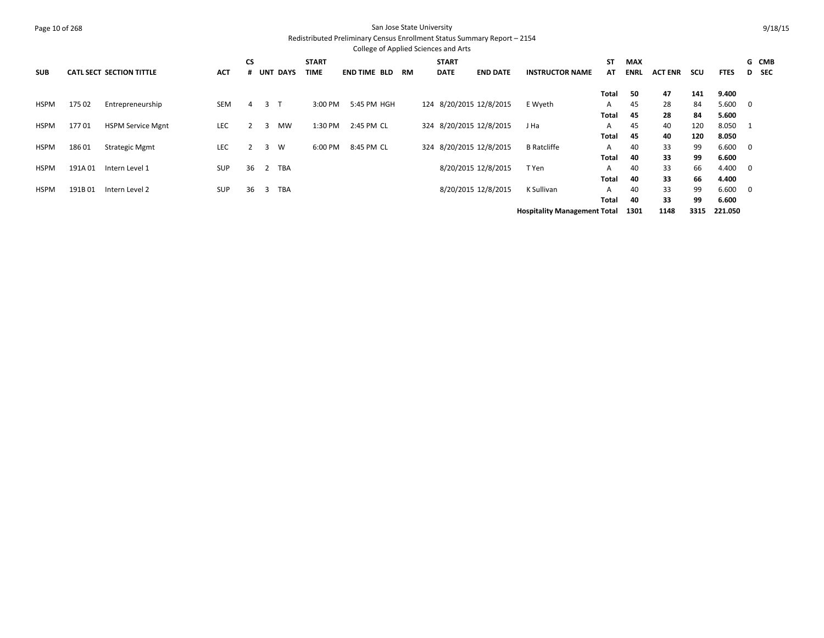| Page 10 of 268 |        |                                 |            |           |              |            |              |                                                                                                                  | San Jose State University |              |                         |                        |              |             |                |     |             |                          | 9/18/15    |
|----------------|--------|---------------------------------|------------|-----------|--------------|------------|--------------|------------------------------------------------------------------------------------------------------------------|---------------------------|--------------|-------------------------|------------------------|--------------|-------------|----------------|-----|-------------|--------------------------|------------|
|                |        |                                 |            |           |              |            |              | Redistributed Preliminary Census Enrollment Status Summary Report - 2154<br>College of Applied Sciences and Arts |                           |              |                         |                        |              |             |                |     |             |                          |            |
|                |        |                                 |            | <b>CS</b> |              |            | <b>START</b> |                                                                                                                  |                           | <b>START</b> |                         |                        | ST           | <b>MAX</b>  |                |     |             |                          | G CMB      |
| <b>SUB</b>     |        | <b>CATL SECT SECTION TITTLE</b> | <b>ACT</b> |           |              | # UNT DAYS | <b>TIME</b>  | <b>END TIME BLD</b>                                                                                              | RM                        | <b>DATE</b>  | <b>END DATE</b>         | <b>INSTRUCTOR NAME</b> | AT           | <b>ENRL</b> | <b>ACT ENR</b> | scu | <b>FTES</b> | D                        | <b>SEC</b> |
|                |        |                                 |            |           |              |            |              |                                                                                                                  |                           |              |                         |                        | <b>Total</b> | 50          | 47             | 141 | 9.400       |                          |            |
| <b>HSPM</b>    | 175 02 | Entrepreneurship                | SEM        | 4         | $\mathbf{3}$ |            | 3:00 PM      | 5:45 PM HGH                                                                                                      |                           |              | 124 8/20/2015 12/8/2015 | E Wyeth                | A            | 45          | 28             | 84  | 5.600       | $\overline{\mathbf{0}}$  |            |
|                |        |                                 |            |           |              |            |              |                                                                                                                  |                           |              |                         |                        | <b>Total</b> | 45          | 28             | 84  | 5.600       |                          |            |
| <b>HSPM</b>    | 17701  | <b>HSPM Service Mgnt</b>        | LEC        | 2         | 3            | MW         | 1:30 PM      | 2:45 PM CL                                                                                                       |                           |              | 324 8/20/2015 12/8/2015 | J Ha                   | A            | 45          | 40             | 120 | 8.050       | $\overline{\mathbf{1}}$  |            |
|                |        |                                 |            |           |              |            |              |                                                                                                                  |                           |              |                         |                        | <b>Total</b> | 45          | 40             | 120 | 8.050       |                          |            |
| <b>HSPM</b>    | 18601  | <b>Strategic Mgmt</b>           | <b>LEC</b> | 2         | 3            | W          | 6:00 PM      | 8:45 PM CL                                                                                                       |                           |              | 324 8/20/2015 12/8/2015 | <b>B</b> Ratcliffe     | A            | 40          | 33             | 99  | 6.600       | $\overline{\phantom{0}}$ |            |
|                |        |                                 |            |           |              |            |              |                                                                                                                  |                           |              |                         |                        | <b>Total</b> | 40          | 33             | 99  | 6.600       |                          |            |
| <b>HSPM</b>    | 191A01 | Intern Level 1                  | <b>SUP</b> | 36        |              | 2 TBA      |              |                                                                                                                  |                           |              | 8/20/2015 12/8/2015     | T Yen                  | A            | 40          | 33             | 66  | 4.400       | $\overline{\mathbf{0}}$  |            |
|                |        |                                 |            |           |              |            |              |                                                                                                                  |                           |              |                         |                        | <b>Total</b> | 40          | 33             | 66  | 4.400       |                          |            |
| <b>HSPM</b>    | 191B01 | Intern Level 2                  | <b>SUP</b> | 36        | 3            | TBA        |              |                                                                                                                  |                           |              | 8/20/2015 12/8/2015     | K Sullivan             | A            | 40          | 33             | 99  | 6.600       | $\overline{\mathbf{0}}$  |            |
|                |        |                                 |            |           |              |            |              |                                                                                                                  |                           |              |                         |                        | Total        | 40          | 33             | 99  | 6.600       |                          |            |
|                |        |                                 |            |           |              |            |              |                                                                                                                  |                           |              |                         |                        |              |             |                |     |             |                          |            |

**Hospitality Management Total 1301 1148 3315 221.050**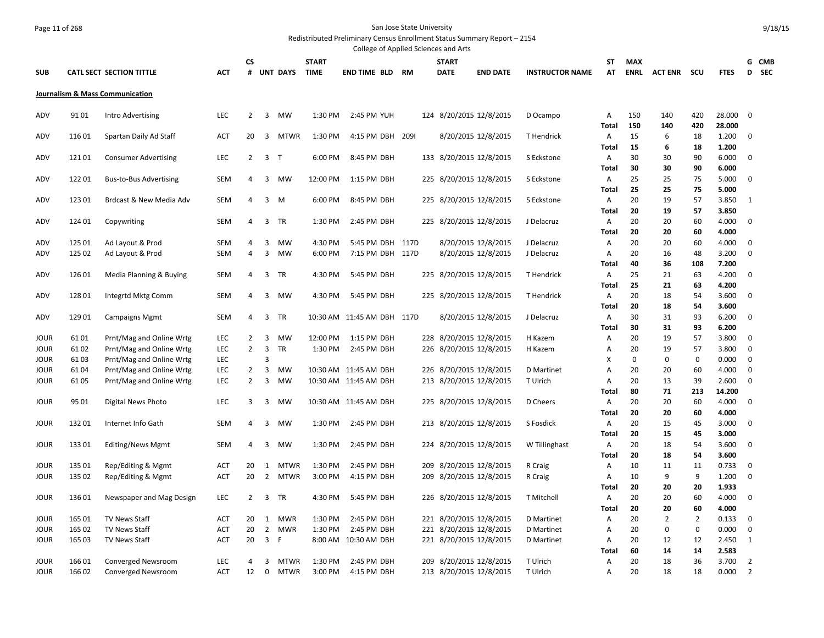# Page 11 of 268 San Jose State University

Redistributed Preliminary Census Enrollment Status Summary Report – 2154 College of Applied Sciences and Arts

|                            |                  |                                                      |                          |                                  |                |                            |                             | conced or Applica Sciences and Arts            |     |                             |                                                    |                          |                   |             |                      |                      |                  |                                  |                     |
|----------------------------|------------------|------------------------------------------------------|--------------------------|----------------------------------|----------------|----------------------------|-----------------------------|------------------------------------------------|-----|-----------------------------|----------------------------------------------------|--------------------------|-------------------|-------------|----------------------|----------------------|------------------|----------------------------------|---------------------|
| <b>SUB</b>                 |                  | <b>CATL SECT SECTION TITTLE</b>                      | <b>ACT</b>               | <b>CS</b><br>#                   |                | <b>UNT DAYS</b>            | <b>START</b><br><b>TIME</b> | <b>END TIME BLD RM</b>                         |     | <b>START</b><br><b>DATE</b> | <b>END DATE</b>                                    | <b>INSTRUCTOR NAME</b>   | ST<br>AT          | <b>MAX</b>  | <b>ENRL ACTENR</b>   | scu                  | <b>FTES</b>      | D                                | G CMB<br><b>SEC</b> |
|                            |                  | Journalism & Mass Communication                      |                          |                                  |                |                            |                             |                                                |     |                             |                                                    |                          |                   |             |                      |                      |                  |                                  |                     |
| ADV                        | 9101             | Intro Advertising                                    | <b>LEC</b>               | 2                                | 3              | MW                         | 1:30 PM                     | 2:45 PM YUH                                    |     |                             | 124 8/20/2015 12/8/2015                            | D Ocampo                 | A<br><b>Total</b> | 150<br>150  | 140<br>140           | 420<br>420           | 28.000<br>28,000 | $\mathbf 0$                      |                     |
| ADV                        | 11601            | Spartan Daily Ad Staff                               | <b>ACT</b>               | 20                               | 3              | <b>MTWR</b>                | 1:30 PM                     | 4:15 PM DBH 2091                               |     |                             | 8/20/2015 12/8/2015                                | T Hendrick               | Α                 | 15          | 6                    | 18                   | 1.200            | 0                                |                     |
| ADV                        | 12101            | <b>Consumer Advertising</b>                          | <b>LEC</b>               | $\overline{2}$                   | 3 <sub>1</sub> |                            | 6:00 PM                     | 8:45 PM DBH                                    |     |                             | 133 8/20/2015 12/8/2015                            | S Eckstone               | <b>Total</b><br>Α | 15<br>30    | 6<br>30              | 18<br>90             | 1.200<br>6.000   | 0                                |                     |
| ADV                        | 12201            | <b>Bus-to-Bus Advertising</b>                        | SEM                      | 4                                | 3              | MW                         | 12:00 PM                    | 1:15 PM DBH                                    |     |                             | 225 8/20/2015 12/8/2015                            | S Eckstone               | <b>Total</b><br>Α | 30<br>25    | 30<br>25             | 90<br>75             | 6.000<br>5.000   | 0                                |                     |
| ADV                        | 123 01           | Brdcast & New Media Adv                              | SEM                      | $\overline{4}$                   | $3 \, M$       |                            | 6:00 PM                     | 8:45 PM DBH                                    |     |                             | 225 8/20/2015 12/8/2015                            | S Eckstone               | <b>Total</b><br>Α | 25<br>20    | 25<br>19             | 75<br>57             | 5.000<br>3.850   | 1                                |                     |
| ADV                        | 124 01           | Copywriting                                          | <b>SEM</b>               | $\overline{4}$                   | 3              | TR                         | 1:30 PM                     | 2:45 PM DBH                                    |     |                             | 225 8/20/2015 12/8/2015                            | J Delacruz               | <b>Total</b><br>Α | 20<br>20    | 19<br>20             | 57<br>60             | 3.850<br>4.000   | 0                                |                     |
|                            |                  |                                                      |                          |                                  |                |                            |                             |                                                |     |                             |                                                    |                          | <b>Total</b>      | 20          | 20                   | 60                   | 4.000            |                                  |                     |
| ADV<br>ADV                 | 125 01<br>125 02 | Ad Layout & Prod<br>Ad Layout & Prod                 | <b>SEM</b><br>SEM        | 4<br>4                           | 3<br>3         | <b>MW</b><br><b>MW</b>     | 4:30 PM<br>6:00 PM          | 5:45 PM DBH 117D<br>7:15 PM DBH 117D           |     |                             | 8/20/2015 12/8/2015<br>8/20/2015 12/8/2015         | J Delacruz<br>J Delacruz | Α<br>Α            | 20<br>20    | 20<br>16             | 60<br>48             | 4.000<br>3.200   | $\mathbf 0$<br>0                 |                     |
| ADV                        | 126 01           | Media Planning & Buying                              | SEM                      | 4                                | 3              | TR                         | 4:30 PM                     | 5:45 PM DBH                                    |     |                             | 225 8/20/2015 12/8/2015                            | T Hendrick               | <b>Total</b><br>A | 40<br>25    | 36<br>21             | 108<br>63            | 7.200<br>4.200   | 0                                |                     |
| ADV                        | 12801            | Integrtd Mktg Comm                                   | SEM                      | 4                                | 3              | <b>MW</b>                  | 4:30 PM                     | 5:45 PM DBH                                    |     |                             | 225 8/20/2015 12/8/2015                            | T Hendrick               | <b>Total</b><br>Α | 25<br>20    | 21<br>18             | 63<br>54             | 4.200<br>3.600   | 0                                |                     |
| ADV                        | 12901            | <b>Campaigns Mgmt</b>                                | SEM                      | 4                                | 3              | TR                         |                             | 10:30 AM 11:45 AM DBH 117D                     |     |                             | 8/20/2015 12/8/2015                                | J Delacruz               | <b>Total</b><br>Α | 20<br>30    | 18<br>31             | 54<br>93             | 3.600<br>6.200   | 0                                |                     |
|                            |                  |                                                      |                          |                                  |                |                            |                             |                                                |     |                             |                                                    |                          | Total             | 30          | 31                   | 93                   | 6.200            |                                  |                     |
| <b>JOUR</b><br><b>JOUR</b> | 6101<br>6102     | Prnt/Mag and Online Wrtg<br>Prnt/Mag and Online Wrtg | LEC<br><b>LEC</b>        | $\overline{2}$<br>$\overline{2}$ | 3<br>3         | <b>MW</b><br>TR            | 12:00 PM<br>1:30 PM         | 1:15 PM DBH<br>2:45 PM DBH                     |     |                             | 228 8/20/2015 12/8/2015<br>226 8/20/2015 12/8/2015 | H Kazem<br>H Kazem       | Α<br>A            | 20<br>20    | 19<br>19             | 57<br>57             | 3.800<br>3.800   | 0<br>0                           |                     |
| <b>JOUR</b>                | 6103             | Prnt/Mag and Online Wrtg                             | <b>LEC</b>               |                                  | 3              |                            |                             |                                                |     |                             |                                                    |                          | X<br>A            | $\mathbf 0$ | $\overline{0}$<br>20 | $\mathbf 0$          | 0.000            | 0                                |                     |
| <b>JOUR</b><br>JOUR        | 6104<br>6105     | Prnt/Mag and Online Wrtg<br>Prnt/Mag and Online Wrtg | <b>LEC</b><br><b>LEC</b> | $\overline{2}$<br>$\overline{2}$ | 3<br>3         | <b>MW</b><br>MW            |                             | 10:30 AM 11:45 AM DBH<br>10:30 AM 11:45 AM DBH |     |                             | 226 8/20/2015 12/8/2015<br>213 8/20/2015 12/8/2015 | D Martinet<br>T Ulrich   | A                 | 20<br>20    | 13                   | 60<br>39             | 4.000<br>2.600   | 0<br>$\mathbf 0$                 |                     |
| JOUR                       | 95 01            | <b>Digital News Photo</b>                            | <b>LEC</b>               | 3                                | 3              | MW                         |                             | 10:30 AM 11:45 AM DBH                          |     |                             | 225 8/20/2015 12/8/2015                            | D Cheers                 | Total<br>A        | 80<br>20    | 71<br>20             | 213<br>60            | 14.200<br>4.000  | 0                                |                     |
| JOUR                       | 13201            | Internet Info Gath                                   | <b>SEM</b>               | 4                                | 3              | <b>MW</b>                  | 1:30 PM                     | 2:45 PM DBH                                    |     |                             | 213 8/20/2015 12/8/2015                            | S Fosdick                | Total<br>A        | 20<br>20    | 20<br>15             | 60<br>45             | 4.000<br>3.000   | 0                                |                     |
| <b>JOUR</b>                | 13301            | <b>Editing/News Mgmt</b>                             | SEM                      | 4                                | 3              | <b>MW</b>                  | 1:30 PM                     | 2:45 PM DBH                                    |     |                             | 224 8/20/2015 12/8/2015                            | W Tillinghast            | <b>Total</b><br>Α | 20<br>20    | 15<br>18             | 45<br>54             | 3.000<br>3.600   | 0                                |                     |
| JOUR                       | 135 01           | Rep/Editing & Mgmt                                   | <b>ACT</b>               | 20                               | 1              | <b>MTWR</b>                | 1:30 PM                     | 2:45 PM DBH                                    | 209 |                             | 8/20/2015 12/8/2015                                | R Craig                  | <b>Total</b><br>Α | 20<br>10    | 18<br>11             | 54<br>11             | 3.600<br>0.733   | 0                                |                     |
| <b>JOUR</b>                | 135 02           | Rep/Editing & Mgmt                                   | <b>ACT</b>               | 20                               | $\overline{2}$ | <b>MTWR</b>                | 3:00 PM                     | 4:15 PM DBH                                    |     |                             | 209 8/20/2015 12/8/2015                            | R Craig                  | Α                 | 10          | 9                    | 9                    | 1.200            | $\mathbf 0$                      |                     |
| <b>JOUR</b>                | 136 01           | Newspaper and Mag Design                             | LEC                      | $\overline{2}$                   | $\overline{3}$ | TR                         | 4:30 PM                     | 5:45 PM DBH                                    |     |                             | 226 8/20/2015 12/8/2015                            | T Mitchell               | <b>Total</b><br>Α | 20<br>20    | 20<br>20             | 20<br>60             | 1.933<br>4.000   | $\mathbf 0$                      |                     |
| <b>JOUR</b>                | 165 01           | <b>TV News Staff</b>                                 | ACT                      | 20                               | 1              | <b>MWR</b>                 | 1:30 PM                     | 2:45 PM DBH                                    |     |                             | 221 8/20/2015 12/8/2015                            | D Martinet               | <b>Total</b><br>Α | 20<br>20    | 20<br>$\overline{2}$ | 60<br>$\overline{2}$ | 4.000<br>0.133   | $\mathbf 0$                      |                     |
| JOUR                       | 165 02           | <b>TV News Staff</b>                                 | <b>ACT</b>               | 20                               | $\overline{2}$ | <b>MWR</b>                 | 1:30 PM                     | 2:45 PM DBH                                    |     |                             | 221 8/20/2015 12/8/2015                            | D Martinet               | A                 | 20          | $\pmb{0}$            | $\mathbf 0$          | 0.000            | 0                                |                     |
| <b>JOUR</b>                | 165 03           | <b>TV News Staff</b>                                 | <b>ACT</b>               | 20                               | 3 F            |                            |                             | 8:00 AM 10:30 AM DBH                           |     |                             | 221 8/20/2015 12/8/2015                            | D Martinet               | Α<br>Total        | 20<br>60    | 12<br>14             | 12<br>14             | 2.450<br>2.583   | 1                                |                     |
| <b>JOUR</b><br><b>JOUR</b> | 16601<br>16602   | Converged Newsroom<br>Converged Newsroom             | <b>LEC</b><br><b>ACT</b> | 4<br>12                          | 3<br>$\Omega$  | <b>MTWR</b><br><b>MTWR</b> | 1:30 PM<br>3:00 PM          | 2:45 PM DBH<br>4:15 PM DBH                     |     |                             | 209 8/20/2015 12/8/2015<br>213 8/20/2015 12/8/2015 | T Ulrich<br>T Ulrich     | A<br>A            | 20<br>20    | 18<br>18             | 36<br>18             | 3.700<br>0.000   | $\overline{2}$<br>$\overline{2}$ |                     |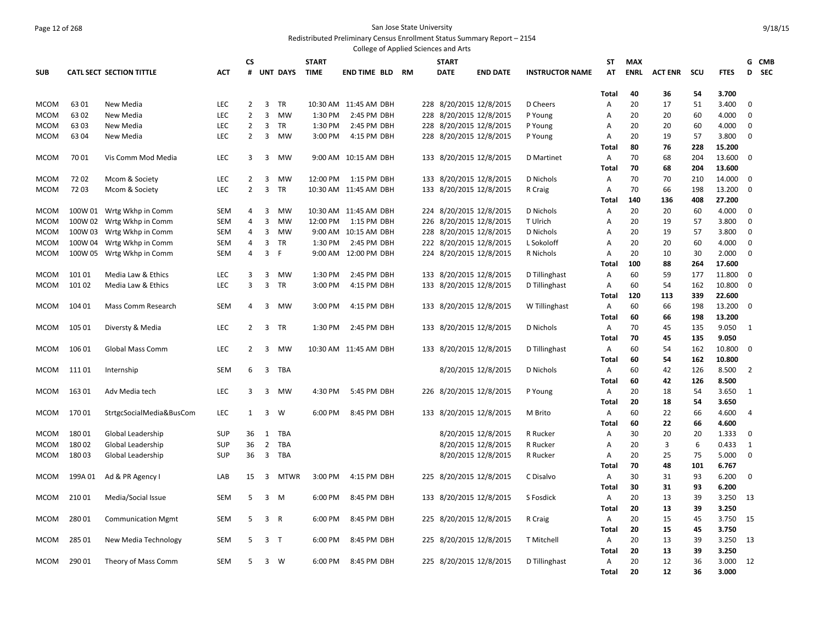#### Page 12 of 268 San Jose State University Redistributed Preliminary Census Enrollment Status Summary Report – 2154

|             |         |                                 |            |                |                |                 |              | College of Applied Sciences and Arts |    |                         |                 |                        |              |             |                |     |             |                 |  |
|-------------|---------|---------------------------------|------------|----------------|----------------|-----------------|--------------|--------------------------------------|----|-------------------------|-----------------|------------------------|--------------|-------------|----------------|-----|-------------|-----------------|--|
|             |         |                                 |            | <b>CS</b>      |                |                 | <b>START</b> |                                      |    | <b>START</b>            |                 |                        | ST           | <b>MAX</b>  |                |     |             | G CMB           |  |
| <b>SUB</b>  |         | <b>CATL SECT SECTION TITTLE</b> | <b>ACT</b> | #              |                | <b>UNT DAYS</b> | <b>TIME</b>  | <b>END TIME BLD</b>                  | RM | <b>DATE</b>             | <b>END DATE</b> | <b>INSTRUCTOR NAME</b> | AT           | <b>ENRL</b> | <b>ACT ENR</b> | SCU | <b>FTES</b> | <b>SEC</b><br>D |  |
|             |         |                                 |            |                |                |                 |              |                                      |    |                         |                 |                        |              |             |                |     |             |                 |  |
|             |         |                                 |            |                |                |                 |              |                                      |    |                         |                 |                        | Total        | 40          | 36             | 54  | 3.700       |                 |  |
| <b>MCOM</b> | 6301    | New Media                       | <b>LEC</b> | $\overline{2}$ | $\overline{3}$ | <b>TR</b>       | 10:30 AM     | 11:45 AM DBH                         |    | 228 8/20/2015 12/8/2015 |                 | D Cheers               | A            | 20          | 17             | 51  | 3.400       | $\mathbf 0$     |  |
| <b>MCOM</b> | 6302    | New Media                       | <b>LEC</b> | $\overline{2}$ | 3              | MW              | 1:30 PM      | 2:45 PM DBH                          |    | 228 8/20/2015 12/8/2015 |                 | P Young                | Α            | 20          | 20             | 60  | 4.000       | 0               |  |
| <b>MCOM</b> | 6303    | New Media                       | <b>LEC</b> | $\overline{2}$ | 3              | TR              | 1:30 PM      | 2:45 PM DBH                          |    | 228 8/20/2015 12/8/2015 |                 | P Young                | Α            | 20          | 20             | 60  | 4.000       | 0               |  |
| MCOM        | 6304    | New Media                       | LEC        | 2              | 3              | MW              | 3:00 PM      | 4:15 PM DBH                          |    | 228 8/20/2015 12/8/2015 |                 | P Young                | A            | 20          | 19             | 57  | 3.800       | 0               |  |
|             |         |                                 |            |                |                |                 |              |                                      |    |                         |                 |                        | Total        | 80          | 76             | 228 | 15.200      |                 |  |
| <b>MCOM</b> | 7001    | Vis Comm Mod Media              | LEC        | 3              | 3              | MW              |              | 9:00 AM 10:15 AM DBH                 |    | 133 8/20/2015 12/8/2015 |                 | D Martinet             | Α            | 70          | 68             | 204 | 13.600      | $\mathbf 0$     |  |
|             |         |                                 |            |                |                |                 |              |                                      |    |                         |                 |                        | Total        | 70          | 68             | 204 | 13.600      |                 |  |
| <b>MCOM</b> | 7202    | Mcom & Society                  | <b>LEC</b> | 2              | 3              | MW              | 12:00 PM     | 1:15 PM DBH                          |    | 133 8/20/2015 12/8/2015 |                 | D Nichols              | A            | 70          | 70             | 210 | 14.000      | $\mathbf 0$     |  |
| MCOM        | 7203    | Mcom & Society                  | LEC        | $\overline{2}$ | $\overline{3}$ | <b>TR</b>       |              | 10:30 AM 11:45 AM DBH                |    | 133 8/20/2015 12/8/2015 |                 | R Craig                | Α            | 70          | 66             | 198 | 13.200      | $\mathbf 0$     |  |
|             |         |                                 |            |                |                |                 |              |                                      |    |                         |                 |                        | Total        | 140         | 136            | 408 | 27.200      |                 |  |
| <b>MCOM</b> |         | 100W 01 Wrtg Wkhp in Comm       | <b>SEM</b> | 4              | 3              | MW              |              | 10:30 AM 11:45 AM DBH                |    | 224 8/20/2015 12/8/2015 |                 | D Nichols              | Α            | 20          | 20             | 60  | 4.000       | $\mathbf 0$     |  |
| MCOM        | 100W 02 | Wrtg Wkhp in Comm               | <b>SEM</b> | 4              | $\overline{3}$ | MW              | 12:00 PM     | 1:15 PM DBH                          |    | 226 8/20/2015 12/8/2015 |                 | T Ulrich               | A            | 20          | 19             | 57  | 3.800       | 0               |  |
| MCOM        | 100W 03 | Wrtg Wkhp in Comm               | <b>SEM</b> | 4              | 3              | MW              | 9:00 AM      | 10:15 AM DBH                         |    | 228 8/20/2015 12/8/2015 |                 | D Nichols              | Α            | 20          | 19             | 57  | 3.800       | $\mathbf 0$     |  |
| <b>MCOM</b> | 100W 04 | Wrtg Wkhp in Comm               | <b>SEM</b> | 4              | 3              | <b>TR</b>       | 1:30 PM      | 2:45 PM DBH                          |    | 222 8/20/2015 12/8/2015 |                 | L Sokoloff             | Α            | 20          | 20             | 60  | 4.000       | $\mathbf 0$     |  |
| <b>MCOM</b> | 100W 05 | Wrtg Wkhp in Comm               | <b>SEM</b> | 4              | $\overline{3}$ | F.              |              | 9:00 AM 12:00 PM DBH                 |    | 224 8/20/2015 12/8/2015 |                 | R Nichols              | Α            | 20          | 10             | 30  | 2.000       | 0               |  |
|             |         |                                 |            |                |                |                 |              |                                      |    |                         |                 |                        | Total        | 100         | 88             | 264 | 17.600      |                 |  |
| <b>MCOM</b> | 10101   | Media Law & Ethics              | <b>LEC</b> | 3              | $\overline{3}$ | <b>MW</b>       | 1:30 PM      | 2:45 PM DBH                          |    | 133 8/20/2015 12/8/2015 |                 | D Tillinghast          | Α            | 60          | 59             | 177 | 11.800      | $\mathbf 0$     |  |
| <b>MCOM</b> | 10102   | Media Law & Ethics              | <b>LEC</b> | 3              | $\overline{3}$ | TR              | 3:00 PM      | 4:15 PM DBH                          |    | 133 8/20/2015 12/8/2015 |                 | D Tillinghast          | Α            | 60          | 54             | 162 | 10.800      | $\mathbf 0$     |  |
|             |         |                                 |            |                |                |                 |              |                                      |    |                         |                 |                        | <b>Total</b> | 120         | 113            | 339 | 22.600      |                 |  |
| MCOM        | 104 01  | Mass Comm Research              | <b>SEM</b> | 4              | 3              | <b>MW</b>       | $3:00$ PM    | 4:15 PM DBH                          |    | 133 8/20/2015 12/8/2015 |                 | W Tillinghast          | A            | 60          | 66             | 198 | 13.200      | 0               |  |
|             |         |                                 |            |                |                |                 |              |                                      |    |                         |                 |                        | Total        | 60          | 66             | 198 | 13.200      |                 |  |
| <b>MCOM</b> | 105 01  | Diversty & Media                | <b>LEC</b> | 2              | 3              | TR              | 1:30 PM      | 2:45 PM DBH                          |    | 133 8/20/2015 12/8/2015 |                 | D Nichols              | A            | 70          | 45             | 135 | 9.050       | 1               |  |
|             |         |                                 |            |                |                |                 |              |                                      |    |                         |                 |                        | Total        | 70          | 45             | 135 | 9.050       |                 |  |
| MCOM        | 106 01  | <b>Global Mass Comm</b>         | <b>LEC</b> | $\overline{2}$ | 3              | <b>MW</b>       |              | 10:30 AM 11:45 AM DBH                |    | 133 8/20/2015 12/8/2015 |                 | D Tillinghast          | A            | 60          | 54             | 162 | 10.800      | 0               |  |
|             |         |                                 |            |                |                |                 |              |                                      |    |                         |                 |                        | Total        | 60          | 54             | 162 | 10.800      |                 |  |
| <b>MCOM</b> | 111 01  | Internship                      | SEM        | 6              | 3              | TBA             |              |                                      |    | 8/20/2015 12/8/2015     |                 | D Nichols              | A            | 60          | 42             | 126 | 8.500       | 2               |  |
|             |         |                                 |            |                |                |                 |              |                                      |    |                         |                 |                        | <b>Total</b> | 60          | 42             | 126 | 8.500       |                 |  |
| MCOM        | 16301   | Adv Media tech                  | <b>LEC</b> | 3              | 3              | MW              | 4:30 PM      | 5:45 PM DBH                          |    | 226 8/20/2015 12/8/2015 |                 | P Young                | A            | 20          | 18             | -54 | 3.650       | 1               |  |
|             |         |                                 |            |                |                |                 |              |                                      |    |                         |                 |                        | Total        | 20          | 18             | 54  | 3.650       |                 |  |
| <b>MCOM</b> | 17001   | StrtgcSocialMedia&BusCom        | <b>LEC</b> | 1              | 3              | W               | 6:00 PM      | 8:45 PM DBH                          |    | 133 8/20/2015 12/8/2015 |                 | M Brito                | Α            | 60          | 22             | 66  | 4.600       | $\overline{4}$  |  |
|             |         |                                 |            |                |                |                 |              |                                      |    |                         |                 |                        | Total        | 60          | 22             | 66  | 4.600       |                 |  |
| <b>MCOM</b> | 18001   | Global Leadership               | <b>SUP</b> | 36             | 1              | TBA             |              |                                      |    | 8/20/2015 12/8/2015     |                 | R Rucker               | Α            | 30          | 20             | 20  | 1.333       | 0               |  |
| <b>MCOM</b> | 18002   | Global Leadership               | <b>SUP</b> | 36             | $\overline{2}$ | <b>TBA</b>      |              |                                      |    | 8/20/2015 12/8/2015     |                 | R Rucker               | Α            | 20          | 3              | 6   | 0.433       | 1               |  |
| MCOM        | 18003   | Global Leadership               | <b>SUP</b> | 36             | 3              | TBA             |              |                                      |    | 8/20/2015 12/8/2015     |                 | R Rucker               | Α            | 20          | 25             | 75  | 5.000       | $\mathbf 0$     |  |
|             |         |                                 |            |                |                |                 |              |                                      |    |                         |                 |                        | Total        | 70          | 48             | 101 | 6.767       |                 |  |
| MCOM        | 199A01  | Ad & PR Agency I                | LAB        | 15             | 3              | MTWR            | 3:00 PM      | 4:15 PM DBH                          |    | 225 8/20/2015 12/8/2015 |                 | C Disalvo              | A            | 30          | 31             | 93  | 6.200       | $\mathbf 0$     |  |
|             |         |                                 |            |                |                |                 |              |                                      |    |                         |                 |                        | Total        | 30          | 31             | 93  | 6.200       |                 |  |
| <b>MCOM</b> | 21001   | Media/Social Issue              | <b>SEM</b> | 5              | $\overline{3}$ | M               | 6:00 PM      | 8:45 PM DBH                          |    | 133 8/20/2015 12/8/2015 |                 | S Fosdick              | A            | 20          | 13             | 39  | 3.250       | 13              |  |
|             |         |                                 |            |                |                |                 |              |                                      |    |                         |                 |                        | Total        | 20          | 13             | 39  | 3.250       |                 |  |
| <b>MCOM</b> | 28001   | <b>Communication Mgmt</b>       | <b>SEM</b> | 5              | $\overline{3}$ | $\overline{R}$  | 6:00 PM      | 8:45 PM DBH                          |    | 225 8/20/2015 12/8/2015 |                 | R Craig                | Α            | 20          | 15             | 45  | 3.750       | 15              |  |
|             |         |                                 |            |                |                |                 |              |                                      |    |                         |                 |                        | Total        | 20          | 15             | 45  | 3.750       |                 |  |
| <b>MCOM</b> | 285 01  | New Media Technology            | <b>SEM</b> | 5              | 3 <sub>T</sub> |                 | 6:00 PM      | 8:45 PM DBH                          |    | 225 8/20/2015 12/8/2015 |                 | T Mitchell             | Α            | 20          | 13             | 39  | 3.250       | 13              |  |
|             |         |                                 |            |                |                |                 |              |                                      |    |                         |                 |                        | Total        | 20          | 13             | 39  | 3.250       |                 |  |
| MCOM        | 29001   | Theory of Mass Comm             | <b>SEM</b> | .5             | $\overline{3}$ | - W             | 6:00 PM      | 8:45 PM DBH                          |    | 225 8/20/2015 12/8/2015 |                 | D Tillinghast          | Α            | 20          | 12             | 36  | 3.000       | 12              |  |
|             |         |                                 |            |                |                |                 |              |                                      |    |                         |                 |                        | <b>Total</b> | 20          | 12             | 36  | 3.000       |                 |  |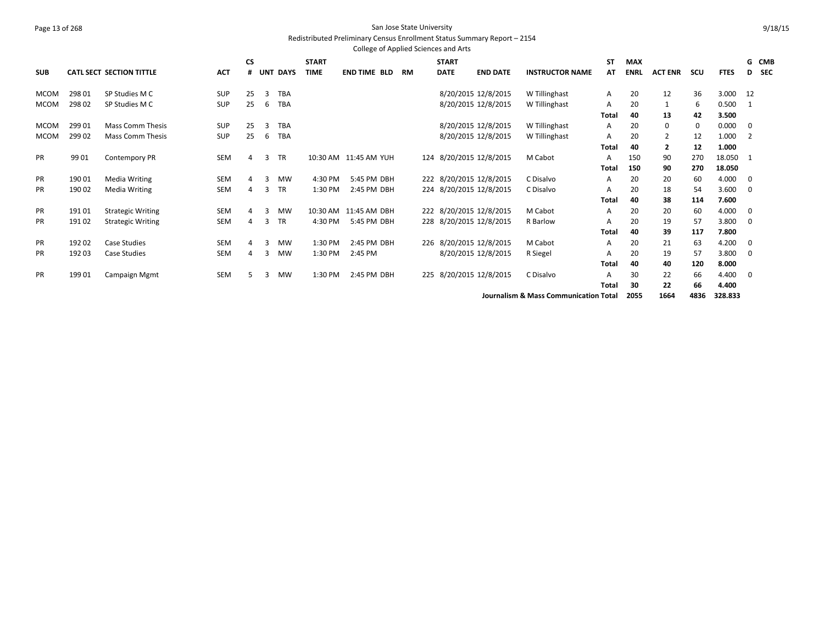#### Page 13 of 268 San Jose State University Redistributed Preliminary Census Enrollment Status Summary Report – 2154

College of Applied Sciences and Arts **SUB CATL SECT SECTION TITTLE ACT CS # UNT DAYS START TIME END TIME BLD RM START DATE END DATE INSTRUCTOR NAME ST AT MAX ENRL ACT ENR SCU FTES G CMB D SEC** MCOM 298 01 SP Studies M C SUP 25 3 TBA 8/20/2015 12/8/2015 W Tillinghast A 20 12 36 3.000 12 MCOM 298 02 SP Studies M C SUP 25 6 TBA 8/20/2015 12/8/2015 W Tillinghast A 20 1 6 0.500 1 **Total 40 13 42 3.500** MCOM 29901 Mass Comm Thesis SUP 25 3 TBA 8/20/2015 12/8/2015 12/8/2015 W Tillinghast A 20 0 0000 0 MCOM 29902 Mass Comm Thesis 5UP 25 6 TBA 8/20/2015 12/8/2015 12/8/2015 W Tillinghast A 20 2 12 1.000 2 **Total 40 2 12 1.000** PR 99 01 Contempory PR SEM 4 3 TR 10:30 AM 11:45 AM YUH 124 8/20/2015 12/8/2015 M Cabot A 150 90 270 18.050 1 **Total 150 90 270 18.050** PR 190 01 Media Writing SEM 4 3 MW 4:30 PM 5:45 PM DBH 222 8/20/2015 12/8/2015 C Disalvo A 20 20 60 4.000 0 PR 190 02 Media Writing SEM 4 3 TR 1:30 PM 2:45 PM DBH 224 8/20/2015 12/8/2015 C Disalvo A 20 18 54 3.600 0 **Total 40 38 114 7.600** PR 191 01 Strategic Writing SEM 4 3 MW 10:30 AM 11:45 AM DBH 222 8/20/2015 12/8/2015 M Cabot A 20 20 60 4.000 0 PR 191 02 Strategic Writing SEM 4 3 TR 4:30 PM 5:45 PM DBH 228 8/20/2015 12/8/2015 R Barlow A 20 19 57 3.800 0 **Total 40 39 117 7.800** PR 192 02 Case Studies SEM 4 3 MW 1:30 PM 2:45 PM DBH 226 8/20/2015 12/8/2015 M Cabot A 20 21 63 4.200 0 PR 192 03 Case Studies SEM 4 3 MW 1:30 PM 2:45 PM 8/20/2015 12/8/2015 R Siegel A 20 19 57 3.800 0 **Total 40 40 120 8.000** PR 199 01 Campaign Mgmt SEM 5 3 MW 1:30 PM 2:45 PM DBH 225 8/20/2015 12/8/2015 C Disalvo A 30 22 66 4.400 0 **Total 30 22 66 4.400**

**Journalism & Mass Communication Total 2055 1664 4836 328.833**

9/18/15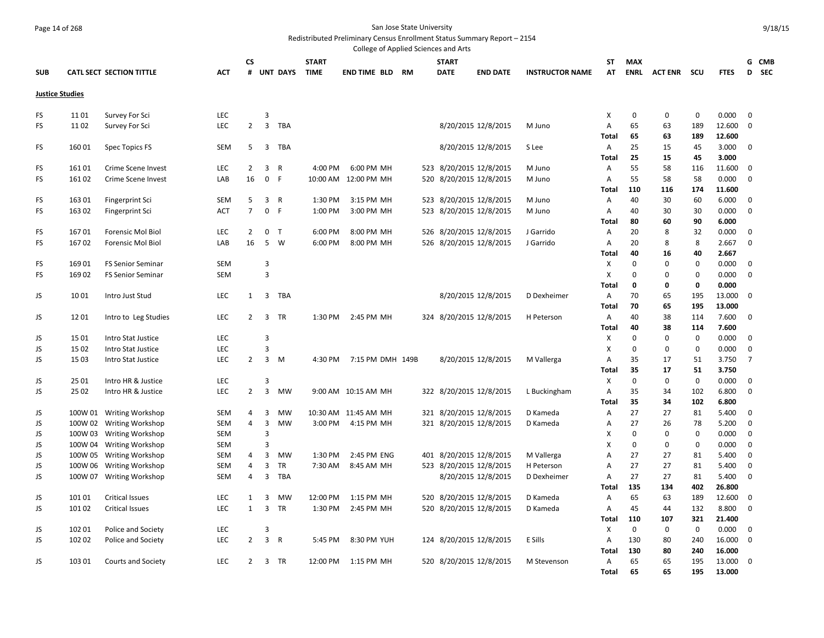# Page 14 of 268 San Jose State University

Redistributed Preliminary Census Enrollment Status Summary Report – 2154

| College of Applied Sciences and Arts |                                     |                                 |            |                              |                     |                 |              |                          |    |     |              |                                                    |                        |                   |             |                |             |                 |                |       |
|--------------------------------------|-------------------------------------|---------------------------------|------------|------------------------------|---------------------|-----------------|--------------|--------------------------|----|-----|--------------|----------------------------------------------------|------------------------|-------------------|-------------|----------------|-------------|-----------------|----------------|-------|
|                                      |                                     |                                 |            | CS                           |                     |                 | <b>START</b> |                          |    |     | <b>START</b> |                                                    |                        | ST                | <b>MAX</b>  |                |             |                 |                | G CMB |
| <b>SUB</b>                           |                                     | <b>CATL SECT SECTION TITTLE</b> | <b>ACT</b> |                              |                     | # UNT DAYS      | <b>TIME</b>  | END TIME BLD             | RM |     | <b>DATE</b>  | <b>END DATE</b>                                    | <b>INSTRUCTOR NAME</b> | AT                | ENRL        | <b>ACT ENR</b> | scu         | <b>FTES</b>     |                | D SEC |
|                                      |                                     |                                 |            |                              |                     |                 |              |                          |    |     |              |                                                    |                        |                   |             |                |             |                 |                |       |
|                                      | <b>Justice Studies</b>              |                                 |            |                              |                     |                 |              |                          |    |     |              |                                                    |                        |                   |             |                |             |                 |                |       |
| FS                                   | 1101                                | Survey For Sci                  | LEC        |                              | 3                   |                 |              |                          |    |     |              |                                                    |                        | х                 | $\mathbf 0$ | $\mathbf 0$    | $\mathbf 0$ | 0.000           | $\mathbf 0$    |       |
| <b>FS</b>                            | 1102                                | Survey For Sci                  | LEC        | $\overline{2}$               | $\overline{3}$      | TBA             |              |                          |    |     |              | 8/20/2015 12/8/2015                                | M Juno                 | A                 | 65          | 63             | 189         | 12.600          | $\mathbf 0$    |       |
|                                      |                                     |                                 |            |                              |                     |                 |              |                          |    |     |              |                                                    |                        | Total             | 65          | 63             | 189         | 12.600          |                |       |
| <b>FS</b>                            | 16001                               | <b>Spec Topics FS</b>           | <b>SEM</b> | 5                            | 3                   | TBA             |              |                          |    |     |              | 8/20/2015 12/8/2015                                | S Lee                  | Α                 | 25<br>25    | 15             | 45          | 3.000           | $\mathbf 0$    |       |
| <b>FS</b>                            | 16101                               | Crime Scene Invest              | LEC        | $\overline{2}$               | $\overline{3}$      | $\overline{R}$  | 4:00 PM      | 6:00 PM MH               |    |     |              | 523 8/20/2015 12/8/2015                            | M Juno                 | Total<br>Α        | 55          | 15<br>58       | 45<br>116   | 3.000<br>11.600 | 0              |       |
| <b>FS</b>                            |                                     |                                 |            | 16                           | $\mathbf 0$         |                 |              | 12:00 PM MH              |    |     |              |                                                    |                        |                   | 55          |                |             |                 | 0              |       |
|                                      | 16102                               | Crime Scene Invest              | LAB        |                              |                     | - F             | 10:00 AM     |                          |    | 520 |              | 8/20/2015 12/8/2015                                | M Juno                 | Α<br><b>Total</b> | 110         | 58<br>116      | 58<br>174   | 0.000<br>11.600 |                |       |
| <b>FS</b>                            | 16301                               | Fingerprint Sci                 | <b>SEM</b> | 5                            | 3                   | $\overline{R}$  | 1:30 PM      | 3:15 PM MH               |    |     |              | 523 8/20/2015 12/8/2015                            | M Juno                 | Α                 | 40          | 30             | 60          | 6.000           | 0              |       |
| <b>FS</b>                            | 16302                               | Fingerprint Sci                 | <b>ACT</b> | $\overline{7}$               | 0                   | F               | 1:00 PM      | 3:00 PM MH               |    |     |              | 523 8/20/2015 12/8/2015                            | M Juno                 | Α                 | 40          | 30             | 30          | 0.000           | $\mathbf 0$    |       |
|                                      |                                     |                                 |            |                              |                     |                 |              |                          |    |     |              |                                                    |                        | Total             | 80          | 60             | 90          | 6.000           |                |       |
| <b>FS</b>                            | 16701                               | Forensic Mol Biol               | <b>LEC</b> | 2                            |                     | 0 <sub>T</sub>  | 6:00 PM      | 8:00 PM MH               |    |     |              | 526 8/20/2015 12/8/2015                            | J Garrido              | Α                 | 20          | 8              | 32          | 0.000           | 0              |       |
| <b>FS</b>                            | 16702                               | Forensic Mol Biol               | LAB        | 16                           | 5                   | W               | 6:00 PM      | 8:00 PM MH               |    |     |              | 526 8/20/2015 12/8/2015                            | J Garrido              | Α                 | 20          | 8              | 8           | 2.667           | 0              |       |
|                                      |                                     |                                 |            |                              |                     |                 |              |                          |    |     |              |                                                    |                        | Total             | 40          | 16             | 40          | 2.667           |                |       |
| <b>FS</b>                            | 16901                               | <b>FS Senior Seminar</b>        | <b>SEM</b> |                              | 3                   |                 |              |                          |    |     |              |                                                    |                        | X                 | $\mathbf 0$ | $\mathbf 0$    | $\mathbf 0$ | 0.000           | $\mathbf 0$    |       |
| <b>FS</b>                            | 16902                               | FS Senior Seminar               | <b>SEM</b> |                              | 3                   |                 |              |                          |    |     |              |                                                    |                        | X                 | $\mathbf 0$ | $\mathbf 0$    | 0           | 0.000           | 0              |       |
|                                      |                                     |                                 |            |                              |                     |                 |              |                          |    |     |              |                                                    |                        | <b>Total</b>      | 0           | $\mathbf 0$    | 0           | 0.000           |                |       |
| JS                                   | 1001                                | Intro Just Stud                 | LEC        | $\mathbf{1}$                 |                     | 3 TBA           |              |                          |    |     |              | 8/20/2015 12/8/2015                                | D Dexheimer            | Α                 | 70          | 65             | 195         | 13.000          | $\mathbf 0$    |       |
|                                      |                                     |                                 |            |                              |                     |                 |              |                          |    |     |              |                                                    |                        | <b>Total</b>      | 70          | 65             | 195         | 13.000          |                |       |
| JS                                   | 1201                                | Intro to Leg Studies            | LEC        | $\overline{2}$               | $\overline{3}$      | TR              | 1:30 PM      | 2:45 PM MH               |    |     |              | 324 8/20/2015 12/8/2015                            | H Peterson             | Α                 | 40          | 38             | 114         | 7.600           | $\mathbf 0$    |       |
|                                      |                                     |                                 |            |                              |                     |                 |              |                          |    |     |              |                                                    |                        | Total             | 40          | 38             | 114         | 7.600           |                |       |
| JS                                   | 1501                                | Intro Stat Justice              | LEC        |                              | 3                   |                 |              |                          |    |     |              |                                                    |                        | х                 | $\mathbf 0$ | $\mathbf 0$    | $\mathbf 0$ | 0.000           | $\mathbf 0$    |       |
| JS                                   | 1502                                | Intro Stat Justice              | LEC        |                              | 3                   |                 |              |                          |    |     |              |                                                    |                        | X                 | $\mathbf 0$ | $\mathbf 0$    | $\mathbf 0$ | 0.000           | 0              |       |
| JS                                   | 1503                                | Intro Stat Justice              | LEC        | $\overline{2}$               | $\overline{3}$      | M               | 4:30 PM      | 7:15 PM DMH 149B         |    |     |              | 8/20/2015 12/8/2015                                | M Vallerga             | A                 | 35          | 17             | 51          | 3.750           | $\overline{7}$ |       |
|                                      |                                     |                                 |            |                              |                     |                 |              |                          |    |     |              |                                                    |                        | Total             | 35          | 17             | 51          | 3.750           |                |       |
| JS                                   | 25 01                               | Intro HR & Justice              | LEC        |                              | 3                   |                 |              |                          |    |     |              |                                                    |                        | х                 | $\mathbf 0$ | $\mathbf 0$    | $\mathbf 0$ | 0.000           | 0              |       |
| JS                                   | 25 02                               | Intro HR & Justice              | LEC        | $\overline{2}$               | $\overline{3}$      | <b>MW</b>       |              | 9:00 AM 10:15 AM MH      |    |     |              | 322 8/20/2015 12/8/2015                            | L Buckingham           | Α                 | 35          | 34             | 102         | 6.800           | 0              |       |
|                                      |                                     |                                 |            |                              |                     |                 |              |                          |    |     |              |                                                    |                        | <b>Total</b>      | 35          | 34             | 102         | 6.800           |                |       |
| JS                                   | 100W 01                             | <b>Writing Workshop</b>         | <b>SEM</b> | 4                            | 3                   | <b>MW</b>       |              | 10:30 AM 11:45 AM MH     |    |     |              | 321 8/20/2015 12/8/2015                            | D Kameda               | A                 | 27          | 27             | 81          | 5.400           | 0              |       |
| JS                                   | 100W 02                             | Writing Workshop                | <b>SEM</b> | 4                            | $\overline{3}$      | <b>MW</b>       | 3:00 PM      | 4:15 PM MH               |    |     |              | 321 8/20/2015 12/8/2015                            | D Kameda               | Α                 | 27          | 26             | 78          | 5.200           | $\mathbf 0$    |       |
| JS                                   | 100W 03                             | <b>Writing Workshop</b>         | <b>SEM</b> |                              | 3                   |                 |              |                          |    |     |              |                                                    |                        | х                 | $\mathbf 0$ | $\mathbf 0$    | $\mathbf 0$ | 0.000           | $\mathbf 0$    |       |
| JS                                   | 100W 04                             | <b>Writing Workshop</b>         | <b>SEM</b> |                              | 3                   |                 |              |                          |    |     |              |                                                    |                        | X                 | $\mathbf 0$ | $\mathbf 0$    | 0           | 0.000           | $\mathbf 0$    |       |
| JS                                   | 100W 05                             | <b>Writing Workshop</b>         | <b>SEM</b> | 4                            | 3                   | MW              | 1:30 PM      | 2:45 PM ENG              |    | 401 |              | 8/20/2015 12/8/2015                                | M Vallerga             | A                 | 27          | 27             | 81          | 5.400           | $\mathbf 0$    |       |
| JS                                   | 100W 06                             | <b>Writing Workshop</b>         | <b>SEM</b> | 4                            | 3                   | TR              | 7:30 AM      | 8:45 AM MH               |    |     |              | 523 8/20/2015 12/8/2015                            | H Peterson             | A                 | 27          | 27             | 81          | 5.400           | $\mathbf 0$    |       |
| JS                                   | 100W 07                             | <b>Writing Workshop</b>         | SEM        | 4                            | 3                   | TBA             |              |                          |    |     |              | 8/20/2015 12/8/2015                                | D Dexheimer            | Α                 | 27          | 27             | 81          | 5.400           | 0              |       |
|                                      | 101 01                              |                                 |            |                              |                     |                 | 12:00 PM     |                          |    |     |              |                                                    |                        | Total<br>A        | 135<br>65   | 134            | 402         | 26.800          |                |       |
| JS<br>JS                             | 101 02                              | <b>Critical Issues</b>          | LEC<br>LEC | $\mathbf{1}$<br>$\mathbf{1}$ | 3<br>$\overline{3}$ | <b>MW</b><br>TR | 1:30 PM      | 1:15 PM MH<br>2:45 PM MH |    |     |              | 520 8/20/2015 12/8/2015<br>520 8/20/2015 12/8/2015 | D Kameda<br>D Kameda   | A                 | 45          | 63<br>44       | 189<br>132  | 12.600<br>8.800 | 0<br>0         |       |
|                                      |                                     | <b>Critical Issues</b>          |            |                              |                     |                 |              |                          |    |     |              |                                                    |                        |                   | 110         | 107            | 321         | 21.400          |                |       |
|                                      | 102 01                              | Police and Society              | LEC        |                              | 3                   |                 |              |                          |    |     |              |                                                    |                        | Total<br>X        | $\mathbf 0$ | $\mathbf 0$    | $\mathbf 0$ | 0.000           | $\mathbf 0$    |       |
| JS<br>JS                             | 102 02                              | Police and Society              | LEC        | $\overline{2}$               | $\overline{3}$      | R               | 5:45 PM      | 8:30 PM YUH              |    | 124 |              | 8/20/2015 12/8/2015                                | E Sills                | Α                 | 130         | 80             | 240         | 16.000          | $\mathbf 0$    |       |
|                                      |                                     |                                 |            |                              |                     |                 |              |                          |    |     |              |                                                    |                        | Total             | 130         | 80             | 240         | 16.000          |                |       |
| JS                                   |                                     |                                 | LEC        | $\overline{2}$               |                     | 3 TR            | 12:00 PM     | 1:15 PM MH               |    |     |              | 520 8/20/2015 12/8/2015                            | M Stevenson            | Α                 | 65          | 65             | 195         | 13.000          | 0              |       |
|                                      | 103 01<br><b>Courts and Society</b> |                                 |            |                              |                     |                 |              |                          |    |     |              |                                                    |                        | <b>Total</b>      | 65          | 65             | 195         | 13.000          |                |       |
|                                      |                                     |                                 |            |                              |                     |                 |              |                          |    |     |              |                                                    |                        |                   |             |                |             |                 |                |       |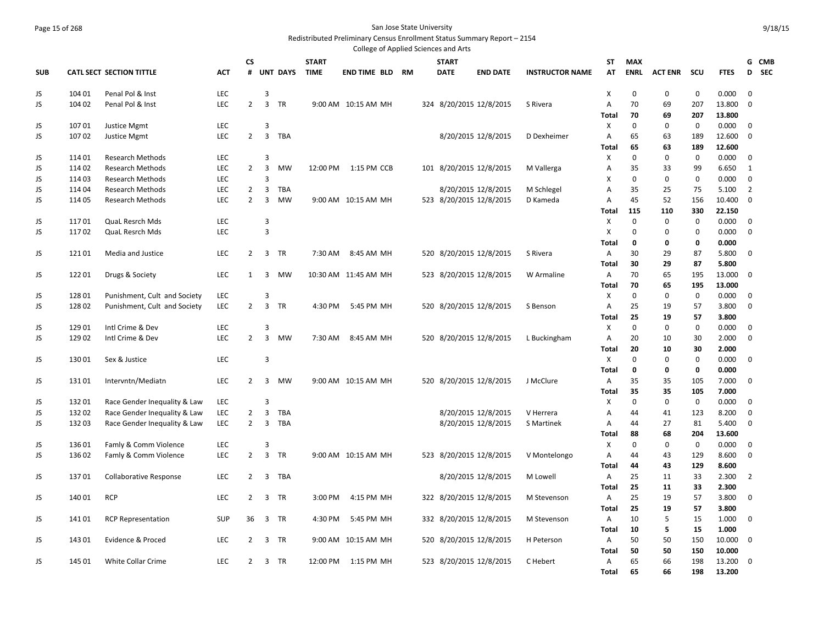## Page 15 of 268 San Jose State University Redistributed Preliminary Census Enrollment Status Summary Report – 2154

|            |        |                               |            |                |                |               |              | College of Applied Sciences and Arts |    |     |                         |                 |                        |                           |             |                |             |             |                |            |
|------------|--------|-------------------------------|------------|----------------|----------------|---------------|--------------|--------------------------------------|----|-----|-------------------------|-----------------|------------------------|---------------------------|-------------|----------------|-------------|-------------|----------------|------------|
|            |        |                               |            | <b>CS</b>      |                |               | <b>START</b> |                                      |    |     | <b>START</b>            |                 |                        | ST                        | <b>MAX</b>  |                |             |             |                | G CMB      |
| <b>SUB</b> |        | CATL SECT SECTION TITTLE      | ACT        | #              |                | UNT DAYS TIME |              | <b>END TIME BLD</b>                  | RM |     | <b>DATE</b>             | <b>END DATE</b> | <b>INSTRUCTOR NAME</b> | AT                        | <b>ENRL</b> | <b>ACT ENR</b> | scu         | <b>FTES</b> | D              | <b>SEC</b> |
|            | 104 01 | Penal Pol & Inst              | LEC        |                | 3              |               |              |                                      |    |     |                         |                 |                        | X                         | $\mathbf 0$ | $\mathbf 0$    | $\mathbf 0$ | 0.000       | $\mathbf 0$    |            |
| JS         |        |                               |            |                | $\overline{3}$ |               |              |                                      |    |     |                         |                 |                        |                           | 70          |                |             |             | $\Omega$       |            |
| JS         | 104 02 | Penal Pol & Inst              | <b>LEC</b> | $\overline{2}$ |                | TR            |              | 9:00 AM 10:15 AM MH                  |    |     | 324 8/20/2015 12/8/2015 |                 | S Rivera               | A                         |             | 69             | 207         | 13.800      |                |            |
|            |        |                               |            |                |                |               |              |                                      |    |     |                         |                 |                        | <b>Total</b>              | 70          | 69             | 207         | 13.800      |                |            |
| JS         | 10701  | Justice Mgmt                  | LEC        |                | 3              |               |              |                                      |    |     |                         |                 |                        | X                         | $\mathbf 0$ | 0              | $\mathbf 0$ | 0.000       | $\mathbf 0$    |            |
| JS         | 10702  | Justice Mgmt                  | <b>LEC</b> | $\overline{2}$ | $\overline{3}$ | <b>TBA</b>    |              |                                      |    |     | 8/20/2015 12/8/2015     |                 | D Dexheimer            | $\overline{A}$            | 65          | 63             | 189         | 12.600      | $\mathbf 0$    |            |
|            |        |                               |            |                |                |               |              |                                      |    |     |                         |                 |                        | Total                     | 65          | 63             | 189         | 12.600      |                |            |
| JS         | 114 01 | <b>Research Methods</b>       | LEC        |                | 3              |               |              |                                      |    |     |                         |                 |                        | X                         | $\mathbf 0$ | $\mathbf 0$    | $\mathbf 0$ | 0.000       | 0              |            |
| JS         | 11402  | <b>Research Methods</b>       | LEC        | $\overline{2}$ | 3              | <b>MW</b>     |              | 12:00 PM 1:15 PM CCB                 |    |     | 101 8/20/2015 12/8/2015 |                 | M Vallerga             | A                         | 35          | 33             | 99          | 6.650       | 1              |            |
| JS         | 114 03 | <b>Research Methods</b>       | LEC        |                | 3              |               |              |                                      |    |     |                         |                 |                        | X                         | $\Omega$    | $\pmb{0}$      | $\mathbf 0$ | 0.000       | $\mathbf 0$    |            |
| JS         | 114 04 | <b>Research Methods</b>       | LEC        | $\overline{2}$ | 3              | <b>TBA</b>    |              |                                      |    |     | 8/20/2015 12/8/2015     |                 | M Schlegel             | A                         | 35          | 25             | 75          | 5.100       | $\overline{2}$ |            |
| JS         | 114 05 | <b>Research Methods</b>       | LEC        | $\overline{2}$ | 3              | <b>MW</b>     |              | 9:00 AM 10:15 AM MH                  |    |     | 523 8/20/2015 12/8/2015 |                 | D Kameda               | $\overline{A}$            | 45          | 52             | 156         | 10.400      | $\mathbf 0$    |            |
|            |        |                               |            |                |                |               |              |                                      |    |     |                         |                 |                        | Total                     | 115         | 110            | 330         | 22.150      |                |            |
| JS         | 11701  | QuaL Resrch Mds               | LEC        |                | 3              |               |              |                                      |    |     |                         |                 |                        | X                         | $\mathbf 0$ | $\Omega$       | $\mathbf 0$ | 0.000       | $\mathbf 0$    |            |
| JS         | 11702  | <b>QuaL Resrch Mds</b>        | <b>LEC</b> |                | 3              |               |              |                                      |    |     |                         |                 |                        | $\boldsymbol{\mathsf{x}}$ | $\mathbf 0$ | $\Omega$       | $\mathbf 0$ | 0.000       | $\mathbf 0$    |            |
|            |        |                               |            |                |                |               |              |                                      |    |     |                         |                 |                        | Total                     | 0           | $\mathbf 0$    | $\bf{0}$    | 0.000       |                |            |
| JS         | 12101  | Media and Justice             | LEC        | $\overline{2}$ |                | 3 TR          | 7:30 AM      | 8:45 AM MH                           |    |     | 520 8/20/2015 12/8/2015 |                 | S Rivera               | A                         | 30          | 29             | 87          | 5.800       | 0              |            |
|            |        |                               |            |                |                |               |              |                                      |    |     |                         |                 |                        | Total                     | 30          | 29             | 87          | 5.800       |                |            |
| JS         | 12201  | Drugs & Society               | LEC        | 1              | -3             | MW            |              | 10:30 AM 11:45 AM MH                 |    |     | 523 8/20/2015 12/8/2015 |                 | W Armaline             | A                         | 70          | 65             | 195         | 13.000      | 0              |            |
|            |        |                               |            |                |                |               |              |                                      |    |     |                         |                 |                        | Total                     | 70          | 65             | 195         | 13.000      |                |            |
| JS         | 128 01 | Punishment, Cult and Society  | LEC        |                | 3              |               |              |                                      |    |     |                         |                 |                        | X                         | $\mathbf 0$ | $\mathbf 0$    | $\mathbf 0$ | 0.000       | 0              |            |
| JS         | 12802  | Punishment, Cult and Society  | LEC        | $\overline{2}$ | $\overline{3}$ | TR            | 4:30 PM      | 5:45 PM MH                           |    |     | 520 8/20/2015 12/8/2015 |                 | S Benson               | Α                         | 25          | 19             | 57          | 3.800       | 0              |            |
|            |        |                               |            |                |                |               |              |                                      |    |     |                         |                 |                        | Total                     | 25          | 19             | 57          | 3.800       |                |            |
| JS         | 129 01 | Intl Crime & Dev              | LEC        |                | 3              |               |              |                                      |    |     |                         |                 |                        | X                         | $\mathbf 0$ | $\Omega$       | $\mathbf 0$ | 0.000       | $\mathbf 0$    |            |
| JS         | 129 02 | Intl Crime & Dev              | LEC        | $\overline{2}$ | $\overline{3}$ | <b>MW</b>     | 7:30 AM      | 8:45 AM MH                           |    |     | 520 8/20/2015 12/8/2015 |                 | L Buckingham           | Α                         | 20          | 10             | 30          | 2.000       | $\mathbf 0$    |            |
|            |        |                               |            |                |                |               |              |                                      |    |     |                         |                 |                        | Total                     | 20          | 10             | 30          | 2.000       |                |            |
| JS         | 13001  | Sex & Justice                 | LEC        |                | 3              |               |              |                                      |    |     |                         |                 |                        | X                         | $\mathbf 0$ | $\mathbf 0$    | $\mathbf 0$ | 0.000       | 0              |            |
|            |        |                               |            |                |                |               |              |                                      |    |     |                         |                 |                        | Total                     | 0           | 0              | $\bf{0}$    | 0.000       |                |            |
| JS         | 13101  | Intervntn/Mediatn             | LEC        | $\overline{2}$ | $\overline{3}$ | <b>MW</b>     |              | 9:00 AM 10:15 AM MH                  |    |     | 520 8/20/2015 12/8/2015 |                 | J McClure              | A                         | 35          | 35             | 105         | 7.000       | $\mathbf 0$    |            |
|            |        |                               |            |                |                |               |              |                                      |    |     |                         |                 |                        | Total                     | 35          | 35             | 105         | 7.000       |                |            |
| JS         | 13201  | Race Gender Inequality & Law  | LEC        |                | 3              |               |              |                                      |    |     |                         |                 |                        | X                         | $\mathbf 0$ | 0              | $\mathbf 0$ | 0.000       | $\mathbf 0$    |            |
| JS         | 13202  | Race Gender Inequality & Law  | LEC        | $\overline{2}$ | 3              | <b>TBA</b>    |              |                                      |    |     | 8/20/2015 12/8/2015     |                 | V Herrera              | A                         | 44          | 41             | 123         | 8.200       | $\mathbf 0$    |            |
| JS         | 13203  | Race Gender Inequality & Law  | LEC        | $\overline{2}$ | $\overline{3}$ | TBA           |              |                                      |    |     | 8/20/2015 12/8/2015     |                 | S Martinek             | A                         | 44          | 27             | 81          | 5.400       | $\mathbf 0$    |            |
|            |        |                               |            |                |                |               |              |                                      |    |     |                         |                 |                        | Total                     | 88          | 68             | 204         | 13.600      |                |            |
| JS         | 136 01 | Famly & Comm Violence         | LEC        |                | 3              |               |              |                                      |    |     |                         |                 |                        | X                         | $\mathbf 0$ | 0              | $\mathbf 0$ | 0.000       | $\mathbf 0$    |            |
| JS         | 13602  | Famly & Comm Violence         | LEC        | $\overline{2}$ | 3              | TR            |              | 9:00 AM 10:15 AM MH                  |    |     | 523 8/20/2015 12/8/2015 |                 | V Montelongo           | A                         | 44          | 43             | 129         | 8.600       | $\mathbf 0$    |            |
|            |        |                               |            |                |                |               |              |                                      |    |     |                         |                 |                        | Total                     | 44          | 43             | 129         | 8.600       |                |            |
| JS         | 13701  | <b>Collaborative Response</b> | LEC        | $\overline{2}$ | 3              | TBA           |              |                                      |    |     | 8/20/2015 12/8/2015     |                 | M Lowell               | A                         | 25          | 11             | 33          | 2.300       | $\overline{2}$ |            |
|            |        |                               |            |                |                |               |              |                                      |    |     |                         |                 |                        | Total                     | 25          | 11             | 33          | 2.300       |                |            |
| JS         | 14001  | <b>RCP</b>                    | LEC        | 2              | 3              | TR            | 3:00 PM      | 4:15 PM MH                           |    |     | 322 8/20/2015 12/8/2015 |                 | M Stevenson            | A                         | 25          | 19             | 57          | 3.800       | 0              |            |
|            |        |                               |            |                |                |               |              |                                      |    |     |                         |                 |                        | Total                     | 25          | 19             | 57          | 3.800       |                |            |
| JS         | 14101  | <b>RCP Representation</b>     | SUP        | 36             | $\overline{3}$ | TR            | 4:30 PM      | 5:45 PM MH                           |    |     | 332 8/20/2015 12/8/2015 |                 | M Stevenson            | A                         | 10          | 5              | 15          | 1.000       | $\mathbf 0$    |            |
|            |        |                               |            |                |                |               |              |                                      |    |     |                         |                 |                        | Total                     | 10          | 5              | 15          | 1.000       |                |            |
| JS         | 143 01 | Evidence & Proced             | LEC        | $\overline{2}$ | 3              | TR            |              | 9:00 AM 10:15 AM MH                  |    | 520 | 8/20/2015 12/8/2015     |                 | H Peterson             | A                         | 50          | 50             | 150         | 10.000      | $\mathbf 0$    |            |
|            |        |                               |            |                |                |               |              |                                      |    |     |                         |                 |                        | Total                     | 50          | 50             | 150         | 10.000      |                |            |
| JS         | 145 01 | <b>White Collar Crime</b>     | <b>LEC</b> | 2              |                | 3 TR          | 12:00 PM     | 1:15 PM MH                           |    |     | 523 8/20/2015 12/8/2015 |                 | C Hebert               | A                         | 65          | 66             | 198         | 13.200      | $\mathbf 0$    |            |
|            |        |                               |            |                |                |               |              |                                      |    |     |                         |                 |                        | Total                     | 65          | 66             | 198         | 13.200      |                |            |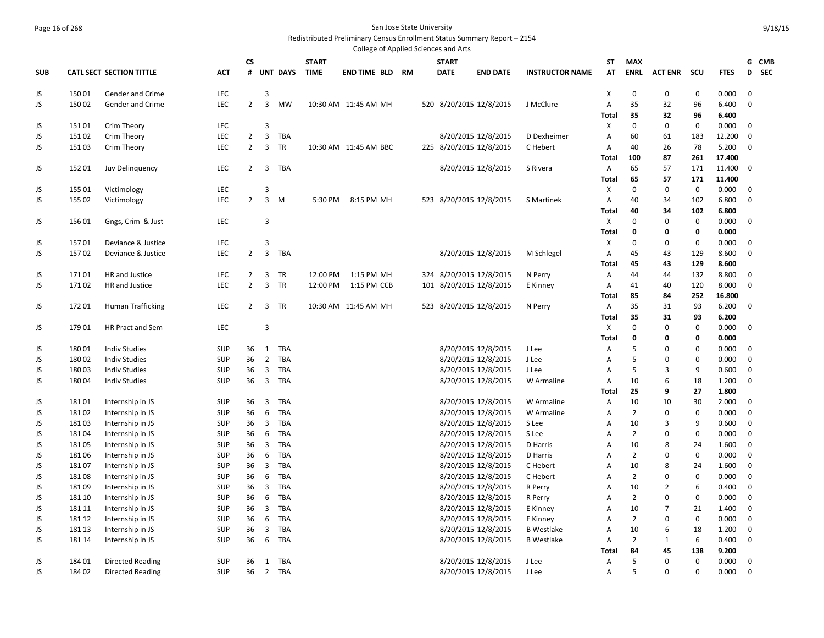### Page 16 of 268 San Jose State University Redistributed Preliminary Census Enrollment Status Summary Report – 2154

|            |        |                                 |            |                |                         |            |              | College of Applied Sciences and Arts |    |              |                         |                        |                |                |                |             |             |                 |
|------------|--------|---------------------------------|------------|----------------|-------------------------|------------|--------------|--------------------------------------|----|--------------|-------------------------|------------------------|----------------|----------------|----------------|-------------|-------------|-----------------|
|            |        |                                 |            | CS             |                         |            | <b>START</b> |                                      |    | <b>START</b> |                         |                        | ST             | <b>MAX</b>     |                |             |             | G CMB           |
| <b>SUB</b> |        | <b>CATL SECT SECTION TITTLE</b> | <b>ACT</b> |                |                         | # UNT DAYS | <b>TIME</b>  | <b>END TIME BLD</b>                  | RM | <b>DATE</b>  | <b>END DATE</b>         | <b>INSTRUCTOR NAME</b> | AT             | <b>ENRL</b>    | <b>ACT ENR</b> | <b>SCU</b>  | <b>FTES</b> | <b>SEC</b><br>D |
| JS         | 15001  | Gender and Crime                | LEC        |                | 3                       |            |              |                                      |    |              |                         |                        | X              | $\mathbf 0$    | $\mathbf 0$    | 0           | 0.000       | 0               |
| JS.        | 15002  | Gender and Crime                | LEC        | $\overline{2}$ | $\overline{3}$          | <b>MW</b>  |              | 10:30 AM 11:45 AM MH                 |    |              | 520 8/20/2015 12/8/2015 | J McClure              | $\overline{A}$ | 35             | 32             | 96          | 6.400       | $\mathbf 0$     |
|            |        |                                 |            |                |                         |            |              |                                      |    |              |                         |                        | <b>Total</b>   | 35             | 32             | 96          | 6.400       |                 |
| JS         | 15101  | Crim Theory                     | <b>LEC</b> |                | 3                       |            |              |                                      |    |              |                         |                        | X              | $\mathbf 0$    | $\mathbf 0$    | $\mathbf 0$ | 0.000       | 0               |
| JS         | 15102  | Crim Theory                     | <b>LEC</b> | $\overline{2}$ | $\overline{3}$          | TBA        |              |                                      |    |              | 8/20/2015 12/8/2015     | D Dexheimer            | Α              | 60             | 61             | 183         | 12.200      | 0               |
| JS         | 15103  | Crim Theory                     | LEC        | $\overline{2}$ | 3                       | TR         |              | 10:30 AM 11:45 AM BBC                |    |              | 225 8/20/2015 12/8/2015 | C Hebert               | Α              | 40             | 26             | 78          | 5.200       | 0               |
|            |        |                                 |            |                |                         |            |              |                                      |    |              |                         |                        | Total          | 100            | 87             | 261         | 17.400      |                 |
| JS         | 15201  | Juv Delinguency                 | LEC        | $\overline{2}$ | $\overline{3}$          | TBA        |              |                                      |    |              | 8/20/2015 12/8/2015     | S Rivera               | Α              | 65             | 57             | 171         | 11.400      | 0               |
|            |        |                                 |            |                |                         |            |              |                                      |    |              |                         |                        | Total          | 65             | 57             | 171         | 11.400      |                 |
| JS         | 155 01 | Victimology                     | LEC        |                | 3                       |            |              |                                      |    |              |                         |                        | Х              | 0              | $\mathbf 0$    | 0           | 0.000       | 0               |
| JS         | 155 02 | Victimology                     | LEC        | $\overline{2}$ | $\overline{3}$          | M          | 5:30 PM      | 8:15 PM MH                           |    |              | 523 8/20/2015 12/8/2015 | S Martinek             | Α              | 40             | 34             | 102         | 6.800       | 0               |
|            |        |                                 |            |                |                         |            |              |                                      |    |              |                         |                        | Total          | 40             | 34             | 102         | 6.800       |                 |
| JS         | 15601  | Gngs, Crim & Just               | LEC        |                | 3                       |            |              |                                      |    |              |                         |                        | X              | 0              | 0              | $\mathbf 0$ | 0.000       | 0               |
|            |        |                                 |            |                |                         |            |              |                                      |    |              |                         |                        | <b>Total</b>   | $\mathbf 0$    | 0              | 0           | 0.000       |                 |
| JS         | 15701  | Deviance & Justice              | <b>LEC</b> |                | $\overline{3}$          |            |              |                                      |    |              |                         |                        | х              | 0              | $\mathbf 0$    | $\mathbf 0$ | 0.000       | 0               |
| JS         | 15702  | Deviance & Justice              | LEC        | $2^{\circ}$    | $\overline{3}$          | TBA        |              |                                      |    |              | 8/20/2015 12/8/2015     | M Schlegel             | A              | 45             | 43             | 129         | 8.600       | 0               |
|            |        |                                 |            |                |                         |            |              |                                      |    |              |                         |                        | <b>Total</b>   | 45             | 43             | 129         | 8.600       |                 |
| JS         | 17101  | HR and Justice                  | LEC        | $\overline{2}$ | $\overline{3}$          | TR         | 12:00 PM     | 1:15 PM MH                           |    |              | 324 8/20/2015 12/8/2015 | N Perry                | Α              | 44             | 44             | 132         | 8.800       | 0               |
| JS         | 17102  | HR and Justice                  | LEC        | $\overline{2}$ | 3                       | TR         | 12:00 PM     | 1:15 PM CCB                          |    |              | 101 8/20/2015 12/8/2015 | E Kinney               | A              | 41             | 40             | 120         | 8.000       | $\mathbf 0$     |
|            |        |                                 |            |                |                         |            |              |                                      |    |              |                         |                        | <b>Total</b>   | 85             | 84             | 252         | 16.800      |                 |
| JS         | 17201  | <b>Human Trafficking</b>        | <b>LEC</b> | $\overline{2}$ | 3                       | <b>TR</b>  |              | 10:30 AM 11:45 AM MH                 |    |              | 523 8/20/2015 12/8/2015 | N Perry                | A              | 35             | 31             | 93          | 6.200       | 0               |
|            |        |                                 |            |                |                         |            |              |                                      |    |              |                         |                        | <b>Total</b>   | 35             | 31             | 93          | 6.200       |                 |
| JS         | 17901  | HR Pract and Sem                | LEC        |                | $\overline{3}$          |            |              |                                      |    |              |                         |                        | Χ              | 0              | $\mathbf 0$    | $\mathbf 0$ | 0.000       | 0               |
|            |        |                                 |            |                |                         |            |              |                                      |    |              |                         |                        | <b>Total</b>   | $\mathbf 0$    | 0              | 0           | 0.000       |                 |
| JS         | 18001  | <b>Indiv Studies</b>            | <b>SUP</b> | 36             | 1                       | TBA        |              |                                      |    |              | 8/20/2015 12/8/2015     | J Lee                  | A              | 5              | 0              | $\mathbf 0$ | 0.000       | 0               |
| JS         | 18002  | <b>Indiv Studies</b>            | <b>SUP</b> | 36             | 2                       | TBA        |              |                                      |    |              | 8/20/2015 12/8/2015     | J Lee                  | Α              | 5              | 0              | $\mathbf 0$ | 0.000       | $\mathbf 0$     |
| JS         | 18003  | <b>Indiv Studies</b>            | <b>SUP</b> | 36             | $\overline{3}$          | <b>TBA</b> |              |                                      |    |              | 8/20/2015 12/8/2015     | J Lee                  | $\overline{A}$ | 5              | 3              | 9           | 0.600       | 0               |
| JS         | 18004  | <b>Indiv Studies</b>            | <b>SUP</b> | 36             | $\overline{3}$          | TBA        |              |                                      |    |              | 8/20/2015 12/8/2015     | W Armaline             | Α              | 10             | 6              | 18          | 1.200       | 0               |
|            |        |                                 |            |                |                         |            |              |                                      |    |              |                         |                        | Total          | 25             | 9              | 27          | 1.800       |                 |
| JS         | 18101  | Internship in JS                | <b>SUP</b> | 36             | $\overline{\mathbf{3}}$ | <b>TBA</b> |              |                                      |    |              | 8/20/2015 12/8/2015     | W Armaline             | Α              | 10             | 10             | 30          | 2.000       | 0               |
| JS         | 18102  | Internship in JS                | <b>SUP</b> | 36             | 6                       | <b>TBA</b> |              |                                      |    |              | 8/20/2015 12/8/2015     | W Armaline             | Α              | $\overline{2}$ | 0              | $\mathbf 0$ | 0.000       | 0               |
| JS         | 18103  | Internship in JS                | <b>SUP</b> | 36             | $\overline{3}$          | TBA        |              |                                      |    |              | 8/20/2015 12/8/2015     | S Lee                  | Α              | 10             | 3              | 9           | 0.600       | 0               |
| JS         | 18104  | Internship in JS                | <b>SUP</b> | 36             | 6                       | TBA        |              |                                      |    |              | 8/20/2015 12/8/2015     | S Lee                  | Α              | $\overline{2}$ | 0              | $\mathbf 0$ | 0.000       | 0               |
| JS         | 18105  | Internship in JS                | <b>SUP</b> | 36             | $\overline{3}$          | <b>TBA</b> |              |                                      |    |              | 8/20/2015 12/8/2015     | D Harris               | Α              | 10             | 8              | 24          | 1.600       | 0               |
| JS         | 18106  | Internship in JS                | <b>SUP</b> | 36             | 6                       | <b>TBA</b> |              |                                      |    |              | 8/20/2015 12/8/2015     | D Harris               | Α              | $\overline{2}$ | $\mathbf 0$    | $\mathbf 0$ | 0.000       | $\mathbf 0$     |
| JS         | 18107  | Internship in JS                | <b>SUP</b> | 36             | $\overline{3}$          | <b>TBA</b> |              |                                      |    |              | 8/20/2015 12/8/2015     | C Hebert               | Α              | 10             | 8              | 24          | 1.600       | $\mathbf 0$     |
| JS         | 18108  | Internship in JS                | <b>SUP</b> | 36             | 6                       | TBA        |              |                                      |    |              | 8/20/2015 12/8/2015     | C Hebert               | Α              | $\overline{2}$ | $\mathbf 0$    | $\mathbf 0$ | 0.000       | $\mathbf 0$     |
| JS         | 18109  | Internship in JS                | <b>SUP</b> | 36             | $\overline{3}$          | <b>TBA</b> |              |                                      |    |              | 8/20/2015 12/8/2015     | R Perry                | Α              | 10             | 2              | 6           | 0.400       | 0               |
| JS         | 181 10 | Internship in JS                | <b>SUP</b> | 36             | 6                       | TBA        |              |                                      |    |              | 8/20/2015 12/8/2015     | R Perry                | Α              | $\overline{2}$ | $\mathbf 0$    | $\mathbf 0$ | 0.000       | $\mathbf 0$     |
| JS         | 181 11 | Internship in JS                | <b>SUP</b> | 36             | $\overline{3}$          | TBA        |              |                                      |    |              | 8/20/2015 12/8/2015     | E Kinney               | A              | 10             | 7              | 21          | 1.400       | $\mathbf 0$     |
| JS         | 181 12 | Internship in JS                | <b>SUP</b> | 36             | 6                       | TBA        |              |                                      |    |              | 8/20/2015 12/8/2015     | E Kinney               | Α              | $\overline{2}$ | 0              | 0           | 0.000       | $\mathbf 0$     |
| JS         | 181 13 | Internship in JS                | <b>SUP</b> | 36             | $\overline{3}$          | <b>TBA</b> |              |                                      |    |              | 8/20/2015 12/8/2015     | <b>B</b> Westlake      | A              | 10             | 6              | 18          | 1.200       | $\mathbf 0$     |
| JS         | 181 14 | Internship in JS                | <b>SUP</b> | 36             | 6                       | TBA        |              |                                      |    |              | 8/20/2015 12/8/2015     | <b>B</b> Westlake      | Α              | $\overline{2}$ | 1              | 6           | 0.400       | $\mathbf 0$     |
|            |        |                                 |            |                |                         |            |              |                                      |    |              |                         |                        | <b>Total</b>   | 84             | 45             | 138         | 9.200       |                 |
| JS.        | 18401  | Directed Reading                | <b>SUP</b> | 36             | 1                       | TBA        |              |                                      |    |              | 8/20/2015 12/8/2015     | J Lee                  | A              | 5              | $\mathbf 0$    | $\mathbf 0$ | 0.000       | $\mathbf 0$     |
| JS.        | 18402  | Directed Reading                | <b>SUP</b> | 36             | 2                       | TBA        |              |                                      |    |              | 8/20/2015 12/8/2015     | J Lee                  | A              | 5              | $\mathbf 0$    | $\mathbf 0$ | 0.000       | $\mathbf 0$     |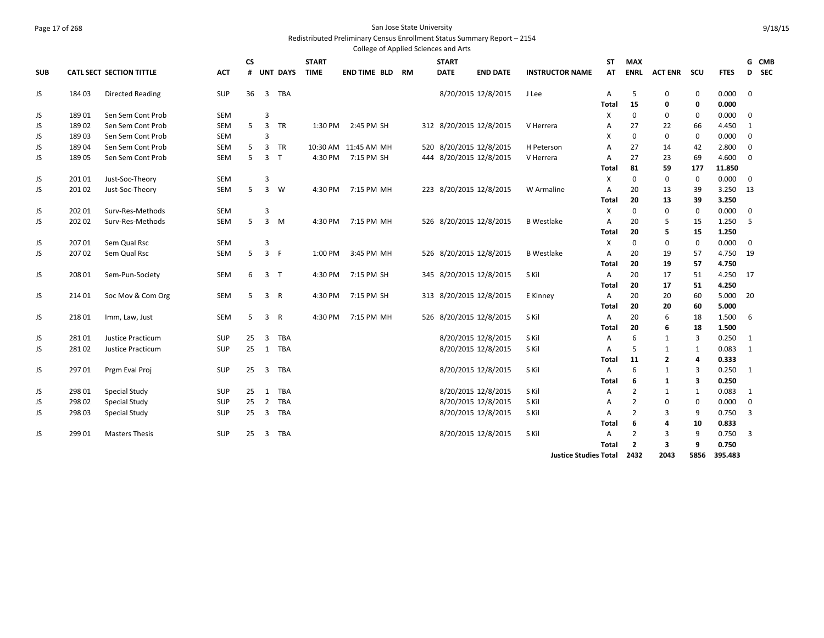#### Page 17 of 268 San Jose State University Redistributed Preliminary Census Enrollment Status Summary Report – 2154

|            |        |                                 |            |           |                |              |              |                      |    | College of Applied Sciences and Arts |                     |                              |              |                |                |             |             |             |       |
|------------|--------|---------------------------------|------------|-----------|----------------|--------------|--------------|----------------------|----|--------------------------------------|---------------------|------------------------------|--------------|----------------|----------------|-------------|-------------|-------------|-------|
|            |        |                                 |            | <b>CS</b> |                |              | <b>START</b> |                      |    | <b>START</b>                         |                     |                              | <b>ST</b>    | <b>MAX</b>     |                |             |             |             | G CMB |
| <b>SUB</b> |        | <b>CATL SECT SECTION TITTLE</b> | <b>ACT</b> |           |                | # UNT DAYS   | <b>TIME</b>  | END TIME BLD         | RM | <b>DATE</b>                          | <b>END DATE</b>     | <b>INSTRUCTOR NAME</b>       | AT           | <b>ENRL</b>    | <b>ACT ENR</b> | scu         | <b>FTES</b> |             | D SEC |
| JS         | 18403  | <b>Directed Reading</b>         | <b>SUP</b> | 36        | $\overline{3}$ | <b>TBA</b>   |              |                      |    |                                      | 8/20/2015 12/8/2015 | J Lee                        | A            | 5              | $\mathbf 0$    | $\mathbf 0$ | 0.000       | $\mathbf 0$ |       |
|            |        |                                 |            |           |                |              |              |                      |    |                                      |                     |                              | Total        | 15             | 0              | 0           | 0.000       |             |       |
| JS         | 18901  | Sen Sem Cont Prob               | <b>SEM</b> |           | 3              |              |              |                      |    |                                      |                     |                              | X            | $\mathbf 0$    | 0              | 0           | 0.000       | $\mathbf 0$ |       |
| JS         | 18902  | Sen Sem Cont Prob               | SEM        | 5         | 3              | TR           | 1:30 PM      | 2:45 PM SH           |    | 312 8/20/2015 12/8/2015              |                     | V Herrera                    | A            | 27             | 22             | 66          | 4.450       | 1           |       |
| JS         | 18903  | Sen Sem Cont Prob               | <b>SEM</b> |           | 3              |              |              |                      |    |                                      |                     |                              | X            | $\mathbf 0$    | $\mathbf 0$    | 0           | 0.000       | 0           |       |
| JS         | 18904  | Sen Sem Cont Prob               | <b>SEM</b> | 5         | 3              | <b>TR</b>    |              | 10:30 AM 11:45 AM MH |    | 520 8/20/2015 12/8/2015              |                     | H Peterson                   | A            | 27             | 14             | 42          | 2.800       | $\mathbf 0$ |       |
| JS         | 18905  | Sen Sem Cont Prob               | <b>SEM</b> | 5         | $\overline{3}$ | $\mathsf{T}$ | 4:30 PM      | 7:15 PM SH           |    | 444 8/20/2015 12/8/2015              |                     | V Herrera                    | A            | 27             | 23             | 69          | 4.600       | 0           |       |
|            |        |                                 |            |           |                |              |              |                      |    |                                      |                     |                              | <b>Total</b> | 81             | 59             | 177         | 11.850      |             |       |
| JS         | 201 01 | Just-Soc-Theory                 | <b>SEM</b> |           | 3              |              |              |                      |    |                                      |                     |                              | X            | $\mathbf 0$    | $\mathbf 0$    | $\mathbf 0$ | 0.000       | $\mathbf 0$ |       |
| JS         | 201 02 | Just-Soc-Theory                 | <b>SEM</b> | 5         | $\overline{3}$ | W            | 4:30 PM      | 7:15 PM MH           |    | 223 8/20/2015 12/8/2015              |                     | W Armaline                   | A            | 20             | 13             | 39          | 3.250       | 13          |       |
|            |        |                                 |            |           |                |              |              |                      |    |                                      |                     |                              | <b>Total</b> | 20             | 13             | 39          | 3.250       |             |       |
| JS         | 202 01 | Surv-Res-Methods                | <b>SEM</b> |           | 3              |              |              |                      |    |                                      |                     |                              | X            | 0              | $\mathbf 0$    | $\mathbf 0$ | 0.000       | $\mathbf 0$ |       |
| JS         | 202 02 | Surv-Res-Methods                | <b>SEM</b> | 5         | 3              | M            | 4:30 PM      | 7:15 PM MH           |    | 526 8/20/2015 12/8/2015              |                     | <b>B</b> Westlake            | Α            | 20             | 5              | 15          | 1.250       | 5           |       |
|            |        |                                 |            |           |                |              |              |                      |    |                                      |                     |                              | Total        | 20             | 5              | 15          | 1.250       |             |       |
| JS         | 207 01 | Sem Qual Rsc                    | <b>SEM</b> |           | 3              |              |              |                      |    |                                      |                     |                              | X            | $\mathbf 0$    | $\mathbf 0$    | $\mathbf 0$ | 0.000       | $\mathbf 0$ |       |
| JS         | 20702  | Sem Qual Rsc                    | <b>SEM</b> | 5         | 3 F            |              | 1:00 PM      | 3:45 PM MH           |    | 526 8/20/2015 12/8/2015              |                     | <b>B</b> Westlake            | A            | 20             | 19             | 57          | 4.750       | 19          |       |
|            |        |                                 |            |           |                |              |              |                      |    |                                      |                     |                              | <b>Total</b> | 20             | 19             | 57          | 4.750       |             |       |
| JS         | 208 01 | Sem-Pun-Society                 | <b>SEM</b> | 6         | 3 <sub>7</sub> |              | 4:30 PM      | 7:15 PM SH           |    | 345 8/20/2015 12/8/2015              |                     | S Kil                        | A            | 20             | 17             | 51          | 4.250       | 17          |       |
|            |        |                                 |            |           |                |              |              |                      |    |                                      |                     |                              | <b>Total</b> | 20             | 17             | 51          | 4.250       |             |       |
| JS         | 21401  | Soc Mov & Com Org               | <b>SEM</b> | 5         | 3 R            |              | 4:30 PM      | 7:15 PM SH           |    | 313 8/20/2015 12/8/2015              |                     | E Kinney                     | A            | 20             | 20             | 60          | 5.000       | 20          |       |
|            |        |                                 |            |           |                |              |              |                      |    |                                      |                     |                              | Total        | 20             | 20             | 60          | 5.000       |             |       |
| JS         | 21801  | Imm, Law, Just                  | <b>SEM</b> | 5         | 3 R            |              | 4:30 PM      | 7:15 PM MH           |    | 526 8/20/2015 12/8/2015              |                     | S Kil                        | Α            | 20             | 6              | 18          | 1.500       | 6           |       |
|            |        |                                 |            |           |                |              |              |                      |    |                                      |                     |                              | Total        | 20             | 6              | 18          | 1.500       |             |       |
| JS         | 28101  | Justice Practicum               | SUP        | 25        | 3              | <b>TBA</b>   |              |                      |    |                                      | 8/20/2015 12/8/2015 | S Kil                        | A            | 6              | $\mathbf{1}$   | 3           | 0.250       | 1           |       |
| JS.        | 28102  | Justice Practicum               | <b>SUP</b> | 25        | 1              | TBA          |              |                      |    |                                      | 8/20/2015 12/8/2015 | S Kil                        | A            | 5              | $\mathbf{1}$   | 1           | 0.083       | 1           |       |
|            |        |                                 |            |           |                |              |              |                      |    |                                      |                     |                              | Total        | 11             | $\mathbf{2}$   | 4           | 0.333       |             |       |
| JS         | 29701  | Prgm Eval Proj                  | <b>SUP</b> | 25        | 3              | TBA          |              |                      |    |                                      | 8/20/2015 12/8/2015 | S Kil                        | A            | 6              | $\mathbf{1}$   | 3           | 0.250       | 1           |       |
|            |        |                                 |            |           |                |              |              |                      |    |                                      |                     |                              | <b>Total</b> | 6              | 1              | 3           | 0.250       |             |       |
| JS         | 298 01 | <b>Special Study</b>            | SUP        | 25        | 1              | <b>TBA</b>   |              |                      |    |                                      | 8/20/2015 12/8/2015 | S Kil                        | A            | $\overline{2}$ | 1              | 1           | 0.083       | 1           |       |
| JS         | 298 02 | <b>Special Study</b>            | <b>SUP</b> | 25        | $\overline{2}$ | <b>TBA</b>   |              |                      |    |                                      | 8/20/2015 12/8/2015 | S Kil                        | Α            | 2              | 0              | $\mathbf 0$ | 0.000       | 0           |       |
| JS         | 298 03 | <b>Special Study</b>            | <b>SUP</b> | 25        | $\overline{3}$ | <b>TBA</b>   |              |                      |    |                                      | 8/20/2015 12/8/2015 | S Kil                        | A            | $\overline{2}$ | 3              | 9           | 0.750       | 3           |       |
|            |        |                                 |            |           |                |              |              |                      |    |                                      |                     |                              | Total        | 6              | 4              | 10          | 0.833       |             |       |
| JS         | 299 01 | <b>Masters Thesis</b>           | <b>SUP</b> | 25        | $\overline{3}$ | TBA          |              |                      |    |                                      | 8/20/2015 12/8/2015 | S Kil                        | Α            | $\overline{2}$ | 3              | 9           | 0.750       | 3           |       |
|            |        |                                 |            |           |                |              |              |                      |    |                                      |                     |                              | <b>Total</b> | $\overline{2}$ | 3              | 9           | 0.750       |             |       |
|            |        |                                 |            |           |                |              |              |                      |    |                                      |                     | <b>Justice Studies Total</b> |              | 2432           | 2043           | 5856        | 395.483     |             |       |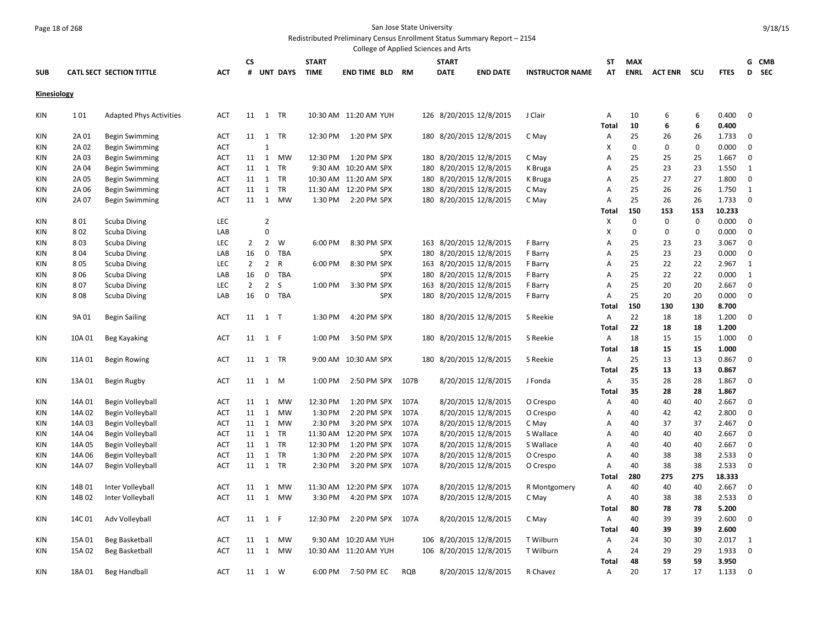# Page 18 of 268 San Jose State University

Redistributed Preliminary Census Enrollment Status Summary Report – 2154

|             |        |                                 |            |                |                |            |              | College of Applied Sciences and Arts |            |     |                                |                        |                   |             |                    |             |                |              |       |
|-------------|--------|---------------------------------|------------|----------------|----------------|------------|--------------|--------------------------------------|------------|-----|--------------------------------|------------------------|-------------------|-------------|--------------------|-------------|----------------|--------------|-------|
|             |        |                                 |            | <b>CS</b>      |                |            | <b>START</b> |                                      |            |     | <b>START</b>                   |                        | ST                | <b>MAX</b>  |                    |             |                |              | G CMB |
| <b>SUB</b>  |        | <b>CATL SECT SECTION TITTLE</b> | <b>ACT</b> |                |                | # UNT DAYS | <b>TIME</b>  | <b>END TIME BLD RM</b>               |            |     | <b>DATE</b><br><b>END DATE</b> | <b>INSTRUCTOR NAME</b> | AT                | ENRL        | <b>ACT ENR SCU</b> |             | <b>FTES</b>    |              | D SEC |
| Kinesiology |        |                                 |            |                |                |            |              |                                      |            |     |                                |                        |                   |             |                    |             |                |              |       |
|             |        |                                 |            |                |                |            |              |                                      |            |     |                                |                        |                   |             |                    |             |                |              |       |
| KIN         | 101    | <b>Adapted Phys Activities</b>  | <b>ACT</b> |                | 11 1 TR        |            |              | 10:30 AM 11:20 AM YUH                |            |     | 126 8/20/2015 12/8/2015        | J Clair                | Α                 | 10          | 6                  | 6           | 0.400          | $\mathbf 0$  |       |
|             |        |                                 |            |                |                |            |              |                                      |            |     |                                |                        | <b>Total</b>      | 10          | 6                  | 6           | 0.400          |              |       |
| <b>KIN</b>  | 2A 01  | <b>Begin Swimming</b>           | <b>ACT</b> |                | 11 1           | TR         | 12:30 PM     | 1:20 PM SPX                          |            |     | 180 8/20/2015 12/8/2015        | C May                  | Α                 | 25          | 26                 | 26          | 1.733          | $\mathbf 0$  |       |
| KIN         | 2A 02  | Begin Swimming                  | <b>ACT</b> |                | $\mathbf{1}$   |            |              |                                      |            |     |                                |                        | X                 | $\mathbf 0$ | $\mathbf 0$        | $\mathbf 0$ | 0.000          | $\mathbf 0$  |       |
| ΚIΝ         | 2A 03  | <b>Begin Swimming</b>           | ACT        | 11             | $\mathbf{1}$   | <b>MW</b>  | 12:30 PM     | 1:20 PM SPX                          |            | 180 | 8/20/2015 12/8/2015            | C May                  | A                 | 25          | 25                 | 25          | 1.667          | 0            |       |
| KIN         | 2A 04  | <b>Begin Swimming</b>           | <b>ACT</b> | 11             | 1              | TR         |              | 9:30 AM 10:20 AM SPX                 |            |     | 180 8/20/2015 12/8/2015        | K Bruga                | A                 | 25          | 23                 | 23          | 1.550          | 1            |       |
| KIN         | 2A 05  | <b>Begin Swimming</b>           | <b>ACT</b> | 11             | 1              | TR         |              | 10:30 AM 11:20 AM SPX                |            | 180 | 8/20/2015 12/8/2015            | K Bruga                | A                 | 25          | 27                 | 27          | 1.800          | $\mathbf 0$  |       |
| KIN         | 2A 06  | <b>Begin Swimming</b>           | ACT        | 11             | 1              | TR         |              | 11:30 AM 12:20 PM SPX                |            |     | 180 8/20/2015 12/8/2015        | C May                  | A                 | 25          | 26                 | 26          | 1.750          | $\mathbf{1}$ |       |
| KIN         | 2A 07  | Begin Swimming                  | <b>ACT</b> | 11             | 1              | <b>MW</b>  | 1:30 PM      | 2:20 PM SPX                          |            |     | 180 8/20/2015 12/8/2015        | C May                  | A                 | 25          | 26                 | 26          | 1.733          | 0            |       |
|             |        |                                 |            |                |                |            |              |                                      |            |     |                                |                        | Total             | 150         | 153                | 153         | 10.233         |              |       |
| <b>KIN</b>  | 801    | <b>Scuba Diving</b>             | LEC        |                | $\overline{2}$ |            |              |                                      |            |     |                                |                        | X                 | $\mathbf 0$ | $\mathbf 0$        | $\mathbf 0$ | 0.000          | $\mathbf 0$  |       |
| <b>KIN</b>  | 802    | <b>Scuba Diving</b>             | LAB        |                | 0              |            |              |                                      |            |     |                                |                        | X                 | $\mathbf 0$ | $\mathbf 0$        | $\mathbf 0$ | 0.000          | $\mathbf 0$  |       |
| ΚIΝ         | 803    | Scuba Diving                    | LEC        | $\overline{2}$ | $\overline{2}$ | W          | 6:00 PM      | 8:30 PM SPX                          |            |     | 163 8/20/2015 12/8/2015        | F Barry                | A                 | 25          | 23                 | 23          | 3.067          | $\mathbf 0$  |       |
| KIN         | 804    | <b>Scuba Diving</b>             | LAB        | 16             | 0              | TBA        |              | <b>SPX</b>                           |            | 180 | 8/20/2015 12/8/2015            | F Barry                | A                 | 25          | 23                 | 23          | 0.000          | $\mathbf 0$  |       |
| ΚIΝ         | 805    | Scuba Diving                    | <b>LEC</b> | $\overline{2}$ | $\overline{2}$ | R          | 6:00 PM      | 8:30 PM SPX                          |            |     | 163 8/20/2015 12/8/2015        | F Barry                | A                 | 25          | 22                 | 22          | 2.967          | $\mathbf{1}$ |       |
| KIN         | 806    | <b>Scuba Diving</b>             | LAB        | 16             | $\mathbf 0$    | TBA        |              | <b>SPX</b>                           |            |     | 180 8/20/2015 12/8/2015        | F Barry                | A                 | 25          | 22                 | 22          | 0.000          | $\mathbf{1}$ |       |
| KIN         | 807    | <b>Scuba Diving</b>             | <b>LEC</b> | $\overline{2}$ | $\overline{2}$ | S          | 1:00 PM      | 3:30 PM SPX                          |            | 163 | 8/20/2015 12/8/2015            | F Barry                | A                 | 25          | 20                 | 20          | 2.667          | $\mathbf 0$  |       |
| KIN         | 808    | Scuba Diving                    | LAB        | 16             | $\mathbf 0$    | TBA        |              | <b>SPX</b>                           |            |     | 180 8/20/2015 12/8/2015        | F Barry                | Α                 | 25          | 20                 | 20          | 0.000          | $\mathbf 0$  |       |
|             |        |                                 |            |                |                |            |              |                                      |            |     |                                |                        | Total             | 150         | 130                | 130         | 8.700          |              |       |
| KIN         | 9A 01  | <b>Begin Sailing</b>            | ACT        |                | 11 1 T         |            | 1:30 PM      | 4:20 PM SPX                          |            |     | 180 8/20/2015 12/8/2015        | S Reekie               | Α                 | 22          | 18                 | 18          | 1.200          | 0            |       |
|             |        |                                 |            |                |                |            |              |                                      |            |     |                                |                        | <b>Total</b>      | 22          | 18                 | 18          | 1.200          |              |       |
| KIN         | 10A 01 | Beg Kayaking                    | ACT        |                | 11 1 F         |            | 1:00 PM      | 3:50 PM SPX                          |            |     | 180 8/20/2015 12/8/2015        | S Reekie               | Α                 | 18          | 15                 | 15          | 1.000          | $\mathbf 0$  |       |
|             |        |                                 |            |                |                |            |              |                                      |            |     |                                |                        | <b>Total</b>      | 18          | 15                 | 15          | 1.000          |              |       |
| KIN         | 11A 01 | <b>Begin Rowing</b>             | ACT        |                | 11  1  TR      |            |              | 9:00 AM 10:30 AM SPX                 |            |     | 180 8/20/2015 12/8/2015        | S Reekie               | Α<br><b>Total</b> | 25<br>25    | 13<br>13           | 13<br>13    | 0.867<br>0.867 | 0            |       |
|             |        |                                 | ACT        |                |                |            |              | 2:50 PM SPX 107B                     |            |     |                                |                        |                   | 35          | 28                 | 28          | 1.867          | $\mathbf 0$  |       |
| KIN         | 13A 01 | Begin Rugby                     |            |                | 11 1 M         |            | 1:00 PM      |                                      |            |     | 8/20/2015 12/8/2015            | J Fonda                | Α                 | 35          | 28                 | 28          | 1.867          |              |       |
| KIN         | 14A 01 | Begin Volleyball                | ACT        | 11             | $\mathbf{1}$   | <b>MW</b>  | 12:30 PM     | 1:20 PM SPX                          | 107A       |     | 8/20/2015 12/8/2015            | O Crespo               | Total<br>A        | 40          | 40                 | 40          | 2.667          | 0            |       |
| KIN         | 14A 02 | Begin Volleyball                | <b>ACT</b> | 11             | 1              | MW         | 1:30 PM      | 2:20 PM SPX                          | 107A       |     | 8/20/2015 12/8/2015            | O Crespo               | A                 | 40          | 42                 | 42          | 2.800          | $\mathbf 0$  |       |
| KIN         | 14A 03 | Begin Volleyball                | <b>ACT</b> | 11             | 1              | MW         | 2:30 PM      | 3:20 PM SPX                          | 107A       |     | 8/20/2015 12/8/2015            | C May                  | A                 | 40          | 37                 | 37          | 2.467          | $\mathbf 0$  |       |
| KIN         | 14A 04 | Begin Volleyball                | ACT        | 11             | 1              | TR         | 11:30 AM     | 12:20 PM SPX                         | 107A       |     | 8/20/2015 12/8/2015            | S Wallace              | A                 | 40          | 40                 | 40          | 2.667          | $\mathbf 0$  |       |
| KIN         | 14A 05 | Begin Volleyball                | <b>ACT</b> |                | 11 1           | TR         | 12:30 PM     | 1:20 PM SPX                          | 107A       |     | 8/20/2015 12/8/2015            | S Wallace              | A                 | 40          | 40                 | 40          | 2.667          | $\mathbf 0$  |       |
| ΚIΝ         | 14A 06 | Begin Volleyball                | ACT        | 11             | 1              | TR         | 1:30 PM      | 2:20 PM SPX                          | 107A       |     | 8/20/2015 12/8/2015            | O Crespo               | Α                 | 40          | 38                 | 38          | 2.533          | $\mathbf 0$  |       |
| <b>KIN</b>  | 14A 07 | Begin Volleyball                | <b>ACT</b> |                | 11  1  TR      |            | 2:30 PM      | 3:20 PM SPX 107A                     |            |     | 8/20/2015 12/8/2015            | O Crespo               | A                 | 40          | 38                 | 38          | 2.533          | $\mathbf 0$  |       |
|             |        |                                 |            |                |                |            |              |                                      |            |     |                                |                        | <b>Total</b>      | 280         | 275                | 275         | 18.333         |              |       |
| <b>KIN</b>  | 14B 01 | Inter Volleyball                | ACT        | 11             | 1              | <b>MW</b>  |              | 11:30 AM  12:20 PM SPX               | 107A       |     | 8/20/2015 12/8/2015            | R Montgomery           | A                 | 40          | 40                 | 40          | 2.667          | $\mathbf 0$  |       |
| KIN         | 14B02  | Inter Volleyball                | <b>ACT</b> | 11             | 1              | MW         | 3:30 PM      | 4:20 PM SPX                          | 107A       |     | 8/20/2015 12/8/2015            | C May                  | Α                 | 40          | 38                 | 38          | 2.533          | 0            |       |
|             |        |                                 |            |                |                |            |              |                                      |            |     |                                |                        | Total             | 80          | 78                 | 78          | 5.200          |              |       |
| KIN         | 14C01  | Adv Volleyball                  | <b>ACT</b> |                | 11 1 F         |            | 12:30 PM     | 2:20 PM SPX 107A                     |            |     | 8/20/2015 12/8/2015            | C May                  | Α                 | 40          | 39                 | 39          | 2.600          | 0            |       |
|             |        |                                 |            |                |                |            |              |                                      |            |     |                                |                        | <b>Total</b>      | 40          | 39                 | 39          | 2.600          |              |       |
| ΚIΝ         | 15A 01 | Beg Basketball                  | <b>ACT</b> | 11             | $\mathbf{1}$   | MW         |              | 9:30 AM 10:20 AM YUH                 |            |     | 106 8/20/2015 12/8/2015        | T Wilburn              | Α                 | 24          | 30                 | 30          | 2.017          | 1            |       |
| <b>KIN</b>  | 15A 02 | Beg Basketball                  | ACT        | 11             | 1              | MW         |              | 10:30 AM 11:20 AM YUH                |            |     | 106 8/20/2015 12/8/2015        | T Wilburn              | Α                 | 24          | 29                 | 29          | 1.933          | $\mathbf 0$  |       |
|             |        |                                 |            |                |                |            |              |                                      |            |     |                                |                        | <b>Total</b>      | 48          | 59                 | 59          | 3.950          |              |       |
| KIN         | 18A01  | <b>Beg Handball</b>             | <b>ACT</b> |                | 11  1  W       |            | 6:00 PM      | 7:50 PM EC                           | <b>ROB</b> |     | 8/20/2015 12/8/2015            | R Chavez               | Α                 | 20          | 17                 | 17          | 1.133          | $\mathbf 0$  |       |
|             |        |                                 |            |                |                |            |              |                                      |            |     |                                |                        |                   |             |                    |             |                |              |       |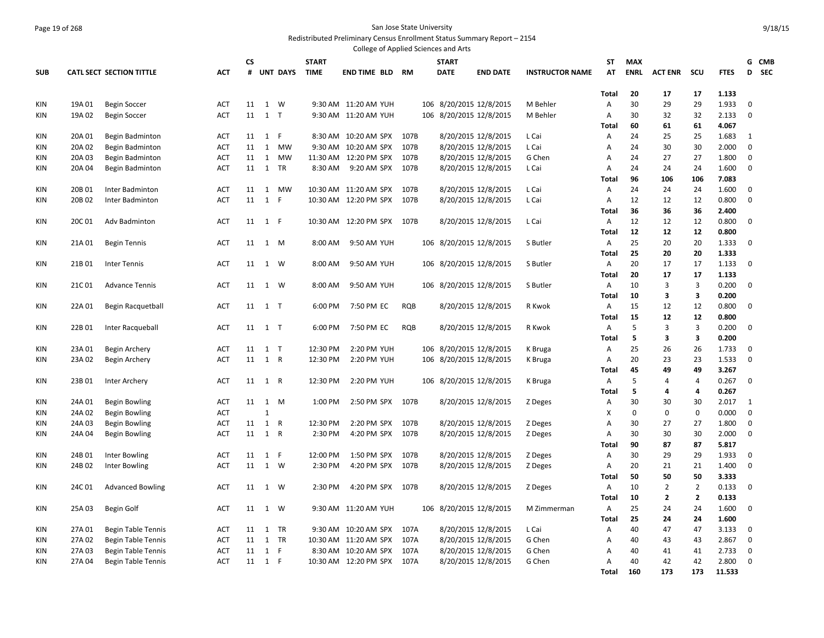#### Page 19 of 268 San Jose State University Redistributed Preliminary Census Enrollment Status Summary Report – 2154

|            |        |                                 |            |      |              |                 |              | College of Applied Sciences and Arts |           |     |                         |                         |                        |                |             |                |                         |             |             |            |
|------------|--------|---------------------------------|------------|------|--------------|-----------------|--------------|--------------------------------------|-----------|-----|-------------------------|-------------------------|------------------------|----------------|-------------|----------------|-------------------------|-------------|-------------|------------|
|            |        |                                 |            | CS   |              |                 | <b>START</b> |                                      |           |     | <b>START</b>            |                         |                        | <b>ST</b>      | <b>MAX</b>  |                |                         |             |             | G CMB      |
| <b>SUB</b> |        | <b>CATL SECT SECTION TITTLE</b> | <b>ACT</b> | #    |              | <b>UNT DAYS</b> | <b>TIME</b>  | <b>END TIME BLD</b>                  | <b>RM</b> |     | <b>DATE</b>             | <b>END DATE</b>         | <b>INSTRUCTOR NAME</b> | AT             | <b>ENRL</b> | <b>ACT ENR</b> | scu                     | <b>FTES</b> | D           | <b>SEC</b> |
|            |        |                                 |            |      |              |                 |              |                                      |           |     |                         |                         |                        |                |             |                |                         |             |             |            |
|            |        |                                 |            |      |              |                 |              |                                      |           |     |                         |                         |                        | Total          | 20          | 17             | 17                      | 1.133       |             |            |
| KIN        | 19A 01 | <b>Begin Soccer</b>             | <b>ACT</b> | 11   | 1            | W               |              | 9:30 AM 11:20 AM YUH                 |           | 106 | 8/20/2015 12/8/2015     |                         | M Behler               | Α              | 30          | 29             | 29                      | 1.933       | $\mathbf 0$ |            |
| KIN        | 19A 02 | <b>Begin Soccer</b>             | <b>ACT</b> | 11   | $1$ T        |                 |              | 9:30 AM 11:20 AM YUH                 |           |     |                         | 106 8/20/2015 12/8/2015 | M Behler               | Α              | 30          | 32             | 32                      | 2.133       | $\mathbf 0$ |            |
|            |        |                                 |            |      |              |                 |              |                                      |           |     |                         |                         |                        | Total          | 60          | 61             | 61                      | 4.067       |             |            |
| KIN        | 20A 01 | Begin Badminton                 | <b>ACT</b> | 11   | 1            | F               |              | 8:30 AM 10:20 AM SPX                 | 107B      |     |                         | 8/20/2015 12/8/2015     | L Cai                  | Α              | 24          | 25             | 25                      | 1.683       | 1           |            |
| KIN        | 20A 02 | Begin Badminton                 | ACT        | 11   | 1            | MW              |              | 9:30 AM 10:20 AM SPX                 | 107B      |     |                         | 8/20/2015 12/8/2015     | L Cai                  | A              | 24          | 30             | 30                      | 2.000       | $\mathbf 0$ |            |
| KIN        | 20A 03 | Begin Badminton                 | ACT        | 11   | 1            | MW              |              | 11:30 AM  12:20 PM SPX               | 107B      |     |                         | 8/20/2015 12/8/2015     | G Chen                 | Α              | 24          | 27             | 27                      | 1.800       | $\mathbf 0$ |            |
| KIN        | 20A 04 | Begin Badminton                 | <b>ACT</b> | 11   | 1            | <b>TR</b>       | 8:30 AM      | 9:20 AM SPX                          | 107B      |     |                         | 8/20/2015 12/8/2015     | L Cai                  | A              | 24          | 24             | 24                      | 1.600       | $\mathbf 0$ |            |
|            |        |                                 |            |      |              |                 |              |                                      |           |     |                         |                         |                        | Total          | 96          | 106            | 106                     | 7.083       |             |            |
| KIN        | 20B 01 | Inter Badminton                 | <b>ACT</b> | 11   | 1            | MW              |              | 10:30 AM 11:20 AM SPX                | 107B      |     | 8/20/2015 12/8/2015     |                         | L Cai                  | Α              | 24          | 24             | 24                      | 1.600       | 0           |            |
| KIN        | 20B 02 | Inter Badminton                 | <b>ACT</b> | 11   | $\mathbf{1}$ | $\mathsf{F}$    |              | 10:30 AM 12:20 PM SPX                | 107B      |     |                         | 8/20/2015 12/8/2015     | L Cai                  | Α              | 12          | 12             | 12                      | 0.800       | $\mathbf 0$ |            |
|            |        |                                 |            |      |              |                 |              |                                      |           |     |                         |                         |                        | Total          | 36          | 36             | 36                      | 2.400       |             |            |
| KIN        | 20C 01 | Adv Badminton                   | <b>ACT</b> | 11   | $1$ F        |                 |              | 10:30 AM  12:20 PM SPX  107B         |           |     |                         | 8/20/2015 12/8/2015     | L Cai                  | Α              | 12          | 12             | 12                      | 0.800       | $\mathbf 0$ |            |
|            |        |                                 |            |      |              |                 |              |                                      |           |     |                         |                         |                        | Total          | 12          | 12             | 12                      | 0.800       |             |            |
| KIN        | 21A 01 | <b>Begin Tennis</b>             | ACT        | 11   | 1 M          |                 | 8:00 AM      | 9:50 AM YUH                          |           |     |                         | 106 8/20/2015 12/8/2015 | S Butler               | Α              | 25          | 20             | 20                      | 1.333       | 0           |            |
|            |        |                                 |            |      |              |                 |              |                                      |           |     |                         |                         |                        | <b>Total</b>   | 25          | 20             | 20                      | 1.333       |             |            |
| KIN        | 21B01  | Inter Tennis                    | <b>ACT</b> | 11   | 1 W          |                 | 8:00 AM      | 9:50 AM YUH                          |           |     |                         | 106 8/20/2015 12/8/2015 | S Butler               | Α              | 20          | 17             | 17                      | 1.133       | $\mathbf 0$ |            |
|            |        |                                 |            |      |              |                 |              |                                      |           |     |                         |                         |                        | Total          | 20          | 17             | 17                      | 1.133       |             |            |
| KIN        | 21C01  | <b>Advance Tennis</b>           | <b>ACT</b> | 11   | 1            | W               | 8:00 AM      | 9:50 AM YUH                          |           |     |                         | 106 8/20/2015 12/8/2015 | S Butler               | Α              | 10          | 3              | $\overline{3}$          | 0.200       | $\mathbf 0$ |            |
|            |        |                                 |            |      |              |                 |              |                                      |           |     |                         |                         |                        | Total          | 10          | 3              | $\overline{\mathbf{3}}$ | 0.200       |             |            |
| KIN        | 22A 01 | <b>Begin Racquetball</b>        | <b>ACT</b> | 11   | 1 T          |                 | 6:00 PM      | 7:50 PM EC                           | RQB       |     |                         | 8/20/2015 12/8/2015     | R Kwok                 | A              | 15          | 12             | 12                      | 0.800       | 0           |            |
|            |        |                                 |            |      |              |                 |              |                                      |           |     |                         |                         |                        | Total          | 15          | 12             | 12                      | 0.800       |             |            |
| KIN        | 22B01  | Inter Racqueball                | ACT        | 11   | $1$ T        |                 | 6:00 PM      | 7:50 PM EC                           | RQB       |     |                         | 8/20/2015 12/8/2015     | R Kwok                 | $\overline{A}$ | 5           | $\overline{3}$ | 3                       | 0.200       | $\mathbf 0$ |            |
|            |        |                                 |            |      |              |                 |              |                                      |           |     |                         |                         |                        | Total          | 5           | 3              | 3                       | 0.200       |             |            |
| KIN        | 23A 01 | Begin Archery                   | <b>ACT</b> | 11   | 1 T          |                 | 12:30 PM     | 2:20 PM YUH                          |           | 106 |                         | 8/20/2015 12/8/2015     | K Bruga                | Α              | 25          | 26             | 26                      | 1.733       | $\mathbf 0$ |            |
| KIN        | 23A 02 | Begin Archery                   | ACT        |      | 11 1 R       |                 | 12:30 PM     | 2:20 PM YUH                          |           |     |                         | 106 8/20/2015 12/8/2015 | K Bruga                | Α              | 20          | 23             | 23                      | 1.533       | $\mathbf 0$ |            |
|            |        |                                 |            |      |              |                 |              |                                      |           |     |                         |                         |                        | <b>Total</b>   | 45          | 49             | 49                      | 3.267       |             |            |
| KIN        | 23B01  | Inter Archery                   | <b>ACT</b> |      | 11 1 R       |                 | 12:30 PM     | 2:20 PM YUH                          |           |     |                         | 106 8/20/2015 12/8/2015 | K Bruga                | Α              | 5           | $\overline{4}$ | $\overline{4}$          | 0.267       | $\mathbf 0$ |            |
|            |        |                                 |            |      |              |                 |              |                                      |           |     |                         |                         |                        | Total          | 5           | $\overline{a}$ | 4                       | 0.267       |             |            |
| KIN        | 24A 01 | <b>Begin Bowling</b>            | ACT        |      | 11 1         | M               | 1:00 PM      | 2:50 PM SPX 107B                     |           |     |                         | 8/20/2015 12/8/2015     | Z Deges                | Α              | 30          | 30             | 30                      | 2.017       | 1           |            |
| KIN        | 24A 02 | Begin Bowling                   | <b>ACT</b> |      | $\mathbf{1}$ |                 |              |                                      |           |     |                         |                         |                        | X              | $\mathbf 0$ | $\mathbf 0$    | $\mathbf 0$             | 0.000       | $\mathbf 0$ |            |
| KIN        | 24A 03 | Begin Bowling                   | ACT        | 11   | 1 R          |                 | 12:30 PM     | 2:20 PM SPX                          | 107B      |     |                         | 8/20/2015 12/8/2015     | Z Deges                | A              | 30          | 27             | 27                      | 1.800       | $\mathbf 0$ |            |
| KIN        | 24A 04 | <b>Begin Bowling</b>            | <b>ACT</b> | 11   | 1 R          |                 | 2:30 PM      | 4:20 PM SPX                          | 107B      |     |                         | 8/20/2015 12/8/2015     | Z Deges                | Α              | 30          | 30             | 30                      | 2.000       | $\mathbf 0$ |            |
|            |        |                                 |            |      |              |                 |              |                                      |           |     |                         |                         |                        | Total          | 90          | 87             | 87                      | 5.817       |             |            |
| KIN        | 24B 01 | Inter Bowling                   | ACT        | 11   | 1 F          |                 | 12:00 PM     | 1:50 PM SPX                          | 107B      |     | 8/20/2015 12/8/2015     |                         | Z Deges                | A              | 30          | 29             | 29                      | 1.933       | $\mathbf 0$ |            |
| KIN        | 24B 02 | Inter Bowling                   | <b>ACT</b> |      | 11 1 W       |                 | 2:30 PM      | 4:20 PM SPX 107B                     |           |     |                         | 8/20/2015 12/8/2015     | Z Deges                | Α              | 20          | 21             | 21                      | 1.400       | $\mathbf 0$ |            |
|            |        |                                 |            |      |              |                 |              |                                      |           |     |                         |                         |                        | Total          | 50          | 50             | 50                      | 3.333       |             |            |
| KIN        | 24C 01 |                                 | ACT        | 11   | 1 W          |                 | 2:30 PM      | 4:20 PM SPX 107B                     |           |     |                         |                         |                        | A              | 10          | $\overline{2}$ | $\overline{2}$          | 0.133       | 0           |            |
|            |        | <b>Advanced Bowling</b>         |            |      |              |                 |              |                                      |           |     | 8/20/2015 12/8/2015     |                         | Z Deges                | Total          | 10          | $\overline{2}$ | $\mathbf{2}$            | 0.133       |             |            |
| KIN        | 25A 03 |                                 |            |      |              |                 |              |                                      |           |     |                         |                         |                        |                | 25          | 24             | 24                      | 1.600       | $\mathbf 0$ |            |
|            |        | Begin Golf                      | ACT        | 11   |              | 1 W             |              | 9:30 AM 11:20 AM YUH                 |           |     | 106 8/20/2015 12/8/2015 |                         | M Zimmerman            | $\overline{A}$ | 25          |                |                         |             |             |            |
|            |        |                                 |            |      |              |                 |              |                                      |           |     |                         |                         |                        | Total          |             | 24             | 24                      | 1.600       |             |            |
| KIN        | 27A 01 | <b>Begin Table Tennis</b>       | <b>ACT</b> | 11 1 |              | TR              |              | 9:30 AM 10:20 AM SPX                 | 107A      |     |                         | 8/20/2015 12/8/2015     | L Cai                  | Α              | 40          | 47             | 47                      | 3.133       | 0           |            |
| KIN        | 27A 02 | <b>Begin Table Tennis</b>       | ACT        | 11   | 1            | TR              |              | 10:30 AM 11:20 AM SPX                | 107A      |     | 8/20/2015 12/8/2015     |                         | G Chen                 | Α              | 40          | 43             | 43                      | 2.867       | 0           |            |
| KIN        | 27A 03 | Begin Table Tennis              | ACT        | 11   | $1$ F        |                 |              | 8:30 AM 10:20 AM SPX                 | 107A      |     | 8/20/2015 12/8/2015     |                         | G Chen                 | A              | 40          | 41             | 41                      | 2.733       | 0           |            |
| KIN        | 27A 04 | Begin Table Tennis              | ACT        |      | 11 1 F       |                 |              | 10:30 AM  12:20 PM SPX               | 107A      |     |                         | 8/20/2015 12/8/2015     | G Chen                 | Α              | 40          | 42             | 42                      | 2.800       | 0           |            |
|            |        |                                 |            |      |              |                 |              |                                      |           |     |                         |                         |                        | <b>Total</b>   | 160         | 173            | 173                     | 11.533      |             |            |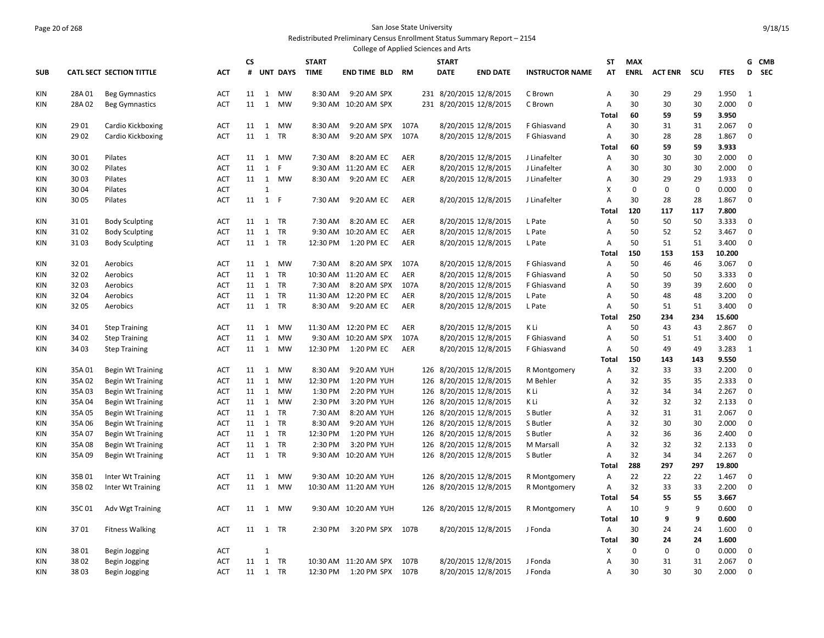#### Page 20 of 268 San Jose State University Redistributed Preliminary Census Enrollment Status Summary Report – 2154

|            |        |                                 |            |           |              |                 |              | College of Applied Sciences and Arts |            |              |                         |                        |                |             |                |             |                 |                 |  |
|------------|--------|---------------------------------|------------|-----------|--------------|-----------------|--------------|--------------------------------------|------------|--------------|-------------------------|------------------------|----------------|-------------|----------------|-------------|-----------------|-----------------|--|
|            |        |                                 |            | <b>CS</b> |              |                 | <b>START</b> |                                      |            | <b>START</b> |                         |                        | ST             | <b>MAX</b>  |                |             |                 | G CMB           |  |
| <b>SUB</b> |        | <b>CATL SECT SECTION TITTLE</b> | <b>ACT</b> | #         |              | <b>UNT DAYS</b> | <b>TIME</b>  | END TIME BLD                         | <b>RM</b>  | <b>DATE</b>  | <b>END DATE</b>         | <b>INSTRUCTOR NAME</b> | AT             | <b>ENRL</b> | <b>ACT ENR</b> | scu         | <b>FTES</b>     | <b>SEC</b><br>D |  |
| KIN        | 28A 01 | <b>Beg Gymnastics</b>           | <b>ACT</b> | 11        | 1            | <b>MW</b>       | 8:30 AM      | 9:20 AM SPX                          |            |              | 231 8/20/2015 12/8/2015 | C Brown                | A              | 30          | 29             | 29          | 1.950           | $\mathbf{1}$    |  |
| <b>KIN</b> | 28A 02 | <b>Beg Gymnastics</b>           | <b>ACT</b> | 11        | 1            | MW              |              | 9:30 AM 10:20 AM SPX                 |            |              | 231 8/20/2015 12/8/2015 | C Brown                | Α              | 30          | 30             | 30          | 2.000           | $\mathbf 0$     |  |
|            |        |                                 |            |           |              |                 |              |                                      |            |              |                         |                        | <b>Total</b>   | 60          | 59             | 59          | 3.950           |                 |  |
| <b>KIN</b> | 29 01  | Cardio Kickboxing               | <b>ACT</b> | 11        | 1            | MW              | 8:30 AM      | 9:20 AM SPX                          | 107A       |              | 8/20/2015 12/8/2015     | F Ghiasvand            | A              | 30          | 31             | 31          | 2.067           | 0               |  |
| KIN        | 29 02  | Cardio Kickboxing               | ACT        | 11        | 1            | TR              | 8:30 AM      | 9:20 AM SPX                          | 107A       |              | 8/20/2015 12/8/2015     | F Ghiasvand            | Α              | 30          | 28             | 28          | 1.867           | $\mathbf 0$     |  |
|            |        |                                 |            |           |              |                 |              |                                      |            |              |                         |                        | Total          | 60          | 59             | 59          | 3.933           |                 |  |
| <b>KIN</b> | 3001   | Pilates                         | <b>ACT</b> | 11        | 1            | MW              | 7:30 AM      | 8:20 AM EC                           | <b>AER</b> |              | 8/20/2015 12/8/2015     | J Linafelter           | A              | 30          | 30             | 30          | 2.000           | $\mathbf 0$     |  |
| <b>KIN</b> | 3002   | Pilates                         | ACT        | 11        | 1            | F               |              | 9:30 AM 11:20 AM EC                  | AER        |              | 8/20/2015 12/8/2015     | J Linafelter           | Α              | 30          | 30             | 30          | 2.000           | 0               |  |
| KIN        | 3003   | Pilates                         | <b>ACT</b> | 11        | 1            | MW              | 8:30 AM      | 9:20 AM EC                           | AER        |              | 8/20/2015 12/8/2015     | J Linafelter           | Α              | 30          | 29             | 29          | 1.933           | $\mathbf 0$     |  |
| KIN        | 30 04  | Pilates                         | <b>ACT</b> |           | $\mathbf{1}$ |                 |              |                                      |            |              |                         |                        | X              | 0           | $\pmb{0}$      | $\mathbf 0$ | 0.000           | 0               |  |
| <b>KIN</b> | 3005   | Pilates                         | <b>ACT</b> | 11        | 1 F          |                 | 7:30 AM      | 9:20 AM EC                           | <b>AER</b> |              | 8/20/2015 12/8/2015     | J Linafelter           | A              | 30          | 28             | 28          | 1.867           | $\mathbf 0$     |  |
|            |        |                                 |            |           |              |                 |              |                                      |            |              |                         |                        | <b>Total</b>   | 120         | 117            | 117         | 7.800           |                 |  |
| <b>KIN</b> | 3101   | <b>Body Sculpting</b>           | <b>ACT</b> | 11        | 1            | <b>TR</b>       | 7:30 AM      | 8:20 AM EC                           | <b>AER</b> |              | 8/20/2015 12/8/2015     | L Pate                 | $\mathsf{A}$   | 50          | 50             | 50          | 3.333           | $\mathbf 0$     |  |
| <b>KIN</b> | 3102   | <b>Body Sculpting</b>           | <b>ACT</b> | 11        | 1            | TR              |              | 9:30 AM 10:20 AM EC                  | AER        |              | 8/20/2015 12/8/2015     | L Pate                 | Α              | 50          | 52             | 52          | 3.467           | 0               |  |
| KIN        | 3103   | <b>Body Sculpting</b>           | <b>ACT</b> | 11        | 1            | <b>TR</b>       | 12:30 PM     | 1:20 PM EC                           | AER        |              | 8/20/2015 12/8/2015     | L Pate                 | $\overline{A}$ | 50<br>150   | 51<br>153      | 51<br>153   | 3.400<br>10.200 | $\mathbf 0$     |  |
| <b>KIN</b> | 3201   | Aerobics                        | <b>ACT</b> | 11        | 1            | <b>MW</b>       | 7:30 AM      | 8:20 AM SPX                          | 107A       |              | 8/20/2015 12/8/2015     | F Ghiasvand            | Total<br>Α     | 50          | 46             | 46          | 3.067           | 0               |  |
| KIN        | 3202   | Aerobics                        | <b>ACT</b> | 11        | 1            | TR              |              | 10:30 AM 11:20 AM EC                 | AER        |              | 8/20/2015 12/8/2015     | F Ghiasvand            | Α              | 50          | 50             | 50          | 3.333           | 0               |  |
| <b>KIN</b> | 3203   | Aerobics                        | <b>ACT</b> | 11        | 1            | TR              | 7:30 AM      | 8:20 AM SPX                          | 107A       |              | 8/20/2015 12/8/2015     | F Ghiasvand            | Α              | 50          | 39             | 39          | 2.600           | 0               |  |
| KIN        | 3204   | Aerobics                        | ACT        | 11        | $\mathbf{1}$ | <b>TR</b>       |              | 11:30 AM 12:20 PM EC                 | AER        |              | 8/20/2015 12/8/2015     | L Pate                 | Α              | 50          | 48             | 48          | 3.200           | $\mathbf 0$     |  |
| <b>KIN</b> | 3205   | Aerobics                        | <b>ACT</b> | 11        | 1            | TR              | 8:30 AM      | 9:20 AM EC                           | <b>AER</b> |              | 8/20/2015 12/8/2015     | L Pate                 | A              | 50          | 51             | 51          | 3.400           | $\mathbf 0$     |  |
|            |        |                                 |            |           |              |                 |              |                                      |            |              |                         |                        | <b>Total</b>   | 250         | 234            | 234         | 15.600          |                 |  |
| <b>KIN</b> | 34 01  | <b>Step Training</b>            | <b>ACT</b> | 11        | $\mathbf{1}$ | <b>MW</b>       |              | 11:30 AM 12:20 PM EC                 | AER        |              | 8/20/2015 12/8/2015     | K Li                   | Α              | 50          | 43             | 43          | 2.867           | $\mathbf 0$     |  |
| KIN        | 34 02  | <b>Step Training</b>            | ACT        | 11        | 1            | <b>MW</b>       |              | 9:30 AM 10:20 AM SPX                 | 107A       |              | 8/20/2015 12/8/2015     | F Ghiasvand            | Α              | 50          | 51             | 51          | 3.400           | $\pmb{0}$       |  |
| KIN        | 34 03  | <b>Step Training</b>            | <b>ACT</b> | 11        | 1            | <b>MW</b>       | 12:30 PM     | 1:20 PM EC                           | AER        |              | 8/20/2015 12/8/2015     | F Ghiasvand            | Α              | 50          | 49             | 49          | 3.283           | 1               |  |
|            |        |                                 |            |           |              |                 |              |                                      |            |              |                         |                        | <b>Total</b>   | 150         | 143            | 143         | 9.550           |                 |  |
| <b>KIN</b> | 35A01  | <b>Begin Wt Training</b>        | <b>ACT</b> | 11        | 1            | <b>MW</b>       | 8:30 AM      | 9:20 AM YUH                          |            |              | 126 8/20/2015 12/8/2015 | R Montgomery           | Α              | 32          | 33             | 33          | 2.200           | 0               |  |
| KIN        | 35A02  | <b>Begin Wt Training</b>        | ACT        | 11        | 1            | <b>MW</b>       | 12:30 PM     | 1:20 PM YUH                          |            |              | 126 8/20/2015 12/8/2015 | M Behler               | A              | 32          | 35             | 35          | 2.333           | $\pmb{0}$       |  |
| <b>KIN</b> | 35A03  | <b>Begin Wt Training</b>        | <b>ACT</b> | 11        | 1            | <b>MW</b>       | 1:30 PM      | 2:20 PM YUH                          |            |              | 126 8/20/2015 12/8/2015 | K Li                   | A              | 32          | 34             | 34          | 2.267           | $\mathbf 0$     |  |
| KIN        | 35A04  | Begin Wt Training               | ACT        | 11        | 1            | <b>MW</b>       | 2:30 PM      | 3:20 PM YUH                          |            |              | 126 8/20/2015 12/8/2015 | K Li                   | $\overline{A}$ | 32          | 32             | 32          | 2.133           | $\mathbf 0$     |  |
| KIN        | 35A05  | <b>Begin Wt Training</b>        | <b>ACT</b> | 11        | 1            | TR              | 7:30 AM      | 8:20 AM YUH                          |            |              | 126 8/20/2015 12/8/2015 | S Butler               | Α              | 32          | 31             | 31          | 2.067           | $\mathbf 0$     |  |
| <b>KIN</b> | 35A06  | <b>Begin Wt Training</b>        | <b>ACT</b> | 11        | 1            | <b>TR</b>       | 8:30 AM      | 9:20 AM YUH                          |            |              | 126 8/20/2015 12/8/2015 | S Butler               | A              | 32          | 30             | 30          | 2.000           | $\mathbf 0$     |  |
| KIN        | 35A 07 | <b>Begin Wt Training</b>        | <b>ACT</b> | 11        | 1            | TR              | 12:30 PM     | 1:20 PM YUH                          |            |              | 126 8/20/2015 12/8/2015 | S Butler               | Α              | 32          | 36             | 36          | 2.400           | $\mathbf 0$     |  |
| <b>KIN</b> | 35A08  | <b>Begin Wt Training</b>        | <b>ACT</b> | 11        | 1            | <b>TR</b>       | 2:30 PM      | 3:20 PM YUH                          |            |              | 126 8/20/2015 12/8/2015 | M Marsall              | $\overline{A}$ | 32          | 32             | 32          | 2.133           | $\mathbf 0$     |  |
| KIN        | 35A09  | <b>Begin Wt Training</b>        | ACT        | 11        |              | 1 TR            |              | 9:30 AM 10:20 AM YUH                 |            |              | 126 8/20/2015 12/8/2015 | S Butler               | Α              | 32          | 34             | 34          | 2.267           | $\mathbf 0$     |  |
|            |        |                                 |            |           |              |                 |              |                                      |            |              |                         |                        | <b>Total</b>   | 288         | 297            | 297         | 19.800          |                 |  |
| KIN        | 35B01  | Inter Wt Training               | ACT        | 11        | $\mathbf{1}$ | MW              |              | 9:30 AM 10:20 AM YUH                 |            |              | 126 8/20/2015 12/8/2015 | R Montgomery           | Α              | 22          | 22             | 22          | 1.467           | $\mathbf 0$     |  |
| KIN        | 35B02  | Inter Wt Training               | <b>ACT</b> | 11        | 1            | <b>MW</b>       |              | 10:30 AM 11:20 AM YUH                |            |              | 126 8/20/2015 12/8/2015 | R Montgomery           | A              | 32          | 33             | 33          | 2.200           | $\mathbf 0$     |  |
|            |        |                                 |            |           |              |                 |              |                                      |            |              |                         |                        | Total          | 54          | 55             | 55          | 3.667           |                 |  |
| KIN        | 35C01  | Adv Wgt Training                | <b>ACT</b> | 11        | 1            | MW              |              | 9:30 AM 10:20 AM YUH                 |            |              | 126 8/20/2015 12/8/2015 | R Montgomery           | A              | 10          | 9              | 9           | 0.600           | $\mathbf 0$     |  |
|            |        |                                 |            |           |              |                 |              |                                      |            |              |                         |                        | <b>Total</b>   | 10          | 9              | 9           | 0.600           |                 |  |
| KIN        | 3701   | <b>Fitness Walking</b>          | <b>ACT</b> | 11        | 1            | TR              | 2:30 PM      | 3:20 PM SPX                          | 107B       |              | 8/20/2015 12/8/2015     | J Fonda                | $\overline{A}$ | 30          | 24             | 24          | 1.600           | 0               |  |
|            |        |                                 |            |           |              |                 |              |                                      |            |              |                         |                        | <b>Total</b>   | 30          | 24             | 24          | 1.600           |                 |  |
| <b>KIN</b> | 3801   | <b>Begin Jogging</b>            | <b>ACT</b> |           | $\mathbf{1}$ |                 |              |                                      |            |              |                         |                        | X              | 0           | $\mathbf 0$    | $\mathbf 0$ | 0.000           | $\mathbf 0$     |  |
| KIN        | 3802   | Begin Jogging                   | <b>ACT</b> | 11        | $\mathbf{1}$ | TR              |              | 10:30 AM 11:20 AM SPX                | 107B       |              | 8/20/2015 12/8/2015     | J Fonda                | A              | 30          | 31             | 31          | 2.067           | $\mathbf 0$     |  |
| KIN        | 3803   | Begin Jogging                   | <b>ACT</b> |           | 11 1 TR      |                 | 12:30 PM     | 1:20 PM SPX                          | 107B       |              | 8/20/2015 12/8/2015     | J Fonda                | Α              | 30          | 30             | 30          | 2.000           | $\mathbf 0$     |  |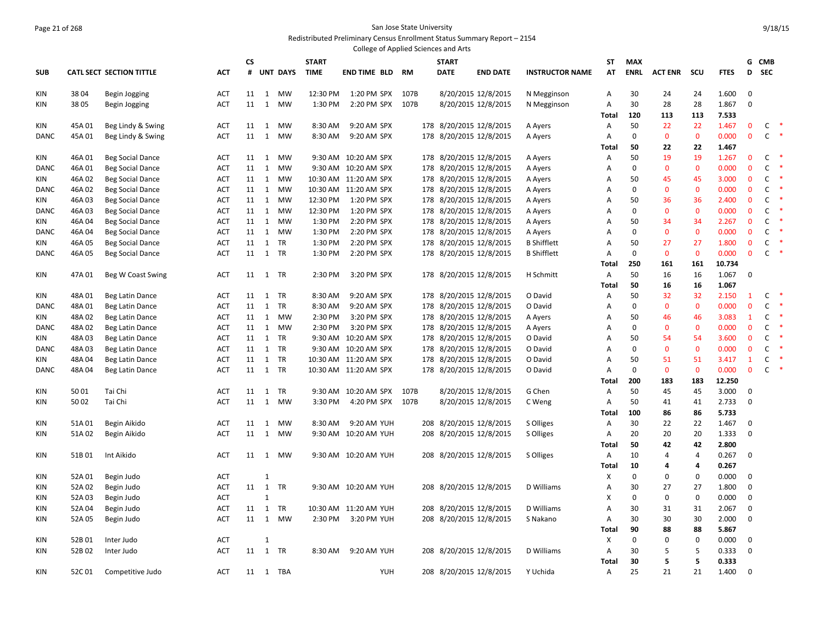#### Page 21 of 268 San Jose State University Redistributed Preliminary Census Enrollment Status Summary Report – 2154

|             |        |                                        |                   |          |                   |                 |              | College of Applied Sciences and Arts |      |                         |                     |                        |            |              |                |              |                |              |              |        |
|-------------|--------|----------------------------------------|-------------------|----------|-------------------|-----------------|--------------|--------------------------------------|------|-------------------------|---------------------|------------------------|------------|--------------|----------------|--------------|----------------|--------------|--------------|--------|
|             |        |                                        |                   | CS       |                   |                 | <b>START</b> |                                      |      | <b>START</b>            |                     |                        | SΤ         | <b>MAX</b>   |                |              |                |              | G CMB        |        |
| <b>SUB</b>  |        | <b>CATL SECT SECTION TITTLE</b>        | <b>ACT</b>        | #        |                   | <b>UNT DAYS</b> | <b>TIME</b>  | <b>END TIME BLD</b>                  | RM   | <b>DATE</b>             | <b>END DATE</b>     | <b>INSTRUCTOR NAME</b> | AT         | <b>ENRL</b>  | <b>ACT ENR</b> | scu          | <b>FTES</b>    | D            | <b>SEC</b>   |        |
|             | 3804   |                                        |                   | 11       |                   | MW              | 12:30 PM     |                                      | 107B |                         |                     |                        |            | 30           |                |              | 1.600          | 0            |              |        |
| KIN         | 3805   | Begin Jogging                          | <b>ACT</b>        | 11       | 1<br>1            | MW              | 1:30 PM      | 1:20 PM SPX<br>2:20 PM SPX           | 107B |                         | 8/20/2015 12/8/2015 | N Megginson            | Α          | 30           | 24<br>28       | 24           |                | 0            |              |        |
| ΚIΝ         |        | Begin Jogging                          | ACT               |          |                   |                 |              |                                      |      |                         | 8/20/2015 12/8/2015 | N Megginson            | Α<br>Total | 120          | 113            | 28<br>113    | 1.867          |              |              |        |
|             | 45A01  |                                        |                   |          |                   | MW              | 8:30 AM      | 9:20 AM SPX                          |      | 178 8/20/2015 12/8/2015 |                     |                        |            | 50           | 22             | 22           | 7.533<br>1.467 | $\mathbf 0$  | C            | $\ast$ |
| KIN<br>DANC | 45A01  | Beg Lindy & Swing<br>Beg Lindy & Swing | ACT<br><b>ACT</b> | 11<br>11 | 1<br>$\mathbf{1}$ | MW              | 8:30 AM      | 9:20 AM SPX                          |      | 178 8/20/2015 12/8/2015 |                     | A Ayers<br>A Ayers     | Α<br>Α     | $\mathbf 0$  | $\mathbf{0}$   | $\mathbf{0}$ | 0.000          | $\mathbf{0}$ | $\mathsf{C}$ |        |
|             |        |                                        |                   |          |                   |                 |              |                                      |      |                         |                     |                        | Total      | 50           | 22             | 22           | 1.467          |              |              |        |
| KIN         | 46A01  | <b>Beg Social Dance</b>                | ACT               | 11       | 1                 | MW              |              | 9:30 AM 10:20 AM SPX                 |      | 178 8/20/2015 12/8/2015 |                     | A Ayers                | Α          | 50           | 19             | 19           | 1.267          | $\mathbf{0}$ | C            |        |
| <b>DANC</b> | 46A01  | <b>Beg Social Dance</b>                | ACT               | 11       | $\mathbf{1}$      | MW              |              | 9:30 AM 10:20 AM SPX                 |      | 178 8/20/2015 12/8/2015 |                     | A Ayers                | Α          | $\mathbf 0$  | $\mathbf{0}$   | $\mathbf{0}$ | 0.000          | $\mathbf{0}$ | $\mathsf{C}$ |        |
| KIN         | 46A02  | <b>Beg Social Dance</b>                | ACT               | 11       | 1                 | MW              |              | 10:30 AM 11:20 AM SPX                |      | 178 8/20/2015 12/8/2015 |                     | A Ayers                | Α          | 50           | 45             | 45           | 3.000          | $\mathbf 0$  | C            |        |
| DANC        | 46A 02 | <b>Beg Social Dance</b>                | ACT               | 11       | $\mathbf{1}$      | MW              |              | 10:30 AM 11:20 AM SPX                |      | 178 8/20/2015 12/8/2015 |                     | A Ayers                | A          | $\mathbf{0}$ | $\mathbf{0}$   | $\mathbf{0}$ | 0.000          | $\mathbf{0}$ | $\mathsf{C}$ |        |
| KIN         | 46A03  | <b>Beg Social Dance</b>                | ACT               | 11       | 1                 | MW              | 12:30 PM     | 1:20 PM SPX                          |      | 178 8/20/2015 12/8/2015 |                     | A Ayers                | Α          | 50           | 36             | 36           | 2.400          | $\mathbf 0$  | C            |        |
| <b>DANC</b> | 46A03  | <b>Beg Social Dance</b>                | <b>ACT</b>        | 11       | 1                 | MW              | 12:30 PM     | 1:20 PM SPX                          |      | 178 8/20/2015 12/8/2015 |                     | A Ayers                | A          | $\mathbf{0}$ | $\mathbf{0}$   | $\mathbf{0}$ | 0.000          | $\mathbf{0}$ | C            | $\ast$ |
| KIN         | 46A 04 | <b>Beg Social Dance</b>                | ACT               | 11       | 1                 | MW              | 1:30 PM      | 2:20 PM SPX                          |      | 178 8/20/2015 12/8/2015 |                     | A Ayers                | Α          | 50           | 34             | 34           | 2.267          | $\mathbf{0}$ | C            |        |
| <b>DANC</b> | 46A04  | <b>Beg Social Dance</b>                | <b>ACT</b>        | 11       | 1                 | MW              | 1:30 PM      | 2:20 PM SPX                          |      | 178 8/20/2015 12/8/2015 |                     | A Ayers                | A          | $\mathbf{0}$ | $\mathbf 0$    | $\mathbf{0}$ | 0.000          | $\mathbf{0}$ | C            | $\ast$ |
| KIN         | 46A 05 | <b>Beg Social Dance</b>                | <b>ACT</b>        | 11       | $\mathbf{1}$      | TR              | 1:30 PM      | 2:20 PM SPX                          |      | 178 8/20/2015 12/8/2015 |                     | <b>B</b> Shifflett     | Α          | 50           | 27             | 27           | 1.800          | $\mathbf{0}$ | C            | $\ast$ |
| DANC        | 46A05  | <b>Beg Social Dance</b>                | <b>ACT</b>        |          | 11 1 TR           |                 | 1:30 PM      | 2:20 PM SPX                          |      | 178 8/20/2015 12/8/2015 |                     | <b>B</b> Shifflett     | Α          | $\mathbf{0}$ | $\mathbf 0$    | $\mathbf{0}$ | 0.000          | $\mathbf{0}$ | C            | $\ast$ |
|             |        |                                        |                   |          |                   |                 |              |                                      |      |                         |                     |                        | Total      | 250          | 161            | 161          | 10.734         |              |              |        |
| KIN         | 47A 01 | Beg W Coast Swing                      | <b>ACT</b>        | 11       | 1 TR              |                 | 2:30 PM      | 3:20 PM SPX                          |      | 178 8/20/2015 12/8/2015 |                     | H Schmitt              | Α          | 50           | 16             | 16           | 1.067          | $\mathbf 0$  |              |        |
|             |        |                                        |                   |          |                   |                 |              |                                      |      |                         |                     |                        | Total      | 50           | 16             | 16           | 1.067          |              |              |        |
| KIN         | 48A01  | Beg Latin Dance                        | ACT               | 11       |                   | 1 TR            | 8:30 AM      | 9:20 AM SPX                          |      | 178 8/20/2015 12/8/2015 |                     | O David                | Α          | 50           | 32             | 32           | 2.150          | $\mathbf{1}$ | C            | $\ast$ |
| <b>DANC</b> | 48A01  | Beg Latin Dance                        | <b>ACT</b>        | 11       | 1                 | TR              | 8:30 AM      | 9:20 AM SPX                          |      | 178 8/20/2015 12/8/2015 |                     | O David                | A          | $\Omega$     | $\mathbf{0}$   | $\mathbf{0}$ | 0.000          | $\mathbf 0$  | C            | $\ast$ |
| KIN         | 48A02  | Beg Latin Dance                        | <b>ACT</b>        | 11       | 1                 | MW              | 2:30 PM      | 3:20 PM SPX                          |      | 178 8/20/2015 12/8/2015 |                     | A Ayers                | Α          | 50           | 46             | 46           | 3.083          | $\mathbf{1}$ | C            |        |
| DANC        | 48A02  | Beg Latin Dance                        | <b>ACT</b>        | 11       | 1                 | MW              | 2:30 PM      | 3:20 PM SPX                          |      | 178 8/20/2015 12/8/2015 |                     | A Ayers                | A          | $\Omega$     | $\mathbf{0}$   | $\mathbf{0}$ | 0.000          | $\mathbf 0$  | C            |        |
| KIN         | 48A03  | Beg Latin Dance                        | <b>ACT</b>        | 11       | 1                 | TR              |              | 9:30 AM 10:20 AM SPX                 |      | 178 8/20/2015 12/8/2015 |                     | O David                | Α          | 50           | 54             | 54           | 3.600          | $\mathbf 0$  | $\mathsf{C}$ |        |
| DANC        | 48A03  | Beg Latin Dance                        | <b>ACT</b>        | 11       |                   | 1 TR            |              | 9:30 AM 10:20 AM SPX                 |      | 178 8/20/2015 12/8/2015 |                     | O David                | Α          | $\Omega$     | $\mathbf{0}$   | $\mathbf{0}$ | 0.000          | $\mathbf 0$  | C            | ∗      |
| KIN         | 48A04  | Beg Latin Dance                        | <b>ACT</b>        | 11       |                   | 1 TR            |              | 10:30 AM 11:20 AM SPX                |      | 178 8/20/2015 12/8/2015 |                     | O David                | А          | 50           | 51             | 51           | 3.417          | $\mathbf{1}$ | C            | $\ast$ |
| DANC        | 48A 04 | Beg Latin Dance                        | <b>ACT</b>        | 11       |                   | 1 TR            |              | 10:30 AM 11:20 AM SPX                |      | 178 8/20/2015 12/8/2015 |                     | O David                | Α          | $\mathbf 0$  | $\mathbf 0$    | $\mathbf 0$  | 0.000          | $\mathbf 0$  | C            | $\ast$ |
|             |        |                                        |                   |          |                   |                 |              |                                      |      |                         |                     |                        | Total      | 200          | 183            | 183          | 12.250         |              |              |        |
| KIN         | 5001   | Tai Chi                                | ACT               | 11       | $\mathbf{1}$      | TR              |              | 9:30 AM 10:20 AM SPX                 | 107B |                         | 8/20/2015 12/8/2015 | G Chen                 | Α          | 50           | 45             | 45           | 3.000          | 0            |              |        |
| KIN         | 5002   | Tai Chi                                | <b>ACT</b>        | 11       | 1                 | MW              | 3:30 PM      | 4:20 PM SPX                          | 107B |                         | 8/20/2015 12/8/2015 | C Weng                 | Α          | 50           | 41             | 41           | 2.733          | 0            |              |        |
|             |        |                                        |                   |          |                   |                 |              |                                      |      |                         |                     |                        | Total      | 100          | 86             | 86           | 5.733          |              |              |        |
| KIN         | 51A01  | Begin Aikido                           | <b>ACT</b>        | 11       | $\mathbf{1}$      | MW              | 8:30 AM      | 9:20 AM YUH                          |      | 208 8/20/2015 12/8/2015 |                     | S Olliges              | Α          | 30           | 22             | 22           | 1.467          | 0            |              |        |
| KIN         | 51A02  | Begin Aikido                           | ACT               | 11       | $\mathbf{1}$      | MW              |              | 9:30 AM 10:20 AM YUH                 |      | 208 8/20/2015 12/8/2015 |                     | S Olliges              | Α          | 20           | 20             | 20           | 1.333          | 0            |              |        |
|             |        |                                        |                   |          |                   |                 |              |                                      |      |                         |                     |                        | Total      | 50           | 42             | 42           | 2.800          |              |              |        |
| KIN         | 51B01  | Int Aikido                             | ACT               | 11       | 1                 | MW              |              | 9:30 AM 10:20 AM YUH                 |      | 208 8/20/2015 12/8/2015 |                     | S Olliges              | Α          | 10           | 4              | 4            | 0.267          | 0            |              |        |
|             |        |                                        |                   |          |                   |                 |              |                                      |      |                         |                     |                        | Total      | 10           | 4              | 4            | 0.267          |              |              |        |
| KIN         | 52A 01 | Begin Judo                             | <b>ACT</b>        |          | 1                 |                 |              |                                      |      |                         |                     |                        | X          | $\mathbf{0}$ | $\Omega$       | $\mathbf{0}$ | 0.000          | 0            |              |        |
| KIN         | 52A 02 | Begin Judo                             | ACT               | 11       | 1                 | TR              |              | 9:30 AM 10:20 AM YUH                 |      | 208 8/20/2015 12/8/2015 |                     | D Williams             | Α          | 30           | 27             | 27           | 1.800          | 0            |              |        |
| KIN         | 52A 03 | Begin Judo                             | <b>ACT</b>        |          | $\mathbf{1}$      |                 |              |                                      |      |                         |                     |                        | X          | $\Omega$     | $\mathbf 0$    | $\mathbf 0$  | 0.000          | $\pmb{0}$    |              |        |
| KIN         | 52A 04 | Begin Judo                             | <b>ACT</b>        | 11       | $\mathbf{1}$      | TR              |              | 10:30 AM 11:20 AM YUH                |      | 208 8/20/2015 12/8/2015 |                     | D Williams             | Α          | 30           | 31             | 31           | 2.067          | 0            |              |        |
| <b>KIN</b>  | 52A 05 | Begin Judo                             | <b>ACT</b>        | 11       | 1                 | MW              | 2:30 PM      | 3:20 PM YUH                          |      | 208 8/20/2015 12/8/2015 |                     | S Nakano               | Α          | 30           | 30             | 30           | 2.000          | 0            |              |        |
|             |        |                                        |                   |          |                   |                 |              |                                      |      |                         |                     |                        | Total      | 90           | 88             | 88           | 5.867          |              |              |        |
| <b>KIN</b>  | 52B01  | Inter Judo                             | <b>ACT</b>        |          | $\mathbf{1}$      |                 |              |                                      |      |                         |                     |                        | X          | $\mathbf 0$  | 0              | $\mathbf 0$  | 0.000          | 0            |              |        |
| KIN         | 52B02  | Inter Judo                             | <b>ACT</b>        | 11       |                   | 1 TR            | 8:30 AM      | 9:20 AM YUH                          |      | 208 8/20/2015 12/8/2015 |                     | D Williams             | Α          | 30           | 5              | 5            | 0.333          | $\mathbf 0$  |              |        |
|             |        |                                        |                   |          |                   |                 |              |                                      |      |                         |                     |                        | Total      | 30           | 5              | 5            | 0.333          |              |              |        |
| KIN         | 52C01  | Competitive Judo                       | <b>ACT</b>        |          |                   | 11 1 TBA        |              | <b>YUH</b>                           |      | 208 8/20/2015 12/8/2015 |                     | Y Uchida               | Α          | 25           | 21             | 21           | 1.400          | $\mathbf 0$  |              |        |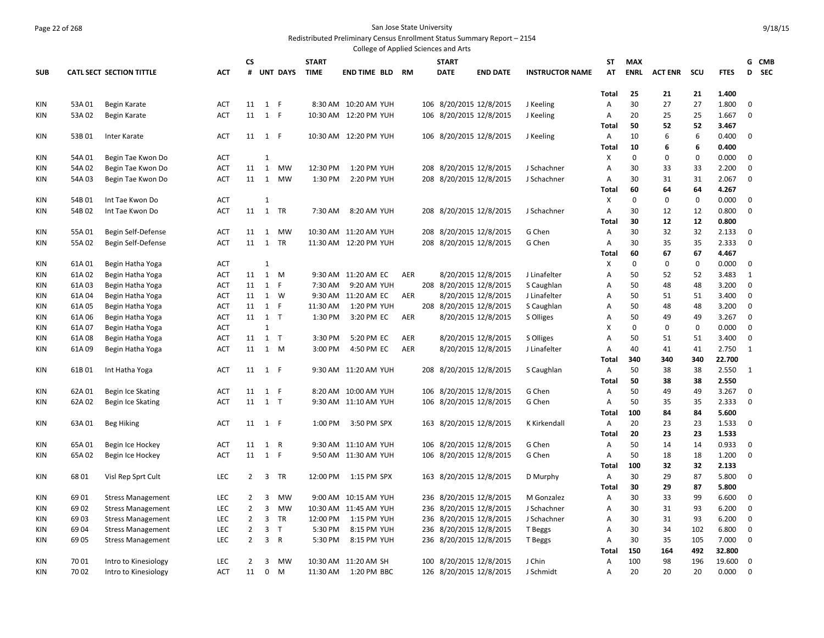# Page 22 of 268 San Jose State University

Redistributed Preliminary Census Enrollment Status Summary Report – 2154 College of Applied Sciences and Arts

|            |        |                                 |            | <b>CS</b>      |                |                 | <b>START</b> |                        |            |     | <b>START</b>            |                         |                        | ST           | <b>MAX</b>  |                |              |             |             | G CMB |
|------------|--------|---------------------------------|------------|----------------|----------------|-----------------|--------------|------------------------|------------|-----|-------------------------|-------------------------|------------------------|--------------|-------------|----------------|--------------|-------------|-------------|-------|
| <b>SUB</b> |        | <b>CATL SECT SECTION TITTLE</b> | ACT        | #              |                | <b>UNT DAYS</b> | <b>TIME</b>  | <b>END TIME BLD RM</b> |            |     | <b>DATE</b>             | <b>END DATE</b>         | <b>INSTRUCTOR NAME</b> | AT           | <b>ENRL</b> | <b>ACT ENR</b> | scu          | <b>FTES</b> |             | D SEC |
|            |        |                                 |            |                |                |                 |              |                        |            |     |                         |                         |                        |              |             |                |              |             |             |       |
|            |        |                                 |            |                |                |                 |              |                        |            |     |                         |                         |                        | Total        | 25          | 21             | 21           | 1.400       |             |       |
| KIN        | 53A 01 | Begin Karate                    | ACT        |                | 11 1 F         |                 |              | 8:30 AM 10:20 AM YUH   |            |     |                         | 106 8/20/2015 12/8/2015 | J Keeling              | Α            | 30          | 27             | 27           | 1.800       | 0           |       |
| KIN        | 53A02  | Begin Karate                    | <b>ACT</b> | 11             | $1$ F          |                 |              | 10:30 AM 12:20 PM YUH  |            |     | 106 8/20/2015 12/8/2015 |                         | J Keeling              | Α            | 20          | 25             | 25           | 1.667       | 0           |       |
|            |        |                                 |            |                |                |                 |              |                        |            |     |                         |                         |                        | <b>Total</b> | 50          | 52             | 52           | 3.467       |             |       |
| KIN        | 53B01  | Inter Karate                    | <b>ACT</b> |                | 11 1 F         |                 |              | 10:30 AM 12:20 PM YUH  |            |     |                         | 106 8/20/2015 12/8/2015 | J Keeling              | Α            | 10          | 6              | 6            | 0.400       | 0           |       |
|            |        |                                 |            |                |                |                 |              |                        |            |     |                         |                         |                        | Total        | 10          | 6              | 6            | 0.400       |             |       |
| KIN        | 54A 01 | Begin Tae Kwon Do               | <b>ACT</b> |                | $\mathbf{1}$   |                 |              |                        |            |     |                         |                         |                        | X            | $\mathbf 0$ | 0              | $\mathbf{0}$ | 0.000       | $\mathbf 0$ |       |
| KIN        | 54A 02 | Begin Tae Kwon Do               | ACT        | 11             | 1              | <b>MW</b>       | 12:30 PM     | 1:20 PM YUH            |            | 208 | 8/20/2015 12/8/2015     |                         | J Schachner            | Α            | 30          | 33             | 33           | 2.200       | 0           |       |
| KIN        | 54A 03 | Begin Tae Kwon Do               | <b>ACT</b> | 11             | 1              | <b>MW</b>       | 1:30 PM      | 2:20 PM YUH            |            |     | 208 8/20/2015 12/8/2015 |                         | J Schachner            | Α            | 30          | 31             | 31           | 2.067       | 0           |       |
|            |        |                                 |            |                |                |                 |              |                        |            |     |                         |                         |                        | <b>Total</b> | 60          | 64             | 64           | 4.267       |             |       |
| KIN        | 54B01  | Int Tae Kwon Do                 | <b>ACT</b> |                | $\mathbf{1}$   |                 |              |                        |            |     |                         |                         |                        | X            | $\mathbf 0$ | $\mathbf 0$    | $\mathbf 0$  | 0.000       | $\mathbf 0$ |       |
| KIN        | 54B 02 | Int Tae Kwon Do                 | <b>ACT</b> | 11             | 1              | TR              | 7:30 AM      | 8:20 AM YUH            |            |     | 208 8/20/2015 12/8/2015 |                         | J Schachner            | Α            | 30          | 12             | 12           | 0.800       | 0           |       |
|            |        |                                 |            |                |                |                 |              |                        |            |     |                         |                         |                        | <b>Total</b> | 30          | 12             | 12           | 0.800       |             |       |
| KIN        | 55A01  | Begin Self-Defense              | ACT        | 11             | 1              | <b>MW</b>       |              | 10:30 AM 11:20 AM YUH  |            |     | 208 8/20/2015 12/8/2015 |                         | G Chen                 | A            | 30          | 32             | 32           | 2.133       | $\mathbf 0$ |       |
| <b>KIN</b> | 55A02  | Begin Self-Defense              | <b>ACT</b> | 11             | 1              | TR              |              | 11:30 AM 12:20 PM YUH  |            |     |                         | 208 8/20/2015 12/8/2015 | G Chen                 | Α            | 30          | 35             | 35           | 2.333       | $\mathbf 0$ |       |
|            |        |                                 |            |                |                |                 |              |                        |            |     |                         |                         |                        | Total        | 60          | 67             | 67           | 4.467       |             |       |
| <b>KIN</b> | 61A01  | Begin Hatha Yoga                | <b>ACT</b> |                | $\mathbf{1}$   |                 |              |                        |            |     |                         |                         |                        | Х            | $\mathbf 0$ | $\mathbf 0$    | $\mathbf 0$  | 0.000       | $\mathbf 0$ |       |
| KIN        | 61A02  | Begin Hatha Yoga                | <b>ACT</b> | 11             |                | 1 M             |              | 9:30 AM 11:20 AM EC    | <b>AER</b> |     |                         | 8/20/2015 12/8/2015     | J Linafelter           | A            | 50          | 52             | 52           | 3.483       | 1           |       |
| KIN        | 61A03  | Begin Hatha Yoga                | ACT        |                | 11 1 F         |                 | 7:30 AM      | 9:20 AM YUH            |            |     | 208 8/20/2015 12/8/2015 |                         | S Caughlan             | A            | 50          | 48             | 48           | 3.200       | $\mathbf 0$ |       |
| KIN        | 61A 04 | Begin Hatha Yoga                | <b>ACT</b> | 11             | 1              | W               |              | 9:30 AM 11:20 AM EC    | AER        |     |                         | 8/20/2015 12/8/2015     | J Linafelter           | A            | 50          | 51             | 51           | 3.400       | $\mathbf 0$ |       |
| KIN        | 61A05  | Begin Hatha Yoga                | ACT        |                | 11 1 F         |                 | 11:30 AM     | 1:20 PM YUH            |            |     | 208 8/20/2015 12/8/2015 |                         | S Caughlan             | A            | 50          | 48             | 48           | 3.200       | $\mathbf 0$ |       |
| KIN        | 61A 06 | Begin Hatha Yoga                | <b>ACT</b> | 11             | 1 T            |                 | 1:30 PM      | 3:20 PM EC             | AER        |     |                         | 8/20/2015 12/8/2015     | S Olliges              | A            | 50          | 49             | 49           | 3.267       | $\mathbf 0$ |       |
| KIN        | 61A07  | Begin Hatha Yoga                | <b>ACT</b> |                | $\mathbf{1}$   |                 |              |                        |            |     |                         |                         |                        | X            | $\mathbf 0$ | $\mathbf 0$    | 0            | 0.000       | $\mathbf 0$ |       |
| KIN        | 61A08  | Begin Hatha Yoga                | <b>ACT</b> | 11             | 1 T            |                 | 3:30 PM      | 5:20 PM EC             | <b>AER</b> |     |                         | 8/20/2015 12/8/2015     | S Olliges              | A            | 50          | 51             | 51           | 3.400       | $\mathbf 0$ |       |
| KIN        | 61A09  | Begin Hatha Yoga                | <b>ACT</b> |                | 11 1 M         |                 | 3:00 PM      | 4:50 PM EC             | <b>AER</b> |     |                         | 8/20/2015 12/8/2015     | J Linafelter           | A            | 40          | 41             | 41           | 2.750       | 1           |       |
|            |        |                                 |            |                |                |                 |              |                        |            |     |                         |                         |                        | Total        | 340         | 340            | 340          | 22.700      |             |       |
| KIN        | 61B01  | Int Hatha Yoga                  | <b>ACT</b> |                | 11 1 F         |                 |              | 9:30 AM 11:20 AM YUH   |            |     | 208 8/20/2015 12/8/2015 |                         | S Caughlan             | A            | 50          | 38             | 38           | 2.550       | 1           |       |
|            |        |                                 |            |                |                |                 |              |                        |            |     |                         |                         |                        | Total        | 50          | 38             | 38           | 2.550       |             |       |
| KIN        | 62A 01 | Begin Ice Skating               | <b>ACT</b> |                | 11 1 F         |                 |              | 8:20 AM 10:00 AM YUH   |            |     | 106 8/20/2015 12/8/2015 |                         | G Chen                 | Α            | 50          | 49             | 49           | 3.267       | $\mathbf 0$ |       |
| KIN        | 62A 02 | Begin Ice Skating               | <b>ACT</b> |                | 11 1 T         |                 |              | 9:30 AM 11:10 AM YUH   |            |     |                         | 106 8/20/2015 12/8/2015 | G Chen                 | A            | 50          | 35             | 35           | 2.333       | $\mathbf 0$ |       |
|            |        |                                 |            |                |                |                 |              |                        |            |     |                         |                         |                        | Total        | 100         | 84             | 84           | 5.600       |             |       |
| KIN        | 63A01  | Beg Hiking                      | <b>ACT</b> |                | 11 1 F         |                 | 1:00 PM      | 3:50 PM SPX            |            |     | 163 8/20/2015 12/8/2015 |                         | K Kirkendall           | Α            | 20          | 23             | 23           | 1.533       | $\mathbf 0$ |       |
|            |        |                                 |            |                |                |                 |              |                        |            |     |                         |                         |                        | Total        | 20          | 23             | 23           | 1.533       |             |       |
| KIN        | 65A01  | Begin Ice Hockey                | ACT        | 11             | 1 R            |                 |              | 9:30 AM 11:10 AM YUH   |            |     | 106 8/20/2015 12/8/2015 |                         | G Chen                 | Α            | 50          | 14             | 14           | 0.933       | $\mathbf 0$ |       |
| KIN        | 65A02  | Begin Ice Hockey                | <b>ACT</b> | 11             | $1$ F          |                 |              | 9:50 AM 11:30 AM YUH   |            |     |                         | 106 8/20/2015 12/8/2015 | G Chen                 | Α            | 50          | 18             | 18           | 1.200       | $\mathbf 0$ |       |
|            |        |                                 |            |                |                |                 |              |                        |            |     |                         |                         |                        | Total        | 100         | 32             | 32           | 2.133       |             |       |
| KIN        | 6801   | Visl Rep Sprt Cult              | LEC        | $2^{\circ}$    | $\overline{3}$ | TR              | 12:00 PM     | 1:15 PM SPX            |            |     | 163 8/20/2015 12/8/2015 |                         | D Murphy               | Α            | 30          | 29             | 87           | 5.800       | $\mathbf 0$ |       |
|            |        |                                 |            |                |                |                 |              |                        |            |     |                         |                         |                        | Total        | 30          | 29             | 87           | 5.800       |             |       |
| KIN        | 6901   | <b>Stress Management</b>        | LEC        | 2              | 3              | <b>MW</b>       |              | 9:00 AM 10:15 AM YUH   |            |     | 236 8/20/2015 12/8/2015 |                         | M Gonzalez             | Α            | 30          | 33             | 99           | 6.600       | 0           |       |
| KIN        | 6902   | <b>Stress Management</b>        | LEC        | $\overline{2}$ | 3              | <b>MW</b>       |              | 10:30 AM 11:45 AM YUH  |            |     | 236 8/20/2015 12/8/2015 |                         | J Schachner            | Α            | 30          | 31             | 93           | 6.200       | $\mathbf 0$ |       |
| KIN        | 6903   | <b>Stress Management</b>        | LEC        | $\overline{2}$ | 3              | TR              | 12:00 PM     | 1:15 PM YUH            |            |     | 236 8/20/2015 12/8/2015 |                         | J Schachner            | Α            | 30          | 31             | 93           | 6.200       | $\mathbf 0$ |       |
| KIN        | 6904   | <b>Stress Management</b>        | <b>LEC</b> | $\overline{2}$ | $\overline{3}$ | T               | 5:30 PM      | 8:15 PM YUH            |            |     | 236 8/20/2015 12/8/2015 |                         | T Beggs                | Α            | 30          | 34             | 102          | 6.800       | $\mathbf 0$ |       |
| KIN        | 6905   | <b>Stress Management</b>        | LEC        | $\overline{2}$ | 3              | $\overline{R}$  | 5:30 PM      | 8:15 PM YUH            |            |     |                         | 236 8/20/2015 12/8/2015 | T Beggs                | Α            | 30          | 35             | 105          | 7.000       | $\mathbf 0$ |       |
|            |        |                                 |            |                |                |                 |              |                        |            |     |                         |                         |                        | Total        | 150         | 164            | 492          | 32.800      |             |       |
| KIN        | 7001   | Intro to Kinesiology            | LEC        | 2              | 3              | <b>MW</b>       |              | 10:30 AM 11:20 AM SH   |            |     | 100 8/20/2015 12/8/2015 |                         | J Chin                 | Α            | 100         | 98             | 196          | 19.600      | 0           |       |
| <b>KIN</b> | 7002   | Intro to Kinesiology            | ACT        | 11             | $\mathbf 0$    | M               |              | 11:30 AM  1:20 PM BBC  |            |     | 126 8/20/2015 12/8/2015 |                         | J Schmidt              | A            | 20          | 20             | 20           | 0.000       | $\mathbf 0$ |       |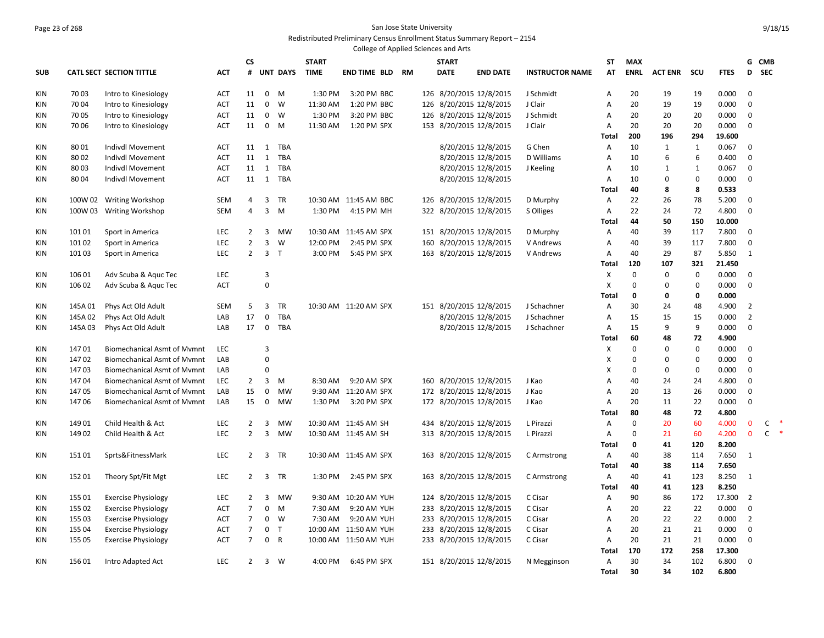#### Page 23 of 268 San Jose State University Redistributed Preliminary Census Enrollment Status Summary Report – 2154

|            |         |                                    |            |                |                  |                 |              | College of Applied Sciences and Arts |     |              |                         |                        |                         |             |                |              |                |                |             |
|------------|---------|------------------------------------|------------|----------------|------------------|-----------------|--------------|--------------------------------------|-----|--------------|-------------------------|------------------------|-------------------------|-------------|----------------|--------------|----------------|----------------|-------------|
|            |         |                                    |            | <b>CS</b>      |                  |                 | <b>START</b> |                                      |     | <b>START</b> |                         |                        | ST                      | <b>MAX</b>  |                |              |                | G              | CMB         |
| <b>SUB</b> |         | <b>CATL SECT SECTION TITTLE</b>    | <b>ACT</b> | #              |                  | <b>UNT DAYS</b> | <b>TIME</b>  | <b>END TIME BLD RM</b>               |     | <b>DATE</b>  | <b>END DATE</b>         | <b>INSTRUCTOR NAME</b> | AT                      | <b>ENRL</b> | <b>ACT ENR</b> | scu          | <b>FTES</b>    | D              | <b>SEC</b>  |
| KIN        | 7003    | Intro to Kinesiology               | <b>ACT</b> | 11             | $\mathbf 0$      | M               | 1:30 PM      | 3:20 PM BBC                          |     |              | 126 8/20/2015 12/8/2015 | J Schmidt              | A                       | 20          | 19             | 19           | 0.000          | $\mathbf 0$    |             |
| KIN        | 7004    | Intro to Kinesiology               | <b>ACT</b> | 11             | $\mathbf 0$      | W               | 11:30 AM     | 1:20 PM BBC                          |     |              | 126 8/20/2015 12/8/2015 | J Clair                | Α                       | 20          | 19             | 19           | 0.000          | $\mathbf 0$    |             |
| KIN        | 7005    | Intro to Kinesiology               | <b>ACT</b> | 11             | $\mathbf 0$      | W               | 1:30 PM      | 3:20 PM BBC                          |     |              | 126 8/20/2015 12/8/2015 | J Schmidt              | A                       | 20          | 20             | 20           | 0.000          | $\mathbf 0$    |             |
| KIN        | 7006    | Intro to Kinesiology               | ACT        | 11             | $\mathbf 0$      | M               | 11:30 AM     | 1:20 PM SPX                          | 153 |              | 8/20/2015 12/8/2015     | J Clair                | Α                       | 20          | 20             | 20           | 0.000          | $\mathbf 0$    |             |
|            |         |                                    |            |                |                  |                 |              |                                      |     |              |                         |                        | <b>Total</b>            | 200         | 196            | 294          | 19.600         |                |             |
| <b>KIN</b> | 8001    | Indivdl Movement                   | ACT        | 11             | $\mathbf{1}$     | TBA             |              |                                      |     |              | 8/20/2015 12/8/2015     | G Chen                 | A                       | 10          | $\mathbf{1}$   | $\mathbf{1}$ | 0.067          | $\mathbf 0$    |             |
| KIN        | 8002    | Indivdl Movement                   | ACT        | 11             | $\mathbf{1}$     | TBA             |              |                                      |     |              | 8/20/2015 12/8/2015     | D Williams             | Α                       | 10          | 6              | 6            | 0.400          | $\mathbf 0$    |             |
| KIN        | 8003    | <b>Indivdl Movement</b>            | ACT        | 11             | 1                | <b>TBA</b>      |              |                                      |     |              | 8/20/2015 12/8/2015     | J Keeling              | A                       | 10          | 1              | 1            | 0.067          | $\mathbf 0$    |             |
| KIN        | 8004    | Indivdl Movement                   | <b>ACT</b> | 11             | 1                | TBA             |              |                                      |     |              | 8/20/2015 12/8/2015     |                        | Α                       | 10          | $\mathbf 0$    | $\mathbf 0$  | 0.000          | $\mathbf 0$    |             |
|            |         |                                    |            |                |                  |                 |              |                                      |     |              |                         |                        | <b>Total</b>            | 40          | 8              | 8            | 0.533          |                |             |
| KIN        | 100W 02 | <b>Writing Workshop</b>            | <b>SEM</b> | 4              | 3                | TR              |              | 10:30 AM 11:45 AM BBC                |     |              | 126 8/20/2015 12/8/2015 | D Murphy               | Α                       | 22          | 26             | 78           | 5.200          | $\mathbf 0$    |             |
| KIN        | 100W 03 | <b>Writing Workshop</b>            | <b>SEM</b> | 4              | 3                | M               | 1:30 PM      | 4:15 PM MH                           |     |              | 322 8/20/2015 12/8/2015 | S Olliges              | Α                       | 22          | 24             | 72           | 4.800          | $\mathbf 0$    |             |
|            |         |                                    |            |                |                  |                 |              |                                      |     |              |                         |                        | <b>Total</b>            | 44          | 50             | 150          | 10.000         |                |             |
| KIN        | 101 01  | Sport in America                   | LEC        | 2              | 3                | <b>MW</b>       |              | 10:30 AM 11:45 AM SPX                |     |              | 151 8/20/2015 12/8/2015 | D Murphy               | Α                       | 40          | 39             | 117          | 7.800          | $\mathbf 0$    |             |
| KIN        | 10102   | Sport in America                   | <b>LEC</b> | $\overline{2}$ | $\overline{3}$   | W               | 12:00 PM     | 2:45 PM SPX                          |     |              | 160 8/20/2015 12/8/2015 | V Andrews              | A                       | 40          | 39             | 117          | 7.800          | $\mathbf 0$    |             |
| KIN        | 101 03  | Sport in America                   | LEC        | $\overline{2}$ | 3 <sub>T</sub>   |                 | 3:00 PM      | 5:45 PM SPX                          |     |              | 163 8/20/2015 12/8/2015 | V Andrews              | A                       | 40          | 29             | 87           | 5.850          | $\mathbf{1}$   |             |
|            |         |                                    |            |                |                  |                 |              |                                      |     |              |                         |                        | Total                   | 120         | 107            | 321          | 21.450         |                |             |
| KIN        | 106 01  | Adv Scuba & Aquc Tec               | <b>LEC</b> |                | 3                |                 |              |                                      |     |              |                         |                        | X                       | $\mathbf 0$ | $\mathbf 0$    | $\mathbf 0$  | 0.000          | $\mathbf 0$    |             |
| KIN        | 106 02  | Adv Scuba & Aguc Tec               | ACT        |                | $\mathbf 0$      |                 |              |                                      |     |              |                         |                        | X                       | $\mathbf 0$ | $\mathbf 0$    | $\mathbf 0$  | 0.000          | $\mathbf 0$    |             |
| KIN        | 145A01  | Phys Act Old Adult                 | <b>SEM</b> | 5              | 3                | TR              |              | 10:30 AM 11:20 AM SPX                |     |              | 8/20/2015 12/8/2015     | J Schachner            | Total<br>$\overline{A}$ | 0<br>30     | 0<br>24        | 0<br>48      | 0.000<br>4.900 | $\overline{2}$ |             |
| KIN        | 145A 02 | Phys Act Old Adult                 | LAB        | 17             | $\mathbf 0$      | TBA             |              |                                      | 151 |              | 8/20/2015 12/8/2015     | J Schachner            | Α                       | 15          | 15             | 15           | 0.000          | $\overline{2}$ |             |
| KIN        | 145A03  | Phys Act Old Adult                 | LAB        | 17             | $\mathbf 0$      | TBA             |              |                                      |     |              | 8/20/2015 12/8/2015     | J Schachner            | Α                       | 15          | 9              | 9            | 0.000          | $\mathbf 0$    |             |
|            |         |                                    |            |                |                  |                 |              |                                      |     |              |                         |                        | Total                   | 60          | 48             | 72           | 4.900          |                |             |
| KIN        | 14701   | <b>Biomechanical Asmt of Mymnt</b> | LEC        |                | 3                |                 |              |                                      |     |              |                         |                        | X                       | $\mathbf 0$ | $\mathbf 0$    | $\mathbf 0$  | 0.000          | $\mathbf 0$    |             |
| KIN        | 14702   | <b>Biomechanical Asmt of Mymnt</b> | LAB        |                | $\mathbf 0$      |                 |              |                                      |     |              |                         |                        | X                       | $\mathbf 0$ | $\mathbf 0$    | $\mathbf 0$  | 0.000          | $\mathbf 0$    |             |
| KIN        | 14703   | <b>Biomechanical Asmt of Mymnt</b> | LAB        |                | $\Omega$         |                 |              |                                      |     |              |                         |                        | х                       | $\mathbf 0$ | $\mathbf 0$    | 0            | 0.000          | 0              |             |
| <b>KIN</b> | 14704   | <b>Biomechanical Asmt of Mymnt</b> | LEC        | $\overline{2}$ | 3                | M               | 8:30 AM      | 9:20 AM SPX                          |     |              | 160 8/20/2015 12/8/2015 | J Kao                  | $\overline{A}$          | 40          | 24             | 24           | 4.800          | $\mathbf 0$    |             |
| <b>KIN</b> | 14705   | <b>Biomechanical Asmt of Mymnt</b> | LAB        | 15             | $\boldsymbol{0}$ | MW              |              | 9:30 AM 11:20 AM SPX                 |     |              | 172 8/20/2015 12/8/2015 | J Kao                  | Α                       | 20          | 13             | 26           | 0.000          | 0              |             |
| KIN        | 14706   | <b>Biomechanical Asmt of Mymnt</b> | LAB        | 15             | $\boldsymbol{0}$ | MW              | 1:30 PM      | 3:20 PM SPX                          |     |              | 172 8/20/2015 12/8/2015 | J Kao                  | Α                       | 20          | 11             | 22           | 0.000          | $\mathbf 0$    |             |
|            |         |                                    |            |                |                  |                 |              |                                      |     |              |                         |                        | Total                   | 80          | 48             | 72           | 4.800          |                |             |
| KIN        | 14901   | Child Health & Act                 | <b>LEC</b> | 2              | 3                | <b>MW</b>       |              | 10:30 AM 11:45 AM SH                 |     |              | 434 8/20/2015 12/8/2015 | L Pirazzi              | A                       | $\mathbf 0$ | 20             | 60           | 4.000          | $\mathbf 0$    | $\ast$<br>C |
| KIN        | 14902   | Child Health & Act                 | <b>LEC</b> | $\overline{2}$ | 3                | MW              |              | 10:30 AM 11:45 AM SH                 |     |              | 313 8/20/2015 12/8/2015 | L Pirazzi              | Α                       | 0           | 21             | 60           | 4.200          | $\mathbf 0$    | $\ast$<br>C |
|            |         |                                    |            |                |                  |                 |              |                                      |     |              |                         |                        | Total                   | 0           | 41             | 120          | 8.200          |                |             |
| KIN        | 15101   | Sprts&FitnessMark                  | <b>LEC</b> | $\overline{2}$ | 3                | <b>TR</b>       |              | 10:30 AM 11:45 AM SPX                | 163 |              | 8/20/2015 12/8/2015     | C Armstrong            | $\mathsf{A}$            | 40          | 38             | 114          | 7.650          | 1              |             |
|            |         |                                    |            |                |                  |                 |              |                                      |     |              |                         |                        | Total                   | 40          | 38             | 114          | 7.650          |                |             |
| KIN        | 152 01  | Theory Spt/Fit Mgt                 | LEC        | $\overline{2}$ | $\overline{3}$   | TR              | 1:30 PM      | 2:45 PM SPX                          |     |              | 163 8/20/2015 12/8/2015 | C Armstrong            | A                       | 40          | 41             | 123          | 8.250          | 1              |             |
|            |         |                                    |            |                |                  |                 |              |                                      |     |              |                         |                        | Total                   | 40          | 41             | 123          | 8.250          |                |             |
| KIN        | 155 01  | <b>Exercise Physiology</b>         | LEC        | $\overline{2}$ | 3                | MW              |              | 9:30 AM 10:20 AM YUH                 | 124 |              | 8/20/2015 12/8/2015     | C Cisar                | Α                       | 90          | 86             | 172          | 17.300         | $\overline{2}$ |             |
| KIN        | 155 02  | <b>Exercise Physiology</b>         | ACT        | 7              | $\mathbf 0$      | M               | 7:30 AM      | 9:20 AM YUH                          | 233 |              | 8/20/2015 12/8/2015     | C Cisar                | Α                       | 20          | 22             | 22           | 0.000          | $\mathbf 0$    |             |
| KIN        | 155 03  | <b>Exercise Physiology</b>         | <b>ACT</b> | $\overline{7}$ | $\mathbf 0$      | W               | 7:30 AM      | 9:20 AM YUH                          |     |              | 233 8/20/2015 12/8/2015 | C Cisar                | А                       | 20          | 22             | 22           | 0.000          | $\overline{2}$ |             |
| KIN        | 155 04  | <b>Exercise Physiology</b>         | ACT        | 7              | 0 <sub>T</sub>   |                 |              | 10:00 AM 11:50 AM YUH                | 233 |              | 8/20/2015 12/8/2015     | C Cisar                | A                       | 20          | 21             | 21           | 0.000          | $\mathbf 0$    |             |
| KIN        | 155 05  | <b>Exercise Physiology</b>         | <b>ACT</b> | $\overline{7}$ |                  | 0 R             |              | 10:00 AM 11:50 AM YUH                |     |              | 233 8/20/2015 12/8/2015 | C Cisar                | Α                       | 20          | 21             | 21           | 0.000          | $\mathbf 0$    |             |
|            |         |                                    |            |                |                  |                 |              |                                      |     |              |                         |                        | <b>Total</b>            | 170         | 172            | 258          | 17.300         |                |             |
| KIN        | 15601   | Intro Adapted Act                  | <b>LEC</b> | $\overline{2}$ |                  | 3 W             | 4:00 PM      | 6:45 PM SPX                          |     |              | 151 8/20/2015 12/8/2015 | N Megginson            | Α                       | 30          | 34             | 102          | 6.800          | $\mathbf 0$    |             |
|            |         |                                    |            |                |                  |                 |              |                                      |     |              |                         |                        | Total                   | 30          | 34             | 102          | 6.800          |                |             |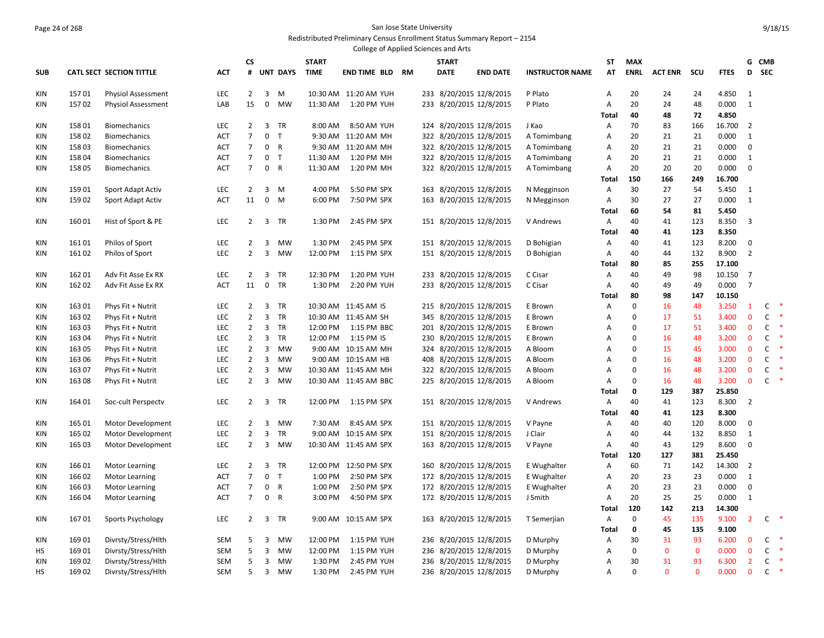#### Page 24 of 268 San Jose State University Redistributed Preliminary Census Enrollment Status Summary Report – 2154

|                   |                |                                        |                          |                                  |                            |                              |                    | College of Applied Sciences and Arts |              |                                                    |                        |                |             |                |              |                 |                   |              |               |
|-------------------|----------------|----------------------------------------|--------------------------|----------------------------------|----------------------------|------------------------------|--------------------|--------------------------------------|--------------|----------------------------------------------------|------------------------|----------------|-------------|----------------|--------------|-----------------|-------------------|--------------|---------------|
|                   |                |                                        |                          | CS                               |                            |                              | <b>START</b>       |                                      | <b>START</b> |                                                    |                        | ST             | <b>MAX</b>  |                |              |                 |                   | G CMB        |               |
| <b>SUB</b>        |                | <b>CATL SECT SECTION TITTLE</b>        | <b>ACT</b>               | #                                |                            | <b>UNT DAYS</b>              | <b>TIME</b>        | <b>END TIME BLD RM</b>               | <b>DATE</b>  | <b>END DATE</b>                                    | <b>INSTRUCTOR NAME</b> | AT             | <b>ENRL</b> | <b>ACT ENR</b> | scu          | <b>FTES</b>     | D                 | <b>SEC</b>   |               |
| KIN               | 15701          | <b>Physiol Assessment</b>              | LEC                      | $\overline{2}$                   | $\overline{3}$             | M                            |                    | 10:30 AM 11:20 AM YUH                |              | 233 8/20/2015 12/8/2015                            | P Plato                | Α              | 20          | 24             | 24           | 4.850           | 1                 |              |               |
| KIN               | 15702          | <b>Physiol Assessment</b>              | LAB                      | 15                               | $\mathbf 0$                | MW                           | 11:30 AM           | 1:20 PM YUH                          |              | 233 8/20/2015 12/8/2015                            | P Plato                | Α              | 20          | 24             | 48           | 0.000           | $\mathbf{1}$      |              |               |
|                   |                |                                        |                          |                                  |                            |                              |                    |                                      |              |                                                    |                        | <b>Total</b>   | 40          | 48             | 72           | 4.850           |                   |              |               |
| KIN               | 15801          | <b>Biomechanics</b>                    | LEC                      | $\overline{2}$                   | 3                          | TR                           | 8:00 AM            | 8:50 AM YUH                          |              | 124 8/20/2015 12/8/2015                            | J Kao                  | Α              | 70          | 83             | 166          | 16.700          | $\overline{2}$    |              |               |
| KIN               | 15802          | <b>Biomechanics</b>                    | <b>ACT</b>               | $\overline{7}$                   | $\mathbf 0$                | T                            |                    | 9:30 AM 11:20 AM MH                  |              | 322 8/20/2015 12/8/2015                            | A Tomimbang            | A              | 20          | 21             | 21           | 0.000           | $\mathbf{1}$      |              |               |
| KIN               | 15803          | <b>Biomechanics</b>                    | <b>ACT</b>               | $\overline{7}$                   | $\mathbf 0$                | $\mathsf{R}$                 |                    | 9:30 AM 11:20 AM MH                  |              | 322 8/20/2015 12/8/2015                            | A Tomimbang            | A              | 20          | 21             | 21           | 0.000           | $\mathbf 0$       |              |               |
| KIN               | 15804          | <b>Biomechanics</b>                    | <b>ACT</b>               | $\overline{7}$                   | $\mathbf 0$                | T                            | 11:30 AM           | 1:20 PM MH                           |              | 322 8/20/2015 12/8/2015                            | A Tomimbang            | A              | 20          | 21             | 21           | 0.000           | 1                 |              |               |
| KIN               | 15805          | <b>Biomechanics</b>                    | ACT                      | $7\overline{ }$                  | $\mathbf 0$                | R                            | 11:30 AM           | 1:20 PM MH                           |              | 322 8/20/2015 12/8/2015                            | A Tomimbang            | Α              | 20          | 20             | 20           | 0.000           | $\mathbf 0$       |              |               |
|                   | 15901          |                                        | <b>LEC</b>               | $\overline{2}$                   | 3                          | M                            | 4:00 PM            | 5:50 PM SPX                          |              |                                                    |                        | Total<br>A     | 150<br>30   | 166<br>27      | 249          | 16.700<br>5.450 | 1                 |              |               |
| KIN<br>KIN        | 15902          | Sport Adapt Activ<br>Sport Adapt Activ | ACT                      | 11                               | $\mathbf 0$                | M                            | 6:00 PM            | 7:50 PM SPX                          |              | 163 8/20/2015 12/8/2015<br>163 8/20/2015 12/8/2015 | N Megginson            | Α              | 30          | 27             | 54<br>27     | 0.000           | $\mathbf{1}$      |              |               |
|                   |                |                                        |                          |                                  |                            |                              |                    |                                      |              |                                                    | N Megginson            | <b>Total</b>   | 60          | 54             | 81           | 5.450           |                   |              |               |
| KIN               | 16001          | Hist of Sport & PE                     | <b>LEC</b>               | $\overline{2}$                   | 3                          | TR                           | 1:30 PM            | 2:45 PM SPX                          |              | 151 8/20/2015 12/8/2015                            | V Andrews              | A              | 40          | 41             | 123          | 8.350           | 3                 |              |               |
|                   |                |                                        |                          |                                  |                            |                              |                    |                                      |              |                                                    |                        | <b>Total</b>   | 40          | 41             | 123          | 8.350           |                   |              |               |
| <b>KIN</b>        | 16101          | Philos of Sport                        | <b>LEC</b>               | $\overline{2}$                   | $\overline{3}$             | MW                           | 1:30 PM            | 2:45 PM SPX                          |              | 151 8/20/2015 12/8/2015                            | D Bohigian             | A              | 40          | 41             | 123          | 8.200           | $\mathbf 0$       |              |               |
| KIN               | 16102          | Philos of Sport                        | LEC                      | $\overline{2}$                   | 3                          | <b>MW</b>                    | 12:00 PM           | 1:15 PM SPX                          |              | 151 8/20/2015 12/8/2015                            | D Bohigian             | Α              | 40          | 44             | 132          | 8.900           | $\overline{2}$    |              |               |
|                   |                |                                        |                          |                                  |                            |                              |                    |                                      |              |                                                    |                        | Total          | 80          | 85             | 255          | 17.100          |                   |              |               |
| KIN               | 162 01         | Adv Fit Asse Ex RX                     | LEC                      | $\overline{2}$                   | 3                          | TR                           | 12:30 PM           | 1:20 PM YUH                          |              | 233 8/20/2015 12/8/2015                            | C Cisar                | A              | 40          | 49             | 98           | 10.150          | 7                 |              |               |
| KIN               | 16202          | Adv Fit Asse Ex RX                     | <b>ACT</b>               | 11                               | $\mathbf 0$                | <b>TR</b>                    | 1:30 PM            | 2:20 PM YUH                          |              | 233 8/20/2015 12/8/2015                            | C Cisar                | Α              | 40          | 49             | 49           | 0.000           | $\overline{7}$    |              |               |
|                   |                |                                        |                          |                                  |                            |                              |                    |                                      |              |                                                    |                        | Total          | 80          | 98             | 147          | 10.150          |                   |              |               |
| KIN               | 16301          | Phys Fit + Nutrit                      | LEC                      | $\overline{2}$                   | $\overline{3}$             | TR                           |                    | 10:30 AM 11:45 AM IS                 |              | 215 8/20/2015 12/8/2015                            | E Brown                | A              | $\pmb{0}$   | 16             | 48           | 3.250           | $\mathbf{1}$      | C            | -*            |
| KIN               | 16302          | Phys Fit + Nutrit                      | LEC                      | $\overline{2}$                   | $\overline{3}$             | TR                           |                    | 10:30 AM 11:45 AM SH                 |              | 345 8/20/2015 12/8/2015                            | E Brown                | A              | $\mathbf 0$ | 17             | 51           | 3.400           | $\mathbf 0$       | C            | $\ast$        |
| KIN               | 163 03         | Phys Fit + Nutrit                      | <b>LEC</b>               | $\overline{2}$                   | $\overline{3}$             | TR                           | 12:00 PM           | 1:15 PM BBC                          |              | 201 8/20/2015 12/8/2015                            | E Brown                | A              | $\mathbf 0$ | 17             | 51           | 3.400           | $\mathbf{0}$      | $\mathsf{C}$ | $\ast$        |
| KIN               | 16304          | Phys Fit + Nutrit                      | LEC                      | $\overline{2}$                   | $\overline{3}$             | TR                           | 12:00 PM           | 1:15 PM IS                           |              | 230 8/20/2015 12/8/2015                            | E Brown                | A              | $\mathbf 0$ | 16             | 48           | 3.200           | $\mathbf 0$       | C            | $\ast$        |
| KIN               | 163 05         | Phys Fit + Nutrit                      | LEC                      | $\overline{2}$                   | $\overline{3}$             | <b>MW</b>                    |                    | 9:00 AM 10:15 AM MH                  |              | 324 8/20/2015 12/8/2015                            | A Bloom                | A              | $\mathbf 0$ | 15             | 45           | 3.000           | $\mathbf 0$       | C            | $\ast$        |
| <b>KIN</b>        | 163 06         | Phys Fit + Nutrit                      | LEC                      | $\overline{2}$                   | 3                          | MW                           |                    | 9:00 AM 10:15 AM HB                  |              | 408 8/20/2015 12/8/2015                            | A Bloom                | A              | $\mathbf 0$ | 16             | 48           | 3.200           | $\mathbf 0$       | $\mathsf{C}$ | $\ast$        |
| KIN               | 16307          | Phys Fit + Nutrit                      | LEC                      | $\overline{2}$                   | $\overline{3}$             | MW                           |                    | 10:30 AM 11:45 AM MH                 |              | 322 8/20/2015 12/8/2015                            | A Bloom                | $\overline{A}$ | $\mathbf 0$ | 16             | 48           | 3.200           | $\mathbf{0}$      | $\mathsf{C}$ | ∗             |
| <b>KIN</b>        | 16308          | Phys Fit + Nutrit                      | LEC                      | $\overline{2}$                   | 3                          | MW                           |                    | 10:30 AM 11:45 AM BBC                |              | 225 8/20/2015 12/8/2015                            | A Bloom                | Α              | $\mathbf 0$ | 16             | 48           | 3.200           | $\mathbf 0$       | $\mathsf{C}$ | $\rightarrow$ |
|                   |                |                                        |                          |                                  |                            |                              |                    |                                      |              |                                                    |                        | <b>Total</b>   | 0           | 129            | 387          | 25.850          |                   |              |               |
| KIN               | 164 01         | Soc-cult Perspectv                     | LEC                      | $\overline{2}$                   | 3                          | <b>TR</b>                    | 12:00 PM           | 1:15 PM SPX                          |              | 151 8/20/2015 12/8/2015                            | V Andrews              | Α              | 40          | 41             | 123          | 8.300           | $\overline{2}$    |              |               |
|                   |                |                                        |                          |                                  |                            |                              |                    |                                      |              |                                                    |                        | <b>Total</b>   | 40          | 41             | 123          | 8.300           |                   |              |               |
| KIN               | 165 01         | Motor Development                      | LEC                      | 2                                | 3                          | <b>MW</b>                    | 7:30 AM            | 8:45 AM SPX                          |              | 151 8/20/2015 12/8/2015                            | V Payne                | Α              | 40          | 40             | 120          | 8.000           | 0                 |              |               |
| KIN               | 165 02         | Motor Development                      | LEC                      | $\overline{2}$                   | $\overline{3}$             | TR                           |                    | 9:00 AM 10:15 AM SPX                 |              | 151 8/20/2015 12/8/2015                            | J Clair                | Α              | 40          | 44             | 132          | 8.850           | $\mathbf{1}$      |              |               |
| KIN               | 165 03         | Motor Development                      | LEC                      | $\overline{2}$                   | 3                          | MW                           |                    | 10:30 AM 11:45 AM SPX                |              | 163 8/20/2015 12/8/2015                            | V Payne                | Α              | 40          | 43             | 129          | 8.600           | 0                 |              |               |
|                   |                |                                        |                          |                                  |                            |                              |                    |                                      |              |                                                    |                        | <b>Total</b>   | 120         | 127            | 381          | 25.450          |                   |              |               |
| KIN               | 16601          | <b>Motor Learning</b>                  | LEC                      | $\overline{2}$                   | 3                          | TR                           |                    | 12:00 PM 12:50 PM SPX                |              | 160 8/20/2015 12/8/2015                            | E Wughalter            | Α              | 60          | 71             | 142          | 14.300          | $\overline{2}$    |              |               |
| KIN               | 16602          | <b>Motor Learning</b>                  | ACT                      | 7                                |                            | 0 <sub>T</sub>               | 1:00 PM            | 2:50 PM SPX                          |              | 172 8/20/2015 12/8/2015                            | E Wughalter            | Α              | 20          | 23             | 23           | 0.000           | 1                 |              |               |
| <b>KIN</b><br>KIN | 16603<br>16604 | Motor Learning                         | <b>ACT</b><br><b>ACT</b> | $\overline{7}$<br>$\overline{7}$ | $\mathbf 0$<br>$\mathbf 0$ | $\mathsf{R}$<br>$\mathsf{R}$ | 1:00 PM<br>3:00 PM | 2:50 PM SPX<br>4:50 PM SPX           |              | 172 8/20/2015 12/8/2015                            | E Wughalter            | A<br>A         | 20<br>20    | 23<br>25       | 23<br>25     | 0.000<br>0.000  | 0<br>$\mathbf{1}$ |              |               |
|                   |                | Motor Learning                         |                          |                                  |                            |                              |                    |                                      |              | 172 8/20/2015 12/8/2015                            | J Smith                | Total          | 120         | 142            | 213          | 14.300          |                   |              |               |
| KIN               | 16701          | Sports Psychology                      | LEC                      | $\overline{2}$                   |                            | 3 TR                         |                    | 9:00 AM 10:15 AM SPX                 |              | 163 8/20/2015 12/8/2015                            | T Semerjian            | Α              | $\mathbf 0$ | 45             | 135          | 9.100           | $\overline{2}$    | $\mathsf{C}$ | ∗             |
|                   |                |                                        |                          |                                  |                            |                              |                    |                                      |              |                                                    |                        | <b>Total</b>   | 0           | 45             | 135          | 9.100           |                   |              |               |
| KIN               | 16901          | Divrsty/Stress/Hlth                    | <b>SEM</b>               | 5                                | 3                          | <b>MW</b>                    | 12:00 PM           | 1:15 PM YUH                          |              | 236 8/20/2015 12/8/2015                            | D Murphy               | Α              | 30          | 31             | 93           | 6.200           | $\mathbf{0}$      | $\mathsf{C}$ |               |
| HS                | 16901          | Divrsty/Stress/Hlth                    | <b>SEM</b>               | 5                                | 3                          | <b>MW</b>                    | 12:00 PM           | 1:15 PM YUH                          |              | 236 8/20/2015 12/8/2015                            | D Murphy               | A              | $\mathbf 0$ | $\mathbf 0$    | $\mathbf 0$  | 0.000           | $\mathbf{0}$      | $\mathsf{C}$ | *             |
| <b>KIN</b>        | 16902          | Divrsty/Stress/Hlth                    | <b>SEM</b>               | 5                                | 3                          | <b>MW</b>                    | 1:30 PM            | 2:45 PM YUH                          |              | 236 8/20/2015 12/8/2015                            | D Murphy               | A              | 30          | 31             | 93           | 6.300           | $\overline{2}$    | C            | $\ast$        |
| <b>HS</b>         | 16902          | Divrsty/Stress/Hlth                    | <b>SEM</b>               | 5                                | 3                          | <b>MW</b>                    | 1:30 PM            | 2:45 PM YUH                          |              | 236 8/20/2015 12/8/2015                            | D Murphy               | $\overline{A}$ | $\Omega$    | $\Omega$       | $\mathbf{0}$ | 0.000           | $\mathbf{0}$      | $\mathsf{C}$ | $\ast$        |
|                   |                |                                        |                          |                                  |                            |                              |                    |                                      |              |                                                    |                        |                |             |                |              |                 |                   |              |               |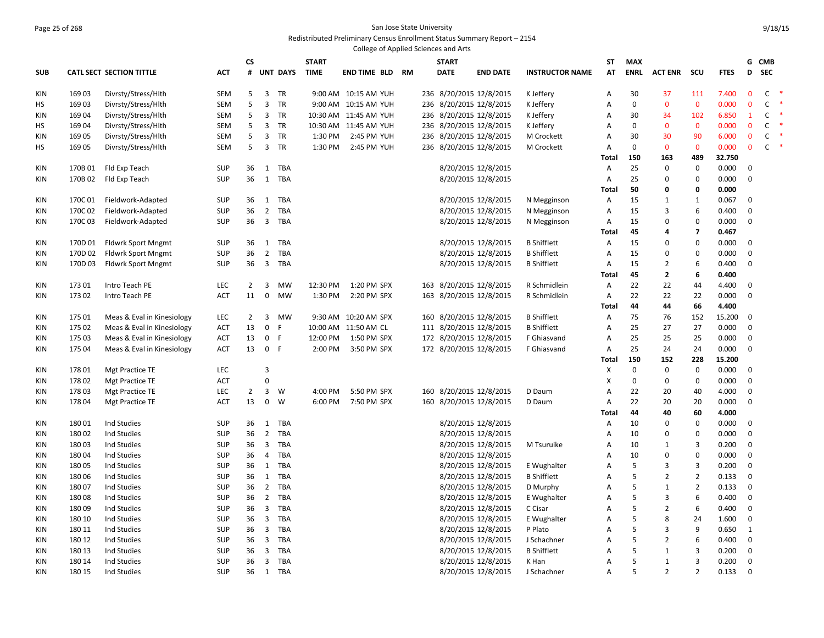### Page 25 of 268 San Jose State University Redistributed Preliminary Census Enrollment Status Summary Report – 2154

|            |         |                                 |            |                |                |                 |              | College of Applied Sciences and Arts |    |     |              |                         |                        |                   |             |                    |                    |                 |              |              |        |
|------------|---------|---------------------------------|------------|----------------|----------------|-----------------|--------------|--------------------------------------|----|-----|--------------|-------------------------|------------------------|-------------------|-------------|--------------------|--------------------|-----------------|--------------|--------------|--------|
|            |         |                                 |            | СS             |                |                 | <b>START</b> |                                      |    |     | <b>START</b> |                         |                        | ST                | <b>MAX</b>  |                    |                    |                 | G            | <b>CMB</b>   |        |
| <b>SUB</b> |         | <b>CATL SECT SECTION TITTLE</b> | ACT        | #              |                | <b>UNT DAYS</b> | <b>TIME</b>  | <b>END TIME BLD</b>                  | RM |     | <b>DATE</b>  | <b>END DATE</b>         | <b>INSTRUCTOR NAME</b> | <b>AT</b>         | <b>ENRL</b> | <b>ACT ENR</b>     | scu                | <b>FTES</b>     | D            | <b>SEC</b>   |        |
| KIN        | 16903   | Divrsty/Stress/Hlth             | <b>SEM</b> | 5              |                | 3 TR            |              | 9:00 AM 10:15 AM YUH                 |    |     |              | 236 8/20/2015 12/8/2015 | K Jeffery              | Α                 | 30          | 37                 | 111                | 7.400           | $\mathbf 0$  | $\mathsf{C}$ | - *    |
| НS         | 16903   | Divrsty/Stress/Hlth             | <b>SEM</b> | 5              |                | 3 TR            |              | 9:00 AM 10:15 AM YUH                 |    |     |              | 236 8/20/2015 12/8/2015 | K Jeffery              | $\overline{A}$    | $\mathbf 0$ | $\mathbf 0$        | $\mathbf 0$        | 0.000           | $\mathbf 0$  | C            | $\ast$ |
| <b>KIN</b> | 16904   | Divrsty/Stress/Hlth             | <b>SEM</b> | 5              |                | 3 TR            |              | 10:30 AM 11:45 AM YUH                |    |     |              | 236 8/20/2015 12/8/2015 | K Jeffery              | Α                 | 30          | 34                 | 102                | 6.850           | $\mathbf{1}$ | C            | -*     |
| <b>HS</b>  | 16904   | Divrsty/Stress/Hlth             | <b>SEM</b> | 5              |                | 3 TR            |              | 10:30 AM 11:45 AM YUH                |    |     |              | 236 8/20/2015 12/8/2015 | K Jeffery              | A                 | $\mathbf 0$ | $\mathbf{0}$       | $\mathbf{0}$       | 0.000           | $\mathbf{0}$ | $\mathsf{C}$ | $\ast$ |
| <b>KIN</b> | 16905   | Divrsty/Stress/Hlth             | <b>SEM</b> | 5              |                | 3 TR            | 1:30 PM      | 2:45 PM YUH                          |    |     |              | 236 8/20/2015 12/8/2015 | M Crockett             | Α                 | 30          | 30                 | 90                 | 6.000           | $\mathbf 0$  | $\mathsf{C}$ | $\ast$ |
| <b>HS</b>  | 169 05  | Divrsty/Stress/Hlth             | <b>SEM</b> | 5              |                | 3 TR            | 1:30 PM      | 2:45 PM YUH                          |    |     |              | 236 8/20/2015 12/8/2015 | M Crockett             | Α                 | $\mathbf 0$ | $\mathbf{0}$       | $\mathbf{0}$       | 0.000           | $\mathbf 0$  | $\mathsf{C}$ | $\ast$ |
| <b>KIN</b> | 170B01  | Fld Exp Teach                   | <b>SUP</b> | 36             |                | 1 TBA           |              |                                      |    |     |              | 8/20/2015 12/8/2015     |                        | <b>Total</b><br>Α | 150<br>25   | 163<br>$\mathbf 0$ | 489<br>$\mathbf 0$ | 32.750<br>0.000 | $\mathbf 0$  |              |        |
| KIN        | 170B02  | Fld Exp Teach                   | <b>SUP</b> | 36             | $\mathbf{1}$   | TBA             |              |                                      |    |     |              | 8/20/2015 12/8/2015     |                        | Α                 | 25          | 0                  | $\mathbf 0$        | 0.000           | $\mathbf 0$  |              |        |
|            |         |                                 |            |                |                |                 |              |                                      |    |     |              |                         |                        | <b>Total</b>      | 50          | 0                  | 0                  | 0.000           |              |              |        |
| KIN        | 170C01  | Fieldwork-Adapted               | <b>SUP</b> | 36             | $\mathbf{1}$   | TBA             |              |                                      |    |     |              | 8/20/2015 12/8/2015     | N Megginson            | Α                 | 15          | 1                  | $\mathbf{1}$       | 0.067           | $\mathbf 0$  |              |        |
| KIN        | 170C02  | Fieldwork-Adapted               | <b>SUP</b> | 36             |                | 2 TBA           |              |                                      |    |     |              | 8/20/2015 12/8/2015     | N Megginson            | A                 | 15          | 3                  | 6                  | 0.400           | $\mathbf 0$  |              |        |
| KIN        | 170C03  | Fieldwork-Adapted               | <b>SUP</b> | 36             |                | 3 TBA           |              |                                      |    |     |              | 8/20/2015 12/8/2015     | N Megginson            | А                 | 15          | $\mathbf 0$        | $\Omega$           | 0.000           | $\mathbf 0$  |              |        |
|            |         |                                 |            |                |                |                 |              |                                      |    |     |              |                         |                        | Total             | 45          | 4                  | 7                  | 0.467           |              |              |        |
| KIN        | 170D01  | <b>Fldwrk Sport Mngmt</b>       | <b>SUP</b> | 36             | 1              | TBA             |              |                                      |    |     |              | 8/20/2015 12/8/2015     | <b>B</b> Shifflett     | A                 | 15          | $\mathbf 0$        | $\Omega$           | 0.000           | $\mathbf 0$  |              |        |
| KIN        | 170D 02 | <b>Fldwrk Sport Mngmt</b>       | <b>SUP</b> | 36             | $\overline{2}$ | TBA             |              |                                      |    |     |              | 8/20/2015 12/8/2015     | <b>B</b> Shifflett     | Α                 | 15          | 0                  | $\Omega$           | 0.000           | $\mathbf 0$  |              |        |
| KIN        | 170D 03 | <b>Fldwrk Sport Mngmt</b>       | <b>SUP</b> | 36             | $\overline{3}$ | TBA             |              |                                      |    |     |              | 8/20/2015 12/8/2015     | <b>B</b> Shifflett     | Α                 | 15          | $\overline{2}$     | 6                  | 0.400           | $\mathbf 0$  |              |        |
|            |         |                                 |            |                |                |                 |              |                                      |    |     |              |                         |                        | <b>Total</b>      | 45          | $\mathbf{2}$       | 6                  | 0.400           |              |              |        |
| KIN        | 17301   | Intro Teach PE                  | LEC        | 2              | 3              | <b>MW</b>       | 12:30 PM     | 1:20 PM SPX                          |    |     |              | 163 8/20/2015 12/8/2015 | R Schmidlein           | Α                 | 22          | 22                 | 44                 | 4.400           | 0            |              |        |
| KIN        | 17302   | Intro Teach PE                  | ACT        | 11             | $\mathbf 0$    | <b>MW</b>       | 1:30 PM      | 2:20 PM SPX                          |    |     |              | 163 8/20/2015 12/8/2015 | R Schmidlein           | А                 | 22          | 22                 | 22                 | 0.000           | $\mathbf 0$  |              |        |
|            |         |                                 |            |                |                |                 |              |                                      |    |     |              |                         |                        | Total             | 44          | 44                 | 66                 | 4.400           |              |              |        |
| KIN        | 175 01  | Meas & Eval in Kinesiology      | LEC        | 2              | 3              | MW              |              | 9:30 AM 10:20 AM SPX                 |    |     |              | 160 8/20/2015 12/8/2015 | <b>B</b> Shifflett     | Α                 | 75          | 76                 | 152                | 15.200          | $\Omega$     |              |        |
| KIN        | 175 02  | Meas & Eval in Kinesiology      | ACT        | 13             | 0              | F               |              | 10:00 AM 11:50 AM CL                 |    |     |              | 111 8/20/2015 12/8/2015 | <b>B</b> Shifflett     | Α                 | 25          | 27                 | 27                 | 0.000           | $\mathbf 0$  |              |        |
| KIN        | 175 03  | Meas & Eval in Kinesiology      | ACT        | 13             | $\mathbf 0$    | F               | 12:00 PM     | 1:50 PM SPX                          |    |     |              | 172 8/20/2015 12/8/2015 | F Ghiasvand            | A                 | 25          | 25                 | 25                 | 0.000           | $\mathbf 0$  |              |        |
| KIN        | 175 04  | Meas & Eval in Kinesiology      | ACT        | 13             | $\mathbf{0}$   | -F              | 2:00 PM      | 3:50 PM SPX                          |    |     |              | 172 8/20/2015 12/8/2015 | F Ghiasvand            | Α                 | 25          | 24                 | 24                 | 0.000           | $\mathbf 0$  |              |        |
|            |         |                                 |            |                |                |                 |              |                                      |    |     |              |                         |                        | <b>Total</b>      | 150         | 152                | 228                | 15.200          |              |              |        |
| KIN        | 17801   | <b>Mgt Practice TE</b>          | LEC        |                | $\overline{3}$ |                 |              |                                      |    |     |              |                         |                        | X                 | $\mathbf 0$ | $\mathbf 0$        | $\mathbf 0$        | 0.000           | $\mathbf 0$  |              |        |
| KIN        | 17802   | <b>Mgt Practice TE</b>          | <b>ACT</b> |                | $\mathbf 0$    |                 |              |                                      |    |     |              |                         |                        | X                 | $\mathbf 0$ | 0                  | 0                  | 0.000           | $\mathbf 0$  |              |        |
| <b>KIN</b> | 17803   | <b>Mgt Practice TE</b>          | LEC        | $\overline{2}$ | 3              | W               | 4:00 PM      | 5:50 PM SPX                          |    | 160 |              | 8/20/2015 12/8/2015     | D Daum                 | А                 | 22          | 20                 | 40                 | 4.000           | $\mathbf 0$  |              |        |
| KIN        | 17804   | Mgt Practice TE                 | <b>ACT</b> | 13             | 0              | W               | 6:00 PM      | 7:50 PM SPX                          |    |     |              | 160 8/20/2015 12/8/2015 | D Daum                 | Α                 | 22          | 20                 | 20                 | 0.000           | $\mathbf 0$  |              |        |
|            |         |                                 |            |                |                |                 |              |                                      |    |     |              |                         |                        | Total             | 44          | 40                 | 60                 | 4.000           |              |              |        |
| KIN        | 18001   | <b>Ind Studies</b>              | <b>SUP</b> | 36             |                | 1 TBA           |              |                                      |    |     |              | 8/20/2015 12/8/2015     |                        | Α                 | 10          | 0                  | $\mathbf 0$        | 0.000           | $\mathbf 0$  |              |        |
| KIN        | 18002   | Ind Studies                     | <b>SUP</b> | 36             | $\overline{2}$ | TBA             |              |                                      |    |     |              | 8/20/2015 12/8/2015     |                        | Α                 | 10          | 0                  | $\mathbf 0$        | 0.000           | $\mathbf 0$  |              |        |
| KIN        | 18003   | Ind Studies                     | <b>SUP</b> | 36             | $\overline{3}$ | TBA             |              |                                      |    |     |              | 8/20/2015 12/8/2015     | M Tsuruike             | А                 | 10          | 1                  | $\overline{3}$     | 0.200           | $\mathbf 0$  |              |        |
| KIN        | 18004   | Ind Studies                     | <b>SUP</b> | 36             | 4              | TBA             |              |                                      |    |     |              | 8/20/2015 12/8/2015     |                        | Α                 | 10          | 0                  | 0                  | 0.000           | $\mathbf 0$  |              |        |
| KIN        | 18005   | Ind Studies                     | <b>SUP</b> | 36             | $\mathbf{1}$   | TBA             |              |                                      |    |     |              | 8/20/2015 12/8/2015     | E Wughalter            | Α                 | 5           | 3                  | 3                  | 0.200           | $\mathbf 0$  |              |        |
| KIN        | 18006   | Ind Studies                     | <b>SUP</b> | 36             | $\mathbf{1}$   | TBA             |              |                                      |    |     |              | 8/20/2015 12/8/2015     | <b>B</b> Shifflett     | A                 | 5           | $\overline{2}$     | $\overline{2}$     | 0.133           | $\pmb{0}$    |              |        |
| KIN        | 18007   | <b>Ind Studies</b>              | <b>SUP</b> | 36             | $2^{\circ}$    | TBA             |              |                                      |    |     |              | 8/20/2015 12/8/2015     | D Murphy               | Α                 | 5           | 1                  | $\overline{2}$     | 0.133           | $\mathbf 0$  |              |        |
| KIN        | 18008   | Ind Studies                     | <b>SUP</b> | 36             | $\overline{2}$ | TBA             |              |                                      |    |     |              | 8/20/2015 12/8/2015     | E Wughalter            | A                 | 5           | 3                  | 6                  | 0.400           | $\mathbf 0$  |              |        |
| KIN        | 18009   | Ind Studies                     | <b>SUP</b> | 36             | $\mathbf{3}$   | TBA             |              |                                      |    |     |              | 8/20/2015 12/8/2015     | C Cisar                | Α                 | 5           | $\overline{2}$     | 6                  | 0.400           | $\mathbf 0$  |              |        |
| <b>KIN</b> | 180 10  | Ind Studies                     | <b>SUP</b> | 36             | $\overline{3}$ | TBA             |              |                                      |    |     |              | 8/20/2015 12/8/2015     | E Wughalter            | $\overline{A}$    | 5           | 8                  | 24                 | 1.600           | $\mathbf 0$  |              |        |
| <b>KIN</b> | 180 11  | Ind Studies                     | <b>SUP</b> | 36             | $\overline{3}$ | TBA             |              |                                      |    |     |              | 8/20/2015 12/8/2015     | P Plato                | Α                 | 5           | 3                  | 9                  | 0.650           | $\mathbf{1}$ |              |        |
| <b>KIN</b> | 180 12  | Ind Studies                     | <b>SUP</b> | 36             | $\overline{3}$ | TBA             |              |                                      |    |     |              | 8/20/2015 12/8/2015     | J Schachner            | $\overline{A}$    | 5           | $\overline{2}$     | 6                  | 0.400           | $\mathbf 0$  |              |        |
| <b>KIN</b> | 180 13  | Ind Studies                     | <b>SUP</b> | 36             | $\mathbf{3}$   | TBA             |              |                                      |    |     |              | 8/20/2015 12/8/2015     | <b>B</b> Shifflett     | Α                 | 5           | 1                  | 3                  | 0.200           | $\mathbf 0$  |              |        |
| <b>KIN</b> | 180 14  | Ind Studies                     | <b>SUP</b> | 36             |                | 3 TBA           |              |                                      |    |     |              | 8/20/2015 12/8/2015     | K Han                  | Α                 | 5           | 1                  | 3                  | 0.200           | $\mathbf 0$  |              |        |
| <b>KIN</b> | 180 15  | Ind Studies                     | <b>SUP</b> | 36             |                | 1 TBA           |              |                                      |    |     |              | 8/20/2015 12/8/2015     | J Schachner            | $\overline{A}$    | 5           | $\overline{2}$     | $\overline{2}$     | 0.133           | $\Omega$     |              |        |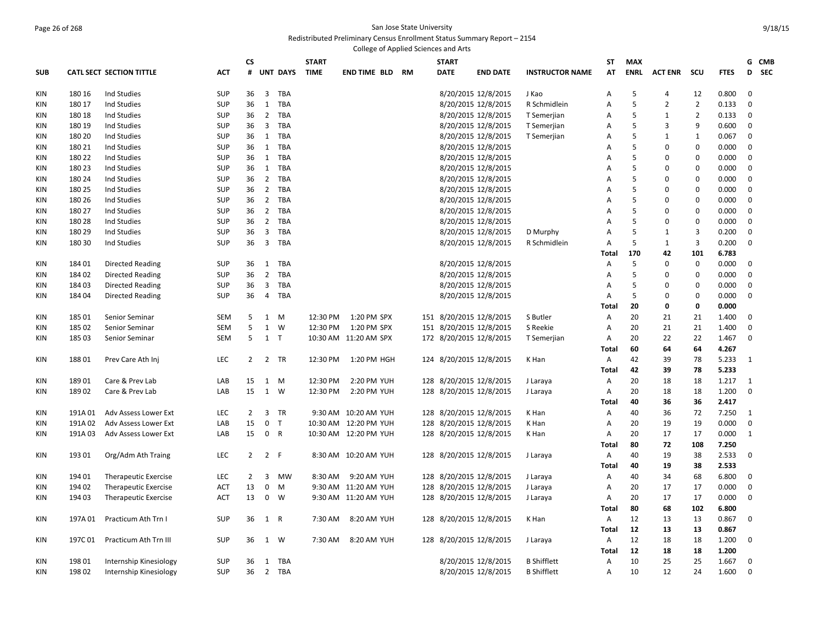### Page 26 of 268 San Jose State University Redistributed Preliminary Census Enrollment Status Summary Report – 2154

|            |         |                                 |            |                |                |                 |              | College of Applied Sciences and Arts |              |                         |                        |                   |             |                |                |                |                 |  |
|------------|---------|---------------------------------|------------|----------------|----------------|-----------------|--------------|--------------------------------------|--------------|-------------------------|------------------------|-------------------|-------------|----------------|----------------|----------------|-----------------|--|
|            |         |                                 |            | <b>CS</b>      |                |                 | <b>START</b> |                                      | <b>START</b> |                         |                        | ST                | <b>MAX</b>  |                |                |                | G CMB           |  |
| <b>SUB</b> |         | <b>CATL SECT SECTION TITTLE</b> | <b>ACT</b> | #              |                | <b>UNT DAYS</b> | <b>TIME</b>  | <b>END TIME BLD RM</b>               | <b>DATE</b>  | <b>END DATE</b>         | <b>INSTRUCTOR NAME</b> | AT                | <b>ENRL</b> | <b>ACT ENR</b> | scu            | <b>FTES</b>    | <b>SEC</b><br>D |  |
| <b>KIN</b> | 180 16  | Ind Studies                     | <b>SUP</b> | 36             | $\overline{3}$ | TBA             |              |                                      |              | 8/20/2015 12/8/2015     | J Kao                  | Α                 | 5           | $\overline{a}$ | 12             | 0.800          | 0               |  |
| <b>KIN</b> | 180 17  | Ind Studies                     | <b>SUP</b> | 36             | 1              | TBA             |              |                                      |              | 8/20/2015 12/8/2015     | R Schmidlein           | Α                 | 5           | $\overline{2}$ | $\overline{2}$ | 0.133          | 0               |  |
| KIN        | 180 18  | Ind Studies                     | <b>SUP</b> | 36             | $\overline{2}$ | TBA             |              |                                      |              | 8/20/2015 12/8/2015     | T Semerjian            | Α                 | 5           | $\mathbf{1}$   | $\overline{2}$ | 0.133          | 0               |  |
| <b>KIN</b> | 180 19  | Ind Studies                     | <b>SUP</b> | 36             | $\overline{3}$ | TBA             |              |                                      |              | 8/20/2015 12/8/2015     | T Semerjian            | Α                 | 5           | 3              | 9              | 0.600          | 0               |  |
| KIN        | 180 20  | Ind Studies                     | SUP        | 36             | 1              | TBA             |              |                                      |              | 8/20/2015 12/8/2015     | T Semerjian            | A                 | 5           | $\mathbf{1}$   | $\mathbf{1}$   | 0.067          | 0               |  |
| KIN        | 180 21  | Ind Studies                     | <b>SUP</b> | 36             | 1              | TBA             |              |                                      |              | 8/20/2015 12/8/2015     |                        | Α                 | 5           | 0              | $\mathbf 0$    | 0.000          | 0               |  |
| KIN        | 180 22  | Ind Studies                     | <b>SUP</b> | 36             | $\mathbf{1}$   | TBA             |              |                                      |              | 8/20/2015 12/8/2015     |                        | A                 | 5           | $\mathbf 0$    | $\mathbf 0$    | 0.000          | 0               |  |
| KIN        | 180 23  | Ind Studies                     | <b>SUP</b> | 36             | 1              | TBA             |              |                                      |              | 8/20/2015 12/8/2015     |                        | Α                 | 5           | 0              | $\Omega$       | 0.000          | 0               |  |
| KIN        | 180 24  | Ind Studies                     | <b>SUP</b> | 36             | $\overline{2}$ | TBA             |              |                                      |              | 8/20/2015 12/8/2015     |                        | A                 | 5           | 0              | $\mathbf 0$    | 0.000          | 0               |  |
| KIN        | 180 25  | Ind Studies                     | <b>SUP</b> | 36             | $\overline{2}$ | TBA             |              |                                      |              | 8/20/2015 12/8/2015     |                        | A                 | 5           | $\mathbf 0$    | $\Omega$       | 0.000          | $\mathbf 0$     |  |
| KIN        | 180 26  | Ind Studies                     | <b>SUP</b> | 36             | $\overline{2}$ | TBA             |              |                                      |              | 8/20/2015 12/8/2015     |                        | $\overline{A}$    | 5           | $\Omega$       | $\Omega$       | 0.000          | 0               |  |
| <b>KIN</b> | 180 27  | Ind Studies                     | <b>SUP</b> | 36             | $\overline{2}$ | TBA             |              |                                      |              | 8/20/2015 12/8/2015     |                        | A                 | 5           | 0              | $\Omega$       | 0.000          | 0               |  |
| KIN        | 180 28  | Ind Studies                     | <b>SUP</b> | 36             | $\overline{2}$ | <b>TBA</b>      |              |                                      |              | 8/20/2015 12/8/2015     |                        | A                 | 5           | 0              | $\Omega$       | 0.000          | $\mathbf 0$     |  |
| <b>KIN</b> | 180 29  | Ind Studies                     | <b>SUP</b> | 36             | 3              | TBA             |              |                                      |              | 8/20/2015 12/8/2015     | D Murphy               | A                 | 5           | $\mathbf{1}$   | 3              | 0.200          | 0               |  |
| ΚIΝ        | 180 30  | Ind Studies                     | <b>SUP</b> | 36             | 3              | <b>TBA</b>      |              |                                      |              | 8/20/2015 12/8/2015     | R Schmidlein           | $\overline{A}$    | 5           | $\mathbf{1}$   | 3              | 0.200          | $\mathbf 0$     |  |
|            |         |                                 |            |                |                |                 |              |                                      |              |                         |                        | Total             | 170         | 42             | 101            | 6.783          |                 |  |
| KIN        | 18401   | <b>Directed Reading</b>         | <b>SUP</b> | 36             | 1              | TBA             |              |                                      |              | 8/20/2015 12/8/2015     |                        | A                 | 5           | $\mathbf 0$    | $\mathbf 0$    | 0.000          | 0               |  |
| KIN        | 18402   | <b>Directed Reading</b>         | <b>SUP</b> | 36             | $\overline{2}$ | TBA             |              |                                      |              | 8/20/2015 12/8/2015     |                        | A                 | 5           | 0              | $\Omega$       | 0.000          | $\mathbf 0$     |  |
| ΚIΝ        | 18403   | <b>Directed Reading</b>         | <b>SUP</b> | 36             | 3              | <b>TBA</b>      |              |                                      |              | 8/20/2015 12/8/2015     |                        | A                 | 5           | 0              | $\mathbf 0$    | 0.000          | 0               |  |
| KIN        | 184 04  | <b>Directed Reading</b>         | <b>SUP</b> | 36             | 4              | TBA             |              |                                      |              | 8/20/2015 12/8/2015     |                        | A                 | 5           | $\mathbf 0$    | $\mathbf 0$    | 0.000          | 0               |  |
|            |         |                                 |            |                |                |                 |              |                                      |              |                         |                        | Total             | 20          | 0              | 0              | 0.000          |                 |  |
| KIN        | 18501   | Senior Seminar                  | <b>SEM</b> | 5              |                | 1 M             | 12:30 PM     | 1:20 PM SPX                          |              | 151 8/20/2015 12/8/2015 | S Butler               | Α                 | 20          | 21             | 21             | 1.400          | $\mathbf 0$     |  |
| ΚIΝ        | 185 02  | Senior Seminar                  | <b>SEM</b> | 5              | $\mathbf{1}$   | W               | 12:30 PM     | 1:20 PM SPX                          |              | 151 8/20/2015 12/8/2015 | S Reekie               | $\overline{A}$    | 20          | 21             | 21             | 1.400          | $\mathbf 0$     |  |
| KIN        | 18503   | Senior Seminar                  | <b>SEM</b> | 5              | $1$ T          |                 |              | 10:30 AM 11:20 AM SPX                |              | 172 8/20/2015 12/8/2015 | T Semerjian            | Α                 | 20          | 22             | 22             | 1.467          | $\mathbf 0$     |  |
|            |         |                                 |            |                |                |                 |              |                                      |              |                         |                        | Total             | 60          | 64             | 64             | 4.267          |                 |  |
| ΚIΝ        | 18801   | Prev Care Ath Inj               | LEC        | 2              |                | 2 TR            | 12:30 PM     | 1:20 PM HGH                          |              | 124 8/20/2015 12/8/2015 | K Han                  | Α                 | 42          | 39             | 78             | 5.233          | 1               |  |
|            |         |                                 |            |                |                |                 |              |                                      |              |                         |                        | <b>Total</b>      | 42          | 39             | 78             | 5.233          |                 |  |
| KIN        | 18901   | Care & Prev Lab                 | LAB        | 15             | 1 M            |                 | 12:30 PM     | 2:20 PM YUH                          |              | 128 8/20/2015 12/8/2015 | J Laraya               | Α                 | 20          | 18             | 18             | 1.217          | 1               |  |
| KIN        | 18902   | Care & Prev Lab                 | LAB        | 15             | 1 W            |                 | 12:30 PM     | 2:20 PM YUH                          |              | 128 8/20/2015 12/8/2015 | J Laraya               | Α                 | 20          | 18             | 18             | 1.200          | $\mathbf 0$     |  |
|            |         |                                 |            |                |                |                 |              |                                      |              |                         |                        | <b>Total</b>      | 40          | 36             | 36             | 2.417          |                 |  |
| KIN        | 191A01  | Adv Assess Lower Ext            | <b>LEC</b> | $\overline{2}$ |                | 3 TR            |              | 9:30 AM 10:20 AM YUH                 |              | 128 8/20/2015 12/8/2015 | K Han                  | A                 | 40          | 36             | 72             | 7.250          | 1               |  |
| KIN        | 191A02  | Adv Assess Lower Ext            | LAB        | 15             | 0 <sub>T</sub> |                 |              | 10:30 AM 12:20 PM YUH                |              | 128 8/20/2015 12/8/2015 | K Han                  | Α                 | 20          | 19             | 19             | 0.000          | $\mathbf 0$     |  |
| KIN        | 191A03  | Adv Assess Lower Ext            | LAB        | 15             | 0 R            |                 |              | 10:30 AM 12:20 PM YUH                |              | 128 8/20/2015 12/8/2015 | K Han                  | A                 | 20          | 17             | 17             | 0.000          | $\mathbf{1}$    |  |
|            |         |                                 |            |                |                |                 |              |                                      |              |                         |                        | <b>Total</b>      | 80          | 72             | 108            | 7.250          |                 |  |
| KIN        | 19301   | Org/Adm Ath Traing              | LEC        | $\overline{2}$ | 2 F            |                 |              | 8:30 AM 10:20 AM YUH                 |              | 128 8/20/2015 12/8/2015 | J Laraya               | Α                 | 40          | 19             | 38             | 2.533          | 0               |  |
|            |         |                                 |            |                |                |                 |              |                                      |              |                         |                        | Total             | 40          | 19             | 38             | 2.533          |                 |  |
| <b>KIN</b> | 194 01  | <b>Therapeutic Exercise</b>     | LEC        | 2              | 3              | MW              | 8:30 AM      | 9:20 AM YUH                          |              | 128 8/20/2015 12/8/2015 | J Laraya               | Α                 | 40          | 34             | 68             | 6.800          | 0               |  |
| KIN        | 194 02  | Therapeutic Exercise            | <b>ACT</b> | 13             | $\mathbf 0$    | M               |              | 9:30 AM 11:20 AM YUH                 |              | 128 8/20/2015 12/8/2015 | J Laraya               | A                 | 20          | 17             | 17             | 0.000          | $\mathbf 0$     |  |
| KIN        | 194 03  | Therapeutic Exercise            | ACT        | 13             | $\mathbf 0$    | W               |              | 9:30 AM 11:20 AM YUH                 |              | 128 8/20/2015 12/8/2015 | J Laraya               | Α                 | 20          | 17             | 17             | 0.000          | 0               |  |
|            |         |                                 |            |                |                |                 |              |                                      |              |                         |                        | <b>Total</b>      | 80          | 68             | 102            | 6.800          |                 |  |
| ΚIΝ        | 197A 01 | Practicum Ath Trn I             | <b>SUP</b> | 36             | 1 R            |                 | 7:30 AM      | 8:20 AM YUH                          |              | 128 8/20/2015 12/8/2015 | K Han                  | Α                 | 12<br>12    | 13             | 13<br>13       | 0.867<br>0.867 | 0               |  |
| KIN        | 197C01  | Practicum Ath Trn III           |            | 36             | 1 W            |                 | 7:30 AM      | 8:20 AM YUH                          |              | 128 8/20/2015 12/8/2015 |                        | Total             | 12          | 13<br>18       | 18             | 1.200          | 0               |  |
|            |         |                                 | SUP        |                |                |                 |              |                                      |              |                         | J Laraya               | Α<br><b>Total</b> | 12          | 18             | 18             | 1.200          |                 |  |
| <b>KIN</b> | 198 01  | Internship Kinesiology          | <b>SUP</b> | 36             | 1              | TBA             |              |                                      |              | 8/20/2015 12/8/2015     | <b>B</b> Shifflett     | Α                 | 10          | 25             | 25             | 1.667          | $\mathbf 0$     |  |
| KIN        | 19802   | Internship Kinesiology          | <b>SUP</b> | 36             | $\overline{2}$ | TBA             |              |                                      |              | 8/20/2015 12/8/2015     | <b>B</b> Shifflett     | A                 | 10          | 12             | 24             | 1.600          | $\mathbf 0$     |  |
|            |         |                                 |            |                |                |                 |              |                                      |              |                         |                        |                   |             |                |                |                |                 |  |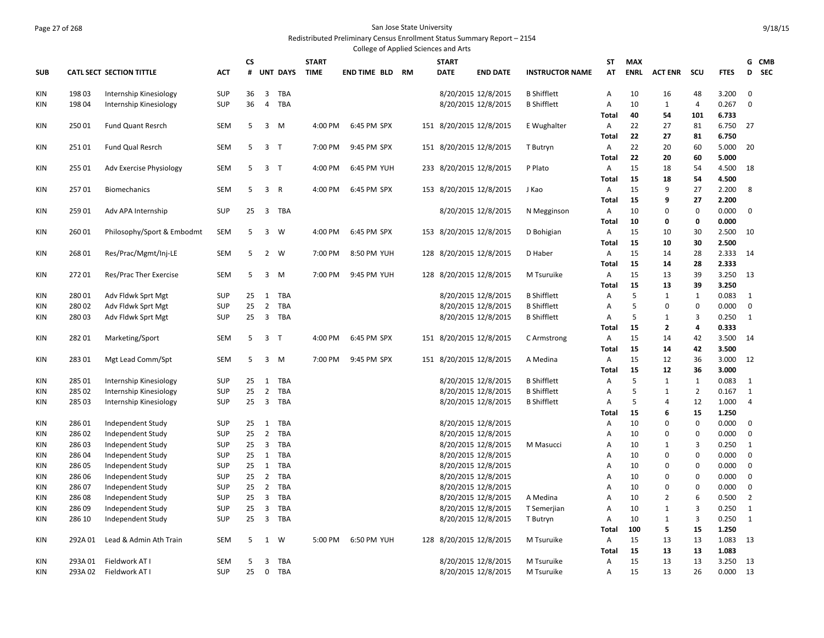## Page 27 of 268 San Jose State University Redistributed Preliminary Census Enrollment Status Summary Report – 2154

|            |                 |                                        |                          |          |                   |                   |              | College of Applied Sciences and Arts |           |              |                                            |                        |                     |             |                  |                  |                |                   |
|------------|-----------------|----------------------------------------|--------------------------|----------|-------------------|-------------------|--------------|--------------------------------------|-----------|--------------|--------------------------------------------|------------------------|---------------------|-------------|------------------|------------------|----------------|-------------------|
|            |                 |                                        |                          | CS       |                   |                   | <b>START</b> |                                      |           | <b>START</b> |                                            |                        | ST                  | <b>MAX</b>  |                  |                  |                | G CMB             |
| <b>SUB</b> |                 | <b>CATL SECT SECTION TITTLE</b>        | <b>ACT</b>               | #        |                   | <b>UNT DAYS</b>   | <b>TIME</b>  | END TIME BLD                         | <b>RM</b> | <b>DATE</b>  | <b>END DATE</b>                            | <b>INSTRUCTOR NAME</b> | AT                  | <b>ENRL</b> | <b>ACT ENR</b>   | scu              | <b>FTES</b>    | <b>SEC</b><br>D   |
| KIN        | 19803           | Internship Kinesiology                 | <b>SUP</b>               | 36       | $\overline{3}$    | TBA               |              |                                      |           |              | 8/20/2015 12/8/2015                        | <b>B</b> Shifflett     | A                   | 10          | 16               | 48               | 3.200          | $\mathbf 0$       |
| KIN        | 19804           | Internship Kinesiology                 | <b>SUP</b>               | 36       | 4                 | TBA               |              |                                      |           |              | 8/20/2015 12/8/2015                        | <b>B</b> Shifflett     | Α                   | 10          | $\mathbf{1}$     | $\overline{4}$   | 0.267          | 0                 |
|            |                 |                                        |                          |          |                   |                   |              |                                      |           |              |                                            |                        | <b>Total</b>        | 40          | 54               | 101              | 6.733          |                   |
| KIN        | 25001           | Fund Quant Resrch                      | <b>SEM</b>               | 5        | 3                 | M                 | 4:00 PM      | 6:45 PM SPX                          |           |              | 151 8/20/2015 12/8/2015                    | E Wughalter            | A                   | 22          | 27               | 81               | 6.750          | 27                |
|            |                 |                                        |                          |          |                   |                   |              |                                      |           |              |                                            |                        | Total               | 22          | 27               | 81               | 6.750          |                   |
| KIN        | 25101           | Fund Qual Resrch                       | SEM                      | 5        | 3 <sub>T</sub>    |                   | 7:00 PM      | 9:45 PM SPX                          |           |              | 151 8/20/2015 12/8/2015                    | T Butryn               | Α                   | 22          | 20               | 60               | 5.000          | 20                |
|            |                 |                                        |                          |          |                   |                   |              |                                      |           |              |                                            |                        | Total               | 22          | 20               | 60               | 5.000          |                   |
| KIN        | 25501           | Adv Exercise Physiology                | <b>SEM</b>               | 5        | 3 <sub>T</sub>    |                   | 4:00 PM      | 6:45 PM YUH                          |           |              | 233 8/20/2015 12/8/2015                    | P Plato                | A                   | 15          | 18               | 54               | 4.500          | 18                |
|            |                 |                                        |                          |          |                   |                   |              |                                      |           |              |                                            |                        | Total               | 15          | 18               | 54               | 4.500          |                   |
| KIN        | 25701           | <b>Biomechanics</b>                    | <b>SEM</b>               | 5        | 3 R               |                   | 4:00 PM      | 6:45 PM SPX                          |           |              | 153 8/20/2015 12/8/2015                    | J Kao                  | A                   | 15          | 9                | 27               | 2.200          | 8                 |
|            |                 |                                        |                          |          |                   |                   |              |                                      |           |              |                                            |                        | Total               | 15          | 9                | 27               | 2.200          |                   |
| KIN        | 259 01          | Adv APA Internship                     | <b>SUP</b>               | 25       |                   | 3 TBA             |              |                                      |           |              | 8/20/2015 12/8/2015                        | N Megginson            | Α                   | 10          | 0                | $\mathbf 0$      | 0.000          | $\mathbf 0$       |
|            |                 |                                        |                          | 5        |                   |                   |              | 6:45 PM SPX                          |           |              |                                            |                        | Total               | 10          | 0                | 0                | 0.000          |                   |
| KIN        | 26001           | Philosophy/Sport & Embodmt             | <b>SEM</b>               |          | 3                 | W                 | 4:00 PM      |                                      |           |              | 153 8/20/2015 12/8/2015                    | D Bohigian             | A<br><b>Total</b>   | 15<br>15    | 10<br>10         | 30<br>30         | 2.500<br>2.500 | 10                |
| KIN        | 26801           | Res/Prac/Mgmt/Inj-LE                   | <b>SEM</b>               | 5        |                   | 2 W               | 7:00 PM      | 8:50 PM YUH                          |           |              | 128 8/20/2015 12/8/2015                    | D Haber                | Α                   | 15          | 14               | 28               | 2.333          | 14                |
|            |                 |                                        |                          |          |                   |                   |              |                                      |           |              |                                            |                        | <b>Total</b>        | 15          | 14               | 28               | 2.333          |                   |
| KIN        | 27201           | Res/Prac Ther Exercise                 | <b>SEM</b>               | 5        | 3                 | M                 | 7:00 PM      | 9:45 PM YUH                          |           |              | 128 8/20/2015 12/8/2015                    | M Tsuruike             | Α                   | 15          | 13               | 39               | 3.250          | 13                |
|            |                 |                                        |                          |          |                   |                   |              |                                      |           |              |                                            |                        | <b>Total</b>        | 15          | 13               | 39               | 3.250          |                   |
| KIN        | 28001           | Adv Fldwk Sprt Mgt                     | SUP                      | 25       | 1                 | <b>TBA</b>        |              |                                      |           |              | 8/20/2015 12/8/2015                        | <b>B</b> Shifflett     | A                   | 5           | $\mathbf{1}$     | $\mathbf{1}$     | 0.083          | 1                 |
| KIN        | 28002           | Adv Fldwk Sprt Mgt                     | <b>SUP</b>               | 25       | $\overline{2}$    | <b>TBA</b>        |              |                                      |           |              | 8/20/2015 12/8/2015                        | <b>B</b> Shifflett     | Α                   | 5           | 0                | $\mathbf 0$      | 0.000          | $\mathbf 0$       |
| KIN        | 28003           | Adv Fldwk Sprt Mgt                     | <b>SUP</b>               | 25       | $\overline{3}$    | TBA               |              |                                      |           |              | 8/20/2015 12/8/2015                        | <b>B</b> Shifflett     | Α                   | 5           | $\mathbf{1}$     | 3                | 0.250          | $\mathbf{1}$      |
|            |                 |                                        |                          |          |                   |                   |              |                                      |           |              |                                            |                        | Total               | 15          | $\mathbf{2}$     | 4                | 0.333          |                   |
| KIN        | 28201           | Marketing/Sport                        | <b>SEM</b>               | 5        | 3 <sub>T</sub>    |                   | 4:00 PM      | 6:45 PM SPX                          |           |              | 151 8/20/2015 12/8/2015                    | C Armstrong            | Α                   | 15          | 14               | 42               | 3.500          | 14                |
|            |                 |                                        |                          |          |                   |                   |              |                                      |           |              |                                            |                        | Total               | 15          | 14               | 42               | 3.500          |                   |
| KIN        | 28301           | Mgt Lead Comm/Spt                      | <b>SEM</b>               | 5        | 3                 | M                 | 7:00 PM      | 9:45 PM SPX                          |           |              | 151 8/20/2015 12/8/2015                    | A Medina               | Α                   | 15          | 12               | 36               | 3.000          | 12                |
|            |                 |                                        |                          |          |                   |                   |              |                                      |           |              |                                            |                        | <b>Total</b>        | 15          | 12               | 36               | 3.000          |                   |
| KIN        | 285 01          | Internship Kinesiology                 | <b>SUP</b>               | 25       | 1                 | TBA               |              |                                      |           |              | 8/20/2015 12/8/2015                        | <b>B</b> Shifflett     | Α                   | 5           | $\mathbf{1}$     | 1                | 0.083          | 1                 |
| KIN        | 285 02          | Internship Kinesiology                 | <b>SUP</b>               | 25       | $\overline{2}$    | TBA               |              |                                      |           |              | 8/20/2015 12/8/2015                        | <b>B</b> Shifflett     | Α                   | 5           | $\mathbf{1}$     | $\overline{2}$   | 0.167          | $\mathbf{1}$      |
| KIN        | 285 03          | Internship Kinesiology                 | <b>SUP</b>               | 25       | $\overline{3}$    | TBA               |              |                                      |           |              | 8/20/2015 12/8/2015                        | <b>B</b> Shifflett     | Α                   | 5           | 4                | 12               | 1.000          | $\overline{4}$    |
|            |                 |                                        |                          |          |                   |                   |              |                                      |           |              |                                            |                        | Total               | 15          | 6                | 15               | 1.250          |                   |
| KIN        | 28601           | Independent Study                      | <b>SUP</b>               | 25       | 1                 | TBA               |              |                                      |           |              | 8/20/2015 12/8/2015                        |                        | Α                   | 10          | $\mathbf 0$      | $\mathbf 0$      | 0.000          | $\mathbf 0$       |
| KIN        | 28602           | Independent Study                      | <b>SUP</b>               | 25       | $\overline{2}$    | <b>TBA</b>        |              |                                      |           |              | 8/20/2015 12/8/2015                        |                        | Α                   | 10          | 0                | 0                | 0.000          | $\mathbf 0$       |
| KIN        | 28603           | Independent Study                      | SUP                      | 25<br>25 | $\overline{3}$    | TBA               |              |                                      |           |              | 8/20/2015 12/8/2015                        | M Masucci              | A                   | 10          | 1<br>$\mathbf 0$ | 3<br>$\mathbf 0$ | 0.250          | $\mathbf{1}$<br>0 |
| KIN<br>KIN | 28604<br>286 05 | Independent Study<br>Independent Study | <b>SUP</b><br><b>SUP</b> | 25       | 1<br>$\mathbf{1}$ | TBA<br><b>TBA</b> |              |                                      |           |              | 8/20/2015 12/8/2015<br>8/20/2015 12/8/2015 |                        | Α<br>$\overline{A}$ | 10<br>10    | 0                | $\Omega$         | 0.000<br>0.000 | 0                 |
| <b>KIN</b> | 286 06          | Independent Study                      | <b>SUP</b>               | 25       | $\overline{2}$    | <b>TBA</b>        |              |                                      |           |              | 8/20/2015 12/8/2015                        |                        | A                   | 10          | 0                | $\mathbf 0$      | 0.000          | $\mathbf 0$       |
| KIN        | 28607           | Independent Study                      | <b>SUP</b>               | 25       | $\overline{2}$    | TBA               |              |                                      |           |              | 8/20/2015 12/8/2015                        |                        | A                   | 10          | $\mathbf 0$      | $\Omega$         | 0.000          | 0                 |
| KIN        | 28608           | Independent Study                      | <b>SUP</b>               | 25       | $\overline{3}$    | TBA               |              |                                      |           |              | 8/20/2015 12/8/2015                        | A Medina               | A                   | 10          | $\overline{2}$   | 6                | 0.500          | $\overline{2}$    |
| KIN        | 28609           | Independent Study                      | <b>SUP</b>               | 25       | $\overline{3}$    | <b>TBA</b>        |              |                                      |           |              | 8/20/2015 12/8/2015                        | T Semerjian            | Α                   | 10          | $\mathbf{1}$     | 3                | 0.250          | $\mathbf{1}$      |
| KIN        | 286 10          | Independent Study                      | <b>SUP</b>               | 25       | $\overline{3}$    | TBA               |              |                                      |           |              | 8/20/2015 12/8/2015                        | T Butryn               | Α                   | 10          | $\mathbf{1}$     | 3                | 0.250          | $\mathbf{1}$      |
|            |                 |                                        |                          |          |                   |                   |              |                                      |           |              |                                            |                        | Total               | 100         | 5                | 15               | 1.250          |                   |
| KIN        | 292A01          | Lead & Admin Ath Train                 | <b>SEM</b>               | 5        | 1                 | W                 | 5:00 PM      | 6:50 PM YUH                          |           |              | 128 8/20/2015 12/8/2015                    | M Tsuruike             | A                   | 15          | 13               | 13               | 1.083          | 13                |
|            |                 |                                        |                          |          |                   |                   |              |                                      |           |              |                                            |                        | Total               | 15          | 13               | 13               | 1.083          |                   |
| KIN        | 293A01          | Fieldwork AT I                         | <b>SEM</b>               | 5        | 3                 | TBA               |              |                                      |           |              | 8/20/2015 12/8/2015                        | M Tsuruike             | Α                   | 15          | 13               | 13               | 3.250          | 13                |
| KIN        | 293A 02         | Fieldwork AT I                         | <b>SUP</b>               | 25       | $\mathbf{0}$      | TBA               |              |                                      |           |              | 8/20/2015 12/8/2015                        | M Tsuruike             | A                   | 15          | 13               | 26               | 0.000          | 13                |
|            |                 |                                        |                          |          |                   |                   |              |                                      |           |              |                                            |                        |                     |             |                  |                  |                |                   |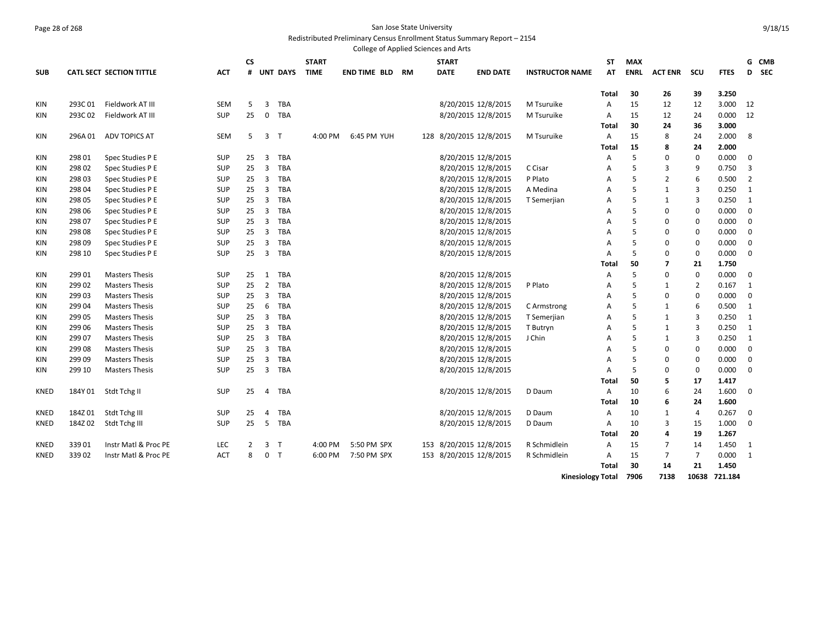# Page 28 of 268 San Jose State University

Redistributed Preliminary Census Enrollment Status Summary Report – 2154

|             |         |                                 |            |                        |                |                 |              |                     |    | College of Applied Sciences and Arts |                     |                          |                |             |                |                   |                |                |       |
|-------------|---------|---------------------------------|------------|------------------------|----------------|-----------------|--------------|---------------------|----|--------------------------------------|---------------------|--------------------------|----------------|-------------|----------------|-------------------|----------------|----------------|-------|
|             |         |                                 |            | $\mathsf{c}\mathsf{s}$ |                |                 | <b>START</b> |                     |    | <b>START</b>                         |                     |                          | ST             | <b>MAX</b>  |                |                   |                |                | G CMB |
| <b>SUB</b>  |         | <b>CATL SECT SECTION TITTLE</b> | ACT        | #                      |                | <b>UNT DAYS</b> | <b>TIME</b>  | <b>END TIME BLD</b> | RM | <b>DATE</b>                          | <b>END DATE</b>     | <b>INSTRUCTOR NAME</b>   | AT             | <b>ENRL</b> | <b>ACT ENR</b> | scu               | <b>FTES</b>    |                | D SEC |
|             |         |                                 |            |                        |                |                 |              |                     |    |                                      |                     |                          |                |             |                |                   |                |                |       |
| <b>KIN</b>  | 293C01  | Fieldwork AT III                | <b>SEM</b> | 5                      | 3              | <b>TBA</b>      |              |                     |    |                                      | 8/20/2015 12/8/2015 | M Tsuruike               | Total<br>A     | 30<br>15    | 26<br>12       | 39<br>12          | 3.250<br>3.000 | 12             |       |
|             |         |                                 |            |                        |                |                 |              |                     |    |                                      |                     |                          |                |             |                |                   |                |                |       |
| KIN         | 293C02  | Fieldwork AT III                | <b>SUP</b> | 25                     | $\mathbf 0$    | TBA             |              |                     |    |                                      | 8/20/2015 12/8/2015 | M Tsuruike               | A              | 15          | 12             | 24                | 0.000          | 12             |       |
|             |         |                                 |            |                        |                |                 |              |                     |    |                                      |                     |                          | <b>Total</b>   | 30          | 24             | 36                | 3.000          |                |       |
| <b>KIN</b>  | 296A 01 | <b>ADV TOPICS AT</b>            | <b>SEM</b> | 5                      |                | 3 <sub>T</sub>  | 4:00 PM      | 6:45 PM YUH         |    | 128 8/20/2015 12/8/2015              |                     | M Tsuruike               | $\overline{A}$ | 15<br>15    | 8              | 24                | 2.000          | 8              |       |
|             |         |                                 |            |                        |                | <b>TBA</b>      |              |                     |    |                                      |                     |                          | Total          | 5           | 8<br>$\Omega$  | 24<br>$\mathbf 0$ | 2.000<br>0.000 | $\mathbf 0$    |       |
| KIN         | 298 01  | Spec Studies P E                | <b>SUP</b> | 25                     | 3              |                 |              |                     |    |                                      | 8/20/2015 12/8/2015 |                          | A              |             |                |                   |                |                |       |
| <b>KIN</b>  | 29802   | Spec Studies P E                | <b>SUP</b> | 25                     | $\overline{3}$ | TBA             |              |                     |    |                                      | 8/20/2015 12/8/2015 | C Cisar                  | A              | 5           | 3              | 9                 | 0.750          | 3              |       |
| <b>KIN</b>  | 298 03  | Spec Studies P E                | <b>SUP</b> | 25                     | $\overline{3}$ | TBA             |              |                     |    |                                      | 8/20/2015 12/8/2015 | P Plato                  | A              | 5<br>5      | $\overline{2}$ | 6                 | 0.500          | $\overline{2}$ |       |
| <b>KIN</b>  | 298 04  | Spec Studies P E                | <b>SUP</b> | 25                     | $\overline{3}$ | TBA             |              |                     |    |                                      | 8/20/2015 12/8/2015 | A Medina                 | A              |             | $\mathbf{1}$   | 3                 | 0.250          | $\mathbf{1}$   |       |
| KIN         | 298 05  | Spec Studies P E                | <b>SUP</b> | 25                     | 3              | <b>TBA</b>      |              |                     |    |                                      | 8/20/2015 12/8/2015 | T Semerjian              | A              | 5           | 1              | 3                 | 0.250          | $\mathbf{1}$   |       |
| KIN         | 298 06  | Spec Studies P E                | <b>SUP</b> | 25                     | 3              | <b>TBA</b>      |              |                     |    |                                      | 8/20/2015 12/8/2015 |                          | A              | 5           | 0              | $\mathbf 0$       | 0.000          | $\mathbf 0$    |       |
| <b>KIN</b>  | 298 07  | Spec Studies P E                | <b>SUP</b> | 25                     | $\overline{3}$ | <b>TBA</b>      |              |                     |    |                                      | 8/20/2015 12/8/2015 |                          | A              | 5           | 0              | $\mathbf 0$       | 0.000          | $\mathbf 0$    |       |
| KIN         | 298 08  | Spec Studies P E                | SUP        | 25                     | $\overline{3}$ | TBA             |              |                     |    |                                      | 8/20/2015 12/8/2015 |                          | А              | 5           | 0              | 0                 | 0.000          | 0              |       |
| KIN         | 298 09  | Spec Studies P E                | <b>SUP</b> | 25                     | 3              | TBA             |              |                     |    |                                      | 8/20/2015 12/8/2015 |                          | A              | 5           | 0              | 0                 | 0.000          | 0              |       |
| <b>KIN</b>  | 298 10  | Spec Studies P E                | <b>SUP</b> | 25                     | 3              | TBA             |              |                     |    |                                      | 8/20/2015 12/8/2015 |                          | A              | 5           | 0              | 0                 | 0.000          | 0              |       |
|             |         |                                 |            |                        |                |                 |              |                     |    |                                      |                     |                          | Total          | 50          | 7              | 21                | 1.750          |                |       |
| KIN         | 299 01  | <b>Masters Thesis</b>           | <b>SUP</b> | 25                     | 1              | TBA             |              |                     |    |                                      | 8/20/2015 12/8/2015 |                          | Α              | 5           | 0              | 0                 | 0.000          | 0              |       |
| KIN         | 29902   | <b>Masters Thesis</b>           | <b>SUP</b> | 25                     | $\overline{2}$ | <b>TBA</b>      |              |                     |    |                                      | 8/20/2015 12/8/2015 | P Plato                  | A              | 5           | $\mathbf{1}$   | $\overline{2}$    | 0.167          | 1              |       |
| KIN         | 29903   | <b>Masters Thesis</b>           | <b>SUP</b> | 25                     | $\overline{3}$ | TBA             |              |                     |    |                                      | 8/20/2015 12/8/2015 |                          | А              | 5           | $\Omega$       | $\mathbf 0$       | 0.000          | 0              |       |
| KIN         | 299 04  | <b>Masters Thesis</b>           | <b>SUP</b> | 25                     | 6              | TBA             |              |                     |    |                                      | 8/20/2015 12/8/2015 | C Armstrong              | Α              | 5           | $\mathbf{1}$   | 6                 | 0.500          | $\mathbf{1}$   |       |
| KIN         | 299 05  | <b>Masters Thesis</b>           | <b>SUP</b> | 25                     | 3              | TBA             |              |                     |    |                                      | 8/20/2015 12/8/2015 | T Semerjian              | Α              | 5           | 1              | 3                 | 0.250          | $\mathbf{1}$   |       |
| KIN         | 299 06  | <b>Masters Thesis</b>           | SUP        | 25                     | 3              | TBA             |              |                     |    |                                      | 8/20/2015 12/8/2015 | T Butryn                 | Α              | 5           | 1              | 3                 | 0.250          | $\mathbf{1}$   |       |
| KIN         | 299 07  | <b>Masters Thesis</b>           | <b>SUP</b> | 25                     | $\overline{3}$ | TBA             |              |                     |    |                                      | 8/20/2015 12/8/2015 | J Chin                   | Α              | 5           | $\mathbf{1}$   | 3                 | 0.250          | $\mathbf{1}$   |       |
| KIN         | 299 08  | <b>Masters Thesis</b>           | <b>SUP</b> | 25                     | $\overline{3}$ | TBA             |              |                     |    |                                      | 8/20/2015 12/8/2015 |                          | A              | 5           | $\mathbf 0$    | $\mathbf 0$       | 0.000          | 0              |       |
| <b>KIN</b>  | 29909   | <b>Masters Thesis</b>           | <b>SUP</b> | 25                     | 3              | TBA             |              |                     |    |                                      | 8/20/2015 12/8/2015 |                          | A              | 5           | $\Omega$       | $\mathbf 0$       | 0.000          | $\mathbf 0$    |       |
| KIN         | 299 10  | <b>Masters Thesis</b>           | <b>SUP</b> | 25                     | $\overline{3}$ | TBA             |              |                     |    |                                      | 8/20/2015 12/8/2015 |                          | A              | 5           | $\Omega$       | $\mathbf 0$       | 0.000          | $\mathbf 0$    |       |
|             |         |                                 |            |                        |                |                 |              |                     |    |                                      |                     |                          | Total          | 50          | 5              | 17                | 1.417          |                |       |
| <b>KNED</b> | 184Y 01 | Stdt Tchg II                    | <b>SUP</b> | 25                     | 4              | <b>TBA</b>      |              |                     |    |                                      | 8/20/2015 12/8/2015 | D Daum                   | $\overline{A}$ | 10          | 6              | 24                | 1.600          | $\mathbf 0$    |       |
|             |         |                                 |            |                        |                |                 |              |                     |    |                                      |                     |                          | Total          | 10          | 6              | 24                | 1.600          |                |       |
| KNED        | 184Z01  | Stdt Tchg III                   | SUP        | 25                     | 4              | TBA             |              |                     |    |                                      | 8/20/2015 12/8/2015 | D Daum                   | Α              | 10          | 1              | 4                 | 0.267          | 0              |       |
| KNED        | 184Z 02 | Stdt Tchg III                   | <b>SUP</b> | 25                     | 5              | TBA             |              |                     |    |                                      | 8/20/2015 12/8/2015 | D Daum                   | Α              | 10          | 3              | 15                | 1.000          | 0              |       |
|             |         |                                 |            |                        |                |                 |              |                     |    |                                      |                     |                          | Total          | 20          | 4              | 19                | 1.267          |                |       |
| <b>KNED</b> | 33901   | Instr Matl & Proc PE            | LEC        | 2                      |                | 3 <sub>T</sub>  | 4:00 PM      | 5:50 PM SPX         |    | 153                                  | 8/20/2015 12/8/2015 | R Schmidlein             | A              | 15          | 7              | 14                | 1.450          | 1              |       |
| <b>KNED</b> | 33902   | Instr Matl & Proc PE            | <b>ACT</b> | 8                      |                | 0 <sub>T</sub>  | 6:00 PM      | 7:50 PM SPX         |    | 153 8/20/2015 12/8/2015              |                     | R Schmidlein             | Α              | 15          | $\overline{7}$ | 7                 | 0.000          | 1              |       |
|             |         |                                 |            |                        |                |                 |              |                     |    |                                      |                     |                          | <b>Total</b>   | 30          | 14             | 21                | 1.450          |                |       |
|             |         |                                 |            |                        |                |                 |              |                     |    |                                      |                     | <b>Kinesiology Total</b> |                | 7906        | 7138           |                   | 10638 721.184  |                |       |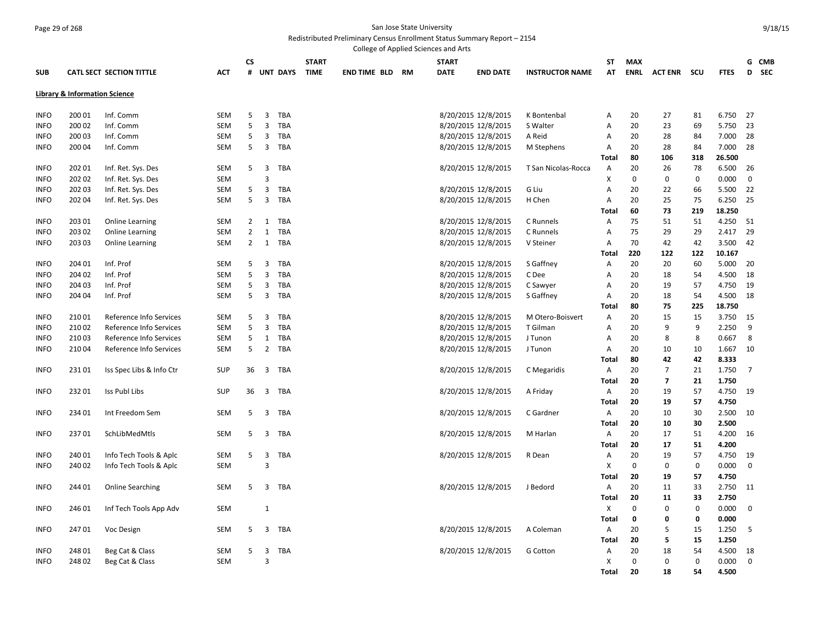#### Page 29 of 268 San Jose State University Redistributed Preliminary Census Enrollment Status Summary Report – 2154

|             |                                          |                                 |            |                |                         |            |              |                        | College of Applied Sciences and Arts |                     |                        |              |             |                    |             |             |             |  |
|-------------|------------------------------------------|---------------------------------|------------|----------------|-------------------------|------------|--------------|------------------------|--------------------------------------|---------------------|------------------------|--------------|-------------|--------------------|-------------|-------------|-------------|--|
|             |                                          |                                 |            | CS             |                         |            | <b>START</b> |                        | <b>START</b>                         |                     |                        | ST           | <b>MAX</b>  |                    |             |             | G CMB       |  |
| <b>SUB</b>  |                                          | <b>CATL SECT SECTION TITTLE</b> | <b>ACT</b> |                |                         | # UNT DAYS | <b>TIME</b>  | <b>END TIME BLD RM</b> | <b>DATE</b>                          | <b>END DATE</b>     | <b>INSTRUCTOR NAME</b> | AT           | <b>ENRL</b> | <b>ACT ENR SCU</b> |             | <b>FTES</b> | D SEC       |  |
|             | <b>Library &amp; Information Science</b> |                                 |            |                |                         |            |              |                        |                                      |                     |                        |              |             |                    |             |             |             |  |
| <b>INFO</b> | 200 01                                   | Inf. Comm                       | <b>SEM</b> | 5              | 3                       | TBA        |              |                        |                                      | 8/20/2015 12/8/2015 | K Bontenbal            | Α            | 20          | 27                 | 81          | 6.750       | 27          |  |
| <b>INFO</b> | 200 02                                   | Inf. Comm                       | <b>SEM</b> | 5              | 3                       | TBA        |              |                        |                                      | 8/20/2015 12/8/2015 | S Walter               | A            | 20          | 23                 | 69          | 5.750       | 23          |  |
| <b>INFO</b> | 200 03                                   | Inf. Comm                       | SEM        | 5              | 3                       | TBA        |              |                        |                                      | 8/20/2015 12/8/2015 | A Reid                 | A            | 20          | 28                 | 84          | 7.000       | 28          |  |
| <b>INFO</b> | 200 04                                   | Inf. Comm                       | SEM        | 5              | 3                       | TBA        |              |                        |                                      | 8/20/2015 12/8/2015 | M Stephens             | A            | 20          | 28                 | 84          | 7.000       | 28          |  |
|             |                                          |                                 |            |                |                         |            |              |                        |                                      |                     |                        | <b>Total</b> | 80          | 106                | 318         | 26.500      |             |  |
| <b>INFO</b> | 202 01                                   | Inf. Ret. Sys. Des              | <b>SEM</b> | 5              | $\overline{3}$          | TBA        |              |                        |                                      | 8/20/2015 12/8/2015 | T San Nicolas-Rocca    | Α            | 20          | 26                 | 78          | 6.500       | 26          |  |
| <b>INFO</b> | 202 02                                   | Inf. Ret. Sys. Des              | <b>SEM</b> |                | 3                       |            |              |                        |                                      |                     |                        | X            | 0           | $\mathbf 0$        | $\mathbf 0$ | 0.000       | 0           |  |
| <b>INFO</b> | 202 03                                   | Inf. Ret. Sys. Des              | <b>SEM</b> | 5              | 3                       | TBA        |              |                        |                                      | 8/20/2015 12/8/2015 | G Liu                  | Α            | 20          | 22                 | 66          | 5.500       | 22          |  |
| <b>INFO</b> | 202 04                                   | Inf. Ret. Sys. Des              | <b>SEM</b> | 5              | 3                       | TBA        |              |                        |                                      | 8/20/2015 12/8/2015 | H Chen                 | Α            | 20          | 25                 | 75          | 6.250       | 25          |  |
|             |                                          |                                 |            |                |                         |            |              |                        |                                      |                     |                        | <b>Total</b> | 60          | 73                 | 219         | 18.250      |             |  |
| <b>INFO</b> | 203 01                                   | <b>Online Learning</b>          | <b>SEM</b> | $2^{\circ}$    | 1                       | TBA        |              |                        |                                      | 8/20/2015 12/8/2015 | C Runnels              | A            | 75          | 51                 | 51          | 4.250       | 51          |  |
| <b>INFO</b> | 203 02                                   | <b>Online Learning</b>          | <b>SEM</b> | $\overline{2}$ | 1                       | TBA        |              |                        |                                      | 8/20/2015 12/8/2015 | C Runnels              | Α            | 75          | 29                 | 29          | 2.417       | 29          |  |
| <b>INFO</b> | 203 03                                   | <b>Online Learning</b>          | <b>SEM</b> | $\overline{2}$ | $\mathbf{1}$            | TBA        |              |                        |                                      | 8/20/2015 12/8/2015 | V Steiner              | Α            | 70          | 42                 | 42          | 3.500       | 42          |  |
|             |                                          |                                 |            |                |                         |            |              |                        |                                      |                     |                        | Total        | 220         | 122                | 122         | 10.167      |             |  |
| <b>INFO</b> | 204 01                                   | Inf. Prof                       | <b>SEM</b> | 5              | 3                       | TBA        |              |                        |                                      | 8/20/2015 12/8/2015 | S Gaffney              | Α            | 20          | 20                 | 60          | 5.000       | 20          |  |
| <b>INFO</b> | 204 02                                   | Inf. Prof                       | <b>SEM</b> | 5              | 3                       | TBA        |              |                        |                                      | 8/20/2015 12/8/2015 | C Dee                  | А            | 20          | 18                 | 54          | 4.500       | 18          |  |
| <b>INFO</b> | 204 03                                   | Inf. Prof                       | <b>SEM</b> | 5              | 3                       | TBA        |              |                        |                                      | 8/20/2015 12/8/2015 | C Sawyer               | Α            | 20          | 19                 | 57          | 4.750       | 19          |  |
| <b>INFO</b> | 204 04                                   | Inf. Prof                       | <b>SEM</b> | 5              | 3                       | TBA        |              |                        |                                      | 8/20/2015 12/8/2015 | S Gaffney              | Α            | 20          | 18                 | 54          | 4.500       | 18          |  |
|             |                                          |                                 |            |                |                         |            |              |                        |                                      |                     |                        | <b>Total</b> | 80          | 75                 | 225         | 18.750      |             |  |
| <b>INFO</b> | 21001                                    | Reference Info Services         | <b>SEM</b> | 5              | $\overline{3}$          | TBA        |              |                        |                                      | 8/20/2015 12/8/2015 | M Otero-Boisvert       | Α            | 20          | 15                 | 15          | 3.750       | 15          |  |
| <b>INFO</b> | 21002                                    | Reference Info Services         | <b>SEM</b> | 5              | 3                       | TBA        |              |                        |                                      | 8/20/2015 12/8/2015 | T Gilman               | Α            | 20          | 9                  | 9           | 2.250       | 9           |  |
| <b>INFO</b> | 21003                                    | Reference Info Services         | <b>SEM</b> | 5              | $\mathbf{1}$            | TBA        |              |                        |                                      | 8/20/2015 12/8/2015 | J Tunon                | Α            | 20          | 8                  | 8           | 0.667       | 8           |  |
| <b>INFO</b> | 21004                                    | Reference Info Services         | <b>SEM</b> | 5              | $\overline{2}$          | TBA        |              |                        |                                      | 8/20/2015 12/8/2015 | J Tunon                | Α            | 20          | 10                 | 10          | 1.667       | 10          |  |
|             |                                          |                                 |            |                |                         |            |              |                        |                                      |                     |                        | <b>Total</b> | 80          | 42                 | 42          | 8.333       |             |  |
| <b>INFO</b> | 23101                                    | Iss Spec Libs & Info Ctr        | <b>SUP</b> | 36             | 3                       | TBA        |              |                        |                                      | 8/20/2015 12/8/2015 | C Megaridis            | A            | 20          | $\overline{7}$     | 21          | 1.750       | 7           |  |
|             |                                          |                                 |            |                |                         |            |              |                        |                                      |                     |                        | <b>Total</b> | 20          | $\overline{7}$     | 21          | 1.750       |             |  |
| <b>INFO</b> | 23201                                    | Iss Publ Libs                   | <b>SUP</b> | 36             | $\overline{\mathbf{3}}$ | TBA        |              |                        |                                      | 8/20/2015 12/8/2015 | A Friday               | Α            | 20          | 19                 | 57          | 4.750       | 19          |  |
|             |                                          |                                 |            |                |                         |            |              |                        |                                      |                     |                        | <b>Total</b> | 20          | 19                 | 57          | 4.750       |             |  |
| <b>INFO</b> | 234 01                                   | Int Freedom Sem                 | <b>SEM</b> | 5              | 3                       | TBA        |              |                        |                                      | 8/20/2015 12/8/2015 | C Gardner              | A            | 20          | 10                 | 30          | 2.500       | 10          |  |
|             |                                          |                                 |            |                |                         |            |              |                        |                                      |                     |                        | <b>Total</b> | 20          | 10                 | 30          | 2.500       |             |  |
| <b>INFO</b> | 23701                                    | SchLibMedMtls                   | <b>SEM</b> | 5              | $\overline{3}$          | TBA        |              |                        |                                      | 8/20/2015 12/8/2015 | M Harlan               | Α            | 20          | 17                 | 51          | 4.200       | 16          |  |
|             |                                          |                                 |            |                |                         |            |              |                        |                                      |                     |                        | <b>Total</b> | 20          | 17                 | 51          | 4.200       |             |  |
| <b>INFO</b> | 240 01                                   | Info Tech Tools & Aplc          | <b>SEM</b> | 5              | 3                       | TBA        |              |                        |                                      | 8/20/2015 12/8/2015 | R Dean                 | A            | 20          | 19                 | 57          | 4.750       | 19          |  |
| <b>INFO</b> | 240 02                                   | Info Tech Tools & Aplc          | <b>SEM</b> |                | 3                       |            |              |                        |                                      |                     |                        | X            | $\mathbf 0$ | $\pmb{0}$          | 0           | 0.000       | $\mathbf 0$ |  |
|             |                                          |                                 |            |                |                         |            |              |                        |                                      |                     |                        | <b>Total</b> | 20          | 19                 | 57          | 4.750       |             |  |
| <b>INFO</b> | 244 01                                   | <b>Online Searching</b>         | <b>SEM</b> | 5              | $\overline{3}$          | TBA        |              |                        |                                      | 8/20/2015 12/8/2015 | J Bedord               | Α            | 20          | 11                 | 33          | 2.750       | 11          |  |
|             |                                          |                                 |            |                |                         |            |              |                        |                                      |                     |                        | <b>Total</b> | 20          | 11                 | 33          | 2.750       |             |  |
| <b>INFO</b> | 24601                                    | Inf Tech Tools App Adv          | <b>SEM</b> |                | $\mathbf{1}$            |            |              |                        |                                      |                     |                        | Х            | 0           | $\mathbf 0$        | $\mathbf 0$ | 0.000       | 0           |  |
|             |                                          |                                 |            |                |                         |            |              |                        |                                      |                     |                        | <b>Total</b> | $\mathbf 0$ | 0                  | 0           | 0.000       |             |  |
| <b>INFO</b> | 24701                                    | Voc Design                      | <b>SEM</b> | 5              | 3                       | TBA        |              |                        |                                      | 8/20/2015 12/8/2015 | A Coleman              | A            | 20          | 5                  | 15          | 1.250       | 5           |  |
|             |                                          |                                 |            |                |                         |            |              |                        |                                      |                     |                        | <b>Total</b> | 20          | 5                  | 15          | 1.250       |             |  |
| <b>INFO</b> | 248 01                                   | Beg Cat & Class                 | <b>SEM</b> | 5              | 3                       | TBA        |              |                        |                                      | 8/20/2015 12/8/2015 | G Cotton               | Α            | 20          | 18                 | 54          | 4.500       | 18          |  |
| <b>INFO</b> | 24802                                    | Beg Cat & Class                 | <b>SEM</b> |                | 3                       |            |              |                        |                                      |                     |                        | X            | 0           | $\Omega$           | $\mathbf 0$ | 0.000       | $\mathbf 0$ |  |
|             |                                          |                                 |            |                |                         |            |              |                        |                                      |                     |                        | <b>Total</b> | 20          | 18                 | 54          | 4.500       |             |  |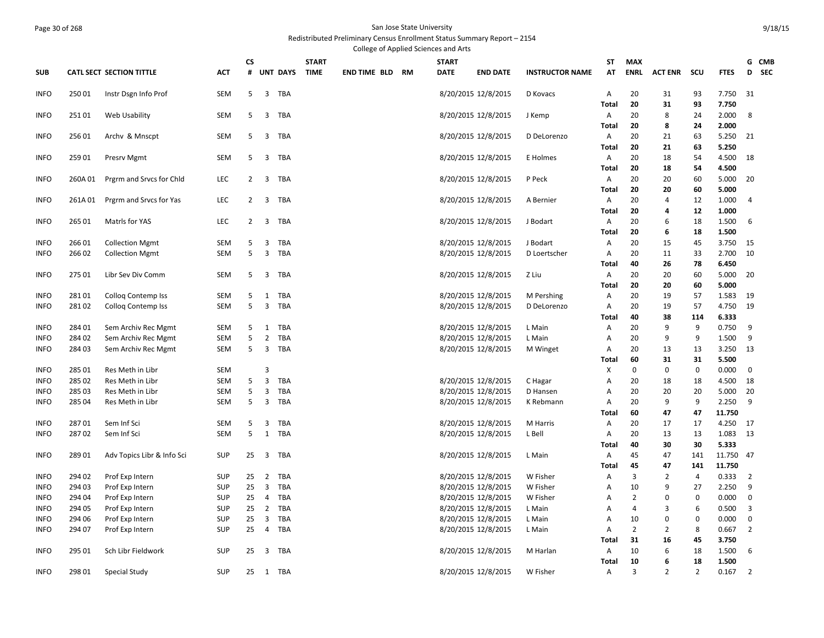#### Page 30 of 268 San Jose State University Redistributed Preliminary Census Enrollment Status Summary Report – 2154

College of Applied Sciences and Arts

|                            |                 |                                      |                   | <b>CS</b>      |                         |                 | <b>START</b> |                        | <b>START</b> |                                            |                        | ST                | <b>MAX</b>         |                |                |                | G CMB          |  |
|----------------------------|-----------------|--------------------------------------|-------------------|----------------|-------------------------|-----------------|--------------|------------------------|--------------|--------------------------------------------|------------------------|-------------------|--------------------|----------------|----------------|----------------|----------------|--|
| <b>SUB</b>                 |                 | <b>CATL SECT SECTION TITTLE</b>      | <b>ACT</b>        | #              |                         | <b>UNT DAYS</b> | <b>TIME</b>  | <b>END TIME BLD RM</b> | <b>DATE</b>  | <b>END DATE</b>                            | <b>INSTRUCTOR NAME</b> | AT                | <b>ENRL</b>        | <b>ACT ENR</b> | scu            | <b>FTES</b>    | D SEC          |  |
| <b>INFO</b>                | 25001           | Instr Dsgn Info Prof                 | <b>SEM</b>        | 5              | 3                       | <b>TBA</b>      |              |                        |              | 8/20/2015 12/8/2015                        | D Kovacs               | Α                 | 20                 | 31             | 93             | 7.750          | 31             |  |
|                            |                 |                                      |                   |                |                         |                 |              |                        |              |                                            |                        | <b>Total</b>      | 20                 | 31             | 93             | 7.750          |                |  |
| <b>INFO</b>                | 25101           | Web Usability                        | SEM               | 5              | 3                       | TBA             |              |                        |              | 8/20/2015 12/8/2015                        | J Kemp                 | Α                 | 20<br>20           | 8              | 24             | 2.000<br>2.000 | 8              |  |
| <b>INFO</b>                | 25601           | Archy & Mnscpt                       | <b>SEM</b>        | 5              | 3                       | <b>TBA</b>      |              |                        |              | 8/20/2015 12/8/2015                        | D DeLorenzo            | <b>Total</b><br>Α | 20                 | 8<br>21        | 24<br>63       | 5.250          | 21             |  |
|                            |                 |                                      |                   |                |                         |                 |              |                        |              |                                            |                        | <b>Total</b>      | 20                 | 21             | 63             | 5.250          |                |  |
| <b>INFO</b>                | 259 01          | Presrv Mgmt                          | <b>SEM</b>        | 5              | 3                       | TBA             |              |                        |              | 8/20/2015 12/8/2015                        | E Holmes               | Α                 | 20                 | 18             | 54             | 4.500          | 18             |  |
|                            |                 |                                      |                   |                |                         |                 |              |                        |              |                                            |                        | Total             | 20                 | 18             | 54             | 4.500          |                |  |
| <b>INFO</b>                | 260A 01         | Prgrm and Srvcs for Chld             | LEC               | 2              | 3                       | TBA             |              |                        |              | 8/20/2015 12/8/2015                        | P Peck                 | Α                 | 20                 | 20             | 60             | 5.000          | 20             |  |
|                            |                 |                                      |                   |                |                         |                 |              |                        |              |                                            |                        | <b>Total</b>      | 20                 | 20             | 60             | 5.000          |                |  |
| <b>INFO</b>                | 261A 01         | Prgrm and Srvcs for Yas              | <b>LEC</b>        | $\overline{2}$ | 3                       | TBA             |              |                        |              | 8/20/2015 12/8/2015                        | A Bernier              | A                 | 20                 | 4              | 12             | 1.000          | 4              |  |
|                            |                 |                                      |                   |                |                         |                 |              |                        |              |                                            |                        | Total             | 20                 | 4              | 12             | 1.000          |                |  |
| <b>INFO</b>                | 265 01          | Matrls for YAS                       | <b>LEC</b>        | $\overline{2}$ | 3                       | TBA             |              |                        |              | 8/20/2015 12/8/2015                        | J Bodart               | A                 | 20                 | 6              | 18             | 1.500          | 6              |  |
|                            |                 |                                      |                   |                |                         |                 |              |                        |              |                                            |                        | <b>Total</b>      | 20                 | 6              | 18             | 1.500          |                |  |
| <b>INFO</b>                | 26601           | <b>Collection Mgmt</b>               | <b>SEM</b>        | 5              | 3                       | TBA             |              |                        |              | 8/20/2015 12/8/2015                        | J Bodart               | A                 | 20                 | 15             | 45             | 3.750          | 15             |  |
| <b>INFO</b>                | 26602           | <b>Collection Mgmt</b>               | SEM               | 5              | 3                       | <b>TBA</b>      |              |                        |              | 8/20/2015 12/8/2015                        | D Loertscher           | A                 | 20                 | 11             | 33             | 2.700          | 10             |  |
|                            |                 |                                      |                   |                |                         |                 |              |                        |              |                                            |                        | <b>Total</b>      | 40                 | 26             | 78             | 6.450          |                |  |
| <b>INFO</b>                | 275 01          | Libr Sev Div Comm                    | <b>SEM</b>        | 5              | 3                       | <b>TBA</b>      |              |                        |              | 8/20/2015 12/8/2015                        | Z Liu                  | Α                 | 20                 | 20             | 60             | 5.000          | 20             |  |
|                            |                 |                                      |                   |                |                         |                 |              |                        |              |                                            |                        | <b>Total</b>      | 20                 | 20             | 60             | 5.000          |                |  |
| <b>INFO</b>                | 28101           | <b>Collog Contemp Iss</b>            | <b>SEM</b>        | 5              | $\mathbf{1}$            | <b>TBA</b>      |              |                        |              | 8/20/2015 12/8/2015                        | M Pershing             | Α                 | 20                 | 19             | 57             | 1.583          | 19             |  |
| <b>INFO</b>                | 28102           | <b>Collog Contemp Iss</b>            | SEM               | 5              | 3                       | TBA             |              |                        |              | 8/20/2015 12/8/2015                        | D DeLorenzo            | Α                 | 20                 | 19             | 57             | 4.750          | 19             |  |
|                            |                 |                                      |                   |                |                         |                 |              |                        |              |                                            |                        | <b>Total</b>      | 40                 | 38             | 114            | 6.333          |                |  |
| <b>INFO</b>                | 284 01          | Sem Archiv Rec Mgmt                  | SEM               | 5              | 1                       | <b>TBA</b>      |              |                        |              | 8/20/2015 12/8/2015                        | L Main                 | Α                 | 20                 | 9              | 9              | 0.750          | 9              |  |
| INFO                       | 284 02          | Sem Archiv Rec Mgmt                  | <b>SEM</b>        | 5              | $\overline{2}$          | <b>TBA</b>      |              |                        |              | 8/20/2015 12/8/2015                        | L Main                 | A                 | 20                 | 9              | 9              | 1.500          | 9              |  |
| <b>INFO</b>                | 28403           | Sem Archiv Rec Mgmt                  | SEM               | 5              | 3                       | TBA             |              |                        |              | 8/20/2015 12/8/2015                        | M Winget               | Α                 | 20                 | 13             | 13             | 3.250          | 13             |  |
|                            |                 |                                      |                   |                | 3                       |                 |              |                        |              |                                            |                        | Total             | 60<br>$\mathbf{0}$ | 31<br>$\Omega$ | 31             | 5.500          |                |  |
| <b>INFO</b>                | 285 01<br>28502 | Res Meth in Libr<br>Res Meth in Libr | SEM<br><b>SEM</b> | 5              | 3                       | <b>TBA</b>      |              |                        |              |                                            |                        | Х                 | 20                 |                | 0              | 0.000          | $\mathbf 0$    |  |
| <b>INFO</b><br><b>INFO</b> | 285 03          | Res Meth in Libr                     | SEM               | 5              | 3                       | <b>TBA</b>      |              |                        |              | 8/20/2015 12/8/2015<br>8/20/2015 12/8/2015 | C Hagar<br>D Hansen    | A<br>Α            | 20                 | 18<br>20       | 18<br>20       | 4.500<br>5.000 | 18<br>20       |  |
| <b>INFO</b>                | 285 04          | Res Meth in Libr                     | SEM               | 5              | 3                       | TBA             |              |                        |              | 8/20/2015 12/8/2015                        | K Rebmann              | A                 | 20                 | 9              | 9              | 2.250          | 9              |  |
|                            |                 |                                      |                   |                |                         |                 |              |                        |              |                                            |                        | <b>Total</b>      | 60                 | 47             | 47             | 11.750         |                |  |
| <b>INFO</b>                | 28701           | Sem Inf Sci                          | <b>SEM</b>        | 5              | 3                       | <b>TBA</b>      |              |                        |              | 8/20/2015 12/8/2015                        | M Harris               | Α                 | 20                 | 17             | 17             | 4.250          | 17             |  |
| <b>INFO</b>                | 28702           | Sem Inf Sci                          | <b>SEM</b>        | 5              | $\mathbf{1}$            | TBA             |              |                        |              | 8/20/2015 12/8/2015                        | L Bell                 | A                 | 20                 | 13             | 13             | 1.083          | 13             |  |
|                            |                 |                                      |                   |                |                         |                 |              |                        |              |                                            |                        | <b>Total</b>      | 40                 | 30             | 30             | 5.333          |                |  |
| <b>INFO</b>                | 28901           | Adv Topics Libr & Info Sci           | <b>SUP</b>        | 25             | $\overline{3}$          | TBA             |              |                        |              | 8/20/2015 12/8/2015                        | L Main                 | Α                 | 45                 | 47             | 141            | 11.750         | 47             |  |
|                            |                 |                                      |                   |                |                         |                 |              |                        |              |                                            |                        | <b>Total</b>      | 45                 | 47             | 141            | 11.750         |                |  |
| <b>INFO</b>                | 294 02          | Prof Exp Intern                      | SUP               | 25             | $\overline{2}$          | <b>TBA</b>      |              |                        |              | 8/20/2015 12/8/2015                        | W Fisher               | Α                 | 3                  | $\overline{2}$ | 4              | 0.333          | $\overline{2}$ |  |
| <b>INFO</b>                | 294 03          | Prof Exp Intern                      | <b>SUP</b>        | 25             | $\overline{\mathbf{3}}$ | TBA             |              |                        |              | 8/20/2015 12/8/2015                        | W Fisher               | Α                 | 10                 | 9              | 27             | 2.250          | 9              |  |
| <b>INFO</b>                | 294 04          | Prof Exp Intern                      | <b>SUP</b>        | 25             | 4                       | <b>TBA</b>      |              |                        |              | 8/20/2015 12/8/2015                        | W Fisher               | A                 | $\overline{2}$     | $\Omega$       | $\mathbf 0$    | 0.000          | $\mathbf 0$    |  |
| <b>INFO</b>                | 294 05          | Prof Exp Intern                      | <b>SUP</b>        | 25             | $\overline{2}$          | TBA             |              |                        |              | 8/20/2015 12/8/2015                        | L Main                 | A                 | 4                  | 3              | 6              | 0.500          | 3              |  |
| <b>INFO</b>                | 294 06          | Prof Exp Intern                      | <b>SUP</b>        | 25             | 3                       | TBA             |              |                        |              | 8/20/2015 12/8/2015                        | L Main                 | Α                 | 10                 | $\Omega$       | $\mathbf 0$    | 0.000          | 0              |  |
| <b>INFO</b>                | 294 07          | Prof Exp Intern                      | SUP               | 25             | 4                       | TBA             |              |                        |              | 8/20/2015 12/8/2015                        | L Main                 | $\overline{A}$    | $\overline{2}$     | $\overline{2}$ | 8              | 0.667          | $\overline{2}$ |  |
|                            |                 |                                      |                   |                |                         |                 |              |                        |              |                                            |                        | <b>Total</b>      | 31                 | 16             | 45             | 3.750          |                |  |
| <b>INFO</b>                | 295 01          | Sch Libr Fieldwork                   | <b>SUP</b>        | 25             | 3                       | TBA             |              |                        |              | 8/20/2015 12/8/2015                        | M Harlan               | A                 | 10                 | 6              | 18             | 1.500          | 6              |  |
|                            |                 |                                      |                   |                |                         |                 |              |                        |              |                                            |                        | Total             | 10                 | 6              | 18             | 1.500          |                |  |
| <b>INFO</b>                | 298 01          | <b>Special Study</b>                 | <b>SUP</b>        | 25             |                         | 1 TBA           |              |                        |              | 8/20/2015 12/8/2015                        | W Fisher               | Α                 | 3                  | $\overline{2}$ | $\overline{2}$ | 0.167          | $\overline{2}$ |  |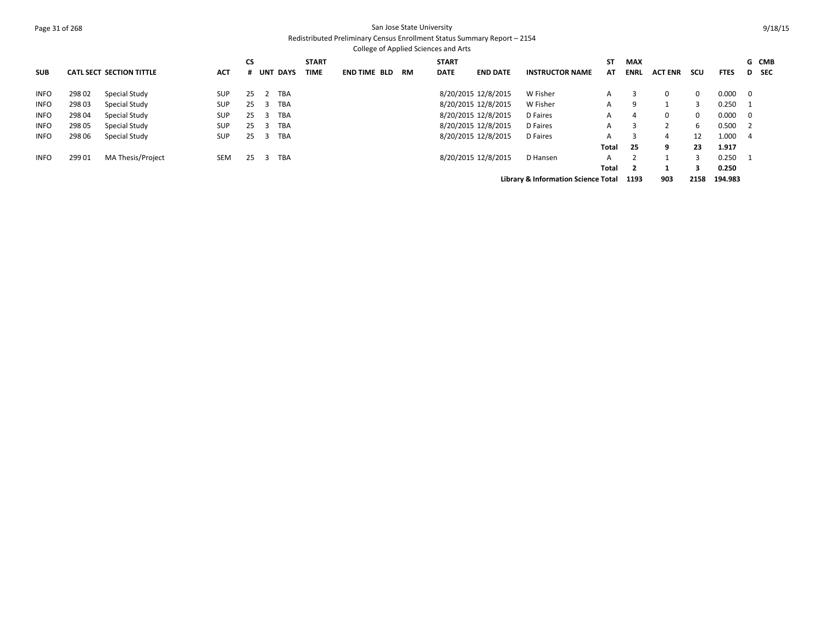### Page 31 of 268 San Jose State University Redistributed Preliminary Census Enrollment Status Summary Report – 2154

|             |        |                                 |            |           |                |                 |              |                     |    | College of Applied Sciences and Arts |                     |                                                |       |                |                |             |             |                          |       |
|-------------|--------|---------------------------------|------------|-----------|----------------|-----------------|--------------|---------------------|----|--------------------------------------|---------------------|------------------------------------------------|-------|----------------|----------------|-------------|-------------|--------------------------|-------|
|             |        |                                 |            | <b>CS</b> |                |                 | <b>START</b> |                     |    | <b>START</b>                         |                     |                                                | ST    | <b>MAX</b>     |                |             |             |                          | G CMB |
| <b>SUB</b>  |        | <b>CATL SECT SECTION TITTLE</b> | <b>ACT</b> | #         |                | <b>UNT DAYS</b> | <b>TIME</b>  | <b>END TIME BLD</b> | RM | <b>DATE</b>                          | <b>END DATE</b>     | <b>INSTRUCTOR NAME</b>                         | AΤ    | ENRL           | <b>ACT ENR</b> | scu         | <b>FTES</b> |                          | D SEC |
| <b>INFO</b> | 29802  | Special Study                   | <b>SUP</b> | 25        | $\overline{2}$ | <b>TBA</b>      |              |                     |    |                                      | 8/20/2015 12/8/2015 | W Fisher                                       | A     |                | $\Omega$       | $\mathbf 0$ | 0.000       | $\overline{\mathbf{0}}$  |       |
| <b>INFO</b> | 298 03 | Special Study                   | <b>SUP</b> | 25        | 3              | <b>TBA</b>      |              |                     |    |                                      | 8/20/2015 12/8/2015 | W Fisher                                       | A     | 9              |                | 3           | 0.250       |                          |       |
| <b>INFO</b> | 298 04 | Special Study                   | <b>SUP</b> | 25        | 3              | TBA             |              |                     |    |                                      | 8/20/2015 12/8/2015 | D Faires                                       | A     | 4              | $\Omega$       | $\mathbf 0$ | 0.000       | $\overline{\mathbf{0}}$  |       |
| <b>INFO</b> | 298 05 | Special Study                   | <b>SUP</b> | 25        | 3              | <b>TBA</b>      |              |                     |    |                                      | 8/20/2015 12/8/2015 | D Faires                                       | A     |                |                | 6           | 0.500       | $\overline{\phantom{0}}$ |       |
| <b>INFO</b> | 298 06 | Special Study                   | <b>SUP</b> | 25        | 3              | <b>TBA</b>      |              |                     |    |                                      | 8/20/2015 12/8/2015 | D Faires                                       | A     |                | 4              | 12          | 1.000       | -4                       |       |
|             |        |                                 |            |           |                |                 |              |                     |    |                                      |                     |                                                | Total | 25             | 9              | 23          | 1.917       |                          |       |
| <b>INFO</b> | 299 01 | MA Thesis/Project               | <b>SEM</b> | 25        | 3              | <b>TBA</b>      |              |                     |    |                                      | 8/20/2015 12/8/2015 | D Hansen                                       | A     |                |                | 3           | 0.250       |                          |       |
|             |        |                                 |            |           |                |                 |              |                     |    |                                      |                     |                                                | Total | $\overline{2}$ |                | 3           | 0.250       |                          |       |
|             |        |                                 |            |           |                |                 |              |                     |    |                                      |                     | <b>Library &amp; Information Science Total</b> |       | 1193           | 903            | 2158        | 194.983     |                          |       |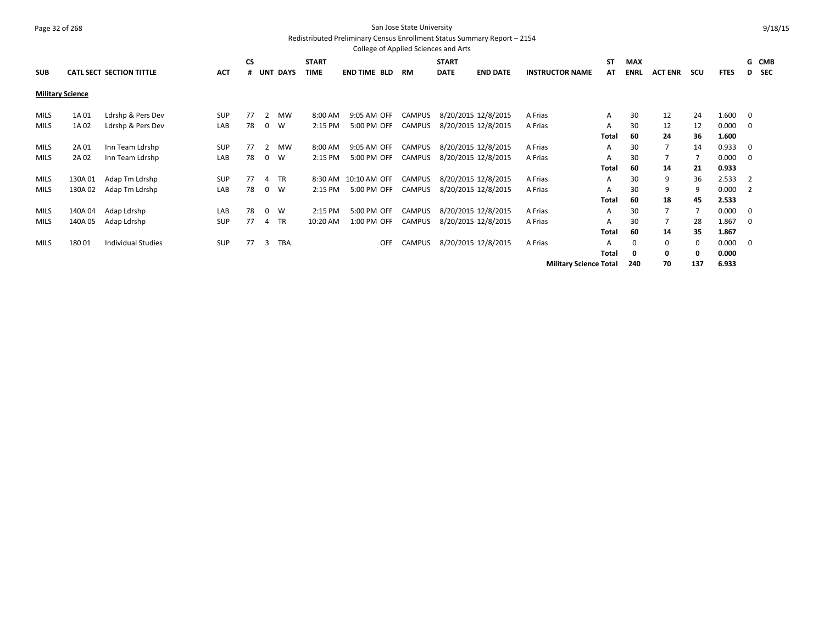## Page 32 of 268 San Jose State University Redistributed Preliminary Census Enrollment Status Summary Report – 2154

|             |                         |                                 |            |           |   |                 |              | College of Applied Sciences and Arts |               |              |                     |                               |       |             |                |          |             |                |       |
|-------------|-------------------------|---------------------------------|------------|-----------|---|-----------------|--------------|--------------------------------------|---------------|--------------|---------------------|-------------------------------|-------|-------------|----------------|----------|-------------|----------------|-------|
|             |                         |                                 |            | <b>CS</b> |   |                 | <b>START</b> |                                      |               | <b>START</b> |                     |                               | SΤ    | <b>MAX</b>  |                |          |             |                | G CMB |
| <b>SUB</b>  |                         | <b>CATL SECT SECTION TITTLE</b> | <b>ACT</b> | #         |   | <b>UNT DAYS</b> | <b>TIME</b>  | <b>END TIME BLD</b>                  | <b>RM</b>     | <b>DATE</b>  | <b>END DATE</b>     | <b>INSTRUCTOR NAME</b>        | AT    | <b>ENRL</b> | <b>ACT ENR</b> | scu      | <b>FTES</b> |                | D SEC |
|             | <b>Military Science</b> |                                 |            |           |   |                 |              |                                      |               |              |                     |                               |       |             |                |          |             |                |       |
| <b>MILS</b> | 1A 01                   | Ldrshp & Pers Dev               | <b>SUP</b> | 77        | 2 | <b>MW</b>       | 8:00 AM      | 9:05 AM OFF                          | <b>CAMPUS</b> |              | 8/20/2015 12/8/2015 | A Frias                       | A     | 30          | 12             | 24       | 1.600       | 0              |       |
| <b>MILS</b> | 1A 02                   | Ldrshp & Pers Dev               | LAB        | 78        |   | $0 \quad W$     | 2:15 PM      | 5:00 PM OFF                          | <b>CAMPUS</b> |              | 8/20/2015 12/8/2015 | A Frias                       | A     | 30          | 12             | 12       | 0.000       | 0              |       |
|             |                         |                                 |            |           |   |                 |              |                                      |               |              |                     |                               | Total | 60          | 24             | 36       | 1.600       |                |       |
| <b>MILS</b> | 2A 01                   | Inn Team Ldrshp                 | SUP        | 77        | 2 | MW              | 8:00 AM      | 9:05 AM OFF                          | <b>CAMPUS</b> |              | 8/20/2015 12/8/2015 | A Frias                       | A     | 30          | $\overline{7}$ | 14       | 0.933       | 0              |       |
| <b>MILS</b> | 2A 02                   | Inn Team Ldrshp                 | LAB        | 78        |   | $0 \quad W$     | 2:15 PM      | 5:00 PM OFF                          | <b>CAMPUS</b> |              | 8/20/2015 12/8/2015 | A Frias                       | Α     | 30          |                |          | 0.000       | 0              |       |
|             |                         |                                 |            |           |   |                 |              |                                      |               |              |                     |                               | Total | 60          | 14             | 21       | 0.933       |                |       |
| <b>MILS</b> | 130A01                  | Adap Tm Ldrshp                  | <b>SUP</b> | 77        | 4 | TR              | 8:30 AM      | 10:10 AM OFF                         | <b>CAMPUS</b> |              | 8/20/2015 12/8/2015 | A Frias                       | A     | 30          | 9              | 36       | 2.533       | $\overline{2}$ |       |
| <b>MILS</b> | 130A02                  | Adap Tm Ldrshp                  | LAB        | 78        |   | $0 \quad W$     | 2:15 PM      | 5:00 PM OFF                          | <b>CAMPUS</b> |              | 8/20/2015 12/8/2015 | A Frias                       | A     | 30          | 9              | 9        | 0.000       | 2              |       |
|             |                         |                                 |            |           |   |                 |              |                                      |               |              |                     |                               | Total | 60          | 18             | 45       | 2.533       |                |       |
| <b>MILS</b> | 140A04                  | Adap Ldrshp                     | LAB        | 78        |   | 0 W             | 2:15 PM      | 5:00 PM OFF                          | <b>CAMPUS</b> |              | 8/20/2015 12/8/2015 | A Frias                       | A     | 30          | 7              |          | 0.000       | 0              |       |
| <b>MILS</b> | 140A 05                 | Adap Ldrshp                     | <b>SUP</b> | 77        | 4 | <b>TR</b>       | 10:20 AM     | 1:00 PM OFF                          | <b>CAMPUS</b> |              | 8/20/2015 12/8/2015 | A Frias                       | A     | 30          | 7              | 28       | 1.867       | 0              |       |
|             |                         |                                 |            |           |   |                 |              |                                      |               |              |                     |                               | Total | 60          | 14             | 35       | 1.867       |                |       |
| <b>MILS</b> | 18001                   | <b>Individual Studies</b>       | <b>SUP</b> | 77        | 3 | <b>TBA</b>      |              | <b>OFF</b>                           | <b>CAMPUS</b> |              | 8/20/2015 12/8/2015 | A Frias                       | А     | 0           | 0              | $\Omega$ | 0.000       | 0              |       |
|             |                         |                                 |            |           |   |                 |              |                                      |               |              |                     |                               | Total | 0           | 0              | 0        | 0.000       |                |       |
|             |                         |                                 |            |           |   |                 |              |                                      |               |              |                     | <b>Military Science Total</b> |       | 240         | 70             | 137      | 6.933       |                |       |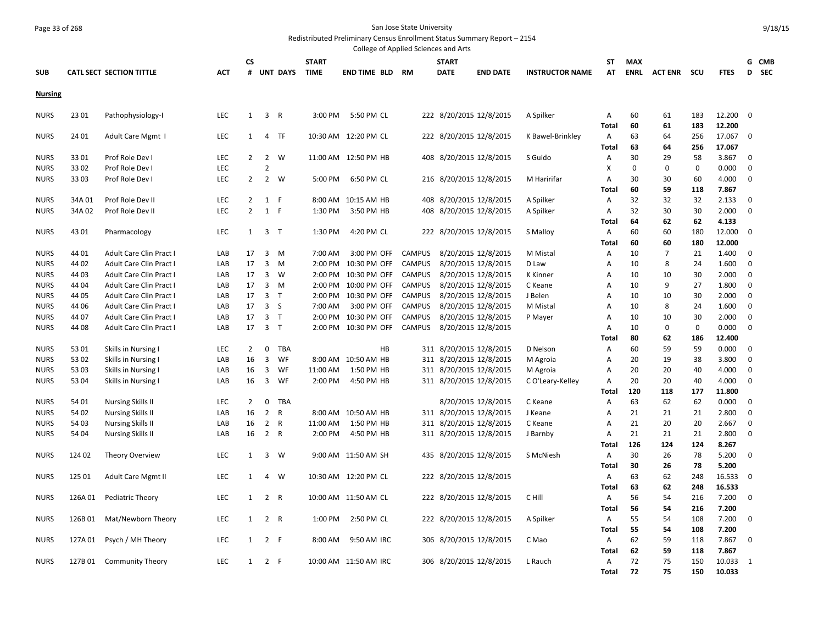# Page 33 of 268 San Jose State University

Redistributed Preliminary Census Enrollment Status Summary Report – 2154

|                |         |                                 |            |                |                |                 |              | College of Applied Sciences and Arts |               |                         |                     |                        |              |             |                |     |             |             |            |
|----------------|---------|---------------------------------|------------|----------------|----------------|-----------------|--------------|--------------------------------------|---------------|-------------------------|---------------------|------------------------|--------------|-------------|----------------|-----|-------------|-------------|------------|
|                |         |                                 |            | <b>CS</b>      |                |                 | <b>START</b> |                                      |               | <b>START</b>            |                     |                        | ST           | <b>MAX</b>  |                |     |             | G CMB       |            |
| <b>SUB</b>     |         | <b>CATL SECT SECTION TITTLE</b> | <b>ACT</b> | #              |                | <b>UNT DAYS</b> | <b>TIME</b>  | <b>END TIME BLD RM</b>               |               | <b>DATE</b>             | <b>END DATE</b>     | <b>INSTRUCTOR NAME</b> | AT           | <b>ENRL</b> | ACT ENR        | scu | <b>FTES</b> | D           | <b>SEC</b> |
| <b>Nursing</b> |         |                                 |            |                |                |                 |              |                                      |               |                         |                     |                        |              |             |                |     |             |             |            |
|                |         |                                 |            |                |                |                 |              |                                      |               |                         |                     |                        |              |             |                |     |             |             |            |
| <b>NURS</b>    | 23 01   | Pathophysiology-I               | LEC        | $\mathbf{1}$   | 3 R            |                 | 3:00 PM      | 5:50 PM CL                           |               | 222 8/20/2015 12/8/2015 |                     | A Spilker              | Α            | 60          | 61             | 183 | 12.200      | $\mathbf 0$ |            |
|                |         |                                 |            |                |                |                 |              |                                      |               |                         |                     |                        | <b>Total</b> | 60          | 61             | 183 | 12.200      |             |            |
| <b>NURS</b>    | 24 01   | Adult Care Mgmt I               | LEC        | $\mathbf{1}$   | 4              | TF              |              | 10:30 AM 12:20 PM CL                 |               | 222 8/20/2015 12/8/2015 |                     | K Bawel-Brinkley       | Α            | 63          | 64             | 256 | 17.067      | $\mathbf 0$ |            |
|                |         |                                 |            |                |                |                 |              |                                      |               |                         |                     |                        | <b>Total</b> | 63          | 64             | 256 | 17.067      |             |            |
| <b>NURS</b>    | 3301    | Prof Role Dev I                 | LEC        | $2^{\circ}$    | $\overline{2}$ | W               |              | 11:00 AM  12:50 PM HB                |               | 408 8/20/2015 12/8/2015 |                     | S Guido                | A            | 30          | 29             | 58  | 3.867       | $\mathbf 0$ |            |
| <b>NURS</b>    | 3302    | Prof Role Dev I                 | LEC        |                | $\overline{2}$ |                 |              |                                      |               |                         |                     |                        | X            | $\mathbf 0$ | 0              | 0   | 0.000       | $\mathbf 0$ |            |
| <b>NURS</b>    | 3303    | Prof Role Dev I                 | LEC        | $2^{\circ}$    | $\overline{2}$ | W               | 5:00 PM      | 6:50 PM CL                           |               | 216 8/20/2015 12/8/2015 |                     | M Haririfar            | Α            | 30          | 30             | 60  | 4.000       | 0           |            |
|                |         |                                 |            |                |                |                 |              |                                      |               |                         |                     |                        | Total        | 60          | 59             | 118 | 7.867       |             |            |
| <b>NURS</b>    | 34A 01  | Prof Role Dev II                | LEC        | 2              | 1              | F               | 8:00 AM      | 10:15 AM HB                          | 408           |                         | 8/20/2015 12/8/2015 | A Spilker              | Α            | 32          | 32             | 32  | 2.133       | $\mathbf 0$ |            |
| <b>NURS</b>    | 34A 02  | Prof Role Dev II                | LEC        | $\overline{2}$ | 1 F            |                 | 1:30 PM      | 3:50 PM HB                           |               | 408 8/20/2015 12/8/2015 |                     | A Spilker              | A            | 32          | 30             | 30  | 2.000       | $\mathbf 0$ |            |
|                |         |                                 |            |                |                |                 |              |                                      |               |                         |                     |                        | Total        | 64          | 62             | 62  | 4.133       |             |            |
| <b>NURS</b>    | 4301    | Pharmacology                    | LEC        | $\mathbf{1}$   | 3 <sub>1</sub> |                 | 1:30 PM      | 4:20 PM CL                           |               | 222 8/20/2015 12/8/2015 |                     | S Malloy               | Α            | 60          | 60             | 180 | 12.000      | 0           |            |
|                |         |                                 |            |                |                |                 |              |                                      |               |                         |                     |                        | <b>Total</b> | 60          | 60             | 180 | 12.000      |             |            |
| <b>NURS</b>    | 44 01   | Adult Care Clin Pract I         | LAB        | 17             | $\overline{3}$ | M               | 7:00 AM      | 3:00 PM OFF                          | <b>CAMPUS</b> |                         | 8/20/2015 12/8/2015 | M Mistal               | Α            | 10          | $\overline{7}$ | 21  | 1.400       | $\mathbf 0$ |            |
| <b>NURS</b>    | 44 02   | Adult Care Clin Pract I         | LAB        | 17             | 3              | M               | 2:00 PM      | 10:30 PM OFF                         | <b>CAMPUS</b> |                         | 8/20/2015 12/8/2015 | D Law                  | A            | 10          | 8              | 24  | 1.600       | $\mathbf 0$ |            |
| <b>NURS</b>    | 44 03   | Adult Care Clin Pract I         | LAB        | 17             | $\overline{3}$ | W               | 2:00 PM      | 10:30 PM OFF                         | <b>CAMPUS</b> |                         | 8/20/2015 12/8/2015 | K Kinner               | Α            | 10          | 10             | 30  | 2.000       | 0           |            |
| <b>NURS</b>    | 44 04   | Adult Care Clin Pract I         | LAB        | 17             | 3              | M               | 2:00 PM      | 10:00 PM OFF                         | <b>CAMPUS</b> |                         | 8/20/2015 12/8/2015 | C Keane                | Α            | 10          | 9              | 27  | 1.800       | $\mathbf 0$ |            |
| <b>NURS</b>    | 44 05   | Adult Care Clin Pract I         | LAB        | 17             | 3 <sub>T</sub> |                 | 2:00 PM      | 10:30 PM OFF                         | <b>CAMPUS</b> |                         | 8/20/2015 12/8/2015 | J Belen                | Α            | 10          | 10             | 30  | 2.000       | 0           |            |
| <b>NURS</b>    | 44 06   | Adult Care Clin Pract I         | LAB        | 17             | 3              | <sub>S</sub>    | 7:00 AM      | 3:00 PM OFF                          | <b>CAMPUS</b> |                         | 8/20/2015 12/8/2015 | M Mistal               | Α            | 10          | 8              | 24  | 1.600       | $\mathbf 0$ |            |
| <b>NURS</b>    | 44 07   | Adult Care Clin Pract I         | LAB        | 17             | 3 <sub>T</sub> |                 | 2:00 PM      | 10:30 PM OFF                         | <b>CAMPUS</b> |                         | 8/20/2015 12/8/2015 | P Mayer                | А            | 10          | 10             | 30  | 2.000       | $\mathbf 0$ |            |
| <b>NURS</b>    | 44 08   | Adult Care Clin Pract I         | LAB        | 17             | 3 <sub>7</sub> |                 | 2:00 PM      | 10:30 PM OFF                         | <b>CAMPUS</b> |                         | 8/20/2015 12/8/2015 |                        | Α            | 10          | $\Omega$       | 0   | 0.000       | $\mathbf 0$ |            |
|                |         |                                 |            |                |                |                 |              |                                      |               |                         |                     |                        | Total        | 80          | 62             | 186 | 12.400      |             |            |
| <b>NURS</b>    | 5301    | Skills in Nursing I             | LEC        | $\overline{2}$ | 0              | TBA             |              | HB                                   |               | 311 8/20/2015 12/8/2015 |                     | D Nelson               | Α            | 60          | 59             | 59  | 0.000       | $\mathbf 0$ |            |
| <b>NURS</b>    | 5302    | Skills in Nursing I             | LAB        | 16             | 3              | WF              | 8:00 AM      | 10:50 AM HB                          |               | 311 8/20/2015 12/8/2015 |                     | M Agroia               | A            | 20          | 19             | 38  | 3.800       | $\mathbf 0$ |            |
| <b>NURS</b>    | 53 03   | Skills in Nursing I             | LAB        | 16             | 3              | WF              | 11:00 AM     | 1:50 PM HB                           |               | 311 8/20/2015 12/8/2015 |                     | M Agroia               | А            | 20          | 20             | 40  | 4.000       | $\mathbf 0$ |            |
| <b>NURS</b>    | 53 04   | Skills in Nursing I             | LAB        | 16             | $\overline{3}$ | WF              | 2:00 PM      | 4:50 PM HB                           |               | 311 8/20/2015 12/8/2015 |                     | C O'Leary-Kelley       | Α            | 20          | 20             | 40  | 4.000       | 0           |            |
|                |         |                                 |            |                |                |                 |              |                                      |               |                         |                     |                        | Total        | 120         | 118            | 177 | 11.800      |             |            |
| <b>NURS</b>    | 54 01   | <b>Nursing Skills II</b>        | LEC        | $\overline{2}$ | $\mathbf 0$    | TBA             |              |                                      |               |                         | 8/20/2015 12/8/2015 | C Keane                | Α            | 63          | 62             | 62  | 0.000       | $\mathbf 0$ |            |
| <b>NURS</b>    | 54 02   | <b>Nursing Skills II</b>        | LAB        | 16             | $\overline{2}$ | $\mathsf{R}$    | 8:00 AM      | 10:50 AM HB                          |               | 311 8/20/2015 12/8/2015 |                     | J Keane                | A            | 21          | 21             | 21  | 2.800       | $\mathbf 0$ |            |
| <b>NURS</b>    | 54 03   | <b>Nursing Skills II</b>        | LAB        | 16             | $\overline{2}$ | $\mathsf{R}$    | 11:00 AM     | 1:50 PM HB                           |               | 311 8/20/2015 12/8/2015 |                     | C Keane                | А            | 21          | 20             | 20  | 2.667       | $\mathbf 0$ |            |
| <b>NURS</b>    | 54 04   | <b>Nursing Skills II</b>        | LAB        | 16             | $\overline{2}$ | R               | 2:00 PM      | 4:50 PM HB                           |               | 311 8/20/2015 12/8/2015 |                     | J Barnby               | Α            | 21          | 21             | 21  | 2.800       | $\mathbf 0$ |            |
|                |         |                                 |            |                |                |                 |              |                                      |               |                         |                     |                        | <b>Total</b> | 126         | 124            | 124 | 8.267       |             |            |
| <b>NURS</b>    | 124 02  | Theory Overview                 | LEC        | $\mathbf{1}$   | 3              | W               |              | 9:00 AM 11:50 AM SH                  |               | 435 8/20/2015 12/8/2015 |                     | S McNiesh              | Α            | 30          | 26             | 78  | 5.200       | $\mathbf 0$ |            |
|                |         |                                 |            |                |                |                 |              |                                      |               |                         |                     |                        | <b>Total</b> | 30          | 26             | 78  | 5.200       |             |            |
| <b>NURS</b>    | 125 01  | <b>Adult Care Mgmt II</b>       | LEC        | $\mathbf{1}$   | 4              | W               |              | 10:30 AM 12:20 PM CL                 |               | 222 8/20/2015 12/8/2015 |                     |                        | A            | 63          | 62             | 248 | 16.533      | $\mathbf 0$ |            |
|                |         |                                 |            |                |                |                 |              |                                      |               |                         |                     |                        | Total        | 63          | 62             | 248 | 16.533      |             |            |
| <b>NURS</b>    | 126A 01 | Pediatric Theory                | LEC        | $\mathbf{1}$   | 2 R            |                 |              | 10:00 AM 11:50 AM CL                 |               | 222 8/20/2015 12/8/2015 |                     | C Hill                 | Α            | 56          | 54             | 216 | 7.200       | 0           |            |
|                |         |                                 |            |                |                |                 |              |                                      |               |                         |                     |                        | <b>Total</b> | 56          | 54             | 216 | 7.200       |             |            |
| <b>NURS</b>    | 126B01  | Mat/Newborn Theory              | LEC        | 1              | 2 R            |                 | 1:00 PM      | 2:50 PM CL                           |               | 222 8/20/2015 12/8/2015 |                     | A Spilker              | Α            | 55          | 54             | 108 | 7.200       | $\mathbf 0$ |            |
|                |         |                                 |            |                |                |                 |              |                                      |               |                         |                     |                        | Total        | 55          | 54             | 108 | 7.200       |             |            |
| <b>NURS</b>    | 127A 01 | Psych / MH Theory               | <b>LEC</b> | $\mathbf{1}$   | 2 F            |                 | 8:00 AM      | 9:50 AM IRC                          | 306           |                         | 8/20/2015 12/8/2015 | C Mao                  | Α            | 62          | 59             | 118 | 7.867       | 0           |            |
|                |         |                                 |            |                |                |                 |              |                                      |               |                         |                     |                        | Total        | 62          | 59             | 118 | 7.867       |             |            |
| <b>NURS</b>    | 127B 01 | <b>Community Theory</b>         | LEC        | $\mathbf{1}$   | 2 F            |                 |              | 10:00 AM 11:50 AM IRC                |               | 306 8/20/2015 12/8/2015 |                     | L Rauch                | Α            | 72          | 75             | 150 | 10.033      | 1           |            |
|                |         |                                 |            |                |                |                 |              |                                      |               |                         |                     |                        | <b>Total</b> | 72          | 75             | 150 | 10.033      |             |            |
|                |         |                                 |            |                |                |                 |              |                                      |               |                         |                     |                        |              |             |                |     |             |             |            |

9/18/15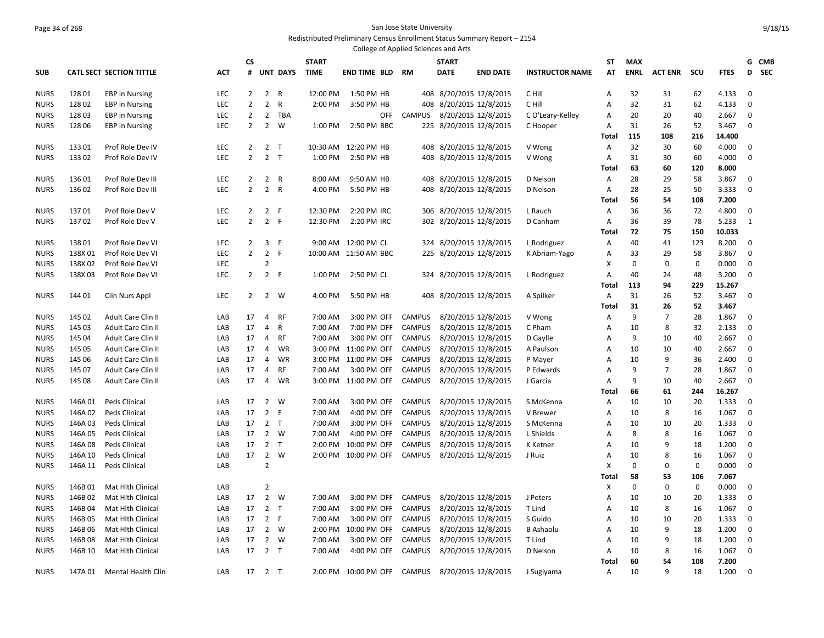#### Page 34 of 268 San Jose State University Redistributed Preliminary Census Enrollment Status Summary Report – 2154

|                            |                   |                                        |            |                |                                  |                 |              | College of Applied Sciences and Arts |               |              |                         |                        |              |             |                  |                   |                |                  |
|----------------------------|-------------------|----------------------------------------|------------|----------------|----------------------------------|-----------------|--------------|--------------------------------------|---------------|--------------|-------------------------|------------------------|--------------|-------------|------------------|-------------------|----------------|------------------|
|                            |                   |                                        |            | CS             |                                  |                 | <b>START</b> |                                      |               | <b>START</b> |                         |                        | ST           | <b>MAX</b>  |                  |                   |                | G CMB            |
| <b>SUB</b>                 |                   | <b>CATL SECT SECTION TITTLE</b>        | <b>ACT</b> | #              |                                  | <b>UNT DAYS</b> | <b>TIME</b>  | END TIME BLD                         | <b>RM</b>     | <b>DATE</b>  | <b>END DATE</b>         | <b>INSTRUCTOR NAME</b> | AT           | <b>ENRL</b> | <b>ACT ENR</b>   | scu               | <b>FTES</b>    | D<br><b>SEC</b>  |
| <b>NURS</b>                | 12801             | <b>EBP</b> in Nursing                  | <b>LEC</b> | $\overline{2}$ | $\overline{2}$                   | R               | 12:00 PM     | 1:50 PM HB                           |               |              | 408 8/20/2015 12/8/2015 | C Hill                 | A            | 32          | 31               | 62                | 4.133          | 0                |
| <b>NURS</b>                | 12802             | <b>EBP</b> in Nursing                  | LEC        | $\overline{2}$ | $\overline{2}$                   | $\mathsf{R}$    | 2:00 PM      | 3:50 PM HB                           |               |              | 408 8/20/2015 12/8/2015 | C Hill                 | Α            | 32          | 31               | 62                | 4.133          | 0                |
| <b>NURS</b>                | 12803             | <b>EBP</b> in Nursing                  | LEC        | 2              | $\overline{2}$                   | TBA             |              | OFF                                  | <b>CAMPUS</b> |              | 8/20/2015 12/8/2015     | C O'Leary-Kelley       | Α            | 20          | 20               | 40                | 2.667          | 0                |
| <b>NURS</b>                | 128 06            | <b>EBP</b> in Nursing                  | LEC        | $\overline{2}$ | 2                                | W               | 1:00 PM      | 2:50 PM BBC                          |               |              | 225 8/20/2015 12/8/2015 | C Hooper               | Α            | 31          | 26               | 52                | 3.467          | 0                |
|                            |                   |                                        |            |                |                                  |                 |              |                                      |               |              |                         |                        | Total        | 115         | 108              | 216               | 14.400         |                  |
| <b>NURS</b>                | 13301             | Prof Role Dev IV                       | <b>LEC</b> | $\overline{2}$ |                                  | 2 <sub>T</sub>  |              | 10:30 AM 12:20 PM HB                 |               |              | 408 8/20/2015 12/8/2015 | V Wong                 | Α            | 32          | 30               | 60                | 4.000          | 0                |
| <b>NURS</b>                | 13302             | Prof Role Dev IV                       | <b>LEC</b> | $\overline{2}$ |                                  | 2 <sub>T</sub>  | 1:00 PM      | 2:50 PM HB                           |               |              | 408 8/20/2015 12/8/2015 | V Wong                 | A            | 31          | 30               | 60                | 4.000          | 0                |
|                            |                   |                                        |            |                |                                  |                 |              |                                      |               |              |                         |                        | Total        | 63          | 60               | 120               | 8.000          |                  |
| <b>NURS</b>                | 13601             | Prof Role Dev III                      | <b>LEC</b> | $\overline{2}$ |                                  | 2 R             | 8:00 AM      | 9:50 AM HB                           |               |              | 408 8/20/2015 12/8/2015 | D Nelson               | A            | 28          | 29               | 58                | 3.867          | 0                |
| <b>NURS</b>                | 136 02            | Prof Role Dev III                      | <b>LEC</b> | $\overline{2}$ |                                  | 2 R             | 4:00 PM      | 5:50 PM HB                           |               |              | 408 8/20/2015 12/8/2015 | D Nelson               | Α            | 28          | 25               | 50                | 3.333          | 0                |
|                            |                   |                                        |            |                |                                  |                 |              |                                      |               |              |                         |                        | Total        | 56          | 54               | 108               | 7.200          |                  |
| <b>NURS</b>                | 13701             | Prof Role Dev V                        | <b>LEC</b> | $\overline{2}$ |                                  | 2 F             | 12:30 PM     | 2:20 PM IRC                          |               |              | 306 8/20/2015 12/8/2015 | L Rauch                | Α            | 36          | 36               | 72                | 4.800          | 0                |
| <b>NURS</b>                | 13702             | Prof Role Dev V                        | LEC        | $\overline{2}$ |                                  | 2 F             | 12:30 PM     | 2:20 PM IRC                          |               |              | 302 8/20/2015 12/8/2015 | D Canham               | Α            | 36          | 39               | 78                | 5.233          | 1                |
|                            |                   |                                        |            |                |                                  |                 |              |                                      |               |              |                         |                        | <b>Total</b> | 72          | 75               | 150               | 10.033         |                  |
| <b>NURS</b>                | 13801             | Prof Role Dev VI                       | LEC        | 2              | 3                                | - F             | 9:00 AM      | 12:00 PM CL                          | 324           |              | 8/20/2015 12/8/2015     | L Rodriguez            | A            | 40          | 41               | 123               | 8.200          | 0                |
| <b>NURS</b>                | 138X01            | Prof Role Dev VI                       | LEC        | $\overline{2}$ | $\overline{2}$                   | F               |              | 10:00 AM 11:50 AM BBC                |               |              | 225 8/20/2015 12/8/2015 | K Abriam-Yago          | Α            | 33          | 29               | 58                | 3.867          | 0                |
| <b>NURS</b>                | 138X02            | Prof Role Dev VI                       | LEC        |                | $\overline{2}$                   |                 |              |                                      |               |              |                         |                        | X            | 0           | $\pmb{0}$        | $\pmb{0}$         | 0.000          | $\mathbf 0$      |
| <b>NURS</b>                | 138X03            | Prof Role Dev VI                       | LEC        | 2              |                                  | 2 F             | 1:00 PM      | 2:50 PM CL                           |               |              | 324 8/20/2015 12/8/2015 | L Rodriguez            | Α            | 40          | 24               | 48                | 3.200          | $\mathbf 0$      |
|                            |                   |                                        |            |                |                                  |                 |              |                                      |               |              |                         |                        | Total        | 113         | 94               | 229               | 15.267         |                  |
| <b>NURS</b>                | 144 01            | Clin Nurs Appl                         | LEC        | $\overline{2}$ |                                  | 2 W             | 4:00 PM      | 5:50 PM HB                           |               |              | 408 8/20/2015 12/8/2015 | A Spilker              | Α            | 31          | 26               | 52                | 3.467          | $\mathbf 0$      |
|                            |                   |                                        |            |                |                                  |                 |              |                                      |               |              |                         |                        | Total        | 31          | 26               | 52                | 3.467          |                  |
| <b>NURS</b>                | 145 02            | Adult Care Clin II                     | LAB        | 17             | 4                                | RF              | 7:00 AM      | 3:00 PM OFF                          | <b>CAMPUS</b> |              | 8/20/2015 12/8/2015     | V Wong                 | Α            | 9           | 7                | 28                | 1.867          | 0                |
| <b>NURS</b>                | 145 03            | Adult Care Clin II                     | LAB        | 17             | 4                                | R               | 7:00 AM      | 7:00 PM OFF                          | <b>CAMPUS</b> |              | 8/20/2015 12/8/2015     | C Pham                 | Α            | 10          | 8                | 32                | 2.133          | $\mathbf 0$      |
| <b>NURS</b>                | 145 04            | Adult Care Clin II                     | LAB        | 17             | 4                                | RF              | 7:00 AM      | 3:00 PM OFF                          | <b>CAMPUS</b> |              | 8/20/2015 12/8/2015     | D Gaylle               | Α            | 9           | 10               | 40                | 2.667          | $\mathbf 0$      |
| <b>NURS</b>                | 145 05            | Adult Care Clin II                     | LAB        | 17             | 4                                | WR              | 3:00 PM      | 11:00 PM OFF                         | <b>CAMPUS</b> |              | 8/20/2015 12/8/2015     | A Paulson              | A            | 10          | 10               | 40                | 2.667          | 0                |
| <b>NURS</b>                | 145 06            | Adult Care Clin II                     | LAB        | 17             | 4                                | WR              | 3:00 PM      | 11:00 PM OFF                         | <b>CAMPUS</b> |              | 8/20/2015 12/8/2015     | P Mayer                | A            | 10          | 9                | 36                | 2.400          | 0                |
| <b>NURS</b>                | 145 07            | Adult Care Clin II                     | LAB        | 17             | 4                                | <b>RF</b>       | 7:00 AM      | 3:00 PM OFF                          | <b>CAMPUS</b> |              | 8/20/2015 12/8/2015     | P Edwards              | A            | 9           | $\overline{7}$   | 28                | 1.867          | $\boldsymbol{0}$ |
| <b>NURS</b>                | 145 08            | Adult Care Clin II                     | LAB        | 17             | 4                                | WR              |              | 3:00 PM 11:00 PM OFF                 | <b>CAMPUS</b> |              | 8/20/2015 12/8/2015     | J Garcia               | A            | 9           | 10               | 40                | 2.667          | $\mathbf 0$      |
|                            |                   |                                        |            |                |                                  |                 |              |                                      |               |              |                         |                        | Total        | 66          | 61               | 244               | 16.267         |                  |
| <b>NURS</b>                | 146A01            | Peds Clinical                          | LAB        | 17             | $\overline{2}$                   | W               | 7:00 AM      | 3:00 PM OFF                          | <b>CAMPUS</b> |              | 8/20/2015 12/8/2015     | S McKenna              | Α            | 10          | 10               | 20                | 1.333          | 0                |
| <b>NURS</b>                | 146A02            | Peds Clinical                          | LAB        | 17             |                                  | 2 F             | 7:00 AM      | 4:00 PM OFF                          | <b>CAMPUS</b> |              | 8/20/2015 12/8/2015     | V Brewer               | A            | 10          | 8                | 16                | 1.067          | $\pmb{0}$        |
| <b>NURS</b>                | 146A03            | Peds Clinical                          | LAB        | 17             |                                  | 2 <sub>T</sub>  | 7:00 AM      | 3:00 PM OFF                          | <b>CAMPUS</b> |              | 8/20/2015 12/8/2015     | S McKenna              | A            | 10          | 10               | 20                | 1.333          | 0                |
| <b>NURS</b>                | 146A05            | Peds Clinical                          | LAB        | 17             |                                  | 2 W             | 7:00 AM      | 4:00 PM OFF                          | CAMPUS        |              | 8/20/2015 12/8/2015     | L Shields              | A            | 8           | 8                | 16                | 1.067          | $\mathbf 0$      |
| <b>NURS</b>                | 146A08            | Peds Clinical                          | LAB        | 17             |                                  | 2 <sub>T</sub>  | 2:00 PM      | 10:00 PM OFF                         | <b>CAMPUS</b> |              | 8/20/2015 12/8/2015     | <b>K</b> Ketner        | Α            | 10          | 9                | 18                | 1.200          | 0                |
| <b>NURS</b>                | 146A 10           | Peds Clinical                          | LAB        | 17             | $\overline{2}$<br>$\overline{2}$ | W               |              | 2:00 PM 10:00 PM OFF                 | CAMPUS        |              | 8/20/2015 12/8/2015     | J Ruiz                 | Α<br>X       | 10<br>0     | 8<br>$\mathbf 0$ | 16<br>$\mathbf 0$ | 1.067<br>0.000 | $\mathbf 0$<br>0 |
| <b>NURS</b>                | 146A 11           | Peds Clinical                          | LAB        |                |                                  |                 |              |                                      |               |              |                         |                        |              | 58          | 53               | 106               | 7.067          |                  |
|                            |                   |                                        |            |                | $\overline{2}$                   |                 |              |                                      |               |              |                         |                        | Total        | $\mathbf 0$ | $\mathbf 0$      | $\mathbf 0$       | 0.000          | $\mathbf 0$      |
| <b>NURS</b>                | 146B01<br>146B02  | Mat Hlth Clinical<br>Mat Hlth Clinical | LAB<br>LAB | 17             |                                  | 2 W             | 7:00 AM      | 3:00 PM OFF                          | <b>CAMPUS</b> |              | 8/20/2015 12/8/2015     |                        | х<br>A       | 10          | 10               | 20                | 1.333          | $\mathbf 0$      |
| <b>NURS</b>                | 146B04            | Mat Hlth Clinical                      | LAB        | 17             | $\overline{2}$                   | $\mathsf{T}$    | 7:00 AM      | 3:00 PM OFF                          | <b>CAMPUS</b> |              | 8/20/2015 12/8/2015     | J Peters<br>T Lind     | A            | 10          | 8                | 16                | 1.067          | 0                |
| <b>NURS</b><br><b>NURS</b> | 146B 05           | Mat Hith Clinical                      | LAB        | 17             |                                  | 2 F             | 7:00 AM      | 3:00 PM OFF                          | <b>CAMPUS</b> |              | 8/20/2015 12/8/2015     | S Guido                | A            | 10          | 10               | 20                | 1.333          | 0                |
|                            | 146B06            | Mat Hith Clinical                      | LAB        | 17             | $\overline{2}$                   | W               | 2:00 PM      | 10:00 PM OFF                         | <b>CAMPUS</b> |              | 8/20/2015 12/8/2015     | <b>B</b> Ashaolu       | Α            | 10          | 9                | 18                | 1.200          | 0                |
| <b>NURS</b>                |                   |                                        | LAB        | 17             | $\overline{2}$                   | W               | 7:00 AM      | 3:00 PM OFF                          | <b>CAMPUS</b> |              | 8/20/2015 12/8/2015     | T Lind                 | A            | 10          | 9                |                   | 1.200          | $\mathbf 0$      |
| <b>NURS</b><br><b>NURS</b> | 146B08<br>146B 10 | Mat Hith Clinical<br>Mat Hith Clinical | LAB        | 17             |                                  | 2 <sub>T</sub>  | 7:00 AM      | 4:00 PM OFF                          | <b>CAMPUS</b> |              | 8/20/2015 12/8/2015     | D Nelson               | Α            | 10          | 8                | 18<br>16          | 1.067          | 0                |
|                            |                   |                                        |            |                |                                  |                 |              |                                      |               |              |                         |                        | Total        | 60          | 54               | 108               | 7.200          |                  |
| <b>NURS</b>                | 147A 01           | Mental Health Clin                     | LAB        | 17             |                                  | 2 <sub>T</sub>  | 2:00 PM      | 10:00 PM OFF                         | CAMPUS        |              | 8/20/2015 12/8/2015     | J Sugiyama             | Α            | 10          | 9                | 18                | 1.200          | $\mathbf 0$      |
|                            |                   |                                        |            |                |                                  |                 |              |                                      |               |              |                         |                        |              |             |                  |                   |                |                  |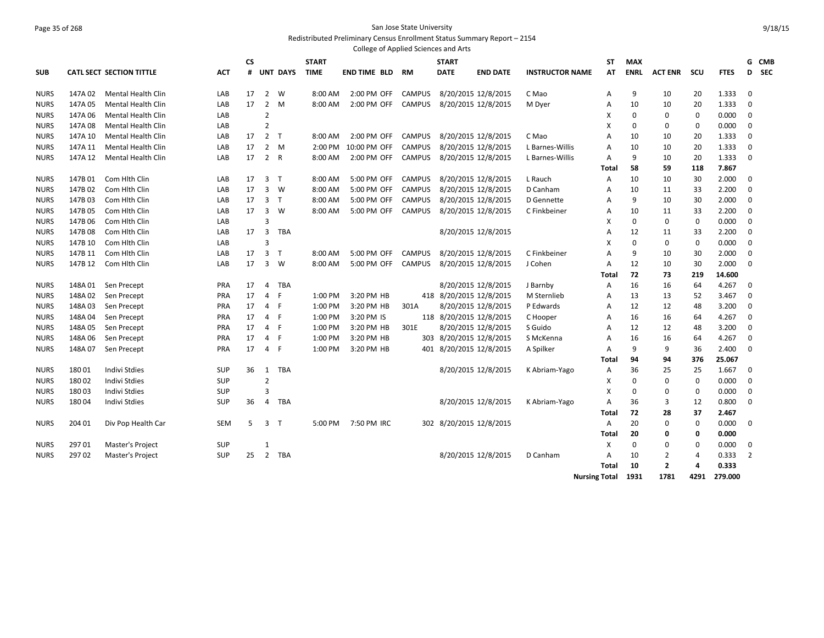## Page 35 of 268 San Jose State University Redistributed Preliminary Census Enrollment Status Summary Report – 2154

|             |         |                                 |            |    |                |                 |              | College of Applied Sciences and Arts |               |                         |                         |                        |                      |             |                |      |             |                |       |
|-------------|---------|---------------------------------|------------|----|----------------|-----------------|--------------|--------------------------------------|---------------|-------------------------|-------------------------|------------------------|----------------------|-------------|----------------|------|-------------|----------------|-------|
|             |         |                                 |            | СS |                |                 | <b>START</b> |                                      |               | <b>START</b>            |                         |                        | ST                   | <b>MAX</b>  |                |      |             |                | G CMB |
| SUB         |         | <b>CATL SECT SECTION TITTLE</b> | <b>ACT</b> | #  |                | <b>UNT DAYS</b> | <b>TIME</b>  | <b>END TIME BLD</b>                  | <b>RM</b>     | <b>DATE</b>             | <b>END DATE</b>         | <b>INSTRUCTOR NAME</b> | AT                   | <b>ENRL</b> | <b>ACT ENR</b> | scu  | <b>FTES</b> |                | D SEC |
| <b>NURS</b> | 147A02  | <b>Mental Health Clin</b>       | LAB        | 17 | $\overline{2}$ | W               | 8:00 AM      | 2:00 PM OFF                          | <b>CAMPUS</b> |                         | 8/20/2015 12/8/2015     | C Mao                  | Α                    | 9           | 10             | 20   | 1.333       | 0              |       |
| <b>NURS</b> | 147A05  | <b>Mental Health Clin</b>       | LAB        | 17 | $\overline{2}$ | M               | 8:00 AM      | 2:00 PM OFF                          | <b>CAMPUS</b> |                         | 8/20/2015 12/8/2015     | M Dyer                 | $\overline{A}$       | 10          | 10             | 20   | 1.333       | $\mathbf 0$    |       |
| <b>NURS</b> | 147A 06 | Mental Health Clin              | LAB        |    | $\overline{2}$ |                 |              |                                      |               |                         |                         |                        | х                    | $\mathbf 0$ | 0              | 0    | 0.000       | $\mathbf 0$    |       |
| <b>NURS</b> | 147A 08 | Mental Health Clin              | LAB        |    | $\overline{2}$ |                 |              |                                      |               |                         |                         |                        | X                    | 0           | $\mathbf 0$    | 0    | 0.000       | $\mathbf 0$    |       |
| <b>NURS</b> | 147A 10 | <b>Mental Health Clin</b>       | LAB        | 17 |                | 2 <sub>T</sub>  | 8:00 AM      | 2:00 PM OFF                          | <b>CAMPUS</b> |                         | 8/20/2015 12/8/2015     | C Mao                  | A                    | 10          | 10             | 20   | 1.333       | 0              |       |
| <b>NURS</b> | 147A 11 | <b>Mental Health Clin</b>       | LAB        | 17 |                | $2 \quad M$     | 2:00 PM      | 10:00 PM OFF                         | <b>CAMPUS</b> |                         | 8/20/2015 12/8/2015     | L Barnes-Willis        | A                    | 10          | 10             | 20   | 1.333       | 0              |       |
| <b>NURS</b> | 147A 12 | Mental Health Clin              | LAB        | 17 |                | 2 R             | 8:00 AM      | 2:00 PM OFF                          | <b>CAMPUS</b> |                         | 8/20/2015 12/8/2015     | L Barnes-Willis        | A                    | 9           | 10             | 20   | 1.333       | 0              |       |
|             |         |                                 |            |    |                |                 |              |                                      |               |                         |                         |                        | Total                | 58          | 59             | 118  | 7.867       |                |       |
| <b>NURS</b> | 147B 01 | Com Hlth Clin                   | LAB        | 17 | 3 <sub>T</sub> |                 | 8:00 AM      | 5:00 PM OFF                          | <b>CAMPUS</b> |                         | 8/20/2015 12/8/2015     | L Rauch                | A                    | 10          | 10             | 30   | 2.000       | $\mathbf 0$    |       |
| <b>NURS</b> | 147B 02 | Com Hith Clin                   | LAB        | 17 | $\overline{3}$ | W               | 8:00 AM      | 5:00 PM OFF                          | CAMPUS        |                         | 8/20/2015 12/8/2015     | D Canham               | A                    | 10          | 11             | 33   | 2.200       | $\mathbf 0$    |       |
| <b>NURS</b> | 147B03  | Com Hith Clin                   | LAB        | 17 |                | 3 <sub>1</sub>  | 8:00 AM      | 5:00 PM OFF                          | <b>CAMPUS</b> |                         | 8/20/2015 12/8/2015     | D Gennette             | A                    | 9           | 10             | 30   | 2.000       | $\mathbf 0$    |       |
| <b>NURS</b> | 147B 05 | Com Hith Clin                   | LAB        | 17 | $\overline{3}$ | W               | 8:00 AM      | 5:00 PM OFF                          | <b>CAMPUS</b> |                         | 8/20/2015 12/8/2015     | C Finkbeiner           | A                    | 10          | 11             | 33   | 2.200       | $\mathbf 0$    |       |
| <b>NURS</b> | 147B 06 | Com Hith Clin                   | LAB        |    | 3              |                 |              |                                      |               |                         |                         |                        | X                    | 0           | $\mathbf 0$    | 0    | 0.000       | 0              |       |
| <b>NURS</b> | 147B 08 | Com Hith Clin                   | LAB        | 17 | 3              | <b>TBA</b>      |              |                                      |               |                         | 8/20/2015 12/8/2015     |                        | A                    | 12          | 11             | 33   | 2.200       | $\mathbf 0$    |       |
| <b>NURS</b> | 147B 10 | Com Hith Clin                   | LAB        |    | 3              |                 |              |                                      |               |                         |                         |                        | х                    | 0           | 0              | 0    | 0.000       | $\mathbf 0$    |       |
| <b>NURS</b> | 147B 11 | Com Hith Clin                   | LAB        | 17 | 3              | $\top$          | 8:00 AM      | 5:00 PM OFF                          | <b>CAMPUS</b> |                         | 8/20/2015 12/8/2015     | C Finkbeiner           | A                    | 9           | 10             | 30   | 2.000       | 0              |       |
| <b>NURS</b> | 147B 12 | Com Hith Clin                   | LAB        | 17 | 3              | W               | 8:00 AM      | 5:00 PM OFF                          | CAMPUS        |                         | 8/20/2015 12/8/2015     | J Cohen                | $\overline{A}$       | 12          | 10             | 30   | 2.000       | $\mathbf 0$    |       |
|             |         |                                 |            |    |                |                 |              |                                      |               |                         |                         |                        | Total                | 72          | 73             | 219  | 14.600      |                |       |
| <b>NURS</b> | 148A 01 | Sen Precept                     | <b>PRA</b> | 17 | 4              | <b>TBA</b>      |              |                                      |               |                         | 8/20/2015 12/8/2015     | J Barnby               | A                    | 16          | 16             | 64   | 4.267       | $\mathbf 0$    |       |
| <b>NURS</b> | 148A02  | Sen Precept                     | PRA        | 17 | 4              | F               | 1:00 PM      | 3:20 PM HB                           |               | 418 8/20/2015 12/8/2015 |                         | M Sternlieb            | A                    | 13          | 13             | 52   | 3.467       | $\mathbf 0$    |       |
| <b>NURS</b> | 148A03  | Sen Precept                     | <b>PRA</b> | 17 |                | 4 F             | 1:00 PM      | 3:20 PM HB                           | 301A          |                         | 8/20/2015 12/8/2015     | P Edwards              | A                    | 12          | 12             | 48   | 3.200       | 0              |       |
| <b>NURS</b> | 148A04  | Sen Precept                     | <b>PRA</b> | 17 |                | 4 F             | 1:00 PM      | 3:20 PM IS                           |               | 118 8/20/2015 12/8/2015 |                         | C Hooper               | A                    | 16          | 16             | 64   | 4.267       | 0              |       |
| <b>NURS</b> | 148A05  | Sen Precept                     | <b>PRA</b> | 17 | 4 F            |                 | 1:00 PM      | 3:20 PM HB                           | 301E          |                         | 8/20/2015 12/8/2015     | S Guido                | A                    | 12          | 12             | 48   | 3.200       | 0              |       |
| <b>NURS</b> | 148A06  | Sen Precept                     | PRA        | 17 |                | 4 F             | 1:00 PM      | 3:20 PM HB                           |               | 303 8/20/2015 12/8/2015 |                         | S McKenna              | A                    | 16          | 16             | 64   | 4.267       | 0              |       |
| <b>NURS</b> | 148A07  | Sen Precept                     | <b>PRA</b> | 17 | 4 F            |                 | 1:00 PM      | 3:20 PM HB                           |               |                         | 401 8/20/2015 12/8/2015 | A Spilker              | A                    | 9           | 9              | 36   | 2.400       | $\mathbf 0$    |       |
|             |         |                                 |            |    |                |                 |              |                                      |               |                         |                         |                        | Total                | 94          | 94             | 376  | 25.067      |                |       |
| <b>NURS</b> | 18001   | <b>Indivi Stdies</b>            | <b>SUP</b> | 36 | 1              | <b>TBA</b>      |              |                                      |               |                         | 8/20/2015 12/8/2015     | K Abriam-Yago          | A                    | 36          | 25             | 25   | 1.667       | $\mathbf 0$    |       |
| <b>NURS</b> | 18002   | <b>Indivi Stdies</b>            | <b>SUP</b> |    | $\overline{2}$ |                 |              |                                      |               |                         |                         |                        | х                    | 0           | 0              | 0    | 0.000       | $\mathbf 0$    |       |
| <b>NURS</b> | 18003   | <b>Indivi Stdies</b>            | <b>SUP</b> |    | 3              |                 |              |                                      |               |                         |                         |                        | X                    | 0           | 0              | 0    | 0.000       | $\mathbf 0$    |       |
| <b>NURS</b> | 18004   | Indivi Stdies                   | <b>SUP</b> | 36 | 4              | TBA             |              |                                      |               |                         | 8/20/2015 12/8/2015     | K Abriam-Yago          | A                    | 36          | 3              | 12   | 0.800       | 0              |       |
|             |         |                                 |            |    |                |                 |              |                                      |               |                         |                         |                        | Total                | 72          | 28             | 37   | 2.467       |                |       |
| <b>NURS</b> | 204 01  | Div Pop Health Car              | <b>SEM</b> | 5  |                | 3 <sub>1</sub>  | 5:00 PM      | 7:50 PM IRC                          |               |                         | 302 8/20/2015 12/8/2015 |                        | $\overline{A}$       | 20          | $\mathbf 0$    | 0    | 0.000       | $\mathbf 0$    |       |
|             |         |                                 |            |    |                |                 |              |                                      |               |                         |                         |                        | Total                | 20          | 0              | 0    | 0.000       |                |       |
| <b>NURS</b> | 29701   | <b>Master's Project</b>         | <b>SUP</b> |    | $\mathbf{1}$   |                 |              |                                      |               |                         |                         |                        | X                    | $\mathbf 0$ | 0              | 0    | 0.000       | $\mathbf 0$    |       |
| <b>NURS</b> | 29702   | <b>Master's Project</b>         | <b>SUP</b> | 25 | $\overline{2}$ | TBA             |              |                                      |               |                         | 8/20/2015 12/8/2015     | D Canham               | A                    | 10          | 2              | 4    | 0.333       | $\overline{2}$ |       |
|             |         |                                 |            |    |                |                 |              |                                      |               |                         |                         |                        | Total                | 10          | $\overline{2}$ | 4    | 0.333       |                |       |
|             |         |                                 |            |    |                |                 |              |                                      |               |                         |                         |                        | <b>Nursing Total</b> | 1931        | 1781           | 4291 | 279.000     |                |       |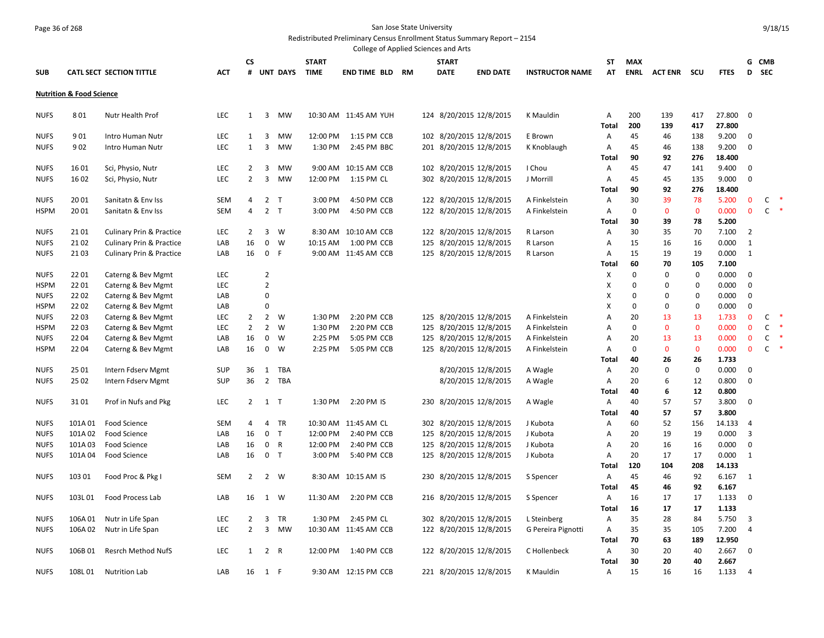# Page 36 of 268 San Jose State University

Redistributed Preliminary Census Enrollment Status Summary Report – 2154

|                            |                                     |                                     |            |                |                  |                 |                    | College of Applied Sciences and Arts |    |              |                         |                        |            |                   |                   |                   |                |                            |                              |        |
|----------------------------|-------------------------------------|-------------------------------------|------------|----------------|------------------|-----------------|--------------------|--------------------------------------|----|--------------|-------------------------|------------------------|------------|-------------------|-------------------|-------------------|----------------|----------------------------|------------------------------|--------|
|                            |                                     |                                     |            | CS             |                  |                 | <b>START</b>       |                                      |    | <b>START</b> |                         |                        | ST         | <b>MAX</b>        |                   |                   |                |                            | G CMB                        |        |
| <b>SUB</b>                 |                                     | <b>CATL SECT SECTION TITTLE</b>     | <b>ACT</b> | #              |                  | <b>UNT DAYS</b> | <b>TIME</b>        | <b>END TIME BLD</b>                  | RM | <b>DATE</b>  | <b>END DATE</b>         | <b>INSTRUCTOR NAME</b> | AT         | <b>ENRL</b>       | <b>ACT ENR</b>    | scu               | <b>FTES</b>    | D                          | <b>SEC</b>                   |        |
|                            |                                     |                                     |            |                |                  |                 |                    |                                      |    |              |                         |                        |            |                   |                   |                   |                |                            |                              |        |
|                            | <b>Nutrition &amp; Food Science</b> |                                     |            |                |                  |                 |                    |                                      |    |              |                         |                        |            |                   |                   |                   |                |                            |                              |        |
|                            |                                     |                                     |            |                |                  |                 |                    |                                      |    |              |                         |                        |            |                   |                   |                   |                |                            |                              |        |
| <b>NUFS</b>                | 801                                 | Nutr Health Prof                    | LEC        | $\mathbf{1}$   | 3                | <b>MW</b>       |                    | 10:30 AM 11:45 AM YUH                |    |              | 124 8/20/2015 12/8/2015 | K Mauldin              | Α          | 200               | 139               | 417               | 27.800         | $\overline{0}$             |                              |        |
|                            |                                     |                                     |            |                |                  |                 |                    |                                      |    |              |                         |                        | Total      | 200               | 139               | 417               | 27.800         |                            |                              |        |
| <b>NUFS</b>                | 901                                 | Intro Human Nutr                    | LEC        | $\mathbf{1}$   | 3                | MW              | 12:00 PM           | 1:15 PM CCB                          |    |              | 102 8/20/2015 12/8/2015 | E Brown                | Α          | 45                | 46                | 138               | 9.200          | 0                          |                              |        |
| <b>NUFS</b>                | 902                                 | Intro Human Nutr                    | <b>LEC</b> | $\mathbf{1}$   | 3                | MW              | 1:30 PM            | 2:45 PM BBC                          |    |              | 201 8/20/2015 12/8/2015 | K Knoblaugh            | Α          | 45                | 46                | 138               | 9.200          | $\mathbf 0$                |                              |        |
|                            |                                     |                                     |            |                |                  |                 |                    |                                      |    |              |                         |                        | Total      | 90                | 92                | 276               | 18.400         |                            |                              |        |
| <b>NUFS</b>                | 1601                                | Sci, Physio, Nutr                   | LEC        | $\overline{2}$ | 3                | MW              |                    | 9:00 AM 10:15 AM CCB                 |    |              | 102 8/20/2015 12/8/2015 | I Chou                 | Α          | 45                | 47                | 141               | 9.400          | $\mathbf 0$                |                              |        |
| <b>NUFS</b>                | 1602                                | Sci, Physio, Nutr                   | LEC        | $\overline{2}$ | $\overline{3}$   | <b>MW</b>       | 12:00 PM           | 1:15 PM CL                           |    |              | 302 8/20/2015 12/8/2015 | J Morrill              | Α          | 45                | 45                | 135               | 9.000          | $\mathbf 0$                |                              |        |
|                            |                                     |                                     |            |                |                  |                 |                    |                                      |    |              |                         |                        | Total      | 90                | 92                | 276               | 18.400         |                            |                              |        |
| <b>NUFS</b>                | 2001                                | Sanitatn & Env Iss                  | <b>SEM</b> | 4              | $\overline{2}$   | $\mathsf{T}$    | 3:00 PM            | 4:50 PM CCB                          |    |              | 122 8/20/2015 12/8/2015 | A Finkelstein          | Α          | 30                | 39                | 78                | 5.200          | $\bf{0}$                   | C                            |        |
| <b>HSPM</b>                | 2001                                | Sanitatn & Env Iss                  | <b>SEM</b> | 4              | $\overline{2}$   | $\mathsf{T}$    | 3:00 PM            | 4:50 PM CCB                          |    |              | 122 8/20/2015 12/8/2015 | A Finkelstein          | Α          | 0                 | $\mathbf 0$       | $\mathbf 0$       | 0.000          | $\mathbf 0$                | $\mathsf{C}$                 | $\ast$ |
|                            |                                     |                                     |            |                |                  |                 |                    |                                      |    |              |                         |                        | Total      | 30                | 39                | 78                | 5.200          |                            |                              |        |
| <b>NUFS</b>                | 2101                                | <b>Culinary Prin &amp; Practice</b> | <b>LEC</b> | $\overline{2}$ | 3                | W               |                    | 8:30 AM 10:10 AM CCB                 |    |              | 122 8/20/2015 12/8/2015 | R Larson               | Α          | 30                | 35                | 70                | 7.100          | $\overline{2}$             |                              |        |
| <b>NUFS</b>                | 2102                                | <b>Culinary Prin &amp; Practice</b> | LAB        | 16             | $\mathbf 0$      | W               | 10:15 AM           | 1:00 PM CCB                          |    |              | 125 8/20/2015 12/8/2015 | R Larson               | Α          | 15                | 16                | 16                | 0.000          | 1                          |                              |        |
| <b>NUFS</b>                | 2103                                | <b>Culinary Prin &amp; Practice</b> | LAB        | 16             | $\mathbf 0$      | - F             |                    | 9:00 AM 11:45 AM CCB                 |    |              | 125 8/20/2015 12/8/2015 | R Larson               | Α          | 15                | 19                | 19                | 0.000          | 1                          |                              |        |
|                            |                                     |                                     |            |                |                  |                 |                    |                                      |    |              |                         |                        | Total      | 60                | 70                | 105               | 7.100          |                            |                              |        |
| <b>NUFS</b>                | 2201                                | Caterng & Bev Mgmt                  | <b>LEC</b> |                | $\overline{2}$   |                 |                    |                                      |    |              |                         |                        | Х          | 0                 | $\mathbf 0$       | $\mathbf 0$       | 0.000          | $\mathbf 0$                |                              |        |
| <b>HSPM</b>                | 2201                                | Caterng & Bev Mgmt                  | <b>LEC</b> |                | $\overline{2}$   |                 |                    |                                      |    |              |                         |                        | X          | $\Omega$          | 0                 | $\mathbf 0$       | 0.000          | $\mathbf 0$                |                              |        |
| <b>NUFS</b>                | 2202                                | Caterng & Bev Mgmt                  | LAB        |                | $\Omega$         |                 |                    |                                      |    |              |                         |                        | X          | 0                 | 0                 | $\mathbf 0$       | 0.000          | $\mathbf 0$                |                              |        |
| <b>HSPM</b>                | 22 02                               | Caterng & Bev Mgmt                  | LAB        |                | $\mathbf 0$      |                 |                    |                                      |    |              |                         |                        | X          | 0                 | 0                 | $\mathbf 0$       | 0.000          | $\mathbf 0$                |                              | ∗      |
| <b>NUFS</b>                | 22 03                               | Caterng & Bev Mgmt                  | LEC        | 2              | $\overline{2}$   | W               | 1:30 PM            | 2:20 PM CCB                          |    |              | 125 8/20/2015 12/8/2015 | A Finkelstein          | Α          | 20                | 13                | 13                | 1.733          | $\mathbf 0$                | $\mathsf{C}$                 | $\ast$ |
| <b>HSPM</b>                | 2203                                | Caterng & Bev Mgmt                  | <b>LEC</b> | 2              | $\overline{2}$   | W               | 1:30 PM            | 2:20 PM CCB                          |    |              | 125 8/20/2015 12/8/2015 | A Finkelstein          | A          | 0                 | $\mathbf{0}$      | $\mathbf{0}$      | 0.000          | $\mathbf{0}$               | $\mathsf{C}$                 | $\ast$ |
| <b>NUFS</b><br><b>HSPM</b> | 22 04<br>22 04                      | Caterng & Bev Mgmt                  | LAB        | 16<br>16       | 0<br>$\mathbf 0$ | W<br>W          | 2:25 PM<br>2:25 PM | 5:05 PM CCB<br>5:05 PM CCB           |    |              | 125 8/20/2015 12/8/2015 | A Finkelstein          | Α          | 20<br>$\mathbf 0$ | 13<br>$\mathbf 0$ | 13<br>$\mathbf 0$ | 0.000<br>0.000 | $\mathbf 0$<br>$\mathbf 0$ | $\mathsf{C}$<br>$\mathsf{C}$ | $\ast$ |
|                            |                                     | Caterng & Bev Mgmt                  | LAB        |                |                  |                 |                    |                                      |    |              | 125 8/20/2015 12/8/2015 | A Finkelstein          | Α<br>Total | 40                | 26                | 26                | 1.733          |                            |                              |        |
| <b>NUFS</b>                | 25 01                               | Intern Fdserv Mgmt                  | <b>SUP</b> | 36             | 1                | TBA             |                    |                                      |    |              | 8/20/2015 12/8/2015     | A Wagle                | Α          | 20                | 0                 | $\mathbf 0$       | 0.000          | $\mathbf 0$                |                              |        |
| <b>NUFS</b>                | 25 02                               | Intern Fdserv Mgmt                  | <b>SUP</b> | 36             | $\overline{2}$   | TBA             |                    |                                      |    |              | 8/20/2015 12/8/2015     | A Wagle                | Α          | 20                | 6                 | 12                | 0.800          | $\mathbf 0$                |                              |        |
|                            |                                     |                                     |            |                |                  |                 |                    |                                      |    |              |                         |                        | Total      | 40                | 6                 | 12                | 0.800          |                            |                              |        |
| <b>NUFS</b>                | 3101                                | Prof in Nufs and Pkg                | <b>LEC</b> | $\overline{2}$ | $1 \quad T$      |                 | 1:30 PM            | 2:20 PM IS                           |    |              | 230 8/20/2015 12/8/2015 | A Wagle                | Α          | 40                | 57                | 57                | 3.800          | $\mathbf 0$                |                              |        |
|                            |                                     |                                     |            |                |                  |                 |                    |                                      |    |              |                         |                        | Total      | 40                | 57                | 57                | 3.800          |                            |                              |        |
| <b>NUFS</b>                | 101A01                              | Food Science                        | <b>SEM</b> | 4              | 4                | TR              |                    | 10:30 AM 11:45 AM CL                 |    |              | 302 8/20/2015 12/8/2015 | J Kubota               | Α          | 60                | 52                | 156               | 14.133         | $\overline{4}$             |                              |        |
| <b>NUFS</b>                | 101A 02                             | Food Science                        | LAB        | 16             | 0 <sub>T</sub>   |                 | 12:00 PM           | 2:40 PM CCB                          |    |              | 125 8/20/2015 12/8/2015 | J Kubota               | Α          | 20                | 19                | 19                | 0.000          | $\overline{3}$             |                              |        |
| <b>NUFS</b>                | 101A03                              | Food Science                        | LAB        | 16             | $\mathbf 0$      | R               | 12:00 PM           | 2:40 PM CCB                          |    |              | 125 8/20/2015 12/8/2015 | J Kubota               | Α          | 20                | 16                | 16                | 0.000          | $\mathbf 0$                |                              |        |
| <b>NUFS</b>                | 101A04                              | <b>Food Science</b>                 | LAB        | 16             | 0 <sub>T</sub>   |                 | 3:00 PM            | 5:40 PM CCB                          |    |              | 125 8/20/2015 12/8/2015 | J Kubota               | Α          | 20                | 17                | 17                | 0.000          | 1                          |                              |        |
|                            |                                     |                                     |            |                |                  |                 |                    |                                      |    |              |                         |                        | Total      | 120               | 104               | 208               | 14.133         |                            |                              |        |
| <b>NUFS</b>                | 103 01                              | Food Proc & Pkg I                   | <b>SEM</b> | $\overline{2}$ |                  | 2 W             |                    | 8:30 AM 10:15 AM IS                  |    |              | 230 8/20/2015 12/8/2015 | S Spencer              | Α          | 45                | 46                | 92                | 6.167          | 1                          |                              |        |
|                            |                                     |                                     |            |                |                  |                 |                    |                                      |    |              |                         |                        | Total      | 45                | 46                | 92                | 6.167          |                            |                              |        |
| <b>NUFS</b>                | 103L01                              | Food Process Lab                    | LAB        | 16             |                  | 1 W             | 11:30 AM           | 2:20 PM CCB                          |    |              | 216 8/20/2015 12/8/2015 | S Spencer              | Α          | 16                | 17                | 17                | 1.133          | $\mathbf 0$                |                              |        |
|                            |                                     |                                     |            |                |                  |                 |                    |                                      |    |              |                         |                        | Total      | 16                | 17                | 17                | 1.133          |                            |                              |        |
| <b>NUFS</b>                | 106A 01                             | Nutr in Life Span                   | LEC        | $\overline{2}$ | $\overline{3}$   | TR              | 1:30 PM            | 2:45 PM CL                           |    |              | 302 8/20/2015 12/8/2015 | L Steinberg            | Α          | 35                | 28                | 84                | 5.750          | 3                          |                              |        |
| <b>NUFS</b>                | 106A02                              | Nutr in Life Span                   | LEC        | $\overline{2}$ | 3                | MW              |                    | 10:30 AM 11:45 AM CCB                |    |              | 122 8/20/2015 12/8/2015 | G Pereira Pignotti     | Α          | 35                | 35                | 105               | 7.200          | $\overline{4}$             |                              |        |
|                            |                                     |                                     |            |                |                  |                 |                    |                                      |    |              |                         |                        | Total      | 70                | 63                | 189               | 12.950         |                            |                              |        |
| <b>NUFS</b>                | 106B01                              | <b>Resrch Method NufS</b>           | LEC        | $\mathbf{1}$   | 2                | R               | 12:00 PM           | 1:40 PM CCB                          |    |              | 122 8/20/2015 12/8/2015 | C Hollenbeck           | A          | 30                | 20                | 40                | 2.667          | $\mathbf 0$                |                              |        |
|                            |                                     |                                     |            |                |                  |                 |                    |                                      |    |              |                         |                        | Total      | 30                | 20                | 40                | 2.667          |                            |                              |        |
| <b>NUFS</b>                | 108L01                              | <b>Nutrition Lab</b>                | LAB        | 16             | 1                | -F              |                    | 9:30 AM 12:15 PM CCB                 |    |              | 221 8/20/2015 12/8/2015 | K Mauldin              | A          | 15                | 16                | 16                | 1.133          | $\Delta$                   |                              |        |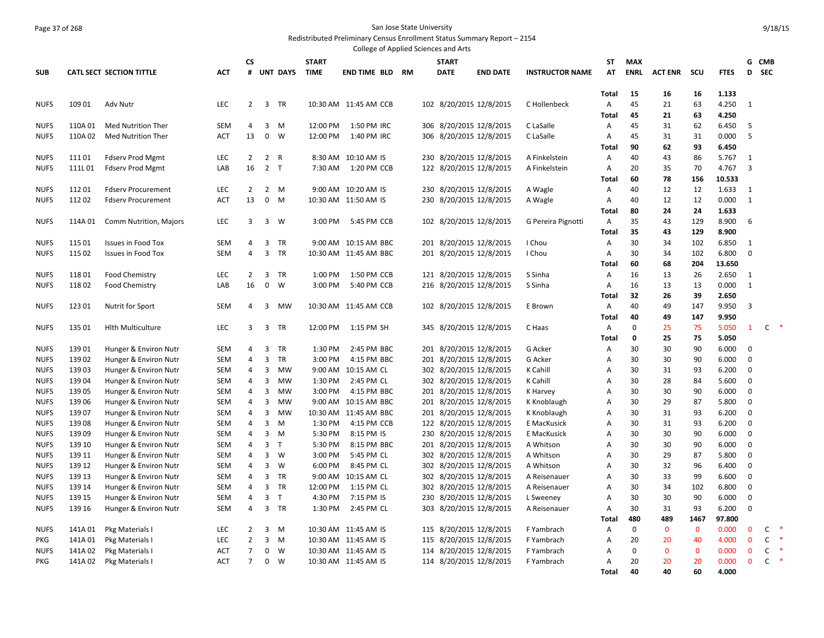# Page 37 of 268 San Jose State University

Redistributed Preliminary Census Enrollment Status Summary Report – 2154 College of Applied Sciences and Arts

|                            |                |                                                |                   | <b>CS</b>      |                         |                 | <b>START</b>       | Conced of Applica Sciences and |     | <b>START</b> |                                                    |                        | ST                  | <b>MAX</b>  |                |             |                |                         | G CMB        |        |
|----------------------------|----------------|------------------------------------------------|-------------------|----------------|-------------------------|-----------------|--------------------|--------------------------------|-----|--------------|----------------------------------------------------|------------------------|---------------------|-------------|----------------|-------------|----------------|-------------------------|--------------|--------|
| <b>SUB</b>                 |                | <b>CATL SECT SECTION TITTLE</b>                | <b>ACT</b>        | #              |                         | <b>UNT DAYS</b> | <b>TIME</b>        | <b>END TIME BLD RM</b>         |     | <b>DATE</b>  | <b>END DATE</b>                                    | <b>INSTRUCTOR NAME</b> | AT                  | <b>ENRL</b> | <b>ACT ENR</b> | scu         | <b>FTES</b>    | D                       | <b>SEC</b>   |        |
|                            |                |                                                |                   |                |                         |                 |                    |                                |     |              |                                                    |                        |                     |             |                |             |                |                         |              |        |
|                            |                |                                                |                   |                |                         |                 |                    |                                |     |              |                                                    |                        | <b>Total</b>        | 15          | 16             | 16          | 1.133          |                         |              |        |
| <b>NUFS</b>                | 10901          | <b>Adv Nutr</b>                                | LEC               | $\overline{2}$ | $\overline{3}$          | <b>TR</b>       |                    | 10:30 AM 11:45 AM CCB          |     |              | 102 8/20/2015 12/8/2015                            | C Hollenbeck           | A                   | 45          | 21             | 63          | 4.250          | $\mathbf{1}$            |              |        |
|                            |                |                                                |                   |                |                         |                 |                    |                                |     |              |                                                    |                        | <b>Total</b>        | 45          | 21             | 63          | 4.250          |                         |              |        |
| <b>NUFS</b>                | 110A01         | <b>Med Nutrition Ther</b>                      | <b>SEM</b>        | 4              | 3                       | M               | 12:00 PM           | 1:50 PM IRC                    |     |              | 306 8/20/2015 12/8/2015                            | C LaSalle              | A                   | 45          | 31             | 62          | 6.450          | 5                       |              |        |
| <b>NUFS</b>                | 110A 02        | <b>Med Nutrition Ther</b>                      | <b>ACT</b>        | 13             | 0                       | W               | 12:00 PM           | 1:40 PM IRC                    |     |              | 306 8/20/2015 12/8/2015                            | C LaSalle              | Α                   | 45          | 31             | 31          | 0.000          | 5                       |              |        |
|                            |                |                                                |                   |                |                         |                 |                    |                                |     |              |                                                    |                        | <b>Total</b>        | 90          | 62             | 93          | 6.450          |                         |              |        |
| <b>NUFS</b>                | 11101          | <b>Fdserv Prod Mgmt</b>                        | LEC               | $\overline{2}$ | $\overline{2}$          | $\overline{R}$  |                    | 8:30 AM 10:10 AM IS            |     |              | 230 8/20/2015 12/8/2015                            | A Finkelstein          | Α                   | 40          | 43             | 86          | 5.767          | $\mathbf{1}$            |              |        |
| <b>NUFS</b>                | 111L01         | <b>Fdserv Prod Mgmt</b>                        | LAB               | 16             | 2 <sub>T</sub>          |                 | 7:30 AM            | 1:20 PM CCB                    |     |              | 122 8/20/2015 12/8/2015                            | A Finkelstein          | Α                   | 20          | 35             | 70          | 4.767          | $\overline{3}$          |              |        |
|                            |                |                                                |                   |                |                         |                 |                    |                                |     |              |                                                    |                        | Total               | 60          | 78             | 156         | 10.533         |                         |              |        |
| <b>NUFS</b>                | 11201          | <b>Fdserv Procurement</b>                      | LEC               | 2              |                         | $2 \quad M$     |                    | 9:00 AM 10:20 AM IS            |     |              | 230 8/20/2015 12/8/2015                            | A Wagle                | A                   | 40          | 12             | 12          | 1.633          | 1                       |              |        |
| <b>NUFS</b>                | 11202          | <b>Fdserv Procurement</b>                      | ACT               | 13             | $\mathbf 0$             | M               |                    | 10:30 AM 11:50 AM IS           |     |              | 230 8/20/2015 12/8/2015                            | A Wagle                | A                   | 40          | 12             | 12          | 0.000          | $\mathbf{1}$            |              |        |
|                            |                |                                                |                   |                |                         |                 |                    |                                |     |              |                                                    |                        | Total               | 80          | 24             | 24          | 1.633          |                         |              |        |
| <b>NUFS</b>                | 114A 01        | Comm Nutrition, Majors                         | LEC               | 3              | $\overline{\mathbf{3}}$ | W               | 3:00 PM            | 5:45 PM CCB                    |     |              | 102 8/20/2015 12/8/2015                            | G Pereira Pignotti     | Α                   | 35          | 43             | 129         | 8.900          | 6                       |              |        |
|                            |                |                                                |                   |                |                         |                 |                    |                                |     |              |                                                    |                        | Total               | 35          | 43             | 129         | 8.900          |                         |              |        |
| <b>NUFS</b>                | 115 01         | <b>Issues in Food Tox</b>                      | <b>SEM</b>        | 4              | 3                       | TR              |                    | 9:00 AM 10:15 AM BBC           |     |              | 201 8/20/2015 12/8/2015                            | I Chou                 | A                   | 30          | 34             | 102         | 6.850          | 1                       |              |        |
| <b>NUFS</b>                | 115 02         | Issues in Food Tox                             | SEM               | 4              | 3                       | TR              |                    | 10:30 AM 11:45 AM BBC          |     |              | 201 8/20/2015 12/8/2015                            | I Chou                 | A                   | 30          | 34             | 102         | 6.800          | $\mathbf 0$             |              |        |
|                            |                |                                                |                   |                |                         |                 |                    |                                |     |              |                                                    |                        | Total               | 60          | 68             | 204         | 13.650         |                         |              |        |
| <b>NUFS</b>                | 11801          | Food Chemistry                                 | <b>LEC</b>        | 2              | 3                       | <b>TR</b>       | 1:00 PM            | 1:50 PM CCB                    |     |              | 121 8/20/2015 12/8/2015                            | S Sinha                | $\overline{A}$      | 16          | 13             | 26          | 2.650          | 1                       |              |        |
| <b>NUFS</b>                | 11802          | Food Chemistry                                 | LAB               | 16             | 0                       | W               | 3:00 PM            | 5:40 PM CCB                    |     |              | 216 8/20/2015 12/8/2015                            | S Sinha                | $\overline{A}$      | 16          | 13             | 13          | 0.000          | $\mathbf{1}$            |              |        |
|                            |                |                                                |                   |                |                         |                 |                    |                                |     |              |                                                    |                        | Total               | 32          | 26             | 39          | 2.650          |                         |              |        |
| <b>NUFS</b>                | 123 01         | Nutrit for Sport                               | <b>SEM</b>        | 4              | 3                       | MW              |                    | 10:30 AM 11:45 AM CCB          |     |              | 102 8/20/2015 12/8/2015                            | E Brown                | Α                   | 40          | 49             | 147         | 9.950          | 3                       |              |        |
|                            |                |                                                |                   |                |                         |                 |                    |                                |     |              |                                                    |                        | Total               | 40          | 49             | 147         | 9.950          |                         |              |        |
| <b>NUFS</b>                | 135 01         | <b>Hith Multiculture</b>                       | <b>LEC</b>        | 3              | $\overline{3}$          | TR              | 12:00 PM           | 1:15 PM SH                     |     |              | 345 8/20/2015 12/8/2015                            | C Haas                 | $\overline{A}$      | $\mathbf 0$ | 25             | 75          | 5.050          | $\mathbf{1}$            | $\mathsf{C}$ | $\ast$ |
|                            |                |                                                |                   |                |                         |                 |                    |                                |     |              |                                                    |                        | <b>Total</b>        | 0           | 25             | 75          | 5.050          |                         |              |        |
| <b>NUFS</b>                | 13901          | Hunger & Environ Nutr                          | SEM<br><b>SEM</b> | 4<br>4         | $\overline{3}$<br>3     | TR<br><b>TR</b> | 1:30 PM<br>3:00 PM | 2:45 PM BBC<br>4:15 PM BBC     |     |              | 201 8/20/2015 12/8/2015<br>201 8/20/2015 12/8/2015 | G Acker                | Α<br>$\overline{A}$ | 30<br>30    | 30<br>30       | 90          | 6.000          | $\Omega$<br>$\mathbf 0$ |              |        |
| <b>NUFS</b><br><b>NUFS</b> | 13902<br>13903 | Hunger & Environ Nutr<br>Hunger & Environ Nutr | <b>SEM</b>        | 4              | 3                       | MW              |                    | 9:00 AM 10:15 AM CL            |     |              | 302 8/20/2015 12/8/2015                            | G Acker<br>K Cahill    | $\overline{A}$      | 30          | 31             | 90<br>93    | 6.000<br>6.200 | $\mathbf 0$             |              |        |
| <b>NUFS</b>                | 13904          | Hunger & Environ Nutr                          | SEM               | 4              | 3                       | <b>MW</b>       | 1:30 PM            | 2:45 PM CL                     |     |              | 302 8/20/2015 12/8/2015                            | K Cahill               | A                   | 30          | 28             | 84          | 5.600          | $\mathbf 0$             |              |        |
| <b>NUFS</b>                | 13905          | Hunger & Environ Nutr                          | SEM               | 4              | 3                       | MW              | 3:00 PM            | 4:15 PM BBC                    |     |              | 201 8/20/2015 12/8/2015                            | K Harvey               | A                   | 30          | 30             | 90          | 6.000          | $\mathbf 0$             |              |        |
| <b>NUFS</b>                | 139 06         | Hunger & Environ Nutr                          | SEM               | 4              | 3                       | MW              |                    | 9:00 AM 10:15 AM BBC           |     |              | 201 8/20/2015 12/8/2015                            | K Knoblaugh            | Α                   | 30          | 29             | 87          | 5.800          | $\mathbf 0$             |              |        |
| <b>NUFS</b>                | 13907          | Hunger & Environ Nutr                          | SEM               | 4              | 3                       | MW              |                    | 10:30 AM 11:45 AM BBC          |     |              | 201 8/20/2015 12/8/2015                            | K Knoblaugh            | A                   | 30          | 31             | 93          | 6.200          | $\mathbf 0$             |              |        |
| <b>NUFS</b>                | 13908          | Hunger & Environ Nutr                          | <b>SEM</b>        | 4              | 3                       | M               | 1:30 PM            | 4:15 PM CCB                    |     |              | 122 8/20/2015 12/8/2015                            | E MacKusick            | Α                   | 30          | 31             | 93          | 6.200          | $\mathbf 0$             |              |        |
| <b>NUFS</b>                | 13909          | Hunger & Environ Nutr                          | <b>SEM</b>        | 4              | 3                       | M               | 5:30 PM            | 8:15 PM IS                     |     |              | 230 8/20/2015 12/8/2015                            | E MacKusick            | A                   | 30          | 30             | 90          | 6.000          | $\mathbf 0$             |              |        |
| <b>NUFS</b>                | 139 10         | Hunger & Environ Nutr                          | <b>SEM</b>        | 4              | 3                       | T               | 5:30 PM            | 8:15 PM BBC                    |     |              | 201 8/20/2015 12/8/2015                            | A Whitson              | A                   | 30          | 30             | 90          | 6.000          | $\mathbf 0$             |              |        |
| <b>NUFS</b>                | 139 11         | Hunger & Environ Nutr                          | <b>SEM</b>        | 4              | 3                       | W               | 3:00 PM            | 5:45 PM CL                     |     |              | 302 8/20/2015 12/8/2015                            | A Whitson              | A                   | 30          | 29             | 87          | 5.800          | $\mathbf 0$             |              |        |
| <b>NUFS</b>                | 139 12         | Hunger & Environ Nutr                          | <b>SEM</b>        | 4              | 3                       | W               | 6:00 PM            | 8:45 PM CL                     |     |              | 302 8/20/2015 12/8/2015                            | A Whitson              | A                   | 30          | 32             | 96          | 6.400          | $\mathbf 0$             |              |        |
| <b>NUFS</b>                | 139 13         | Hunger & Environ Nutr                          | <b>SEM</b>        | 4              | 3                       | TR              |                    | 9:00 AM 10:15 AM CL            |     |              | 302 8/20/2015 12/8/2015                            | A Reisenauer           | A                   | 30          | 33             | 99          | 6.600          | $\mathbf 0$             |              |        |
| <b>NUFS</b>                | 139 14         | Hunger & Environ Nutr                          | <b>SEM</b>        | 4              | 3                       | TR              | 12:00 PM           | 1:15 PM CL                     |     |              | 302 8/20/2015 12/8/2015                            | A Reisenauer           | A                   | 30          | 34             | 102         | 6.800          | $\mathbf 0$             |              |        |
| <b>NUFS</b>                | 139 15         | Hunger & Environ Nutr                          | SEM               | 4              | 3                       | T               | 4:30 PM            | 7:15 PM IS                     | 230 |              | 8/20/2015 12/8/2015                                | L Sweeney              | A                   | 30          | 30             | 90          | 6.000          | $\mathbf 0$             |              |        |
| <b>NUFS</b>                | 139 16         | Hunger & Environ Nutr                          | <b>SEM</b>        | 4              | $\overline{3}$          | TR              | 1:30 PM            | 2:45 PM CL                     |     |              | 303 8/20/2015 12/8/2015                            | A Reisenauer           | Α                   | 30          | 31             | 93          | 6.200          | $\mathbf 0$             |              |        |
|                            |                |                                                |                   |                |                         |                 |                    |                                |     |              |                                                    |                        | <b>Total</b>        | 480         | 489            | 1467        | 97.800         |                         |              |        |
| <b>NUFS</b>                | 141A01         | Pkg Materials I                                | <b>LEC</b>        | 2              | 3                       | M               |                    | 10:30 AM 11:45 AM IS           |     |              | 115 8/20/2015 12/8/2015                            | F Yambrach             | A                   | $\mathbf 0$ | $\mathbf 0$    | $\mathbf 0$ | 0.000          | $\mathbf 0$             | C            | -*     |
| <b>PKG</b>                 | 141A01         | Pkg Materials I                                | LEC               | $\overline{2}$ | 3                       | M               |                    | 10:30 AM 11:45 AM IS           |     |              | 115 8/20/2015 12/8/2015                            | F Yambrach             | A                   | 20          | 20             | 40          | 4.000          | $\overline{0}$          | C            | $\ast$ |
| <b>NUFS</b>                | 141A 02        | Pkg Materials I                                | <b>ACT</b>        | $\overline{7}$ | 0                       | W               |                    | 10:30 AM 11:45 AM IS           | 114 |              | 8/20/2015 12/8/2015                                | F Yambrach             | $\overline{A}$      | $\mathbf 0$ | $\mathbf{0}$   | $\mathbf 0$ | 0.000          | $\mathbf 0$             | C            | $\ast$ |
| <b>PKG</b>                 | 141A 02        | Pkg Materials I                                | <b>ACT</b>        | $\overline{7}$ | 0                       | - W             |                    | 10:30 AM 11:45 AM IS           |     |              | 114 8/20/2015 12/8/2015                            | F Yambrach             | $\overline{A}$      | 20          | 20             | 20          | 0.000          | $\mathbf{0}$            | C            | $\ast$ |
|                            |                |                                                |                   |                |                         |                 |                    |                                |     |              |                                                    |                        | Total               | 40          | 40             | 60          | 4.000          |                         |              |        |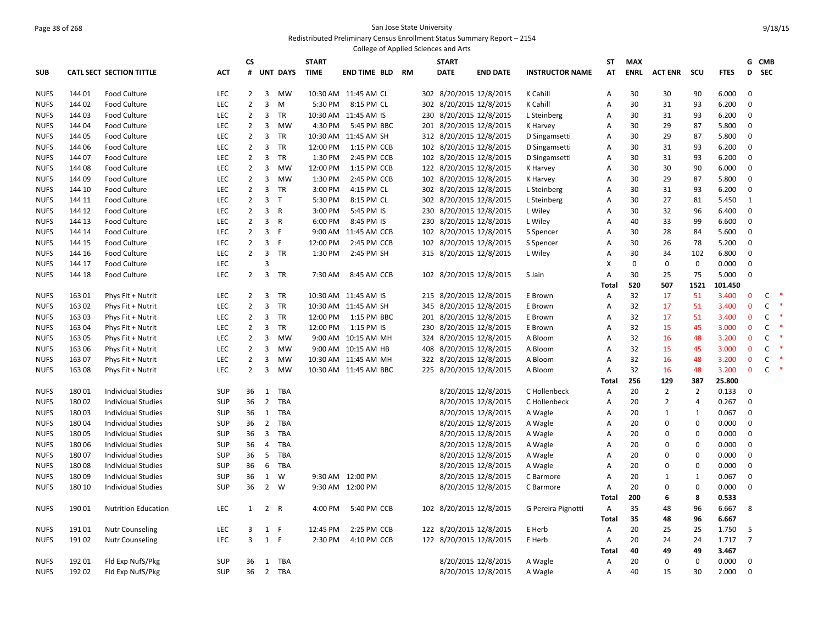### Page 38 of 268 San Jose State University Redistributed Preliminary Census Enrollment Status Summary Report – 2154

|             |                |                                 |                          |                |                         |                 |              |                       |    | College of Applied Sciences and Arts |                         |                        |                           |             |                |                            |                |                  |              |        |
|-------------|----------------|---------------------------------|--------------------------|----------------|-------------------------|-----------------|--------------|-----------------------|----|--------------------------------------|-------------------------|------------------------|---------------------------|-------------|----------------|----------------------------|----------------|------------------|--------------|--------|
|             |                |                                 |                          | СS             |                         |                 | <b>START</b> |                       |    | <b>START</b>                         |                         |                        | ST                        | <b>MAX</b>  |                |                            |                | G                | <b>CMB</b>   |        |
| <b>SUB</b>  |                | <b>CATL SECT SECTION TITTLE</b> | <b>ACT</b>               | #              |                         | <b>UNT DAYS</b> | <b>TIME</b>  | END TIME BLD          | RM | <b>DATE</b>                          | <b>END DATE</b>         | <b>INSTRUCTOR NAME</b> | AT                        | <b>ENRL</b> | <b>ACT ENR</b> | scu                        | <b>FTES</b>    | D                | <b>SEC</b>   |        |
| <b>NUFS</b> | 14401          | Food Culture                    | <b>LEC</b>               | 2              | 3                       | MW              |              | 10:30 AM 11:45 AM CL  |    |                                      | 302 8/20/2015 12/8/2015 | K Cahill               | A                         | 30          | 30             | 90                         | 6.000          | $\mathbf 0$      |              |        |
| <b>NUFS</b> | 14402          | <b>Food Culture</b>             | LEC                      | $\overline{2}$ | 3                       | M               | 5:30 PM      | 8:15 PM CL            |    |                                      | 302 8/20/2015 12/8/2015 | K Cahill               | Α                         | 30          | 31             | 93                         | 6.200          | 0                |              |        |
| <b>NUFS</b> | 14403          | Food Culture                    | LEC                      | 2              | 3                       | TR              |              | 10:30 AM 11:45 AM IS  |    |                                      | 230 8/20/2015 12/8/2015 | L Steinberg            | A                         | 30          | 31             | 93                         | 6.200          | 0                |              |        |
| <b>NUFS</b> | 144 04         | <b>Food Culture</b>             | LEC                      | $\overline{2}$ | 3                       | MW              | 4:30 PM      | 5:45 PM BBC           |    |                                      | 201 8/20/2015 12/8/2015 | K Harvey               | Α                         | 30          | 29             | 87                         | 5.800          | 0                |              |        |
| <b>NUFS</b> | 144 05         | <b>Food Culture</b>             | LEC                      | 2              | 3                       | <b>TR</b>       |              | 10:30 AM 11:45 AM SH  |    |                                      | 312 8/20/2015 12/8/2015 | D Singamsetti          | Α                         | 30          | 29             | 87                         | 5.800          | $\pmb{0}$        |              |        |
| <b>NUFS</b> | 144 06         | <b>Food Culture</b>             | LEC                      | $\overline{2}$ | $\overline{3}$          | TR              | 12:00 PM     | 1:15 PM CCB           |    |                                      | 102 8/20/2015 12/8/2015 | D Singamsetti          | Α                         | 30          | 31             | 93                         | 6.200          | 0                |              |        |
| <b>NUFS</b> | 144 07         | <b>Food Culture</b>             | LEC                      | $\overline{2}$ | $\overline{3}$          | TR              | 1:30 PM      | 2:45 PM CCB           |    |                                      | 102 8/20/2015 12/8/2015 | D Singamsetti          | Α                         | 30          | 31             | 93                         | 6.200          | $\mathbf 0$      |              |        |
| <b>NUFS</b> | 144 08         | <b>Food Culture</b>             | LEC                      | $\overline{2}$ | 3                       | MW              | 12:00 PM     | 1:15 PM CCB           |    |                                      | 122 8/20/2015 12/8/2015 | K Harvey               | Α                         | 30          | 30             | 90                         | 6.000          | 0                |              |        |
| <b>NUFS</b> | 144 09         | Food Culture                    | LEC                      | $\overline{2}$ | 3                       | <b>MW</b>       | 1:30 PM      | 2:45 PM CCB           |    |                                      | 102 8/20/2015 12/8/2015 | K Harvey               | Α                         | 30          | 29             | 87                         | 5.800          | 0                |              |        |
| <b>NUFS</b> | 144 10         | Food Culture                    | LEC                      | $\overline{2}$ | $\overline{3}$          | TR              | 3:00 PM      | 4:15 PM CL            |    |                                      | 302 8/20/2015 12/8/2015 | L Steinberg            | A                         | 30          | 31             | 93                         | 6.200          | 0                |              |        |
| <b>NUFS</b> | 144 11         | Food Culture                    | <b>LEC</b>               | 2              | $\overline{3}$          | $\mathsf{T}$    | 5:30 PM      | 8:15 PM CL            |    |                                      | 302 8/20/2015 12/8/2015 | L Steinberg            | A                         | 30          | 27             | 81                         | 5.450          | $\mathbf{1}$     |              |        |
| <b>NUFS</b> | 144 12         | <b>Food Culture</b>             | LEC                      | $\overline{2}$ | 3                       | $\mathsf{R}$    | 3:00 PM      | 5:45 PM IS            |    |                                      | 230 8/20/2015 12/8/2015 | L Wiley                | $\overline{A}$            | 30          | 32             | 96                         | 6.400          | $\mathbf 0$      |              |        |
| <b>NUFS</b> | 144 13         | <b>Food Culture</b>             | LEC                      | $\overline{2}$ | 3                       | R               | 6:00 PM      | 8:45 PM IS            |    |                                      | 230 8/20/2015 12/8/2015 | L Wiley                | A                         | 40          | 33             | 99                         | 6.600          | 0                |              |        |
| <b>NUFS</b> | 144 14         | <b>Food Culture</b>             | LEC                      | $\overline{2}$ | 3                       | $\mathsf{F}$    |              | 9:00 AM 11:45 AM CCB  |    |                                      | 102 8/20/2015 12/8/2015 | S Spencer              | A                         | 30          | 28             | 84                         | 5.600          | 0                |              |        |
| <b>NUFS</b> | 144 15         | Food Culture                    | LEC                      | $\overline{2}$ | 3                       | F               | 12:00 PM     | 2:45 PM CCB           |    |                                      | 102 8/20/2015 12/8/2015 | S Spencer              | A                         | 30          | 26             | 78                         | 5.200          | $\mathbf 0$      |              |        |
| <b>NUFS</b> | 144 16         | <b>Food Culture</b>             | LEC                      | $\overline{2}$ | 3                       | TR              | 1:30 PM      | 2:45 PM SH            |    |                                      | 315 8/20/2015 12/8/2015 | L Wiley                | Α                         | 30          | 34             | 102                        | 6.800          | 0                |              |        |
| <b>NUFS</b> | 144 17         | Food Culture                    | LEC                      |                | $\overline{3}$          |                 |              |                       |    |                                      |                         |                        | $\boldsymbol{\mathsf{X}}$ | $\mathbf 0$ | $\mathbf 0$    | $\mathbf 0$                | 0.000          | $\mathbf 0$      |              |        |
| <b>NUFS</b> | 144 18         | <b>Food Culture</b>             | LEC                      | $\overline{2}$ | $\overline{\mathbf{3}}$ | TR              | 7:30 AM      | 8:45 AM CCB           |    |                                      | 102 8/20/2015 12/8/2015 | S Jain                 | A                         | 30          | 25             | 75                         | 5.000          | $\mathbf 0$      |              |        |
|             |                |                                 |                          |                |                         |                 |              |                       |    |                                      |                         |                        | Total                     | 520         | 507            | 1521                       | 101.450        |                  |              |        |
| <b>NUFS</b> | 16301          | Phys Fit + Nutrit               | LEC                      | $\overline{2}$ | 3                       | TR              |              | 10:30 AM 11:45 AM IS  |    |                                      | 215 8/20/2015 12/8/2015 | E Brown                | A                         | 32          | 17             | 51                         | 3.400          | $\mathbf{0}$     | C            |        |
| <b>NUFS</b> | 163 02         | Phys Fit + Nutrit               | LEC                      | $\overline{2}$ | $\overline{\mathbf{3}}$ | TR              |              | 10:30 AM 11:45 AM SH  |    |                                      | 345 8/20/2015 12/8/2015 | E Brown                | A                         | 32          | 17             | 51                         | 3.400          | $\mathbf{0}$     | $\mathsf{C}$ |        |
| <b>NUFS</b> | 16303          | Phys Fit + Nutrit               | LEC                      | $\overline{2}$ | 3                       | TR              | 12:00 PM     | 1:15 PM BBC           |    |                                      | 201 8/20/2015 12/8/2015 | E Brown                | Α                         | 32          | 17             | 51                         | 3.400          | 0                | C            |        |
| <b>NUFS</b> | 163 04         | Phys Fit + Nutrit               | LEC                      | $\overline{2}$ | $\overline{\mathbf{3}}$ | TR              | 12:00 PM     | 1:15 PM IS            |    |                                      | 230 8/20/2015 12/8/2015 | E Brown                | A                         | 32          | 15             | 45                         | 3.000          | $\mathbf{0}$     | $\mathsf{C}$ |        |
| <b>NUFS</b> | 163 05         | Phys Fit + Nutrit               | LEC                      | $\overline{2}$ | 3                       | <b>MW</b>       |              | 9:00 AM 10:15 AM MH   |    |                                      | 324 8/20/2015 12/8/2015 | A Bloom                | Α                         | 32          | 16             | 48                         | 3.200          | $\mathbf 0$      | C            |        |
| <b>NUFS</b> | 163 06         | Phys Fit + Nutrit               | <b>LEC</b>               | 2              | 3                       | MW              |              | 9:00 AM 10:15 AM HB   |    |                                      | 408 8/20/2015 12/8/2015 | A Bloom                | A                         | 32          | 15             | 45                         | 3.000          | $\mathbf{0}$     | $\mathsf{C}$ |        |
| <b>NUFS</b> | 16307          | Phys Fit + Nutrit               | LEC                      | $\overline{2}$ | 3                       | MW              |              | 10:30 AM 11:45 AM MH  |    |                                      | 322 8/20/2015 12/8/2015 | A Bloom                | $\overline{A}$            | 32          | 16             | 48                         | 3.200          | $\mathbf 0$      | C            |        |
| <b>NUFS</b> | 16308          | Phys Fit + Nutrit               | LEC                      | $\overline{2}$ | 3                       | <b>MW</b>       |              | 10:30 AM 11:45 AM BBC |    |                                      | 225 8/20/2015 12/8/2015 | A Bloom                | A                         | 32          | 16             | 48                         | 3.200          | $\mathbf{0}$     | $\mathsf{C}$ | $\ast$ |
|             |                |                                 |                          |                |                         |                 |              |                       |    |                                      |                         |                        | Total                     | 256         | 129            | 387                        | 25.800         |                  |              |        |
| NUFS        | 18001          | <b>Individual Studies</b>       | <b>SUP</b>               | 36             | 1                       | TBA             |              |                       |    |                                      | 8/20/2015 12/8/2015     | C Hollenbeck           | A                         | 20          | $\overline{2}$ | $\overline{2}$             | 0.133          | $\mathbf 0$      |              |        |
| <b>NUFS</b> | 18002          | <b>Individual Studies</b>       | <b>SUP</b>               | 36             | $\overline{2}$          | TBA             |              |                       |    |                                      | 8/20/2015 12/8/2015     | C Hollenbeck           | Α                         | 20          | $\overline{2}$ | 4                          | 0.267          | $\mathbf 0$      |              |        |
| <b>NUFS</b> | 18003          | <b>Individual Studies</b>       | SUP                      | 36             | $\mathbf{1}$            | TBA             |              |                       |    |                                      | 8/20/2015 12/8/2015     | A Wagle                | A                         | 20          | $\mathbf{1}$   | $\mathbf{1}$               | 0.067          | $\mathbf 0$      |              |        |
| <b>NUFS</b> | 18004          | <b>Individual Studies</b>       | <b>SUP</b>               | 36             | $2^{\circ}$             | TBA             |              |                       |    |                                      | 8/20/2015 12/8/2015     | A Wagle                | Α                         | 20          | 0              | $\mathbf 0$                | 0.000          | 0                |              |        |
| <b>NUFS</b> | 18005          | <b>Individual Studies</b>       | <b>SUP</b>               | 36             | $\overline{3}$          | <b>TBA</b>      |              |                       |    |                                      | 8/20/2015 12/8/2015     | A Wagle                | A                         | 20          | 0              | $\mathbf 0$                | 0.000          | $\mathbf 0$      |              |        |
| <b>NUFS</b> | 180 06         | <b>Individual Studies</b>       | <b>SUP</b>               | 36             | 4                       | TBA             |              |                       |    |                                      | 8/20/2015 12/8/2015     | A Wagle                | Α                         | 20          | 0              | $\mathbf 0$                | 0.000          | 0                |              |        |
| <b>NUFS</b> | 18007<br>18008 | <b>Individual Studies</b>       | SUP                      | 36             | 6                       | 5 TBA           |              |                       |    |                                      | 8/20/2015 12/8/2015     | A Wagle                | A                         | 20<br>20    | 0<br>0         | $\mathbf 0$<br>$\mathbf 0$ | 0.000<br>0.000 | $\mathbf 0$<br>0 |              |        |
| <b>NUFS</b> | 18009          | <b>Individual Studies</b>       | <b>SUP</b><br><b>SUP</b> | 36<br>36       | $\mathbf{1}$            | TBA<br>W        |              | 9:30 AM 12:00 PM      |    |                                      | 8/20/2015 12/8/2015     | A Wagle                | Α<br>A                    | 20          |                | $\mathbf{1}$               | 0.067          | 0                |              |        |
| <b>NUFS</b> | 180 10         | Individual Studies              | <b>SUP</b>               | 36             |                         | 2 W             |              | 9:30 AM 12:00 PM      |    |                                      | 8/20/2015 12/8/2015     | C Barmore              | $\overline{A}$            | 20          | 1<br>0         | 0                          | 0.000          | 0                |              |        |
| <b>NUFS</b> |                | <b>Individual Studies</b>       |                          |                |                         |                 |              |                       |    |                                      | 8/20/2015 12/8/2015     | C Barmore              | Total                     | 200         | 6              | 8                          | 0.533          |                  |              |        |
| <b>NUFS</b> | 190 01         | <b>Nutrition Education</b>      | LEC                      | 1              | $\overline{2}$          | R               | 4:00 PM      | 5:40 PM CCB           |    |                                      | 102 8/20/2015 12/8/2015 | G Pereira Pignotti     | $\overline{A}$            | 35          | 48             | 96                         | 6.667          | 8                |              |        |
|             |                |                                 |                          |                |                         |                 |              |                       |    |                                      |                         |                        | Total                     | 35          | 48             | 96                         | 6.667          |                  |              |        |
| <b>NUFS</b> | 19101          | <b>Nutr Counseling</b>          | LEC                      | 3              | 1                       | F               | 12:45 PM     | 2:25 PM CCB           |    |                                      | 122 8/20/2015 12/8/2015 | E Herb                 | Α                         | 20          | 25             | 25                         | 1.750          | 5                |              |        |
| <b>NUFS</b> | 191 02         | <b>Nutr Counseling</b>          | LEC                      | $\overline{3}$ | 1 F                     |                 | 2:30 PM      | 4:10 PM CCB           |    |                                      | 122 8/20/2015 12/8/2015 | E Herb                 | A                         | 20          | 24             | 24                         | 1.717          | $\overline{7}$   |              |        |
|             |                |                                 |                          |                |                         |                 |              |                       |    |                                      |                         |                        | Total                     | 40          | 49             | 49                         | 3.467          |                  |              |        |
| <b>NUFS</b> | 192 01         | Fld Exp NufS/Pkg                | <b>SUP</b>               | 36             | 1                       | TBA             |              |                       |    |                                      | 8/20/2015 12/8/2015     | A Wagle                | A                         | 20          | $\mathbf 0$    | $\mathbf 0$                | 0.000          | $\mathbf 0$      |              |        |
| <b>NUFS</b> | 19202          | Fld Exp NufS/Pkg                | <b>SUP</b>               | 36             |                         | 2 TBA           |              |                       |    |                                      | 8/20/2015 12/8/2015     | A Wagle                | A                         | 40          | 15             | 30                         | 2.000          | 0                |              |        |
|             |                |                                 |                          |                |                         |                 |              |                       |    |                                      |                         |                        |                           |             |                |                            |                |                  |              |        |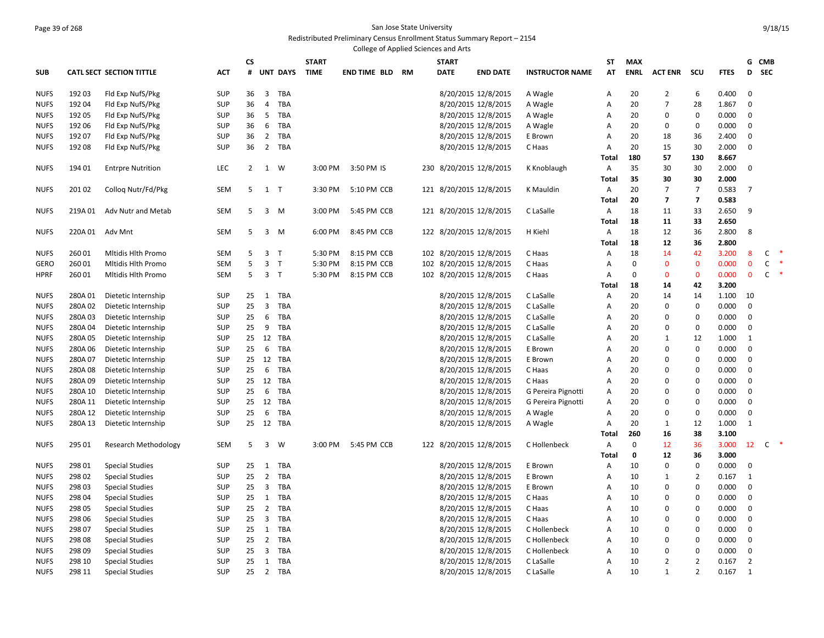#### Page 39 of 268 San Jose State University Redistributed Preliminary Census Enrollment Status Summary Report – 2154

|             |         |                                 |            |                |                |                 |              |                     |    | College of Applied Sciences and Arts |                         |                        |                |             |                         |                         |             |                   |              |        |
|-------------|---------|---------------------------------|------------|----------------|----------------|-----------------|--------------|---------------------|----|--------------------------------------|-------------------------|------------------------|----------------|-------------|-------------------------|-------------------------|-------------|-------------------|--------------|--------|
|             |         |                                 |            | CS             |                |                 | <b>START</b> |                     |    | <b>START</b>                         |                         |                        | ST             | <b>MAX</b>  |                         |                         |             | G                 | <b>CMB</b>   |        |
| <b>SUB</b>  |         | <b>CATL SECT SECTION TITTLE</b> | <b>ACT</b> | #              |                | <b>UNT DAYS</b> | <b>TIME</b>  | <b>END TIME BLD</b> | RM | <b>DATE</b>                          | <b>END DATE</b>         | <b>INSTRUCTOR NAME</b> | AT             | <b>ENRL</b> | <b>ACT ENR</b>          | scu                     | <b>FTES</b> | D                 | <b>SEC</b>   |        |
| <b>NUFS</b> | 19203   | Fld Exp NufS/Pkg                | <b>SUP</b> | 36             | 3              | TBA             |              |                     |    |                                      | 8/20/2015 12/8/2015     | A Wagle                | Α              | 20          | $\overline{2}$          | 6                       | 0.400       | 0                 |              |        |
| <b>NUFS</b> | 192 04  | Fld Exp NufS/Pkg                | <b>SUP</b> | 36             | 4              | <b>TBA</b>      |              |                     |    |                                      | 8/20/2015 12/8/2015     | A Wagle                | A              | 20          | $\overline{7}$          | 28                      | 1.867       | 0                 |              |        |
| <b>NUFS</b> | 19205   | Fld Exp NufS/Pkg                | <b>SUP</b> | 36             | 5              | TBA             |              |                     |    |                                      | 8/20/2015 12/8/2015     | A Wagle                | Α              | 20          | 0                       | 0                       | 0.000       | 0                 |              |        |
| <b>NUFS</b> | 192 06  | Fld Exp NufS/Pkg                | <b>SUP</b> | 36             | 6              | TBA             |              |                     |    |                                      | 8/20/2015 12/8/2015     | A Wagle                | A              | 20          | 0                       | 0                       | 0.000       | 0                 |              |        |
| <b>NUFS</b> | 192 07  | Fld Exp NufS/Pkg                | <b>SUP</b> | 36             | $\overline{2}$ | TBA             |              |                     |    |                                      | 8/20/2015 12/8/2015     | E Brown                | A              | 20          | 18                      | 36                      | 2.400       | 0                 |              |        |
| <b>NUFS</b> | 192 08  | Fld Exp NufS/Pkg                | <b>SUP</b> | 36             |                | 2 TBA           |              |                     |    |                                      | 8/20/2015 12/8/2015     | C Haas                 | $\overline{A}$ | 20          | 15                      | 30                      | 2.000       | $\mathbf 0$       |              |        |
|             |         |                                 |            |                |                |                 |              |                     |    |                                      |                         |                        | Total          | 180         | 57                      | 130                     | 8.667       |                   |              |        |
| <b>NUFS</b> | 194 01  | <b>Entrpre Nutrition</b>        | <b>LEC</b> | $\overline{2}$ |                | 1 W             | 3:00 PM      | 3:50 PM IS          |    |                                      | 230 8/20/2015 12/8/2015 | K Knoblaugh            | Α              | 35          | 30                      | 30                      | 2.000       | 0                 |              |        |
|             |         |                                 |            |                |                |                 |              |                     |    |                                      |                         |                        | Total          | 35          | 30                      | 30                      | 2.000       |                   |              |        |
| <b>NUFS</b> | 20102   | Collog Nutr/Fd/Pkg              | <b>SEM</b> | 5              | $1$ T          |                 | 3:30 PM      | 5:10 PM CCB         |    |                                      | 121 8/20/2015 12/8/2015 | K Mauldin              | Α              | 20          | $\overline{7}$          | $\overline{7}$          | 0.583       | $\overline{7}$    |              |        |
|             |         |                                 |            |                |                |                 |              |                     |    |                                      |                         |                        | <b>Total</b>   | 20          | $\overline{\mathbf{z}}$ | $\overline{\mathbf{z}}$ | 0.583       |                   |              |        |
| <b>NUFS</b> | 219A 01 | Adv Nutr and Metab              | <b>SEM</b> | 5              |                | $3 \, M$        | 3:00 PM      | 5:45 PM CCB         |    |                                      | 121 8/20/2015 12/8/2015 | C LaSalle              | Α              | 18          | 11                      | 33                      | 2.650       | 9                 |              |        |
|             |         |                                 |            |                |                |                 |              |                     |    |                                      |                         |                        | Total          | 18          | 11                      | 33                      | 2.650       |                   |              |        |
| <b>NUFS</b> | 220A 01 | Adv Mnt                         | <b>SEM</b> | 5              |                | $3 \, M$        | 6:00 PM      | 8:45 PM CCB         |    |                                      | 122 8/20/2015 12/8/2015 | H Kiehl                | A              | 18          | 12                      | 36                      | 2.800       | 8                 |              |        |
|             |         |                                 |            |                |                |                 |              |                     |    |                                      |                         |                        | Total          | 18          | 12                      | 36                      | 2.800       |                   |              |        |
| <b>NUFS</b> | 260 01  | Mitidis Hith Promo              | <b>SEM</b> | 5              |                | 3 <sub>T</sub>  | 5:30 PM      | 8:15 PM CCB         |    |                                      | 102 8/20/2015 12/8/2015 | C Haas                 | Α              | 18          | 14                      | 42                      | 3.200       | 8                 | C            | $\ast$ |
| <b>GERO</b> | 260 01  | Mitidis Hith Promo              | <b>SEM</b> | 5              |                | 3 <sub>T</sub>  | 5:30 PM      | 8:15 PM CCB         |    |                                      | 102 8/20/2015 12/8/2015 | C Haas                 | A              | $\mathbf 0$ | $\mathbf 0$             | $\bf{0}$                | 0.000       | $\mathbf 0$       | $\mathsf{C}$ |        |
| <b>HPRF</b> | 260 01  | Mitidis Hith Promo              | <b>SEM</b> | 5              | 3 <sub>7</sub> |                 | 5:30 PM      | 8:15 PM CCB         |    |                                      | 102 8/20/2015 12/8/2015 | C Haas                 | A              | $\Omega$    | $\mathbf 0$             | 0                       | 0.000       | $\mathbf 0$       | $\mathsf{C}$ | $\ast$ |
|             |         |                                 |            |                |                |                 |              |                     |    |                                      |                         |                        | <b>Total</b>   | 18          | 14                      | 42                      | 3.200       |                   |              |        |
| <b>NUFS</b> | 280A01  | Dietetic Internship             | <b>SUP</b> | 25             |                | 1 TBA           |              |                     |    |                                      | 8/20/2015 12/8/2015     | C LaSalle              | A              | 20          | 14                      | 14                      | 1.100       | 10                |              |        |
| <b>NUFS</b> | 280A02  | Dietetic Internship             | <b>SUP</b> | 25             | $\overline{3}$ | TBA             |              |                     |    |                                      | 8/20/2015 12/8/2015     | C LaSalle              | Α              | 20          | 0                       | 0                       | 0.000       | 0                 |              |        |
| <b>NUFS</b> | 280A03  | Dietetic Internship             | <b>SUP</b> | 25             |                | 6 TBA           |              |                     |    |                                      | 8/20/2015 12/8/2015     | C LaSalle              | A              | 20          | $\mathbf 0$             | 0                       | 0.000       | 0                 |              |        |
| <b>NUFS</b> | 280A04  | Dietetic Internship             | <b>SUP</b> | 25             | 9              | TBA             |              |                     |    |                                      | 8/20/2015 12/8/2015     | C LaSalle              | A              | 20          | $\Omega$                | 0                       | 0.000       | $\mathbf 0$       |              |        |
| <b>NUFS</b> | 280A 05 | Dietetic Internship             | <b>SUP</b> | 25             |                | 12 TBA          |              |                     |    |                                      | 8/20/2015 12/8/2015     | C LaSalle              | A              | 20          | 1                       | 12                      | 1.000       | 1                 |              |        |
| <b>NUFS</b> | 280A06  | Dietetic Internship             | <b>SUP</b> | 25             | 6              | TBA             |              |                     |    |                                      | 8/20/2015 12/8/2015     | E Brown                | A              | 20          | $\mathbf 0$             | 0                       | 0.000       | $\mathbf 0$       |              |        |
| <b>NUFS</b> | 280A 07 | Dietetic Internship             | <b>SUP</b> | 25             |                | 12 TBA          |              |                     |    |                                      | 8/20/2015 12/8/2015     | E Brown                | $\overline{A}$ | 20          | $\Omega$                | 0                       | 0.000       | 0                 |              |        |
| <b>NUFS</b> | 280A08  | Dietetic Internship             | <b>SUP</b> | 25             | 6              | TBA             |              |                     |    |                                      | 8/20/2015 12/8/2015     | C Haas                 | A              | 20          | 0                       | 0                       | 0.000       | 0                 |              |        |
| <b>NUFS</b> | 280A09  | Dietetic Internship             | <b>SUP</b> | 25             |                | 12 TBA          |              |                     |    |                                      | 8/20/2015 12/8/2015     | C Haas                 | A              | 20          | $\Omega$                | 0                       | 0.000       | $\mathbf 0$       |              |        |
| <b>NUFS</b> | 280A 10 | Dietetic Internship             | <b>SUP</b> | 25             | 6              | TBA             |              |                     |    |                                      | 8/20/2015 12/8/2015     | G Pereira Pignotti     | Α              | 20          | $\Omega$                | 0                       | 0.000       | $\mathbf 0$       |              |        |
| <b>NUFS</b> | 280A 11 | Dietetic Internship             | <b>SUP</b> | 25             |                | 12 TBA          |              |                     |    |                                      | 8/20/2015 12/8/2015     | G Pereira Pignotti     | A              | 20          | $\Omega$                | 0                       | 0.000       | 0                 |              |        |
| <b>NUFS</b> | 280A 12 | Dietetic Internship             | <b>SUP</b> | 25             | 6              | TBA             |              |                     |    |                                      | 8/20/2015 12/8/2015     | A Wagle                | A              | 20          | $\Omega$                | 0                       | 0.000       | 0                 |              |        |
| <b>NUFS</b> | 280A 13 | Dietetic Internship             | <b>SUP</b> |                |                | 25 12 TBA       |              |                     |    |                                      | 8/20/2015 12/8/2015     | A Wagle                | $\overline{A}$ | 20          | 1                       | 12                      | 1.000       | $\mathbf{1}$      |              |        |
|             |         |                                 |            |                |                |                 |              |                     |    |                                      |                         |                        | <b>Total</b>   | 260         | 16                      | 38                      | 3.100       |                   |              |        |
| <b>NUFS</b> | 295 01  | <b>Research Methodology</b>     | <b>SEM</b> | 5              |                | 3 W             | 3:00 PM      | 5:45 PM CCB         |    |                                      | 122 8/20/2015 12/8/2015 | C Hollenbeck           | Α              | $\mathbf 0$ | 12                      | 36                      | 3.000       | $12 \overline{ }$ | C            | $\ast$ |
|             |         |                                 |            |                |                |                 |              |                     |    |                                      |                         |                        | Total          | $\mathbf 0$ | 12                      | 36                      | 3.000       |                   |              |        |
| <b>NUFS</b> | 298 01  | Special Studies                 | <b>SUP</b> | 25             |                | 1 TBA           |              |                     |    |                                      | 8/20/2015 12/8/2015     | E Brown                | Α              | 10          | $\Omega$                | 0                       | 0.000       | 0                 |              |        |
| <b>NUFS</b> | 298 02  | <b>Special Studies</b>          | <b>SUP</b> | 25             | $\overline{2}$ | TBA             |              |                     |    |                                      | 8/20/2015 12/8/2015     | E Brown                | A              | 10          | 1                       | $\overline{2}$          | 0.167       | 1                 |              |        |
| <b>NUFS</b> | 298 03  | <b>Special Studies</b>          | <b>SUP</b> | 25             |                | 3 TBA           |              |                     |    |                                      | 8/20/2015 12/8/2015     | E Brown                | A              | 10          | 0                       | 0                       | 0.000       | 0                 |              |        |
| <b>NUFS</b> | 298 04  | <b>Special Studies</b>          | <b>SUP</b> | 25             | 1              | TBA             |              |                     |    |                                      | 8/20/2015 12/8/2015     | C Haas                 | A              | 10          | 0                       | 0                       | 0.000       | 0                 |              |        |
| <b>NUFS</b> | 298 05  | <b>Special Studies</b>          | <b>SUP</b> | 25             | $\overline{2}$ | TBA             |              |                     |    |                                      | 8/20/2015 12/8/2015     | C Haas                 | A              | 10          | 0                       | 0                       | 0.000       | 0                 |              |        |
| <b>NUFS</b> | 298 06  | <b>Special Studies</b>          | <b>SUP</b> | 25             | 3              | TBA             |              |                     |    |                                      | 8/20/2015 12/8/2015     | C Haas                 | $\overline{A}$ | 10          | $\Omega$                | 0                       | 0.000       | 0                 |              |        |
| <b>NUFS</b> | 298 07  | <b>Special Studies</b>          | <b>SUP</b> | 25             | 1              | <b>TBA</b>      |              |                     |    |                                      | 8/20/2015 12/8/2015     | C Hollenbeck           | A              | 10          | $\mathbf 0$             | 0                       | 0.000       | 0                 |              |        |
| <b>NUFS</b> | 298 08  | <b>Special Studies</b>          | <b>SUP</b> | 25             | $\overline{2}$ | TBA             |              |                     |    |                                      | 8/20/2015 12/8/2015     | C Hollenbeck           | A              | 10          | 0                       | 0                       | 0.000       | 0                 |              |        |
| <b>NUFS</b> | 298 09  | <b>Special Studies</b>          | <b>SUP</b> | 25             | $\overline{3}$ | TBA             |              |                     |    |                                      | 8/20/2015 12/8/2015     | C Hollenbeck           | $\overline{A}$ | 10          | 0                       | 0                       | 0.000       | 0                 |              |        |
| <b>NUFS</b> | 298 10  | <b>Special Studies</b>          | <b>SUP</b> | 25             | 1              | TBA             |              |                     |    |                                      | 8/20/2015 12/8/2015     | C LaSalle              | A              | 10          | $\overline{2}$          | $\overline{2}$          | 0.167       | $\overline{2}$    |              |        |
| <b>NUFS</b> | 298 11  | <b>Special Studies</b>          | <b>SUP</b> | 25             |                | 2 TBA           |              |                     |    |                                      | 8/20/2015 12/8/2015     | C LaSalle              | $\overline{A}$ | 10          | $\mathbf{1}$            | $\overline{2}$          | 0.167       | 1                 |              |        |
|             |         |                                 |            |                |                |                 |              |                     |    |                                      |                         |                        |                |             |                         |                         |             |                   |              |        |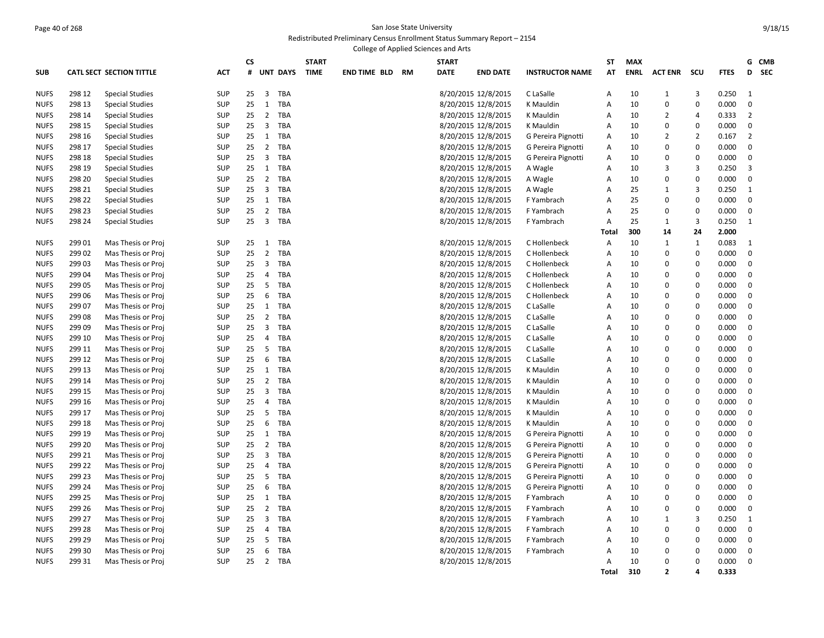#### Page 40 of 268 San Jose State University Redistributed Preliminary Census Enrollment Status Summary Report – 2154

|             |        |                                 |            |    |                |                 |              | College of Applied Sciences and Arts |    |              |                     |                        |                |             |                |                |             |                 |
|-------------|--------|---------------------------------|------------|----|----------------|-----------------|--------------|--------------------------------------|----|--------------|---------------------|------------------------|----------------|-------------|----------------|----------------|-------------|-----------------|
|             |        |                                 |            | CS |                |                 | <b>START</b> |                                      |    | <b>START</b> |                     |                        | ST             | <b>MAX</b>  |                |                |             | G CMB           |
| <b>SUB</b>  |        | <b>CATL SECT SECTION TITTLE</b> | <b>ACT</b> | #  |                | <b>UNT DAYS</b> | <b>TIME</b>  | <b>END TIME BLD</b>                  | RM | <b>DATE</b>  | <b>END DATE</b>     | <b>INSTRUCTOR NAME</b> | AT             | <b>ENRL</b> | <b>ACT ENR</b> | scu            | <b>FTES</b> | <b>SEC</b><br>D |
| <b>NUFS</b> | 298 12 | <b>Special Studies</b>          | <b>SUP</b> | 25 | 3              | TBA             |              |                                      |    |              | 8/20/2015 12/8/2015 | C LaSalle              | Α              | 10          | 1              | 3              | 0.250       | 1               |
| <b>NUFS</b> | 298 13 | <b>Special Studies</b>          | <b>SUP</b> | 25 | $\mathbf{1}$   | <b>TBA</b>      |              |                                      |    |              | 8/20/2015 12/8/2015 | K Mauldin              | $\overline{A}$ | 10          | $\mathbf 0$    | $\mathbf 0$    | 0.000       | $\mathbf 0$     |
| <b>NUFS</b> | 298 14 | <b>Special Studies</b>          | <b>SUP</b> | 25 | $\overline{2}$ | TBA             |              |                                      |    |              | 8/20/2015 12/8/2015 | K Mauldin              | Α              | 10          | 2              | $\overline{4}$ | 0.333       | $\overline{2}$  |
| <b>NUFS</b> | 298 15 | <b>Special Studies</b>          | <b>SUP</b> | 25 | 3              | TBA             |              |                                      |    |              | 8/20/2015 12/8/2015 | K Mauldin              | Α              | 10          | $\mathbf 0$    | $\mathbf 0$    | 0.000       | $\mathbf 0$     |
| <b>NUFS</b> | 298 16 | <b>Special Studies</b>          | <b>SUP</b> | 25 | 1              | TBA             |              |                                      |    |              | 8/20/2015 12/8/2015 | G Pereira Pignotti     | A              | 10          | 2              | $\overline{2}$ | 0.167       | $\overline{2}$  |
| <b>NUFS</b> | 298 17 | <b>Special Studies</b>          | <b>SUP</b> | 25 | $\overline{2}$ | TBA             |              |                                      |    |              | 8/20/2015 12/8/2015 | G Pereira Pignotti     | Α              | 10          | 0              | $\mathbf 0$    | 0.000       | $\mathbf 0$     |
| <b>NUFS</b> | 298 18 | <b>Special Studies</b>          | <b>SUP</b> | 25 | 3              | TBA             |              |                                      |    |              | 8/20/2015 12/8/2015 | G Pereira Pignotti     | Α              | 10          | $\mathbf 0$    | $\mathbf 0$    | 0.000       | $\mathbf 0$     |
| <b>NUFS</b> | 298 19 | <b>Special Studies</b>          | <b>SUP</b> | 25 | $\mathbf{1}$   | TBA             |              |                                      |    |              | 8/20/2015 12/8/2015 | A Wagle                | A              | 10          | 3              | 3              | 0.250       | 3               |
| <b>NUFS</b> | 298 20 | <b>Special Studies</b>          | <b>SUP</b> | 25 | 2              | <b>TBA</b>      |              |                                      |    |              | 8/20/2015 12/8/2015 | A Wagle                | Α              | 10          | $\mathbf 0$    | $\mathbf 0$    | 0.000       | $\mathbf 0$     |
| <b>NUFS</b> | 298 21 | <b>Special Studies</b>          | <b>SUP</b> | 25 | $\overline{3}$ | TBA             |              |                                      |    |              | 8/20/2015 12/8/2015 | A Wagle                | A              | 25          | 1              | 3              | 0.250       | $\mathbf{1}$    |
| <b>NUFS</b> | 298 22 | <b>Special Studies</b>          | <b>SUP</b> | 25 | $\mathbf{1}$   | TBA             |              |                                      |    |              | 8/20/2015 12/8/2015 | F Yambrach             | A              | 25          | 0              | $\mathbf 0$    | 0.000       | 0               |
| <b>NUFS</b> | 298 23 | <b>Special Studies</b>          | <b>SUP</b> | 25 | $\overline{2}$ | TBA             |              |                                      |    |              | 8/20/2015 12/8/2015 | F Yambrach             | A              | 25          | $\mathbf 0$    | $\mathbf 0$    | 0.000       | $\mathbf 0$     |
| <b>NUFS</b> | 298 24 | <b>Special Studies</b>          | <b>SUP</b> | 25 | $\overline{3}$ | TBA             |              |                                      |    |              | 8/20/2015 12/8/2015 | F Yambrach             | A              | 25          | $\mathbf{1}$   | 3              | 0.250       | 1               |
|             |        |                                 |            |    |                |                 |              |                                      |    |              |                     |                        | Total          | 300         | 14             | 24             | 2.000       |                 |
| <b>NUFS</b> | 299 01 | Mas Thesis or Proj              | <b>SUP</b> | 25 | 1              | TBA             |              |                                      |    |              | 8/20/2015 12/8/2015 | C Hollenbeck           | Α              | 10          | $\mathbf{1}$   | 1              | 0.083       | 1               |
| <b>NUFS</b> | 299 02 | Mas Thesis or Proj              | <b>SUP</b> | 25 | $\overline{2}$ | <b>TBA</b>      |              |                                      |    |              | 8/20/2015 12/8/2015 | C Hollenbeck           | Α              | 10          | 0              | 0              | 0.000       | 0               |
| <b>NUFS</b> | 299 03 | Mas Thesis or Proj              | <b>SUP</b> | 25 | 3              | <b>TBA</b>      |              |                                      |    |              | 8/20/2015 12/8/2015 | C Hollenbeck           | Α              | 10          | 0              | $\mathbf 0$    | 0.000       | $\mathbf 0$     |
| <b>NUFS</b> | 29904  | Mas Thesis or Proj              | <b>SUP</b> | 25 | 4              | TBA             |              |                                      |    |              | 8/20/2015 12/8/2015 | C Hollenbeck           | Α              | 10          | $\mathbf 0$    | $\mathbf 0$    | 0.000       | $\mathbf 0$     |
| <b>NUFS</b> | 299 05 | Mas Thesis or Proj              | <b>SUP</b> | 25 | 5              | TBA             |              |                                      |    |              | 8/20/2015 12/8/2015 | C Hollenbeck           | Α              | 10          | 0              | 0              | 0.000       | 0               |
| <b>NUFS</b> | 299 06 | Mas Thesis or Proj              | <b>SUP</b> | 25 | 6              | TBA             |              |                                      |    |              | 8/20/2015 12/8/2015 | C Hollenbeck           | Α              | 10          | 0              | $\mathbf 0$    | 0.000       | $\mathbf 0$     |
| <b>NUFS</b> | 299 07 | Mas Thesis or Proj              | <b>SUP</b> | 25 | 1              | TBA             |              |                                      |    |              | 8/20/2015 12/8/2015 | C LaSalle              | A              | 10          | $\Omega$       | $\mathbf 0$    | 0.000       | 0               |
| <b>NUFS</b> | 299 08 | Mas Thesis or Proj              | <b>SUP</b> | 25 | $\overline{2}$ | <b>TBA</b>      |              |                                      |    |              | 8/20/2015 12/8/2015 | C LaSalle              | Α              | 10          | 0              | $\Omega$       | 0.000       | 0               |
| <b>NUFS</b> | 299 09 | Mas Thesis or Proj              | SUP        | 25 | $\overline{3}$ | TBA             |              |                                      |    |              | 8/20/2015 12/8/2015 | C LaSalle              | A              | 10          | $\Omega$       | $\mathbf 0$    | 0.000       | $\mathbf 0$     |
| <b>NUFS</b> | 299 10 | Mas Thesis or Proj              | <b>SUP</b> | 25 | 4              | TBA             |              |                                      |    |              | 8/20/2015 12/8/2015 | C LaSalle              | Α              | 10          | 0              | $\Omega$       | 0.000       | 0               |
| <b>NUFS</b> | 299 11 | Mas Thesis or Proj              | <b>SUP</b> | 25 | 5              | <b>TBA</b>      |              |                                      |    |              | 8/20/2015 12/8/2015 | C LaSalle              | $\overline{A}$ | 10          | $\Omega$       | $\Omega$       | 0.000       | 0               |
| <b>NUFS</b> | 299 12 | Mas Thesis or Proj              | <b>SUP</b> | 25 | 6              | <b>TBA</b>      |              |                                      |    |              | 8/20/2015 12/8/2015 | C LaSalle              | A              | 10          | $\mathbf 0$    | $\Omega$       | 0.000       | $\mathbf 0$     |
| <b>NUFS</b> | 299 13 | Mas Thesis or Proj              | <b>SUP</b> | 25 | 1              | <b>TBA</b>      |              |                                      |    |              | 8/20/2015 12/8/2015 | K Mauldin              | A              | 10          | 0              | $\mathbf 0$    | 0.000       | 0               |
| <b>NUFS</b> | 299 14 | Mas Thesis or Proj              | <b>SUP</b> | 25 | $\overline{2}$ | TBA             |              |                                      |    |              | 8/20/2015 12/8/2015 | K Mauldin              | A              | 10          | 0              | $\Omega$       | 0.000       | 0               |
| <b>NUFS</b> | 299 15 | Mas Thesis or Proj              | <b>SUP</b> | 25 | 3              | TBA             |              |                                      |    |              | 8/20/2015 12/8/2015 | K Mauldin              | A              | 10          | $\Omega$       | $\mathbf 0$    | 0.000       | 0               |
| <b>NUFS</b> | 299 16 | Mas Thesis or Proj              | <b>SUP</b> | 25 | 4              | TBA             |              |                                      |    |              | 8/20/2015 12/8/2015 | K Mauldin              | Α              | 10          | 0              | $\Omega$       | 0.000       | 0               |
| <b>NUFS</b> | 299 17 | Mas Thesis or Proj              | <b>SUP</b> | 25 | 5              | <b>TBA</b>      |              |                                      |    |              | 8/20/2015 12/8/2015 | K Mauldin              | Α              | 10          | $\Omega$       | $\mathbf 0$    | 0.000       | 0               |
| <b>NUFS</b> | 299 18 | Mas Thesis or Proj              | <b>SUP</b> | 25 | 6              | TBA             |              |                                      |    |              | 8/20/2015 12/8/2015 | K Mauldin              | A              | 10          | 0              | $\mathbf 0$    | 0.000       | 0               |
| <b>NUFS</b> | 299 19 | Mas Thesis or Proj              | <b>SUP</b> | 25 | 1              | <b>TBA</b>      |              |                                      |    |              | 8/20/2015 12/8/2015 | G Pereira Pignotti     | Α              | 10          | 0              | $\mathbf 0$    | 0.000       | 0               |
| <b>NUFS</b> | 299 20 | Mas Thesis or Proj              | <b>SUP</b> | 25 | $\overline{2}$ | TBA             |              |                                      |    |              | 8/20/2015 12/8/2015 | G Pereira Pignotti     | Α              | 10          | $\mathbf 0$    | $\Omega$       | 0.000       | 0               |
| <b>NUFS</b> | 299 21 | Mas Thesis or Proj              | <b>SUP</b> | 25 | $\overline{3}$ | TBA             |              |                                      |    |              | 8/20/2015 12/8/2015 | G Pereira Pignotti     | Α              | 10          | 0              | $\mathbf 0$    | 0.000       | $\mathbf 0$     |
| <b>NUFS</b> | 299 22 | Mas Thesis or Proj              | <b>SUP</b> | 25 | 4              | TBA             |              |                                      |    |              | 8/20/2015 12/8/2015 | G Pereira Pignotti     | Α              | 10          | 0              | $\mathbf 0$    | 0.000       | $\mathbf 0$     |
| <b>NUFS</b> | 299 23 | Mas Thesis or Proj              | <b>SUP</b> | 25 | 5              | TBA             |              |                                      |    |              | 8/20/2015 12/8/2015 | G Pereira Pignotti     | Α              | 10          | $\mathbf 0$    | $\mathbf 0$    | 0.000       | $\mathbf 0$     |
| <b>NUFS</b> | 299 24 | Mas Thesis or Proj              | <b>SUP</b> | 25 | 6              | <b>TBA</b>      |              |                                      |    |              | 8/20/2015 12/8/2015 | G Pereira Pignotti     | A              | 10          | 0              | $\mathbf 0$    | 0.000       | $\mathbf 0$     |
| <b>NUFS</b> | 299 25 | Mas Thesis or Proj              | <b>SUP</b> | 25 | 1              | <b>TBA</b>      |              |                                      |    |              | 8/20/2015 12/8/2015 | F Yambrach             | Α              | 10          | $\mathbf 0$    | $\mathbf 0$    | 0.000       | $\mathbf 0$     |
| <b>NUFS</b> | 299 26 | Mas Thesis or Proj              | <b>SUP</b> | 25 | $\overline{2}$ | TBA             |              |                                      |    |              | 8/20/2015 12/8/2015 | F Yambrach             | A              | 10          | 0              | 0              | 0.000       | 0               |
| <b>NUFS</b> | 299 27 | Mas Thesis or Proj              | <b>SUP</b> | 25 | 3              | TBA             |              |                                      |    |              | 8/20/2015 12/8/2015 | F Yambrach             | Α              | 10          | $\mathbf{1}$   | 3              | 0.250       | 1               |
| <b>NUFS</b> | 299 28 | Mas Thesis or Proj              | SUP        | 25 | $\overline{4}$ | TBA             |              |                                      |    |              | 8/20/2015 12/8/2015 | F Yambrach             | A              | 10          | $\mathbf 0$    | $\mathbf 0$    | 0.000       | $\mathbf 0$     |
| <b>NUFS</b> | 299 29 | Mas Thesis or Proj              | <b>SUP</b> | 25 | 5              | TBA             |              |                                      |    |              | 8/20/2015 12/8/2015 | F Yambrach             | A              | 10          | 0              | 0              | 0.000       | $\mathbf 0$     |
| <b>NUFS</b> | 299 30 | Mas Thesis or Proj              | <b>SUP</b> | 25 | 6              | TBA             |              |                                      |    |              | 8/20/2015 12/8/2015 | F Yambrach             | Α              | 10          | 0              | $\Omega$       | 0.000       | $\mathbf 0$     |
| <b>NUFS</b> | 299 31 | Mas Thesis or Proj              | <b>SUP</b> | 25 | $\overline{2}$ | <b>TBA</b>      |              |                                      |    |              | 8/20/2015 12/8/2015 |                        | A              | 10          | 0              | $\Omega$       | 0.000       | 0               |
|             |        |                                 |            |    |                |                 |              |                                      |    |              |                     |                        | <b>Total</b>   | 310         | $\overline{2}$ | 4              | 0.333       |                 |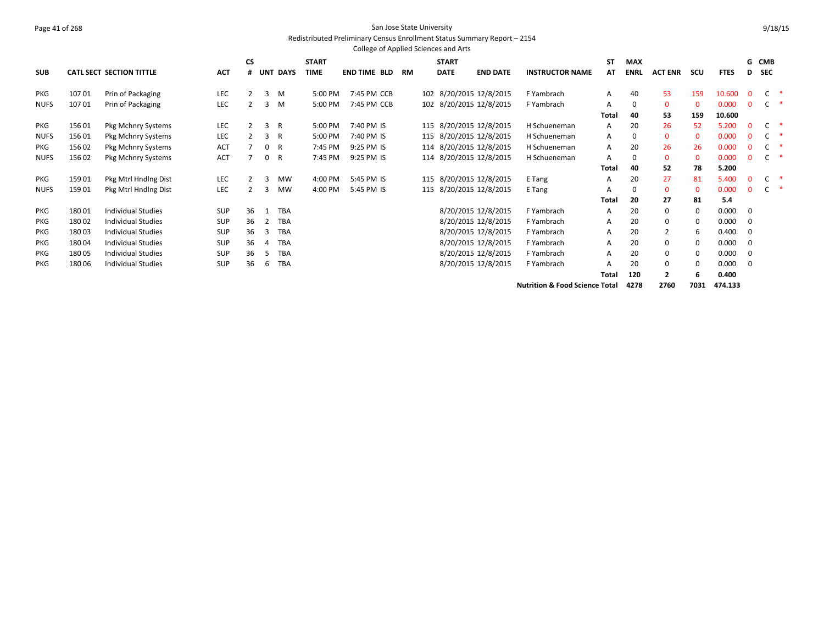#### Page 41 of 268 San Jose State University Redistributed Preliminary Census Enrollment Status Summary Report – 2154

|             |        |                                 |            |           |                |                 |              | College of Applied Sciences and Arts |    |              |                         |                                           |              |             |                |              |             |              |            |   |
|-------------|--------|---------------------------------|------------|-----------|----------------|-----------------|--------------|--------------------------------------|----|--------------|-------------------------|-------------------------------------------|--------------|-------------|----------------|--------------|-------------|--------------|------------|---|
|             |        |                                 |            | <b>CS</b> |                |                 | <b>START</b> |                                      |    | <b>START</b> |                         |                                           | <b>ST</b>    | <b>MAX</b>  |                |              |             |              | G CMB      |   |
| <b>SUB</b>  |        | <b>CATL SECT SECTION TITTLE</b> | <b>ACT</b> | #         |                | <b>UNT DAYS</b> | <b>TIME</b>  | END TIME BLD                         | RM | <b>DATE</b>  | <b>END DATE</b>         | <b>INSTRUCTOR NAME</b>                    | AT           | <b>ENRL</b> | <b>ACT ENR</b> | scu          | <b>FTES</b> | D            | <b>SEC</b> |   |
| <b>PKG</b>  | 10701  | Prin of Packaging               | LEC        | 2         |                | 3 M             | 5:00 PM      | 7:45 PM CCB                          |    |              | 102 8/20/2015 12/8/2015 | F Yambrach                                | Α            | 40          | 53             | 159          | 10.600      | $\Omega$     |            |   |
| <b>NUFS</b> | 10701  | Prin of Packaging               | LEC        |           | 3              | M               | 5:00 PM      | 7:45 PM CCB                          |    |              | 102 8/20/2015 12/8/2015 | F Yambrach                                | A            | $\Omega$    | $\mathbf{0}$   | $\mathbf{0}$ | 0.000       | $\Omega$     | C          |   |
|             |        |                                 |            |           |                |                 |              |                                      |    |              |                         |                                           | Total        | 40          | 53             | 159          | 10.600      |              |            |   |
| PKG         | 15601  | Pkg Mchnry Systems              | LEC        |           | 3              | R               | 5:00 PM      | 7:40 PM IS                           |    |              | 115 8/20/2015 12/8/2015 | H Schueneman                              | A            | 20          | 26             | 52           | 5.200       | $\mathbf 0$  | C          |   |
| <b>NUFS</b> | 15601  | Pkg Mchnry Systems              | LEC        |           | 3              | R               | 5:00 PM      | 7:40 PM IS                           |    |              | 115 8/20/2015 12/8/2015 | H Schueneman                              | Α            | $\Omega$    | $\mathbf{0}$   | $\mathbf{0}$ | 0.000       | $\Omega$     |            |   |
| <b>PKG</b>  | 156 02 | Pkg Mchnry Systems              | <b>ACT</b> |           | 0              | R               | 7:45 PM      | 9:25 PM IS                           |    |              | 114 8/20/2015 12/8/2015 | H Schueneman                              | Α            | 20          | 26             | 26           | 0.000       | $\Omega$     |            |   |
| <b>NUFS</b> | 156 02 | Pkg Mchnry Systems              | ACT        |           | 0              | R               | 7:45 PM      | 9:25 PM IS                           |    |              | 114 8/20/2015 12/8/2015 | H Schueneman                              | A            | $\Omega$    | $\mathbf{0}$   | $\mathbf{0}$ | 0.000       | $\Omega$     | C          | ∗ |
|             |        |                                 |            |           |                |                 |              |                                      |    |              |                         |                                           | Total        | 40          | 52             | 78           | 5.200       |              |            |   |
| PKG         | 15901  | Pkg Mtrl Hnding Dist            | LEC        |           | 3              | MW              | 4:00 PM      | 5:45 PM IS                           |    |              | 115 8/20/2015 12/8/2015 | E Tang                                    | А            | 20          | 27             | 81           | 5.400       | $\mathbf{0}$ | C          |   |
| <b>NUFS</b> | 15901  | Pkg Mtrl Hnding Dist            | LEC        |           | 3              | <b>MW</b>       | 4:00 PM      | 5:45 PM IS                           |    |              | 115 8/20/2015 12/8/2015 | E Tang                                    | A            | $\Omega$    | $\mathbf{0}$   | $\mathbf{0}$ | 0.000       | $\Omega$     | C          |   |
|             |        |                                 |            |           |                |                 |              |                                      |    |              |                         |                                           | <b>Total</b> | 20          | 27             | 81           | 5.4         |              |            |   |
| <b>PKG</b>  | 18001  | <b>Individual Studies</b>       | SUP        | 36        | 1              | <b>TBA</b>      |              |                                      |    |              | 8/20/2015 12/8/2015     | F Yambrach                                | A            | 20          | 0              | 0            | 0.000       | $\Omega$     |            |   |
| <b>PKG</b>  | 18002  | <b>Individual Studies</b>       | <b>SUP</b> | 36        | $\overline{2}$ | <b>TBA</b>      |              |                                      |    |              | 8/20/2015 12/8/2015     | F Yambrach                                | A            | 20          |                | $\Omega$     | 0.000       | $\Omega$     |            |   |
| <b>PKG</b>  | 18003  | <b>Individual Studies</b>       | <b>SUP</b> | 36        | 3              | <b>TBA</b>      |              |                                      |    |              | 8/20/2015 12/8/2015     | F Yambrach                                | Α            | 20          | 2              | 6            | 0.400       | $\Omega$     |            |   |
| <b>PKG</b>  | 18004  | <b>Individual Studies</b>       | <b>SUP</b> | 36        | 4              | <b>TBA</b>      |              |                                      |    |              | 8/20/2015 12/8/2015     | F Yambrach                                | Α            | 20          | 0              |              | 0.000       | $\Omega$     |            |   |
| PKG         | 18005  | <b>Individual Studies</b>       | <b>SUP</b> | 36        | -5             | <b>TBA</b>      |              |                                      |    |              | 8/20/2015 12/8/2015     | F Yambrach                                | Α            | 20          | 0              |              | 0.000       | $\Omega$     |            |   |
| <b>PKG</b>  | 18006  | <b>Individual Studies</b>       | <b>SUP</b> | 36        | 6              | <b>TBA</b>      |              |                                      |    |              | 8/20/2015 12/8/2015     | F Yambrach                                | A            | 20          |                | 0            | 0.000       | $\Omega$     |            |   |
|             |        |                                 |            |           |                |                 |              |                                      |    |              |                         |                                           | <b>Total</b> | 120         |                |              | 0.400       |              |            |   |
|             |        |                                 |            |           |                |                 |              |                                      |    |              |                         | <b>Nutrition &amp; Food Science Total</b> |              | 4278        | 2760           | 7031         | 474.133     |              |            |   |

9/18/15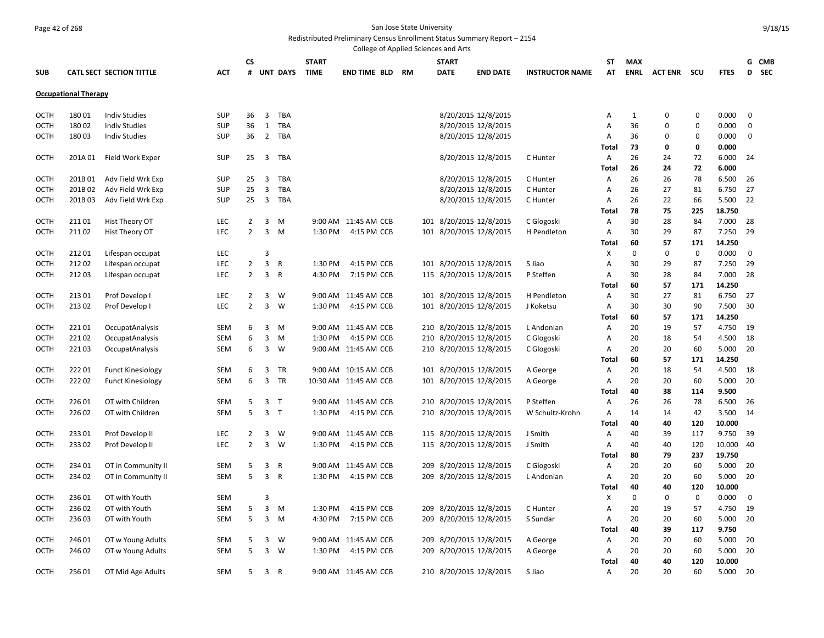#### Page 42 of 268 San Jose State University Redistributed Preliminary Census Enrollment Status Summary Report – 2154

College of Applied Sciences and Arts **SUB CATL SECT SECTION TITTLE ACT CS # UNT DAYS START TIME END TIME BLD RM START DATE END DATE INSTRUCTOR NAME ST AT MAX ENRL ACT ENR SCU FTES G CMB D SEC Occupational Therapy** OCTH 180 01 Indiv Studies SUP 36 3 TBA 8/20/2015 12/8/2015 A 1 0 0 0.000 0 OCTH 180 02 Indiv Studies SUP 36 1 TBA 8/20/2015 12/8/2015 A 36 0 0 0.000 0 OCTH 180 03 Indiv Studies SUP 36 2 TBA 8/20/2015 12/8/2015 A 36 0 0 0.000 0 **Total 73 0 0 0.000** OCTH 201A 01 Field Work Exper SUP 25 3 TBA 8/20/2015 12/8/2015 C Hunter A 26 24 72 6.000 24 **Total 26 24 72 6.000** OCTH 201B 01 Adv Field Wrk Exp SUP 25 3 TBA 8/20/2015 12/8/2015 C Hunter A 26 26 78 6.500 26 OCTH 201B 02 Adv Field Wrk Exp SUP 25 3 TBA 8/20/2015 12/8/2015 C Hunter A 26 27 81 6.750 27 OCTH 201B 03 Adv Field Wrk Exp SUP 25 3 TBA 8/20/2015 12/8/2015 C Hunter A 26 22 66 5.500 22 **Total 78 75 225 18.750** OCTH 211 01 Hist Theory OT LEC 2 3 M 9:00 AM 11:45 AM CCB 101 8/20/2015 12/8/2015 C Glogoski A 30 28 84 7.000 28 OCTH 211 02 Hist Theory OT LEC 2 3 M 1:30 PM 4:15 PM CCB 101 8/20/2015 12/8/2015 H Pendleton A 30 29 87 7.250 29 **Total 60 57 171 14.250** OCTH 212 01 Lifespan occupat LEC 3 X 0 0 0 0.000 0 OCTH 212 02 Lifespan occupat LEC 2 3 R 1:30 PM 4:15 PM CCB 101 8/20/2015 12/8/2015 S Jiao A 30 29 87 7.250 29 OCTH 212 03 Lifespan occupat LEC 2 3 R 4:30 PM 7:15 PM CCB 115 8/20/2015 12/8/2015 P Steffen A 30 28 84 7.000 28 **Total 60 57 171 14.250** OCTH 213 01 Prof Develop I LEC 2 3 W 9:00 AM 11:45 AM CCB 101 8/20/2015 12/8/2015 H Pendleton A 30 27 81 6.750 27 OCTH 213 02 Prof Develop I LEC 2 3 W 1:30 PM 4:15 PM CCB 101 8/20/2015 12/8/2015 J Koketsu A 30 30 90 7.500 30 **Total 60 57 171 14.250** OCTH 221 01 OccupatAnalysis SEM 6 3 M 9:00 AM 11:45 AM CCB 210 8/20/2015 12/8/2015 L Andonian A 20 19 57 4.750 19 OCTH 221 02 OccupatAnalysis SEM 6 3 M 1:30 PM 4:15 PM CCB 210 8/20/2015 12/8/2015 C Glogoski A 20 18 54 4.500 18 OCTH 221 03 OccupatAnalysis SEM 6 3 W 9:00 AM 11:45 AM CCB 210 8/20/2015 12/8/2015 C Glogoski A 20 20 60 5.000 20 **Total 60 57 171 14.250** OCTH 222 01 Funct Kinesiology SEM 6 3 TR 9:00 AM 10:15 AM CCB 101 8/20/2015 12/8/2015 A George A 20 18 54 4.500 18 OCTH 222 02 Funct Kinesiology SEM 6 3 TR 10:30 AM 11:45 AM CCB 101 8/20/2015 12/8/2015 A George A 20 20 60 5.000 20 **Total 40 38 114 9.500** OCTH 226 01 OT with Children SEM 5 3 T 9:00 AM 11:45 AM CCB 210 8/20/2015 12/8/2015 P Steffen A 26 26 78 6.500 26 OCTH 226 02 OT with Children SEM 5 3 T 1:30 PM 4:15 PM CCB 210 8/20/2015 12/8/2015 W Schultz-Krohn A 14 14 42 3.500 14 **Total 40 40 120 10.000** OCTH 233 01 Prof Develop II LEC 2 3 W 9:00 AM 11:45 AM CCB 115 8/20/2015 12/8/2015 J Smith A 40 39 117 9.750 39 OCTH 233 02 Prof Develop II LEC 2 3 W 1:30 PM 4:15 PM CCB 115 8/20/2015 12/8/2015 J Smith A 40 40 120 10.000 40 **Total 80 79 237 19.750** OCTH 234 01 OT in Community II SEM 5 3 R 9:00 AM 11:45 AM CCB 209 8/20/2015 12/8/2015 C Glogoski A 20 20 60 5.000 20 OCTH 234 02 OT in Community II SEM 5 3 R 1:30 PM 4:15 PM CCB 209 8/20/2015 12/8/2015 L Andonian A 20 20 60 5.000 20 **Total 40 40 120 10.000** OCTH 236 01 OT with Youth SEM 3 X 0 0 0 0.000 0 OCTH 236 02 OT with Youth SEM 5 3 M 1:30 PM 4:15 PM CCB 209 8/20/2015 12/8/2015 C Hunter A 20 19 57 4.750 19 OCTH 236 03 OT with Youth SEM 5 3 M 4:30 PM 7:15 PM CCB 209 8/20/2015 12/8/2015 S Sundar A 20 20 60 5.000 20 **Total 40 39 117 9.750** OCTH 246 01 OT w Young Adults SEM 5 3 W 9:00 AM 11:45 AM CCB 209 8/20/2015 12/8/2015 A George A 20 20 60 5.000 20 OCTH 246 02 OT w Young Adults SEM 5 3 W 1:30 PM 4:15 PM CCB 209 8/20/2015 12/8/2015 A George A 20 20 60 5.000 20 **Total 40 40 120 10.000** OCTH 256 01 OT Mid Age Adults SEM 5 3 R 9:00 AM 11:45 AM CCB 210 8/20/2015 12/8/2015 S Jiao A 20 20 60 5.000 20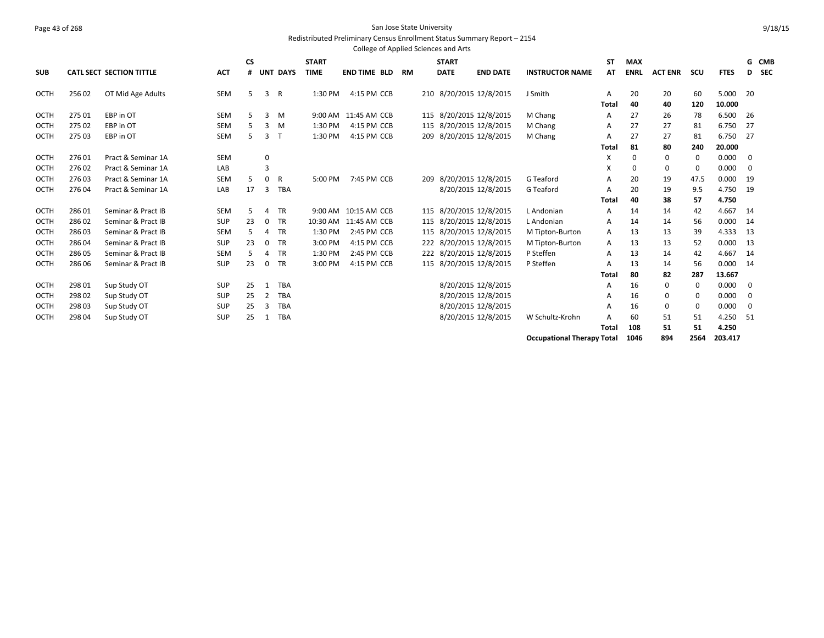#### Page 43 of 268 San Jose State University Redistributed Preliminary Census Enrollment Status Summary Report – 2154

|             |        |                                 |            |           |    |              |              | College of Applied Sciences and Arts |           |             |              |                         |                        |       |             |                |          |             |     |            |
|-------------|--------|---------------------------------|------------|-----------|----|--------------|--------------|--------------------------------------|-----------|-------------|--------------|-------------------------|------------------------|-------|-------------|----------------|----------|-------------|-----|------------|
|             |        |                                 |            | <b>CS</b> |    |              | <b>START</b> |                                      |           |             | <b>START</b> |                         |                        | ST    | <b>MAX</b>  |                |          |             |     | G CMB      |
| <b>SUB</b>  |        | <b>CATL SECT SECTION TITTLE</b> | <b>ACT</b> |           |    | # UNT DAYS   | <b>TIME</b>  | <b>END TIME BLD</b>                  | <b>RM</b> | <b>DATE</b> |              | <b>END DATE</b>         | <b>INSTRUCTOR NAME</b> | ΑT    | <b>ENRL</b> | <b>ACT ENR</b> | scu      | <b>FTES</b> | D   | <b>SEC</b> |
| OCTH        | 25602  | OT Mid Age Adults               | SEM        | 5         | 3  | R            | 1:30 PM      | 4:15 PM CCB                          |           |             |              | 210 8/20/2015 12/8/2015 | J Smith                | A     | 20          | 20             | 60       | 5.000       | 20  |            |
|             |        |                                 |            |           |    |              |              |                                      |           |             |              |                         |                        | Total | 40          | 40             | 120      | 10.000      |     |            |
| OCTH        | 27501  | EBP in OT                       | <b>SEM</b> | 5         | 3  | M            | 9:00 AM      | 11:45 AM CCB                         |           | 115         |              | 8/20/2015 12/8/2015     | M Chang                | A     | 27          | 26             | 78       | 6.500       | -26 |            |
| <b>OCTH</b> | 275 02 | EBP in OT                       | <b>SEM</b> |           | 3  | M            | 1:30 PM      | 4:15 PM CCB                          |           |             |              | 115 8/20/2015 12/8/2015 | M Chang                | A     | 27          | 27             | 81       | 6.750       | 27  |            |
| OCTH        | 275 03 | EBP in OT                       | SEM        | 5         | 3  | $\mathsf{T}$ | 1:30 PM      | 4:15 PM CCB                          |           | 209         |              | 8/20/2015 12/8/2015     | M Chang                | А     | 27          | 27             | 81       | 6.750       | 27  |            |
|             |        |                                 |            |           |    |              |              |                                      |           |             |              |                         |                        | Total | 81          | 80             | 240      | 20.000      |     |            |
| <b>OCTH</b> | 27601  | Pract & Seminar 1A              | <b>SEM</b> |           | 0  |              |              |                                      |           |             |              |                         |                        | x     | 0           | 0              | 0        | 0.000       | 0   |            |
| OCTH        | 27602  | Pract & Seminar 1A              | LAB        |           | 3  |              |              |                                      |           |             |              |                         |                        | x     | 0           | 0              | 0        | 0.000       | 0   |            |
| <b>OCTH</b> | 27603  | Pract & Seminar 1A              | SEM        | .5        | 0  | R            | 5:00 PM      | 7:45 PM CCB                          |           | 209         |              | 8/20/2015 12/8/2015     | G Teaford              | Α     | 20          | 19             | 47.5     | 0.000       | 19  |            |
| OCTH        | 27604  | Pract & Seminar 1A              | LAB        | 17        | 3  | <b>TBA</b>   |              |                                      |           |             |              | 8/20/2015 12/8/2015     | G Teaford              | A     | 20          | 19             | 9.5      | 4.750       | 19  |            |
|             |        |                                 |            |           |    |              |              |                                      |           |             |              |                         |                        | Total | 40          | 38             | 57       | 4.750       |     |            |
| <b>OCTH</b> | 28601  | Seminar & Pract IB              | <b>SEM</b> | 5         | 4  | TR           |              | 9:00 AM 10:15 AM CCB                 |           |             |              | 115 8/20/2015 12/8/2015 | L Andonian             | A     | 14          | 14             | 42       | 4.667       | 14  |            |
| OCTH        | 28602  | Seminar & Pract IB              | SUP        | 23        | 0  | <b>TR</b>    | 10:30 AM     | 11:45 AM CCB                         |           | 115         |              | 8/20/2015 12/8/2015     | L Andonian             | Α     | 14          | 14             | 56       | 0.000       | 14  |            |
| <b>OCTH</b> | 28603  | Seminar & Pract IB              | <b>SEM</b> | .5        | 4  | TR           | 1:30 PM      | 2:45 PM CCB                          |           |             |              | 115 8/20/2015 12/8/2015 | M Tipton-Burton        | A     | 13          | 13             | 39       | 4.333       | 13  |            |
| <b>OCTH</b> | 28604  | Seminar & Pract IB              | <b>SUP</b> | 23        | 0  | TR           | 3:00 PM      | 4:15 PM CCB                          |           |             |              | 222 8/20/2015 12/8/2015 | M Tipton-Burton        | Α     | 13          | 13             | 52       | 0.000       | 13  |            |
| <b>OCTH</b> | 286 05 | Seminar & Pract IB              | SEM        | .5        | 4  | TR           | 1:30 PM      | 2:45 PM CCB                          |           |             |              | 222 8/20/2015 12/8/2015 | P Steffen              | Α     | 13          | 14             | 42       | 4.667       | 14  |            |
| OCTH        | 286 06 | Seminar & Pract IB              | <b>SUP</b> | 23        | 0  | <b>TR</b>    | 3:00 PM      | 4:15 PM CCB                          |           |             |              | 115 8/20/2015 12/8/2015 | P Steffen              | A     | 13          | 14             | 56       | 0.000       | 14  |            |
|             |        |                                 |            |           |    |              |              |                                      |           |             |              |                         |                        | Total | 80          | 82             | 287      | 13.667      |     |            |
| <b>OCTH</b> | 298 01 | Sup Study OT                    | <b>SUP</b> | 25        |    | <b>TBA</b>   |              |                                      |           |             |              | 8/20/2015 12/8/2015     |                        | A     | 16          | 0              | $\Omega$ | 0.000       | 0   |            |
| <b>OCTH</b> | 298 02 | Sup Study OT                    | <b>SUP</b> | 25        | 2  | TBA          |              |                                      |           |             |              | 8/20/2015 12/8/2015     |                        | А     | 16          | 0              |          | 0.000       | 0   |            |
| <b>OCTH</b> | 298 03 | Sup Study OT                    | <b>SUP</b> | 25        | 3  | <b>TBA</b>   |              |                                      |           |             |              | 8/20/2015 12/8/2015     |                        | А     | 16          | 0              | 0        | 0.000       | 0   |            |
| OCTH        | 298 04 | Sup Study OT                    | SUP        | 25        | -1 | <b>TBA</b>   |              |                                      |           |             |              | 8/20/2015 12/8/2015     | W Schultz-Krohn        | А     | 60          | 51             | 51       | 4.250       | 51  |            |
|             |        |                                 |            |           |    |              |              |                                      |           |             |              |                         |                        | Total | 108         | 51             | 51       | 4.250       |     |            |

**Occupational Therapy Total 1046 894 2564 203.417**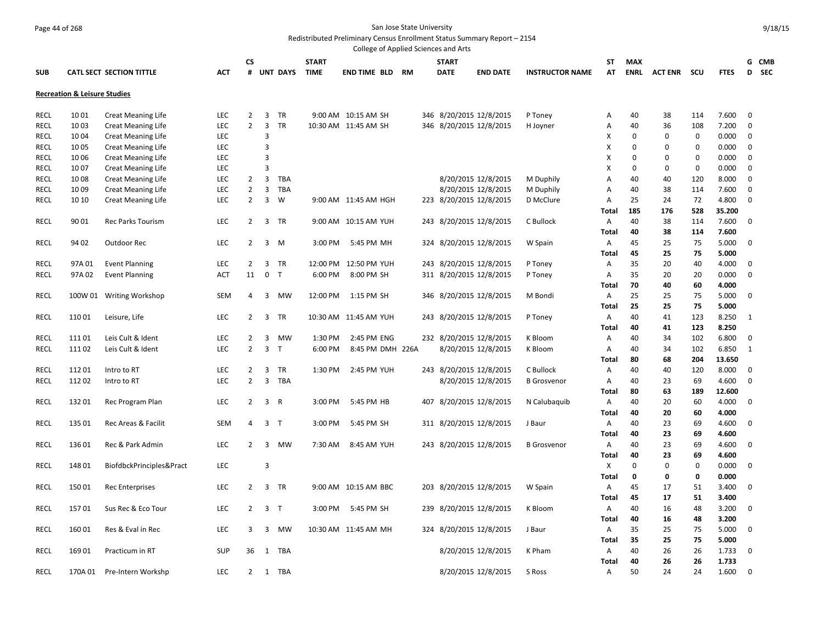# Page 44 of 268 San Jose State University

Redistributed Preliminary Census Enrollment Status Summary Report – 2154

|                            |                                         |                                        |            |                                  |                |              |                    |                                 |  | College of Applied Sciences and Arts |                                                |                        |              |             |                |             |                |              |  |
|----------------------------|-----------------------------------------|----------------------------------------|------------|----------------------------------|----------------|--------------|--------------------|---------------------------------|--|--------------------------------------|------------------------------------------------|------------------------|--------------|-------------|----------------|-------------|----------------|--------------|--|
|                            |                                         |                                        |            | CS                               |                |              | <b>START</b>       |                                 |  | <b>START</b>                         |                                                |                        | SΤ           | <b>MAX</b>  |                |             |                | G CMB        |  |
| <b>SUB</b>                 |                                         | <b>CATL SECT SECTION TITTLE</b>        | <b>ACT</b> |                                  |                | # UNT DAYS   | <b>TIME</b>        | <b>END TIME BLD RM</b>          |  | <b>DATE</b>                          | <b>END DATE</b>                                | <b>INSTRUCTOR NAME</b> | AT           | <b>ENRL</b> | <b>ACT ENR</b> | scu         | <b>FTES</b>    | D SEC        |  |
|                            | <b>Recreation &amp; Leisure Studies</b> |                                        |            |                                  |                |              |                    |                                 |  |                                      |                                                |                        |              |             |                |             |                |              |  |
| <b>RECL</b>                | 1001                                    | <b>Creat Meaning Life</b>              | LEC        | $\overline{2}$                   | 3              | TR           |                    | 9:00 AM 10:15 AM SH             |  |                                      | 346 8/20/2015 12/8/2015                        | P Toney                | А            | 40          | 38             | 114         | 7.600          | $\mathbf 0$  |  |
| <b>RECL</b>                | 1003                                    | <b>Creat Meaning Life</b>              | LEC        | $\overline{2}$                   | 3              | TR           |                    | 10:30 AM 11:45 AM SH            |  |                                      | 346 8/20/2015 12/8/2015                        | H Joyner               | А            | 40          | 36             | 108         | 7.200          | $\mathbf 0$  |  |
| <b>RECL</b>                | 1004                                    | <b>Creat Meaning Life</b>              | LEC        |                                  | 3              |              |                    |                                 |  |                                      |                                                |                        | X            | $\mathbf 0$ | $\mathbf 0$    | $\mathbf 0$ | 0.000          | $\mathbf 0$  |  |
| <b>RECL</b>                | 1005                                    | <b>Creat Meaning Life</b>              | <b>LEC</b> |                                  | 3              |              |                    |                                 |  |                                      |                                                |                        | Χ            | 0           | $\Omega$       | $\mathbf 0$ | 0.000          | 0            |  |
| <b>RECL</b>                | 1006                                    | <b>Creat Meaning Life</b>              | LEC        |                                  | $\overline{3}$ |              |                    |                                 |  |                                      |                                                |                        | X            | $\Omega$    | $\Omega$       | 0           | 0.000          | $\mathbf 0$  |  |
| <b>RECL</b>                | 1007                                    | <b>Creat Meaning Life</b>              | LEC        |                                  | 3              |              |                    |                                 |  |                                      |                                                |                        | X            | $\mathbf 0$ | 0              | $\mathbf 0$ | 0.000          | $\mathbf 0$  |  |
| <b>RECL</b>                | 1008                                    | <b>Creat Meaning Life</b>              | LEC        | $\overline{2}$                   | 3              | TBA          |                    |                                 |  |                                      | 8/20/2015 12/8/2015                            | M Duphily              | А            | 40          | 40             | 120         | 8.000          | $\mathbf 0$  |  |
| <b>RECL</b>                | 1009                                    | <b>Creat Meaning Life</b>              | <b>LEC</b> | $\overline{2}$                   | $\overline{3}$ | TBA          |                    |                                 |  |                                      | 8/20/2015 12/8/2015                            | M Duphily              | А            | 40          | 38             | 114         | 7.600          | 0            |  |
| <b>RECL</b>                | 10 10                                   | <b>Creat Meaning Life</b>              | LEC        | $\overline{2}$                   | 3              | W            |                    | 9:00 AM 11:45 AM HGH            |  |                                      | 223 8/20/2015 12/8/2015                        | D McClure              | Α            | 25          | 24             | 72          | 4.800          | $\mathbf 0$  |  |
|                            |                                         |                                        |            |                                  |                |              |                    |                                 |  |                                      |                                                |                        | Total        | 185         | 176            | 528         | 35.200         |              |  |
| <b>RECL</b>                | 9001                                    | <b>Rec Parks Tourism</b>               | LEC        | $\overline{2}$                   | $\overline{3}$ | TR           |                    | 9:00 AM 10:15 AM YUH            |  |                                      | 243 8/20/2015 12/8/2015                        | C Bullock              | Α            | 40          | 38             | 114         | 7.600          | $\mathbf 0$  |  |
|                            |                                         |                                        |            |                                  |                |              |                    |                                 |  |                                      |                                                |                        | Total        | 40          | 38             | 114         | 7.600          |              |  |
| <b>RECL</b>                | 94 02                                   | Outdoor Rec                            | LEC        | $\overline{2}$                   | 3              | M            | 3:00 PM            | 5:45 PM MH                      |  |                                      | 324 8/20/2015 12/8/2015                        | W Spain                | Α            | 45          | 25             | 75          | 5.000          | 0            |  |
|                            |                                         |                                        |            |                                  |                |              |                    |                                 |  |                                      |                                                |                        | Total        | 45          | 25             | 75          | 5.000          |              |  |
| <b>RECL</b>                | 97A01                                   | <b>Event Planning</b>                  | LEC        | $\overline{2}$                   | 3              | TR           |                    | 12:00 PM 12:50 PM YUH           |  |                                      | 243 8/20/2015 12/8/2015                        | P Toney                | Α            | 35          | 20             | 40          | 4.000          | 0            |  |
| <b>RECL</b>                | 97A 02                                  | <b>Event Planning</b>                  | ACT        | 11                               | $\mathbf 0$    | $\mathsf{T}$ | 6:00 PM            | 8:00 PM SH                      |  |                                      | 311 8/20/2015 12/8/2015                        | P Toney                | Α            | 35          | 20             | 20          | 0.000          | $\mathbf 0$  |  |
|                            |                                         |                                        |            |                                  |                |              |                    |                                 |  |                                      |                                                |                        | Total        | 70          | 40             | 60          | 4.000          |              |  |
| <b>RECL</b>                |                                         | 100W 01 Writing Workshop               | <b>SEM</b> | 4                                | 3              | MW           |                    | 12:00 PM 1:15 PM SH             |  |                                      | 346 8/20/2015 12/8/2015                        | M Bondi                | Α            | 25          | 25             | 75          | 5.000          | 0            |  |
|                            |                                         |                                        |            |                                  |                |              |                    |                                 |  |                                      |                                                |                        | Total        | 25          | 25             | 75          | 5.000          |              |  |
| <b>RECL</b>                | 11001                                   | Leisure, Life                          | LEC        | $\overline{2}$                   | 3              | TR           |                    | 10:30 AM 11:45 AM YUH           |  |                                      | 243 8/20/2015 12/8/2015                        | P Toney                | Α            | 40          | 41             | 123         | 8.250          | 1            |  |
|                            |                                         |                                        | LEC        |                                  |                | MW           |                    |                                 |  |                                      |                                                |                        | Total        | 40<br>40    | 41             | 123         | 8.250          | $\mathbf 0$  |  |
| <b>RECL</b><br><b>RECL</b> | 11101<br>11102                          | Leis Cult & Ident<br>Leis Cult & Ident | LEC        | $\overline{2}$<br>$\overline{2}$ | 3<br>3         | T.           | 1:30 PM<br>6:00 PM | 2:45 PM ENG<br>8:45 PM DMH 226A |  |                                      | 232 8/20/2015 12/8/2015<br>8/20/2015 12/8/2015 | K Bloom<br>K Bloom     | Α<br>Α       | 40          | 34<br>34       | 102<br>102  | 6.800<br>6.850 | $\mathbf{1}$ |  |
|                            |                                         |                                        |            |                                  |                |              |                    |                                 |  |                                      |                                                |                        | Total        | 80          | 68             | 204         | 13.650         |              |  |
| <b>RECL</b>                | 11201                                   | Intro to RT                            | <b>LEC</b> | 2                                | 3              | TR           | 1:30 PM            | 2:45 PM YUH                     |  |                                      | 243 8/20/2015 12/8/2015                        | C Bullock              | Α            | 40          | 40             | 120         | 8.000          | 0            |  |
| RECL                       | 11202                                   | Intro to RT                            | LEC        | $\overline{2}$                   | $\overline{3}$ | <b>TBA</b>   |                    |                                 |  |                                      | 8/20/2015 12/8/2015                            | <b>B</b> Grosvenor     | Α            | 40          | 23             | 69          | 4.600          | $\mathbf 0$  |  |
|                            |                                         |                                        |            |                                  |                |              |                    |                                 |  |                                      |                                                |                        | Total        | 80          | 63             | 189         | 12.600         |              |  |
| RECL                       | 13201                                   | Rec Program Plan                       | LEC        | $\overline{2}$                   | $\overline{3}$ | R            | 3:00 PM            | 5:45 PM HB                      |  |                                      | 407 8/20/2015 12/8/2015                        | N Calubaquib           | Α            | 40          | 20             | 60          | 4.000          | $\mathbf 0$  |  |
|                            |                                         |                                        |            |                                  |                |              |                    |                                 |  |                                      |                                                |                        | <b>Total</b> | 40          | 20             | 60          | 4.000          |              |  |
| <b>RECL</b>                | 13501                                   | Rec Areas & Facilit                    | <b>SEM</b> | 4                                | $\overline{3}$ | $\mathsf{T}$ | 3:00 PM            | 5:45 PM SH                      |  |                                      | 311 8/20/2015 12/8/2015                        | J Baur                 | Α            | 40          | 23             | 69          | 4.600          | $\mathbf 0$  |  |
|                            |                                         |                                        |            |                                  |                |              |                    |                                 |  |                                      |                                                |                        | Total        | 40          | 23             | 69          | 4.600          |              |  |
| RECL                       | 13601                                   | Rec & Park Admin                       | LEC        | $\overline{2}$                   | 3              | MW           | 7:30 AM            | 8:45 AM YUH                     |  |                                      | 243 8/20/2015 12/8/2015                        | <b>B</b> Grosvenor     | Α            | 40          | 23             | 69          | 4.600          | $\mathbf 0$  |  |
|                            |                                         |                                        |            |                                  |                |              |                    |                                 |  |                                      |                                                |                        | <b>Total</b> | 40          | 23             | 69          | 4.600          |              |  |
| <b>RECL</b>                | 14801                                   | BiofdbckPrinciples&Pract               | <b>LEC</b> |                                  | 3              |              |                    |                                 |  |                                      |                                                |                        | Χ            | $\Omega$    | $\Omega$       | $\mathbf 0$ | 0.000          | $\mathbf 0$  |  |
|                            |                                         |                                        |            |                                  |                |              |                    |                                 |  |                                      |                                                |                        | Total        | 0           | 0              | 0           | 0.000          |              |  |
| RECL                       | 15001                                   | <b>Rec Enterprises</b>                 | LEC        | $\overline{2}$                   | 3              | TR           |                    | 9:00 AM 10:15 AM BBC            |  |                                      | 203 8/20/2015 12/8/2015                        | W Spain                | Α            | 45          | 17             | 51          | 3.400          | $\mathbf 0$  |  |
|                            |                                         |                                        |            |                                  |                |              |                    |                                 |  |                                      |                                                |                        | <b>Total</b> | 45          | 17             | 51          | 3.400          |              |  |
| <b>RECL</b>                | 15701                                   | Sus Rec & Eco Tour                     | <b>LEC</b> | 2                                | $\overline{3}$ | $\mathsf{T}$ | 3:00 PM            | 5:45 PM SH                      |  |                                      | 239 8/20/2015 12/8/2015                        | K Bloom                | Α            | 40          | 16             | 48          | 3.200          | $\mathbf 0$  |  |
|                            |                                         |                                        |            |                                  |                |              |                    |                                 |  |                                      |                                                |                        | Total        | 40          | 16             | 48          | 3.200          |              |  |
| RECL                       | 16001                                   | Res & Eval in Rec                      | <b>LEC</b> | 3                                | 3              | MW           |                    | 10:30 AM 11:45 AM MH            |  |                                      | 324 8/20/2015 12/8/2015                        | J Baur                 | Α            | 35          | 25             | 75          | 5.000          | $\mathbf 0$  |  |
|                            |                                         |                                        |            |                                  |                |              |                    |                                 |  |                                      |                                                |                        | <b>Total</b> | 35          | 25             | 75          | 5.000          |              |  |
| <b>RECL</b>                | 16901                                   | Practicum in RT                        | <b>SUP</b> | 36                               | 1              | TBA          |                    |                                 |  |                                      | 8/20/2015 12/8/2015                            | K Pham                 | Α            | 40          | 26             | 26          | 1.733          | $\mathbf 0$  |  |
|                            |                                         |                                        |            |                                  |                |              |                    |                                 |  |                                      |                                                |                        | Total        | 40          | 26             | 26          | 1.733          |              |  |
| <b>RECL</b>                | 170A 01                                 | Pre-Intern Workshp                     | LEC        | $\overline{2}$                   | 1              | TBA          |                    |                                 |  |                                      | 8/20/2015 12/8/2015                            | S Ross                 | A            | 50          | 24             | 24          | 1.600          | $\mathbf 0$  |  |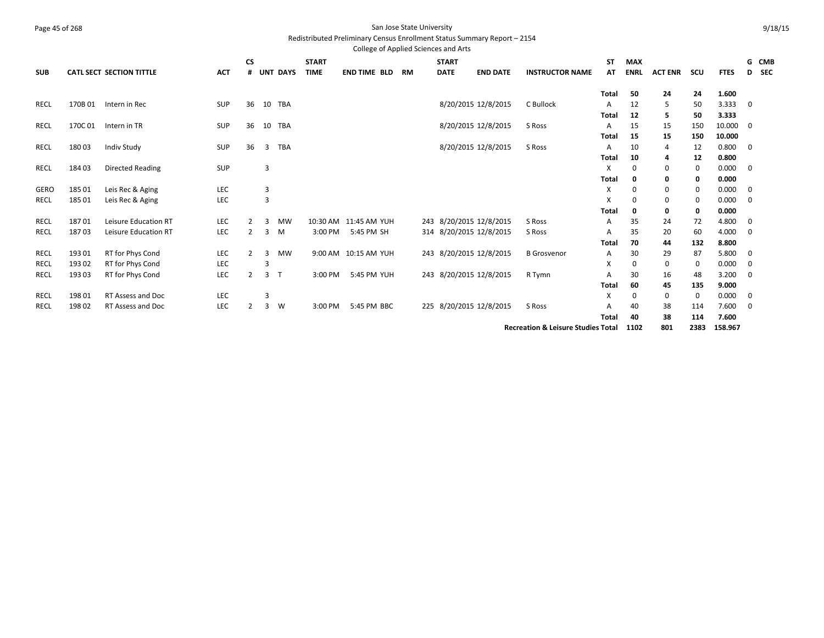#### Page 45 of 268 San Jose State University Redistributed Preliminary Census Enrollment Status Summary Report – 2154

College of Applied Sciences and Arts

|             |        |                                 |            | <b>CS</b>      |                |                 | <b>START</b> |                       |    | <b>START</b> |                         |                                               | <b>ST</b>    | <b>MAX</b>  |                |             |             |             | G CMB |
|-------------|--------|---------------------------------|------------|----------------|----------------|-----------------|--------------|-----------------------|----|--------------|-------------------------|-----------------------------------------------|--------------|-------------|----------------|-------------|-------------|-------------|-------|
| <b>SUB</b>  |        | <b>CATL SECT SECTION TITTLE</b> | <b>ACT</b> | #              |                | <b>UNT DAYS</b> | <b>TIME</b>  | <b>END TIME BLD</b>   | RM | <b>DATE</b>  | <b>END DATE</b>         | <b>INSTRUCTOR NAME</b>                        | AT           | <b>ENRL</b> | <b>ACT ENR</b> | scu         | <b>FTES</b> |             | D SEC |
|             |        |                                 |            |                |                |                 |              |                       |    |              |                         |                                               | <b>Total</b> | 50          | 24             | 24          | 1.600       |             |       |
| RECL        | 170B01 | Intern in Rec                   | <b>SUP</b> | 36             |                | 10 TBA          |              |                       |    |              | 8/20/2015 12/8/2015     | C Bullock                                     | A            | 12          | 5              | 50          | 3.333       | 0           |       |
|             |        |                                 |            |                |                |                 |              |                       |    |              |                         |                                               | <b>Total</b> | 12          | 5              | 50          | 3.333       |             |       |
| <b>RECL</b> | 170C01 | Intern in TR                    | SUP        | 36             | 10             | TBA             |              |                       |    |              | 8/20/2015 12/8/2015     | S Ross                                        | Α            | 15          | 15             | 150         | 10.000      | 0           |       |
|             |        |                                 |            |                |                |                 |              |                       |    |              |                         |                                               | <b>Total</b> | 15          | 15             | 150         | 10.000      |             |       |
| <b>RECL</b> | 18003  | Indiv Study                     | SUP        | 36             | 3              | <b>TBA</b>      |              |                       |    |              | 8/20/2015 12/8/2015     | S Ross                                        | A            | 10          | 4              | 12          | 0.800       | 0           |       |
|             |        |                                 |            |                |                |                 |              |                       |    |              |                         |                                               | <b>Total</b> | 10          | 4              | 12          | 0.800       |             |       |
| RECL        | 18403  | <b>Directed Reading</b>         | SUP        |                | 3              |                 |              |                       |    |              |                         |                                               | X            | $\mathbf 0$ | 0              | $\mathbf 0$ | 0.000       | 0           |       |
|             |        |                                 |            |                |                |                 |              |                       |    |              |                         |                                               | <b>Total</b> | 0           | 0              | 0           | 0.000       |             |       |
| <b>GERO</b> | 185 01 | Leis Rec & Aging                | LEC        |                | 3              |                 |              |                       |    |              |                         |                                               | X            | 0           | 0              | 0           | 0.000       | 0           |       |
| RECL        | 185 01 | Leis Rec & Aging                | LEC        |                | 3              |                 |              |                       |    |              |                         |                                               | х            | 0           | 0              | 0           | 0.000       | 0           |       |
|             |        |                                 |            |                |                |                 |              |                       |    |              |                         |                                               | <b>Total</b> | 0           | 0              | 0           | 0.000       |             |       |
| <b>RECL</b> | 18701  | <b>Leisure Education RT</b>     | <b>LEC</b> |                | 3              | <b>MW</b>       |              | 10:30 AM 11:45 AM YUH |    |              | 243 8/20/2015 12/8/2015 | S Ross                                        | Α            | 35          | 24             | 72          | 4.800       | 0           |       |
| <b>RECL</b> | 18703  | Leisure Education RT            | <b>LEC</b> | 2              | 3              | M               | 3:00 PM      | 5:45 PM SH            |    |              | 314 8/20/2015 12/8/2015 | S Ross                                        | Α            | 35          | 20             | 60          | 4.000       | $\mathbf 0$ |       |
|             |        |                                 |            |                |                |                 |              |                       |    |              |                         |                                               | <b>Total</b> | 70          | 44             | 132         | 8.800       |             |       |
| <b>RECL</b> | 193 01 | RT for Phys Cond                | LEC        | $\overline{2}$ | 3              | MW              |              | 9:00 AM 10:15 AM YUH  |    |              | 243 8/20/2015 12/8/2015 | <b>B</b> Grosvenor                            | Α            | 30          | 29             | 87          | 5.800       | 0           |       |
| <b>RECL</b> | 193 02 | RT for Phys Cond                | LEC        |                | 3              |                 |              |                       |    |              |                         |                                               | х            | 0           | 0              | 0           | 0.000       | 0           |       |
| <b>RECL</b> | 193 03 | RT for Phys Cond                | LEC        | $\mathbf{2}$   | 3 <sub>1</sub> |                 | 3:00 PM      | 5:45 PM YUH           |    |              | 243 8/20/2015 12/8/2015 | R Tymn                                        | A            | 30          | 16             | 48          | 3.200       | 0           |       |
|             |        |                                 |            |                |                |                 |              |                       |    |              |                         |                                               | Total        | 60          | 45             | 135         | 9.000       |             |       |
| RECL        | 19801  | RT Assess and Doc               | <b>LEC</b> |                | 3              |                 |              |                       |    |              |                         |                                               | X            | 0           | 0              | 0           | 0.000       | 0           |       |
| RECL        | 19802  | RT Assess and Doc               | LEC        | 2              | 3              | W               | 3:00 PM      | 5:45 PM BBC           |    |              | 225 8/20/2015 12/8/2015 | S Ross                                        | А            | 40          | 38             | 114         | 7.600       | 0           |       |
|             |        |                                 |            |                |                |                 |              |                       |    |              |                         |                                               | Total        | 40          | 38             | 114         | 7.600       |             |       |
|             |        |                                 |            |                |                |                 |              |                       |    |              |                         | <b>Recreation &amp; Leisure Studies Total</b> |              | 1102        | 801            | 2383        | 158.967     |             |       |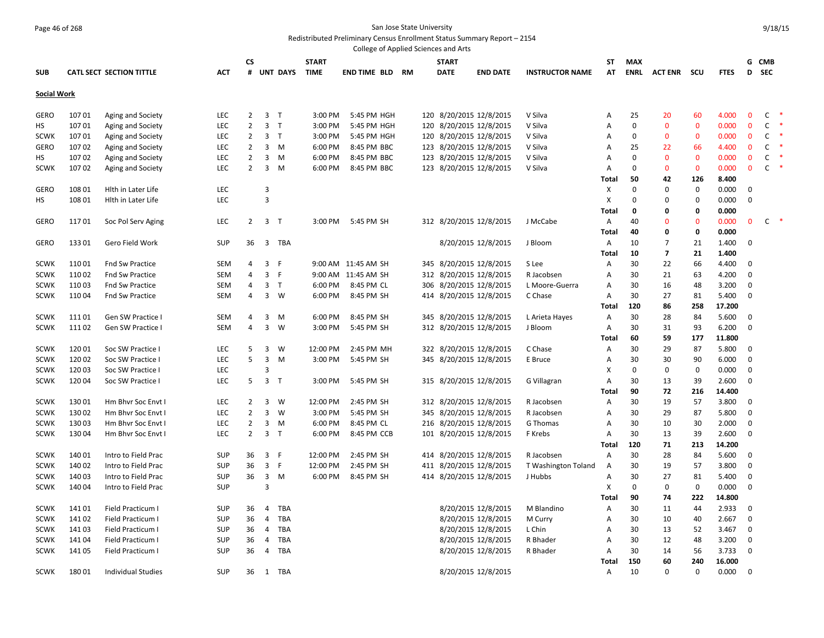### Page 46 of 268 San Jose State University Redistributed Preliminary Census Enrollment Status Summary Report – 2154

|                    |        |                                 |            |                |                |                 |              | College of Applied Sciences and Arts |    |              |                         |                        |              |             |                |              |             |              |              |        |  |
|--------------------|--------|---------------------------------|------------|----------------|----------------|-----------------|--------------|--------------------------------------|----|--------------|-------------------------|------------------------|--------------|-------------|----------------|--------------|-------------|--------------|--------------|--------|--|
|                    |        |                                 |            | CS             |                |                 | <b>START</b> |                                      |    | <b>START</b> |                         |                        | ST           | <b>MAX</b>  |                |              |             | G            | <b>CMB</b>   |        |  |
| <b>SUB</b>         |        | <b>CATL SECT SECTION TITTLE</b> | АСТ        | #              |                | <b>UNT DAYS</b> | <b>TIME</b>  | <b>END TIME BLD</b>                  | RM | <b>DATE</b>  | <b>END DATE</b>         | <b>INSTRUCTOR NAME</b> | AT           | <b>ENRL</b> | <b>ACT ENR</b> | - SCU        | <b>FTES</b> | D            | <b>SEC</b>   |        |  |
| <b>Social Work</b> |        |                                 |            |                |                |                 |              |                                      |    |              |                         |                        |              |             |                |              |             |              |              |        |  |
| GERO               | 10701  | Aging and Society               | <b>LEC</b> | 2              |                | 3 <sub>T</sub>  | 3:00 PM      | 5:45 PM HGH                          |    |              | 120 8/20/2015 12/8/2015 | V Silva                | A            | 25          | 20             | 60           | 4.000       | $\mathbf{0}$ | C            |        |  |
| нs                 | 10701  | Aging and Society               | <b>LEC</b> | 2              | 3              | $\top$          | 3:00 PM      | 5:45 PM HGH                          |    |              | 120 8/20/2015 12/8/2015 | V Silva                | A            | $\mathbf 0$ | $\mathbf{0}$   | $\mathbf{0}$ | 0.000       | $\Omega$     | $\mathsf{C}$ |        |  |
| <b>SCWK</b>        | 10701  | Aging and Society               | LEC        | 2              |                | 3 <sub>T</sub>  | 3:00 PM      | 5:45 PM HGH                          |    |              | 120 8/20/2015 12/8/2015 | V Silva                | Α            | $\Omega$    | $\mathbf 0$    | $\mathbf 0$  | 0.000       | $\mathbf{0}$ | С            |        |  |
| GERO               | 10702  | Aging and Society               | LEC        | $\overline{2}$ |                | $3 \quad M$     | 6:00 PM      | 8:45 PM BBC                          |    |              | 123 8/20/2015 12/8/2015 | V Silva                | A            | 25          | 22             | 66           | 4.400       | $\mathbf{0}$ | C            |        |  |
| нs                 | 10702  | Aging and Society               | LEC        | $\overline{2}$ | 3              | M               | 6:00 PM      | 8:45 PM BBC                          |    |              | 123 8/20/2015 12/8/2015 | V Silva                | Α            | $\Omega$    | $\mathbf 0$    | $\bf{0}$     | 0.000       | 0            | C            |        |  |
| <b>SCWK</b>        | 10702  | Aging and Society               | LEC        | $\overline{2}$ |                | $3 \, M$        | 6:00 PM      | 8:45 PM BBC                          |    |              | 123 8/20/2015 12/8/2015 | V Silva                | A            | $\Omega$    | $\mathbf{0}$   | $\mathbf 0$  | 0.000       | $\mathbf{0}$ | C            | $\ast$ |  |
|                    |        |                                 |            |                |                |                 |              |                                      |    |              |                         |                        | Total        | 50          | 42             | 126          | 8.400       |              |              |        |  |
| <b>GERO</b>        | 108 01 | Hith in Later Life              | <b>LEC</b> |                | 3              |                 |              |                                      |    |              |                         |                        | Х            | $\Omega$    | $\Omega$       | $\mathbf 0$  | 0.000       | $\Omega$     |              |        |  |
| нs                 | 108 01 | Hith in Later Life              | LEC        |                | $\overline{3}$ |                 |              |                                      |    |              |                         |                        | Х            | $\Omega$    | $\Omega$       | 0            | 0.000       | 0            |              |        |  |
|                    |        |                                 |            |                |                |                 |              |                                      |    |              |                         |                        | Total        | 0           | 0              | 0            | 0.000       |              |              |        |  |
| GERO               | 11701  | Soc Pol Serv Aging              | <b>LEC</b> | 2              | 3 <sub>T</sub> |                 | 3:00 PM      | 5:45 PM SH                           |    |              | 312 8/20/2015 12/8/2015 | J McCabe               | A            | 40          | $\Omega$       | $\mathbf 0$  | 0.000       | $\mathbf{0}$ | C            |        |  |
|                    |        |                                 |            |                |                |                 |              |                                      |    |              |                         |                        | <b>Total</b> | 40          | 0              | 0            | 0.000       |              |              |        |  |
| <b>GERO</b>        | 13301  | Gero Field Work                 | <b>SUP</b> | 36             | 3              | TBA             |              |                                      |    |              | 8/20/2015 12/8/2015     | J Bloom                | A            | 10          | $\overline{7}$ | 21           | 1.400       | $\Omega$     |              |        |  |
|                    |        |                                 |            |                |                |                 |              |                                      |    |              |                         |                        | Total        | 10          | 7              | 21           | 1.400       |              |              |        |  |
| <b>SCWK</b>        | 11001  | <b>Fnd Sw Practice</b>          | SEM        | 4              | 3              | F               |              | 9:00 AM 11:45 AM SH                  |    |              | 345 8/20/2015 12/8/2015 | S Lee                  | A            | 30          | 22             | 66           | 4.400       | $\Omega$     |              |        |  |
| <b>SCWK</b>        | 11002  | Fnd Sw Practice                 | SEM        | 4              | $\overline{3}$ | -F              |              | 9:00 AM 11:45 AM SH                  |    |              | 312 8/20/2015 12/8/2015 | R Jacobsen             | A            | 30          | 21             | 63           | 4.200       | $\Omega$     |              |        |  |
| <b>SCWK</b>        | 11003  | <b>Fnd Sw Practice</b>          | SEM        | 4              |                | 3 <sub>T</sub>  | 6:00 PM      | 8:45 PM CL                           |    | 306          | 8/20/2015 12/8/2015     | L Moore-Guerra         | A            | 30          | 16             | 48           | 3.200       | $\Omega$     |              |        |  |
| <b>SCWK</b>        | 11004  | Fnd Sw Practice                 | SEM        | 4              |                | $3 \quad W$     | 6:00 PM      | 8:45 PM SH                           |    |              | 414 8/20/2015 12/8/2015 | C Chase                | A            | 30          | 27             | 81           | 5.400       | $\mathbf 0$  |              |        |  |
|                    |        |                                 |            |                |                |                 |              |                                      |    |              |                         |                        | Total        | 120         | 86             | 258          | 17.200      |              |              |        |  |
| SCWK               | 11101  | Gen SW Practice I               | <b>SEM</b> | 4              | 3              | M               | 6:00 PM      | 8:45 PM SH                           |    |              | 345 8/20/2015 12/8/2015 | L Arieta Hayes         | A            | 30          | 28             | 84           | 5.600       | $\Omega$     |              |        |  |
| <b>SCWK</b>        | 11102  | Gen SW Practice I               | SEM        | 4              | 3              | W               | 3:00 PM      | 5:45 PM SH                           |    |              | 312 8/20/2015 12/8/2015 | J Bloom                | Α            | 30          | 31             | 93           | 6.200       | $\mathbf 0$  |              |        |  |
|                    |        |                                 |            |                |                |                 |              |                                      |    |              |                         |                        | Total        | 60          | 59             | 177          | 11.800      |              |              |        |  |
| <b>SCWK</b>        | 12001  | Soc SW Practice I               | LEC        | 5              | 3              | W               | 12:00 PM     | 2:45 PM MH                           |    |              | 322 8/20/2015 12/8/2015 | C Chase                | Α            | 30          | 29             | 87           | 5.800       | 0            |              |        |  |
| <b>SCWK</b>        | 120 02 | Soc SW Practice I               | LEC        | 5              | 3              | M               | 3:00 PM      | 5:45 PM SH                           |    |              | 345 8/20/2015 12/8/2015 | E Bruce                | Α            | 30          | 30             | 90           | 6.000       | $\mathbf 0$  |              |        |  |
| <b>SCWK</b>        | 12003  | Soc SW Practice I               | <b>LEC</b> |                | 3              |                 |              |                                      |    |              |                         |                        | X            | $\mathbf 0$ | $\mathbf 0$    | $\mathbf 0$  | 0.000       | $\mathbf 0$  |              |        |  |
| <b>SCWK</b>        | 12004  | Soc SW Practice I               | LEC        | 5              | 3 <sub>T</sub> |                 | 3:00 PM      | 5:45 PM SH                           |    |              | 315 8/20/2015 12/8/2015 | G Villagran            | Α            | 30          | 13             | 39           | 2.600       | 0            |              |        |  |
|                    |        |                                 |            |                |                |                 |              |                                      |    |              |                         |                        | Total        | 90          | 72             | 216          | 14.400      |              |              |        |  |
| <b>SCWK</b>        | 13001  | Hm Bhvr Soc Envt I              | LEC        | $\overline{2}$ | 3              | W               | 12:00 PM     | 2:45 PM SH                           |    |              | 312 8/20/2015 12/8/2015 | R Jacobsen             | Α            | 30          | 19             | 57           | 3.800       | 0            |              |        |  |
| <b>SCWK</b>        | 13002  | Hm Bhvr Soc Envt I              | <b>LEC</b> | $\overline{2}$ | 3              | W               | 3:00 PM      | 5:45 PM SH                           |    |              | 345 8/20/2015 12/8/2015 | R Jacobsen             | A            | 30          | 29             | 87           | 5.800       | 0            |              |        |  |
| <b>SCWK</b>        | 13003  | Hm Bhyr Soc Envt I              | <b>LEC</b> | $\overline{2}$ |                | $3 \quad M$     | 6:00 PM      | 8:45 PM CL                           |    |              | 216 8/20/2015 12/8/2015 | G Thomas               | A            | 30          | 10             | 30           | 2.000       | $\Omega$     |              |        |  |
| <b>SCWK</b>        | 13004  | Hm Bhvr Soc Envt I              | LEC        | 2              |                | 3 <sub>T</sub>  | 6:00 PM      | 8:45 PM CCB                          |    |              | 101 8/20/2015 12/8/2015 | F Krebs                | A            | 30          | 13             | 39           | 2.600       | 0            |              |        |  |
|                    |        |                                 |            |                |                |                 |              |                                      |    |              |                         |                        | Total        | 120         | 71             | 213          | 14.200      |              |              |        |  |
| <b>SCWK</b>        | 14001  | Intro to Field Prac             | <b>SUP</b> | 36             |                | 3 F             | 12:00 PM     | 2:45 PM SH                           |    |              | 414 8/20/2015 12/8/2015 | R Jacobsen             | A            | 30          | 28             | 84           | 5.600       | 0            |              |        |  |
| <b>SCWK</b>        | 140 02 | Intro to Field Prac             | <b>SUP</b> | 36             |                | 3 F             | 12:00 PM     | 2:45 PM SH                           |    |              | 411 8/20/2015 12/8/2015 | T Washington Toland    | A            | 30          | 19             | 57           | 3.800       | $\Omega$     |              |        |  |
| <b>SCWK</b>        | 14003  | Intro to Field Prac             | <b>SUP</b> | 36             |                | 3 M             | 6:00 PM      | 8:45 PM SH                           |    |              | 414 8/20/2015 12/8/2015 | J Hubbs                | A            | 30          | 27             | 81           | 5.400       | $\Omega$     |              |        |  |
| <b>SCWK</b>        | 140 04 | Intro to Field Prac             | <b>SUP</b> |                | 3              |                 |              |                                      |    |              |                         |                        | X            | $\Omega$    | 0              | $\pmb{0}$    | 0.000       | $\Omega$     |              |        |  |
|                    |        |                                 |            |                |                |                 |              |                                      |    |              |                         |                        | Total        | 90          | 74             | 222          | 14.800      |              |              |        |  |
| <b>SCWK</b>        | 141 01 | Field Practicum I               | <b>SUP</b> | 36             | 4              | TBA             |              |                                      |    |              | 8/20/2015 12/8/2015     | M Blandino             | A            | 30          | 11             | 44           | 2.933       | $\mathbf 0$  |              |        |  |
| <b>SCWK</b>        | 14102  | Field Practicum I               | <b>SUP</b> | 36             | 4              | TBA             |              |                                      |    |              | 8/20/2015 12/8/2015     | M Curry                | Α            | 30          | 10             | 40           | 2.667       | $\Omega$     |              |        |  |
| <b>SCWK</b>        | 14103  | Field Practicum I               | <b>SUP</b> | 36             | 4              | TBA             |              |                                      |    |              | 8/20/2015 12/8/2015     | L Chin                 | Α            | 30          | 13             | 52           | 3.467       | 0            |              |        |  |
| <b>SCWK</b>        | 14104  | Field Practicum I               | <b>SUP</b> | 36             | 4              | TBA             |              |                                      |    |              | 8/20/2015 12/8/2015     | R Bhader               | A            | 30          | 12             | 48           | 3.200       | $\Omega$     |              |        |  |
| <b>SCWK</b>        | 141 05 | Field Practicum I               | <b>SUP</b> | 36             | 4              | TBA             |              |                                      |    |              | 8/20/2015 12/8/2015     | R Bhader               | Α            | 30          | 14             | 56           | 3.733       | 0            |              |        |  |
|                    |        |                                 |            |                |                |                 |              |                                      |    |              |                         |                        | Total        | 150         | 60             | 240          | 16.000      |              |              |        |  |
| <b>SCWK</b>        | 18001  | Individual Studies              | <b>SUP</b> | 36             |                | 1 TBA           |              |                                      |    |              | 8/20/2015 12/8/2015     |                        | Α            | 10          | $\Omega$       | $\mathbf 0$  | 0.000       | $\Omega$     |              |        |  |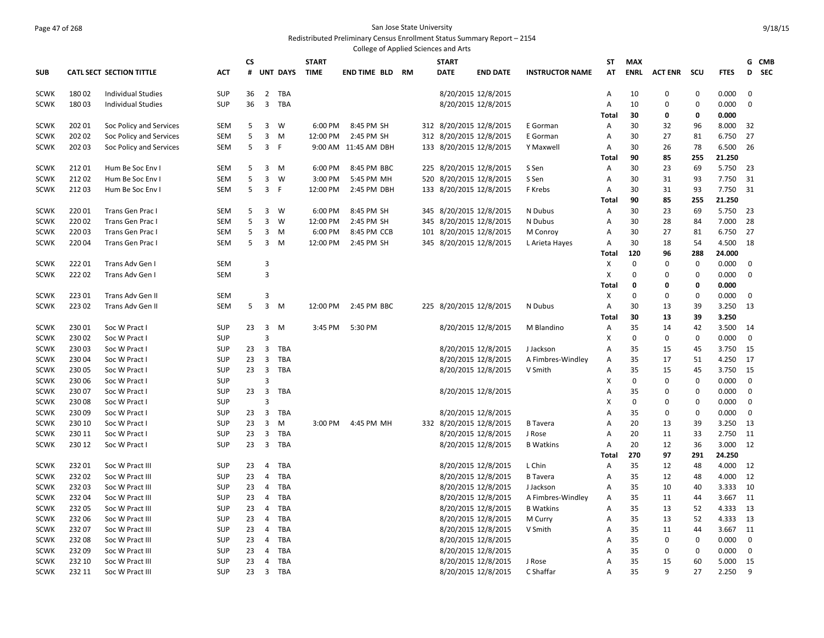#### Page 47 of 268 San Jose State University Redistributed Preliminary Census Enrollment Status Summary Report – 2154

| <b>MAX</b><br>G CMB<br><b>CS</b><br><b>START</b><br><b>START</b><br>ST<br><b>SEC</b><br><b>CATL SECT SECTION TITTLE</b><br><b>ACT</b><br>#<br><b>UNT DAYS</b><br><b>TIME</b><br><b>END TIME BLD</b><br>RM<br><b>DATE</b><br><b>END DATE</b><br><b>INSTRUCTOR NAME</b><br>AT<br><b>ENRL</b><br><b>ACT ENR</b><br>scu<br><b>FTES</b><br>D<br><b>SUB</b><br>18002<br>36<br>$\overline{2}$<br>TBA<br>8/20/2015 12/8/2015<br>$\mathbf 0$<br>0.000<br>$\mathbf 0$<br><b>SCWK</b><br><b>Individual Studies</b><br><b>SUP</b><br>A<br>10<br>$\mathbf 0$<br>$\overline{3}$<br>$\mathbf 0$<br>$\mathbf 0$<br>18003<br><b>SUP</b><br>36<br><b>TBA</b><br>8/20/2015 12/8/2015<br>Α<br>10<br>$\Omega$<br>0.000<br><b>SCWK</b><br>Individual Studies<br>Total<br>30<br>0<br>0<br>0.000<br>202 01<br>Soc Policy and Services<br>5<br>3<br>W<br>8:45 PM SH<br>312 8/20/2015 12/8/2015<br>30<br>32<br>96<br>32<br><b>SCWK</b><br><b>SEM</b><br>$6:00$ PM<br>E Gorman<br>A<br>8.000<br>202 02<br>5<br>3<br>12:00 PM<br>2:45 PM SH<br>312 8/20/2015 12/8/2015<br>30<br>27<br>27<br>Soc Policy and Services<br><b>SEM</b><br>M<br>81<br>6.750<br><b>SCWK</b><br>E Gorman<br>Α<br>$\overline{3}$<br>202 03<br>5<br>F<br>9:00 AM 11:45 AM DBH<br>133 8/20/2015 12/8/2015<br>30<br>26<br>78<br>6.500<br>26<br><b>SCWK</b><br>Soc Policy and Services<br>SEM<br>Y Maxwell<br>Α<br>90<br>85<br>21.250<br>255<br>Total<br>225 8/20/2015 12/8/2015<br>23<br>21201<br>Hum Be Soc Env I<br><b>SEM</b><br>3<br>6:00 PM<br>8:45 PM BBC<br>S Sen<br>30<br>69<br>5.750<br>23<br><b>SCWK</b><br>5<br>M<br>Α<br>21202<br>5<br>3<br>W<br>3:00 PM<br>5:45 PM MH<br>8/20/2015 12/8/2015<br>30<br>31<br>7.750<br>31<br>Hum Be Soc Env I<br><b>SEM</b><br>520<br>S Sen<br>93<br><b>SCWK</b><br>Α<br>21203<br>5<br>3<br>F<br>12:00 PM<br>2:45 PM DBH<br>133 8/20/2015 12/8/2015<br>F Krebs<br>30<br>31<br>93<br>7.750<br>31<br><b>SCWK</b><br>Hum Be Soc Env I<br><b>SEM</b><br>Α<br>85<br>21.250<br>90<br>255<br>Total<br>22001<br>3<br>W<br>345 8/20/2015 12/8/2015<br>30<br>23<br>69<br>5.750<br><b>SCWK</b><br>Trans Gen Prac I<br><b>SEM</b><br>5<br>6:00 PM<br>8:45 PM SH<br>N Dubus<br>23<br>Α<br>345 8/20/2015 12/8/2015<br>28<br>22002<br>Trans Gen Prac I<br><b>SEM</b><br>5<br>3<br>W<br>12:00 PM<br>2:45 PM SH<br>N Dubus<br>30<br>28<br>84<br>7.000<br><b>SCWK</b><br>Α<br>22003<br>3<br>101 8/20/2015 12/8/2015<br>30<br>6.750<br>27<br><b>SCWK</b><br>Trans Gen Prac<br><b>SEM</b><br>5<br>M<br>6:00 PM<br>8:45 PM CCB<br>M Conroy<br>А<br>27<br>81<br>22004<br>5<br>3<br>12:00 PM<br>2:45 PM SH<br>345 8/20/2015 12/8/2015<br>30<br>18<br>54<br>4.500<br>18<br><b>SCWK</b><br>Trans Gen Prac<br><b>SEM</b><br>M<br>L Arieta Hayes<br>A<br>120<br>96<br>288<br>24.000<br>Total<br>3<br>X<br>$\mathbf{0}$<br>$\Omega$<br>$\mathbf 0$<br><b>SCWK</b><br>22201<br>Trans Adv Gen I<br>SEM<br>0.000<br>0<br>3<br>$\Omega$<br><b>SCWK</b><br>22202<br>Trans Adv Gen I<br><b>SEM</b><br>X<br>$\mathbf 0$<br>$\mathbf 0$<br>0.000<br>0<br>0<br><b>Total</b><br>0<br>0<br>0.000<br>3<br>22301<br><b>SEM</b><br>X<br>$\mathbf{0}$<br>$\Omega$<br>$\mathbf 0$<br>$\mathbf 0$<br><b>SCWK</b><br>Trans Adv Gen II<br>0.000<br>5<br>3<br>30<br>39<br>22302<br>Trans Adv Gen II<br><b>SEM</b><br>M<br>12:00 PM<br>2:45 PM BBC<br>225 8/20/2015 12/8/2015<br>Α<br>13<br>3.250<br>13<br><b>SCWK</b><br>N Dubus<br>30<br>13<br>39<br>3.250<br>Total<br>35<br>23001<br><b>SUP</b><br>23<br>3<br>3:45 PM<br>5:30 PM<br>8/20/2015 12/8/2015<br>M Blandino<br>14<br>42<br>3.500<br><b>SCWK</b><br>Soc W Pract I<br>M<br>Α<br>14<br>3<br>$\pmb{0}$<br>23002<br>SUP<br>X<br>$\mathbf 0$<br>$\mathbf 0$<br>0.000<br>$\mathbf 0$<br><b>SCWK</b><br>Soc W Pract I<br>$\overline{3}$<br>TBA<br>8/20/2015 12/8/2015<br>23003<br><b>SUP</b><br>23<br>35<br>15<br>45<br>3.750<br>15<br><b>SCWK</b><br>Soc W Pract I<br>J Jackson<br>Α<br>23004<br>23<br>$\overline{3}$<br>TBA<br>8/20/2015 12/8/2015<br>35<br>17<br>4.250<br>17<br>Soc W Pract I<br><b>SUP</b><br>A Fimbres-Windley<br>Α<br>51<br><b>SCWK</b><br>$\overline{3}$<br>23005<br>SUP<br>23<br>TBA<br>8/20/2015 12/8/2015<br>А<br>35<br>15<br>45<br>3.750<br>15<br><b>SCWK</b><br>Soc W Pract I<br>V Smith<br>230 06<br>3<br>X<br>$\mathbf 0$<br>0.000<br>0<br>Soc W Pract I<br><b>SUP</b><br>0<br>0<br><b>SCWK</b><br>$\overline{3}$<br>23007<br>SUP<br>23<br>TBA<br>8/20/2015 12/8/2015<br>35<br>$\mathbf 0$<br>0.000<br>$\mathbf 0$<br><b>SCWK</b><br>Soc W Pract I<br>Α<br>0<br>3<br>X<br>$\mathbf 0$<br>23008<br>SUP<br>$\Omega$<br>0<br>0.000<br>0<br><b>SCWK</b><br>Soc W Pract I<br>23009<br>$\overline{3}$<br>TBA<br>8/20/2015 12/8/2015<br>35<br>$\mathbf 0$<br>$\mathbf 0$<br><b>SCWK</b><br>Soc W Pract I<br><b>SUP</b><br>23<br>Α<br>0<br>0.000<br>$\overline{3}$<br>230 10<br>23<br>M<br>3:00 PM<br>4:45 PM MH<br>332 8/20/2015 12/8/2015<br>20<br>13<br>39<br>3.250<br>13<br><b>SCWK</b><br>Soc W Pract I<br>SUP<br><b>B</b> Tavera<br>A<br>230 11<br>23<br>3<br>TBA<br>8/20/2015 12/8/2015<br>20<br>33<br>2.750<br>11<br><b>SCWK</b><br>Soc W Pract I<br><b>SUP</b><br>J Rose<br>Α<br>11<br>$\overline{3}$<br>230 12<br>23<br>TBA<br>8/20/2015 12/8/2015<br>20<br>12<br>36<br>3.000<br>12<br><b>SCWK</b><br>Soc W Pract I<br>SUP<br><b>B</b> Watkins<br>Α<br>97<br><b>Total</b><br>270<br>291<br>24.250<br>TBA<br>8/20/2015 12/8/2015<br>35<br>12<br>48<br>4.000<br><b>SCWK</b><br>23201<br>Soc W Pract III<br><b>SUP</b><br>23<br>4<br>L Chin<br>Α<br>12<br>23<br>TBA<br>35<br>12<br>23202<br><b>SUP</b><br>4<br>8/20/2015 12/8/2015<br>12<br>48<br>4.000<br><b>SCWK</b><br>Soc W Pract III<br><b>B</b> Tavera<br>A<br>TBA<br>8/20/2015 12/8/2015<br>35<br>10<br>10<br><b>SCWK</b><br>23203<br>Soc W Pract III<br><b>SUP</b><br>23<br>4<br>J Jackson<br>A<br>40<br>3.333<br>35<br>23204<br><b>SUP</b><br>23<br>4<br>TBA<br>8/20/2015 12/8/2015<br>11<br>11<br><b>SCWK</b><br>Soc W Pract III<br>A Fimbres-Windley<br>Α<br>44<br>3.667<br>23<br>TBA<br>35<br>13<br>23205<br><b>SUP</b><br>4<br>8/20/2015 12/8/2015<br><b>B</b> Watkins<br>Α<br>13<br>52<br>4.333<br><b>SCWK</b><br>Soc W Pract III<br>35<br>232 06<br>23<br>4<br><b>TBA</b><br>8/20/2015 12/8/2015<br>13<br>52<br>4.333<br>13<br><b>SCWK</b><br>Soc W Pract III<br><b>SUP</b><br>M Curry<br>Α<br>23207<br>23<br>TBA<br>35<br>11<br>11<br><b>SUP</b><br>4<br>8/20/2015 12/8/2015<br>V Smith<br>44<br>3.667<br><b>SCWK</b><br>Soc W Pract III<br>Α<br>$\mathbf 0$<br>23208<br>23<br>4<br>TBA<br>8/20/2015 12/8/2015<br>35<br>$\Omega$<br>0.000<br><b>SCWK</b><br>Soc W Pract III<br><b>SUP</b><br>$\mathbf 0$<br>Α<br>23209<br>23<br>TBA<br>35<br>$\mathbf 0$<br><b>SUP</b><br>4<br>8/20/2015 12/8/2015<br>$\Omega$<br>0<br>0.000<br><b>SCWK</b><br>Soc W Pract III<br>A<br>232 10<br>SUP<br>23<br>4<br>TBA<br>8/20/2015 12/8/2015<br>35<br>15<br><b>SCWK</b><br>Soc W Pract III<br>J Rose<br>A<br>15<br>60<br>5.000<br>35<br>q<br>27<br>9<br><b>SCWK</b><br>232 11<br>Soc W Pract III<br><b>SUP</b><br>23<br>$\overline{\mathbf{3}}$<br>TBA<br>8/20/2015 12/8/2015<br>C Shaffar<br>2.250<br>A |  |  |  |  |  | College of Applied Sciences and Arts |  |  |  |  |
|-------------------------------------------------------------------------------------------------------------------------------------------------------------------------------------------------------------------------------------------------------------------------------------------------------------------------------------------------------------------------------------------------------------------------------------------------------------------------------------------------------------------------------------------------------------------------------------------------------------------------------------------------------------------------------------------------------------------------------------------------------------------------------------------------------------------------------------------------------------------------------------------------------------------------------------------------------------------------------------------------------------------------------------------------------------------------------------------------------------------------------------------------------------------------------------------------------------------------------------------------------------------------------------------------------------------------------------------------------------------------------------------------------------------------------------------------------------------------------------------------------------------------------------------------------------------------------------------------------------------------------------------------------------------------------------------------------------------------------------------------------------------------------------------------------------------------------------------------------------------------------------------------------------------------------------------------------------------------------------------------------------------------------------------------------------------------------------------------------------------------------------------------------------------------------------------------------------------------------------------------------------------------------------------------------------------------------------------------------------------------------------------------------------------------------------------------------------------------------------------------------------------------------------------------------------------------------------------------------------------------------------------------------------------------------------------------------------------------------------------------------------------------------------------------------------------------------------------------------------------------------------------------------------------------------------------------------------------------------------------------------------------------------------------------------------------------------------------------------------------------------------------------------------------------------------------------------------------------------------------------------------------------------------------------------------------------------------------------------------------------------------------------------------------------------------------------------------------------------------------------------------------------------------------------------------------------------------------------------------------------------------------------------------------------------------------------------------------------------------------------------------------------------------------------------------------------------------------------------------------------------------------------------------------------------------------------------------------------------------------------------------------------------------------------------------------------------------------------------------------------------------------------------------------------------------------------------------------------------------------------------------------------------------------------------------------------------------------------------------------------------------------------------------------------------------------------------------------------------------------------------------------------------------------------------------------------------------------------------------------------------------------------------------------------------------------------------------------------------------------------------------------------------------------------------------------------------------------------------------------------------------------------------------------------------------------------------------------------------------------------------------------------------------------------------------------------------------------------------------------------------------------------------------------------------------------------------------------------------------------------------------------------------------------------------------------------------------------------------------------------------------------------------------------------------------------------------------------------------------------------------------------------------------------------------------------------------------------------------------------------------------------------------------------------------------------------------------------------------------------------------------------------------------------------------------------------------------------------------------------------------------------------------------------------------------------------------------------------------------------------------------------------------------------------------------------------------------------------------------------------------------------------------------------------------------------------------------------------------------------------------------------------------------------------------------------------------------------------------------------------------------------------------------------------------------------------------------------------------------------------------------------------------------------------------------------------------------------------------------------------------------------------------------------------------------------------------------------------------------------------------------------------------------------------------------------------------------------------------------------------------------------------------------------------------------------------------------------------------------------------------------------------------------------------------------------------------|--|--|--|--|--|--------------------------------------|--|--|--|--|
|                                                                                                                                                                                                                                                                                                                                                                                                                                                                                                                                                                                                                                                                                                                                                                                                                                                                                                                                                                                                                                                                                                                                                                                                                                                                                                                                                                                                                                                                                                                                                                                                                                                                                                                                                                                                                                                                                                                                                                                                                                                                                                                                                                                                                                                                                                                                                                                                                                                                                                                                                                                                                                                                                                                                                                                                                                                                                                                                                                                                                                                                                                                                                                                                                                                                                                                                                                                                                                                                                                                                                                                                                                                                                                                                                                                                                                                                                                                                                                                                                                                                                                                                                                                                                                                                                                                                                                                                                                                                                                                                                                                                                                                                                                                                                                                                                                                                                                                                                                                                                                                                                                                                                                                                                                                                                                                                                                                                                                                                                                                                                                                                                                                                                                                                                                                                                                                                                                                                                                                                                                                                                                                                                                                                                                                                                                                                                                                                                                                                                                                                                                                                                                                                                                                                                                                                                                                                                                                                                                                                                                                                               |  |  |  |  |  |                                      |  |  |  |  |
|                                                                                                                                                                                                                                                                                                                                                                                                                                                                                                                                                                                                                                                                                                                                                                                                                                                                                                                                                                                                                                                                                                                                                                                                                                                                                                                                                                                                                                                                                                                                                                                                                                                                                                                                                                                                                                                                                                                                                                                                                                                                                                                                                                                                                                                                                                                                                                                                                                                                                                                                                                                                                                                                                                                                                                                                                                                                                                                                                                                                                                                                                                                                                                                                                                                                                                                                                                                                                                                                                                                                                                                                                                                                                                                                                                                                                                                                                                                                                                                                                                                                                                                                                                                                                                                                                                                                                                                                                                                                                                                                                                                                                                                                                                                                                                                                                                                                                                                                                                                                                                                                                                                                                                                                                                                                                                                                                                                                                                                                                                                                                                                                                                                                                                                                                                                                                                                                                                                                                                                                                                                                                                                                                                                                                                                                                                                                                                                                                                                                                                                                                                                                                                                                                                                                                                                                                                                                                                                                                                                                                                                                               |  |  |  |  |  |                                      |  |  |  |  |
|                                                                                                                                                                                                                                                                                                                                                                                                                                                                                                                                                                                                                                                                                                                                                                                                                                                                                                                                                                                                                                                                                                                                                                                                                                                                                                                                                                                                                                                                                                                                                                                                                                                                                                                                                                                                                                                                                                                                                                                                                                                                                                                                                                                                                                                                                                                                                                                                                                                                                                                                                                                                                                                                                                                                                                                                                                                                                                                                                                                                                                                                                                                                                                                                                                                                                                                                                                                                                                                                                                                                                                                                                                                                                                                                                                                                                                                                                                                                                                                                                                                                                                                                                                                                                                                                                                                                                                                                                                                                                                                                                                                                                                                                                                                                                                                                                                                                                                                                                                                                                                                                                                                                                                                                                                                                                                                                                                                                                                                                                                                                                                                                                                                                                                                                                                                                                                                                                                                                                                                                                                                                                                                                                                                                                                                                                                                                                                                                                                                                                                                                                                                                                                                                                                                                                                                                                                                                                                                                                                                                                                                                               |  |  |  |  |  |                                      |  |  |  |  |
|                                                                                                                                                                                                                                                                                                                                                                                                                                                                                                                                                                                                                                                                                                                                                                                                                                                                                                                                                                                                                                                                                                                                                                                                                                                                                                                                                                                                                                                                                                                                                                                                                                                                                                                                                                                                                                                                                                                                                                                                                                                                                                                                                                                                                                                                                                                                                                                                                                                                                                                                                                                                                                                                                                                                                                                                                                                                                                                                                                                                                                                                                                                                                                                                                                                                                                                                                                                                                                                                                                                                                                                                                                                                                                                                                                                                                                                                                                                                                                                                                                                                                                                                                                                                                                                                                                                                                                                                                                                                                                                                                                                                                                                                                                                                                                                                                                                                                                                                                                                                                                                                                                                                                                                                                                                                                                                                                                                                                                                                                                                                                                                                                                                                                                                                                                                                                                                                                                                                                                                                                                                                                                                                                                                                                                                                                                                                                                                                                                                                                                                                                                                                                                                                                                                                                                                                                                                                                                                                                                                                                                                                               |  |  |  |  |  |                                      |  |  |  |  |
|                                                                                                                                                                                                                                                                                                                                                                                                                                                                                                                                                                                                                                                                                                                                                                                                                                                                                                                                                                                                                                                                                                                                                                                                                                                                                                                                                                                                                                                                                                                                                                                                                                                                                                                                                                                                                                                                                                                                                                                                                                                                                                                                                                                                                                                                                                                                                                                                                                                                                                                                                                                                                                                                                                                                                                                                                                                                                                                                                                                                                                                                                                                                                                                                                                                                                                                                                                                                                                                                                                                                                                                                                                                                                                                                                                                                                                                                                                                                                                                                                                                                                                                                                                                                                                                                                                                                                                                                                                                                                                                                                                                                                                                                                                                                                                                                                                                                                                                                                                                                                                                                                                                                                                                                                                                                                                                                                                                                                                                                                                                                                                                                                                                                                                                                                                                                                                                                                                                                                                                                                                                                                                                                                                                                                                                                                                                                                                                                                                                                                                                                                                                                                                                                                                                                                                                                                                                                                                                                                                                                                                                                               |  |  |  |  |  |                                      |  |  |  |  |
|                                                                                                                                                                                                                                                                                                                                                                                                                                                                                                                                                                                                                                                                                                                                                                                                                                                                                                                                                                                                                                                                                                                                                                                                                                                                                                                                                                                                                                                                                                                                                                                                                                                                                                                                                                                                                                                                                                                                                                                                                                                                                                                                                                                                                                                                                                                                                                                                                                                                                                                                                                                                                                                                                                                                                                                                                                                                                                                                                                                                                                                                                                                                                                                                                                                                                                                                                                                                                                                                                                                                                                                                                                                                                                                                                                                                                                                                                                                                                                                                                                                                                                                                                                                                                                                                                                                                                                                                                                                                                                                                                                                                                                                                                                                                                                                                                                                                                                                                                                                                                                                                                                                                                                                                                                                                                                                                                                                                                                                                                                                                                                                                                                                                                                                                                                                                                                                                                                                                                                                                                                                                                                                                                                                                                                                                                                                                                                                                                                                                                                                                                                                                                                                                                                                                                                                                                                                                                                                                                                                                                                                                               |  |  |  |  |  |                                      |  |  |  |  |
|                                                                                                                                                                                                                                                                                                                                                                                                                                                                                                                                                                                                                                                                                                                                                                                                                                                                                                                                                                                                                                                                                                                                                                                                                                                                                                                                                                                                                                                                                                                                                                                                                                                                                                                                                                                                                                                                                                                                                                                                                                                                                                                                                                                                                                                                                                                                                                                                                                                                                                                                                                                                                                                                                                                                                                                                                                                                                                                                                                                                                                                                                                                                                                                                                                                                                                                                                                                                                                                                                                                                                                                                                                                                                                                                                                                                                                                                                                                                                                                                                                                                                                                                                                                                                                                                                                                                                                                                                                                                                                                                                                                                                                                                                                                                                                                                                                                                                                                                                                                                                                                                                                                                                                                                                                                                                                                                                                                                                                                                                                                                                                                                                                                                                                                                                                                                                                                                                                                                                                                                                                                                                                                                                                                                                                                                                                                                                                                                                                                                                                                                                                                                                                                                                                                                                                                                                                                                                                                                                                                                                                                                               |  |  |  |  |  |                                      |  |  |  |  |
|                                                                                                                                                                                                                                                                                                                                                                                                                                                                                                                                                                                                                                                                                                                                                                                                                                                                                                                                                                                                                                                                                                                                                                                                                                                                                                                                                                                                                                                                                                                                                                                                                                                                                                                                                                                                                                                                                                                                                                                                                                                                                                                                                                                                                                                                                                                                                                                                                                                                                                                                                                                                                                                                                                                                                                                                                                                                                                                                                                                                                                                                                                                                                                                                                                                                                                                                                                                                                                                                                                                                                                                                                                                                                                                                                                                                                                                                                                                                                                                                                                                                                                                                                                                                                                                                                                                                                                                                                                                                                                                                                                                                                                                                                                                                                                                                                                                                                                                                                                                                                                                                                                                                                                                                                                                                                                                                                                                                                                                                                                                                                                                                                                                                                                                                                                                                                                                                                                                                                                                                                                                                                                                                                                                                                                                                                                                                                                                                                                                                                                                                                                                                                                                                                                                                                                                                                                                                                                                                                                                                                                                                               |  |  |  |  |  |                                      |  |  |  |  |
|                                                                                                                                                                                                                                                                                                                                                                                                                                                                                                                                                                                                                                                                                                                                                                                                                                                                                                                                                                                                                                                                                                                                                                                                                                                                                                                                                                                                                                                                                                                                                                                                                                                                                                                                                                                                                                                                                                                                                                                                                                                                                                                                                                                                                                                                                                                                                                                                                                                                                                                                                                                                                                                                                                                                                                                                                                                                                                                                                                                                                                                                                                                                                                                                                                                                                                                                                                                                                                                                                                                                                                                                                                                                                                                                                                                                                                                                                                                                                                                                                                                                                                                                                                                                                                                                                                                                                                                                                                                                                                                                                                                                                                                                                                                                                                                                                                                                                                                                                                                                                                                                                                                                                                                                                                                                                                                                                                                                                                                                                                                                                                                                                                                                                                                                                                                                                                                                                                                                                                                                                                                                                                                                                                                                                                                                                                                                                                                                                                                                                                                                                                                                                                                                                                                                                                                                                                                                                                                                                                                                                                                                               |  |  |  |  |  |                                      |  |  |  |  |
|                                                                                                                                                                                                                                                                                                                                                                                                                                                                                                                                                                                                                                                                                                                                                                                                                                                                                                                                                                                                                                                                                                                                                                                                                                                                                                                                                                                                                                                                                                                                                                                                                                                                                                                                                                                                                                                                                                                                                                                                                                                                                                                                                                                                                                                                                                                                                                                                                                                                                                                                                                                                                                                                                                                                                                                                                                                                                                                                                                                                                                                                                                                                                                                                                                                                                                                                                                                                                                                                                                                                                                                                                                                                                                                                                                                                                                                                                                                                                                                                                                                                                                                                                                                                                                                                                                                                                                                                                                                                                                                                                                                                                                                                                                                                                                                                                                                                                                                                                                                                                                                                                                                                                                                                                                                                                                                                                                                                                                                                                                                                                                                                                                                                                                                                                                                                                                                                                                                                                                                                                                                                                                                                                                                                                                                                                                                                                                                                                                                                                                                                                                                                                                                                                                                                                                                                                                                                                                                                                                                                                                                                               |  |  |  |  |  |                                      |  |  |  |  |
|                                                                                                                                                                                                                                                                                                                                                                                                                                                                                                                                                                                                                                                                                                                                                                                                                                                                                                                                                                                                                                                                                                                                                                                                                                                                                                                                                                                                                                                                                                                                                                                                                                                                                                                                                                                                                                                                                                                                                                                                                                                                                                                                                                                                                                                                                                                                                                                                                                                                                                                                                                                                                                                                                                                                                                                                                                                                                                                                                                                                                                                                                                                                                                                                                                                                                                                                                                                                                                                                                                                                                                                                                                                                                                                                                                                                                                                                                                                                                                                                                                                                                                                                                                                                                                                                                                                                                                                                                                                                                                                                                                                                                                                                                                                                                                                                                                                                                                                                                                                                                                                                                                                                                                                                                                                                                                                                                                                                                                                                                                                                                                                                                                                                                                                                                                                                                                                                                                                                                                                                                                                                                                                                                                                                                                                                                                                                                                                                                                                                                                                                                                                                                                                                                                                                                                                                                                                                                                                                                                                                                                                                               |  |  |  |  |  |                                      |  |  |  |  |
|                                                                                                                                                                                                                                                                                                                                                                                                                                                                                                                                                                                                                                                                                                                                                                                                                                                                                                                                                                                                                                                                                                                                                                                                                                                                                                                                                                                                                                                                                                                                                                                                                                                                                                                                                                                                                                                                                                                                                                                                                                                                                                                                                                                                                                                                                                                                                                                                                                                                                                                                                                                                                                                                                                                                                                                                                                                                                                                                                                                                                                                                                                                                                                                                                                                                                                                                                                                                                                                                                                                                                                                                                                                                                                                                                                                                                                                                                                                                                                                                                                                                                                                                                                                                                                                                                                                                                                                                                                                                                                                                                                                                                                                                                                                                                                                                                                                                                                                                                                                                                                                                                                                                                                                                                                                                                                                                                                                                                                                                                                                                                                                                                                                                                                                                                                                                                                                                                                                                                                                                                                                                                                                                                                                                                                                                                                                                                                                                                                                                                                                                                                                                                                                                                                                                                                                                                                                                                                                                                                                                                                                                               |  |  |  |  |  |                                      |  |  |  |  |
|                                                                                                                                                                                                                                                                                                                                                                                                                                                                                                                                                                                                                                                                                                                                                                                                                                                                                                                                                                                                                                                                                                                                                                                                                                                                                                                                                                                                                                                                                                                                                                                                                                                                                                                                                                                                                                                                                                                                                                                                                                                                                                                                                                                                                                                                                                                                                                                                                                                                                                                                                                                                                                                                                                                                                                                                                                                                                                                                                                                                                                                                                                                                                                                                                                                                                                                                                                                                                                                                                                                                                                                                                                                                                                                                                                                                                                                                                                                                                                                                                                                                                                                                                                                                                                                                                                                                                                                                                                                                                                                                                                                                                                                                                                                                                                                                                                                                                                                                                                                                                                                                                                                                                                                                                                                                                                                                                                                                                                                                                                                                                                                                                                                                                                                                                                                                                                                                                                                                                                                                                                                                                                                                                                                                                                                                                                                                                                                                                                                                                                                                                                                                                                                                                                                                                                                                                                                                                                                                                                                                                                                                               |  |  |  |  |  |                                      |  |  |  |  |
|                                                                                                                                                                                                                                                                                                                                                                                                                                                                                                                                                                                                                                                                                                                                                                                                                                                                                                                                                                                                                                                                                                                                                                                                                                                                                                                                                                                                                                                                                                                                                                                                                                                                                                                                                                                                                                                                                                                                                                                                                                                                                                                                                                                                                                                                                                                                                                                                                                                                                                                                                                                                                                                                                                                                                                                                                                                                                                                                                                                                                                                                                                                                                                                                                                                                                                                                                                                                                                                                                                                                                                                                                                                                                                                                                                                                                                                                                                                                                                                                                                                                                                                                                                                                                                                                                                                                                                                                                                                                                                                                                                                                                                                                                                                                                                                                                                                                                                                                                                                                                                                                                                                                                                                                                                                                                                                                                                                                                                                                                                                                                                                                                                                                                                                                                                                                                                                                                                                                                                                                                                                                                                                                                                                                                                                                                                                                                                                                                                                                                                                                                                                                                                                                                                                                                                                                                                                                                                                                                                                                                                                                               |  |  |  |  |  |                                      |  |  |  |  |
|                                                                                                                                                                                                                                                                                                                                                                                                                                                                                                                                                                                                                                                                                                                                                                                                                                                                                                                                                                                                                                                                                                                                                                                                                                                                                                                                                                                                                                                                                                                                                                                                                                                                                                                                                                                                                                                                                                                                                                                                                                                                                                                                                                                                                                                                                                                                                                                                                                                                                                                                                                                                                                                                                                                                                                                                                                                                                                                                                                                                                                                                                                                                                                                                                                                                                                                                                                                                                                                                                                                                                                                                                                                                                                                                                                                                                                                                                                                                                                                                                                                                                                                                                                                                                                                                                                                                                                                                                                                                                                                                                                                                                                                                                                                                                                                                                                                                                                                                                                                                                                                                                                                                                                                                                                                                                                                                                                                                                                                                                                                                                                                                                                                                                                                                                                                                                                                                                                                                                                                                                                                                                                                                                                                                                                                                                                                                                                                                                                                                                                                                                                                                                                                                                                                                                                                                                                                                                                                                                                                                                                                                               |  |  |  |  |  |                                      |  |  |  |  |
|                                                                                                                                                                                                                                                                                                                                                                                                                                                                                                                                                                                                                                                                                                                                                                                                                                                                                                                                                                                                                                                                                                                                                                                                                                                                                                                                                                                                                                                                                                                                                                                                                                                                                                                                                                                                                                                                                                                                                                                                                                                                                                                                                                                                                                                                                                                                                                                                                                                                                                                                                                                                                                                                                                                                                                                                                                                                                                                                                                                                                                                                                                                                                                                                                                                                                                                                                                                                                                                                                                                                                                                                                                                                                                                                                                                                                                                                                                                                                                                                                                                                                                                                                                                                                                                                                                                                                                                                                                                                                                                                                                                                                                                                                                                                                                                                                                                                                                                                                                                                                                                                                                                                                                                                                                                                                                                                                                                                                                                                                                                                                                                                                                                                                                                                                                                                                                                                                                                                                                                                                                                                                                                                                                                                                                                                                                                                                                                                                                                                                                                                                                                                                                                                                                                                                                                                                                                                                                                                                                                                                                                                               |  |  |  |  |  |                                      |  |  |  |  |
|                                                                                                                                                                                                                                                                                                                                                                                                                                                                                                                                                                                                                                                                                                                                                                                                                                                                                                                                                                                                                                                                                                                                                                                                                                                                                                                                                                                                                                                                                                                                                                                                                                                                                                                                                                                                                                                                                                                                                                                                                                                                                                                                                                                                                                                                                                                                                                                                                                                                                                                                                                                                                                                                                                                                                                                                                                                                                                                                                                                                                                                                                                                                                                                                                                                                                                                                                                                                                                                                                                                                                                                                                                                                                                                                                                                                                                                                                                                                                                                                                                                                                                                                                                                                                                                                                                                                                                                                                                                                                                                                                                                                                                                                                                                                                                                                                                                                                                                                                                                                                                                                                                                                                                                                                                                                                                                                                                                                                                                                                                                                                                                                                                                                                                                                                                                                                                                                                                                                                                                                                                                                                                                                                                                                                                                                                                                                                                                                                                                                                                                                                                                                                                                                                                                                                                                                                                                                                                                                                                                                                                                                               |  |  |  |  |  |                                      |  |  |  |  |
|                                                                                                                                                                                                                                                                                                                                                                                                                                                                                                                                                                                                                                                                                                                                                                                                                                                                                                                                                                                                                                                                                                                                                                                                                                                                                                                                                                                                                                                                                                                                                                                                                                                                                                                                                                                                                                                                                                                                                                                                                                                                                                                                                                                                                                                                                                                                                                                                                                                                                                                                                                                                                                                                                                                                                                                                                                                                                                                                                                                                                                                                                                                                                                                                                                                                                                                                                                                                                                                                                                                                                                                                                                                                                                                                                                                                                                                                                                                                                                                                                                                                                                                                                                                                                                                                                                                                                                                                                                                                                                                                                                                                                                                                                                                                                                                                                                                                                                                                                                                                                                                                                                                                                                                                                                                                                                                                                                                                                                                                                                                                                                                                                                                                                                                                                                                                                                                                                                                                                                                                                                                                                                                                                                                                                                                                                                                                                                                                                                                                                                                                                                                                                                                                                                                                                                                                                                                                                                                                                                                                                                                                               |  |  |  |  |  |                                      |  |  |  |  |
|                                                                                                                                                                                                                                                                                                                                                                                                                                                                                                                                                                                                                                                                                                                                                                                                                                                                                                                                                                                                                                                                                                                                                                                                                                                                                                                                                                                                                                                                                                                                                                                                                                                                                                                                                                                                                                                                                                                                                                                                                                                                                                                                                                                                                                                                                                                                                                                                                                                                                                                                                                                                                                                                                                                                                                                                                                                                                                                                                                                                                                                                                                                                                                                                                                                                                                                                                                                                                                                                                                                                                                                                                                                                                                                                                                                                                                                                                                                                                                                                                                                                                                                                                                                                                                                                                                                                                                                                                                                                                                                                                                                                                                                                                                                                                                                                                                                                                                                                                                                                                                                                                                                                                                                                                                                                                                                                                                                                                                                                                                                                                                                                                                                                                                                                                                                                                                                                                                                                                                                                                                                                                                                                                                                                                                                                                                                                                                                                                                                                                                                                                                                                                                                                                                                                                                                                                                                                                                                                                                                                                                                                               |  |  |  |  |  |                                      |  |  |  |  |
|                                                                                                                                                                                                                                                                                                                                                                                                                                                                                                                                                                                                                                                                                                                                                                                                                                                                                                                                                                                                                                                                                                                                                                                                                                                                                                                                                                                                                                                                                                                                                                                                                                                                                                                                                                                                                                                                                                                                                                                                                                                                                                                                                                                                                                                                                                                                                                                                                                                                                                                                                                                                                                                                                                                                                                                                                                                                                                                                                                                                                                                                                                                                                                                                                                                                                                                                                                                                                                                                                                                                                                                                                                                                                                                                                                                                                                                                                                                                                                                                                                                                                                                                                                                                                                                                                                                                                                                                                                                                                                                                                                                                                                                                                                                                                                                                                                                                                                                                                                                                                                                                                                                                                                                                                                                                                                                                                                                                                                                                                                                                                                                                                                                                                                                                                                                                                                                                                                                                                                                                                                                                                                                                                                                                                                                                                                                                                                                                                                                                                                                                                                                                                                                                                                                                                                                                                                                                                                                                                                                                                                                                               |  |  |  |  |  |                                      |  |  |  |  |
|                                                                                                                                                                                                                                                                                                                                                                                                                                                                                                                                                                                                                                                                                                                                                                                                                                                                                                                                                                                                                                                                                                                                                                                                                                                                                                                                                                                                                                                                                                                                                                                                                                                                                                                                                                                                                                                                                                                                                                                                                                                                                                                                                                                                                                                                                                                                                                                                                                                                                                                                                                                                                                                                                                                                                                                                                                                                                                                                                                                                                                                                                                                                                                                                                                                                                                                                                                                                                                                                                                                                                                                                                                                                                                                                                                                                                                                                                                                                                                                                                                                                                                                                                                                                                                                                                                                                                                                                                                                                                                                                                                                                                                                                                                                                                                                                                                                                                                                                                                                                                                                                                                                                                                                                                                                                                                                                                                                                                                                                                                                                                                                                                                                                                                                                                                                                                                                                                                                                                                                                                                                                                                                                                                                                                                                                                                                                                                                                                                                                                                                                                                                                                                                                                                                                                                                                                                                                                                                                                                                                                                                                               |  |  |  |  |  |                                      |  |  |  |  |
|                                                                                                                                                                                                                                                                                                                                                                                                                                                                                                                                                                                                                                                                                                                                                                                                                                                                                                                                                                                                                                                                                                                                                                                                                                                                                                                                                                                                                                                                                                                                                                                                                                                                                                                                                                                                                                                                                                                                                                                                                                                                                                                                                                                                                                                                                                                                                                                                                                                                                                                                                                                                                                                                                                                                                                                                                                                                                                                                                                                                                                                                                                                                                                                                                                                                                                                                                                                                                                                                                                                                                                                                                                                                                                                                                                                                                                                                                                                                                                                                                                                                                                                                                                                                                                                                                                                                                                                                                                                                                                                                                                                                                                                                                                                                                                                                                                                                                                                                                                                                                                                                                                                                                                                                                                                                                                                                                                                                                                                                                                                                                                                                                                                                                                                                                                                                                                                                                                                                                                                                                                                                                                                                                                                                                                                                                                                                                                                                                                                                                                                                                                                                                                                                                                                                                                                                                                                                                                                                                                                                                                                                               |  |  |  |  |  |                                      |  |  |  |  |
|                                                                                                                                                                                                                                                                                                                                                                                                                                                                                                                                                                                                                                                                                                                                                                                                                                                                                                                                                                                                                                                                                                                                                                                                                                                                                                                                                                                                                                                                                                                                                                                                                                                                                                                                                                                                                                                                                                                                                                                                                                                                                                                                                                                                                                                                                                                                                                                                                                                                                                                                                                                                                                                                                                                                                                                                                                                                                                                                                                                                                                                                                                                                                                                                                                                                                                                                                                                                                                                                                                                                                                                                                                                                                                                                                                                                                                                                                                                                                                                                                                                                                                                                                                                                                                                                                                                                                                                                                                                                                                                                                                                                                                                                                                                                                                                                                                                                                                                                                                                                                                                                                                                                                                                                                                                                                                                                                                                                                                                                                                                                                                                                                                                                                                                                                                                                                                                                                                                                                                                                                                                                                                                                                                                                                                                                                                                                                                                                                                                                                                                                                                                                                                                                                                                                                                                                                                                                                                                                                                                                                                                                               |  |  |  |  |  |                                      |  |  |  |  |
|                                                                                                                                                                                                                                                                                                                                                                                                                                                                                                                                                                                                                                                                                                                                                                                                                                                                                                                                                                                                                                                                                                                                                                                                                                                                                                                                                                                                                                                                                                                                                                                                                                                                                                                                                                                                                                                                                                                                                                                                                                                                                                                                                                                                                                                                                                                                                                                                                                                                                                                                                                                                                                                                                                                                                                                                                                                                                                                                                                                                                                                                                                                                                                                                                                                                                                                                                                                                                                                                                                                                                                                                                                                                                                                                                                                                                                                                                                                                                                                                                                                                                                                                                                                                                                                                                                                                                                                                                                                                                                                                                                                                                                                                                                                                                                                                                                                                                                                                                                                                                                                                                                                                                                                                                                                                                                                                                                                                                                                                                                                                                                                                                                                                                                                                                                                                                                                                                                                                                                                                                                                                                                                                                                                                                                                                                                                                                                                                                                                                                                                                                                                                                                                                                                                                                                                                                                                                                                                                                                                                                                                                               |  |  |  |  |  |                                      |  |  |  |  |
|                                                                                                                                                                                                                                                                                                                                                                                                                                                                                                                                                                                                                                                                                                                                                                                                                                                                                                                                                                                                                                                                                                                                                                                                                                                                                                                                                                                                                                                                                                                                                                                                                                                                                                                                                                                                                                                                                                                                                                                                                                                                                                                                                                                                                                                                                                                                                                                                                                                                                                                                                                                                                                                                                                                                                                                                                                                                                                                                                                                                                                                                                                                                                                                                                                                                                                                                                                                                                                                                                                                                                                                                                                                                                                                                                                                                                                                                                                                                                                                                                                                                                                                                                                                                                                                                                                                                                                                                                                                                                                                                                                                                                                                                                                                                                                                                                                                                                                                                                                                                                                                                                                                                                                                                                                                                                                                                                                                                                                                                                                                                                                                                                                                                                                                                                                                                                                                                                                                                                                                                                                                                                                                                                                                                                                                                                                                                                                                                                                                                                                                                                                                                                                                                                                                                                                                                                                                                                                                                                                                                                                                                               |  |  |  |  |  |                                      |  |  |  |  |
|                                                                                                                                                                                                                                                                                                                                                                                                                                                                                                                                                                                                                                                                                                                                                                                                                                                                                                                                                                                                                                                                                                                                                                                                                                                                                                                                                                                                                                                                                                                                                                                                                                                                                                                                                                                                                                                                                                                                                                                                                                                                                                                                                                                                                                                                                                                                                                                                                                                                                                                                                                                                                                                                                                                                                                                                                                                                                                                                                                                                                                                                                                                                                                                                                                                                                                                                                                                                                                                                                                                                                                                                                                                                                                                                                                                                                                                                                                                                                                                                                                                                                                                                                                                                                                                                                                                                                                                                                                                                                                                                                                                                                                                                                                                                                                                                                                                                                                                                                                                                                                                                                                                                                                                                                                                                                                                                                                                                                                                                                                                                                                                                                                                                                                                                                                                                                                                                                                                                                                                                                                                                                                                                                                                                                                                                                                                                                                                                                                                                                                                                                                                                                                                                                                                                                                                                                                                                                                                                                                                                                                                                               |  |  |  |  |  |                                      |  |  |  |  |
|                                                                                                                                                                                                                                                                                                                                                                                                                                                                                                                                                                                                                                                                                                                                                                                                                                                                                                                                                                                                                                                                                                                                                                                                                                                                                                                                                                                                                                                                                                                                                                                                                                                                                                                                                                                                                                                                                                                                                                                                                                                                                                                                                                                                                                                                                                                                                                                                                                                                                                                                                                                                                                                                                                                                                                                                                                                                                                                                                                                                                                                                                                                                                                                                                                                                                                                                                                                                                                                                                                                                                                                                                                                                                                                                                                                                                                                                                                                                                                                                                                                                                                                                                                                                                                                                                                                                                                                                                                                                                                                                                                                                                                                                                                                                                                                                                                                                                                                                                                                                                                                                                                                                                                                                                                                                                                                                                                                                                                                                                                                                                                                                                                                                                                                                                                                                                                                                                                                                                                                                                                                                                                                                                                                                                                                                                                                                                                                                                                                                                                                                                                                                                                                                                                                                                                                                                                                                                                                                                                                                                                                                               |  |  |  |  |  |                                      |  |  |  |  |
|                                                                                                                                                                                                                                                                                                                                                                                                                                                                                                                                                                                                                                                                                                                                                                                                                                                                                                                                                                                                                                                                                                                                                                                                                                                                                                                                                                                                                                                                                                                                                                                                                                                                                                                                                                                                                                                                                                                                                                                                                                                                                                                                                                                                                                                                                                                                                                                                                                                                                                                                                                                                                                                                                                                                                                                                                                                                                                                                                                                                                                                                                                                                                                                                                                                                                                                                                                                                                                                                                                                                                                                                                                                                                                                                                                                                                                                                                                                                                                                                                                                                                                                                                                                                                                                                                                                                                                                                                                                                                                                                                                                                                                                                                                                                                                                                                                                                                                                                                                                                                                                                                                                                                                                                                                                                                                                                                                                                                                                                                                                                                                                                                                                                                                                                                                                                                                                                                                                                                                                                                                                                                                                                                                                                                                                                                                                                                                                                                                                                                                                                                                                                                                                                                                                                                                                                                                                                                                                                                                                                                                                                               |  |  |  |  |  |                                      |  |  |  |  |
|                                                                                                                                                                                                                                                                                                                                                                                                                                                                                                                                                                                                                                                                                                                                                                                                                                                                                                                                                                                                                                                                                                                                                                                                                                                                                                                                                                                                                                                                                                                                                                                                                                                                                                                                                                                                                                                                                                                                                                                                                                                                                                                                                                                                                                                                                                                                                                                                                                                                                                                                                                                                                                                                                                                                                                                                                                                                                                                                                                                                                                                                                                                                                                                                                                                                                                                                                                                                                                                                                                                                                                                                                                                                                                                                                                                                                                                                                                                                                                                                                                                                                                                                                                                                                                                                                                                                                                                                                                                                                                                                                                                                                                                                                                                                                                                                                                                                                                                                                                                                                                                                                                                                                                                                                                                                                                                                                                                                                                                                                                                                                                                                                                                                                                                                                                                                                                                                                                                                                                                                                                                                                                                                                                                                                                                                                                                                                                                                                                                                                                                                                                                                                                                                                                                                                                                                                                                                                                                                                                                                                                                                               |  |  |  |  |  |                                      |  |  |  |  |
|                                                                                                                                                                                                                                                                                                                                                                                                                                                                                                                                                                                                                                                                                                                                                                                                                                                                                                                                                                                                                                                                                                                                                                                                                                                                                                                                                                                                                                                                                                                                                                                                                                                                                                                                                                                                                                                                                                                                                                                                                                                                                                                                                                                                                                                                                                                                                                                                                                                                                                                                                                                                                                                                                                                                                                                                                                                                                                                                                                                                                                                                                                                                                                                                                                                                                                                                                                                                                                                                                                                                                                                                                                                                                                                                                                                                                                                                                                                                                                                                                                                                                                                                                                                                                                                                                                                                                                                                                                                                                                                                                                                                                                                                                                                                                                                                                                                                                                                                                                                                                                                                                                                                                                                                                                                                                                                                                                                                                                                                                                                                                                                                                                                                                                                                                                                                                                                                                                                                                                                                                                                                                                                                                                                                                                                                                                                                                                                                                                                                                                                                                                                                                                                                                                                                                                                                                                                                                                                                                                                                                                                                               |  |  |  |  |  |                                      |  |  |  |  |
|                                                                                                                                                                                                                                                                                                                                                                                                                                                                                                                                                                                                                                                                                                                                                                                                                                                                                                                                                                                                                                                                                                                                                                                                                                                                                                                                                                                                                                                                                                                                                                                                                                                                                                                                                                                                                                                                                                                                                                                                                                                                                                                                                                                                                                                                                                                                                                                                                                                                                                                                                                                                                                                                                                                                                                                                                                                                                                                                                                                                                                                                                                                                                                                                                                                                                                                                                                                                                                                                                                                                                                                                                                                                                                                                                                                                                                                                                                                                                                                                                                                                                                                                                                                                                                                                                                                                                                                                                                                                                                                                                                                                                                                                                                                                                                                                                                                                                                                                                                                                                                                                                                                                                                                                                                                                                                                                                                                                                                                                                                                                                                                                                                                                                                                                                                                                                                                                                                                                                                                                                                                                                                                                                                                                                                                                                                                                                                                                                                                                                                                                                                                                                                                                                                                                                                                                                                                                                                                                                                                                                                                                               |  |  |  |  |  |                                      |  |  |  |  |
|                                                                                                                                                                                                                                                                                                                                                                                                                                                                                                                                                                                                                                                                                                                                                                                                                                                                                                                                                                                                                                                                                                                                                                                                                                                                                                                                                                                                                                                                                                                                                                                                                                                                                                                                                                                                                                                                                                                                                                                                                                                                                                                                                                                                                                                                                                                                                                                                                                                                                                                                                                                                                                                                                                                                                                                                                                                                                                                                                                                                                                                                                                                                                                                                                                                                                                                                                                                                                                                                                                                                                                                                                                                                                                                                                                                                                                                                                                                                                                                                                                                                                                                                                                                                                                                                                                                                                                                                                                                                                                                                                                                                                                                                                                                                                                                                                                                                                                                                                                                                                                                                                                                                                                                                                                                                                                                                                                                                                                                                                                                                                                                                                                                                                                                                                                                                                                                                                                                                                                                                                                                                                                                                                                                                                                                                                                                                                                                                                                                                                                                                                                                                                                                                                                                                                                                                                                                                                                                                                                                                                                                                               |  |  |  |  |  |                                      |  |  |  |  |
|                                                                                                                                                                                                                                                                                                                                                                                                                                                                                                                                                                                                                                                                                                                                                                                                                                                                                                                                                                                                                                                                                                                                                                                                                                                                                                                                                                                                                                                                                                                                                                                                                                                                                                                                                                                                                                                                                                                                                                                                                                                                                                                                                                                                                                                                                                                                                                                                                                                                                                                                                                                                                                                                                                                                                                                                                                                                                                                                                                                                                                                                                                                                                                                                                                                                                                                                                                                                                                                                                                                                                                                                                                                                                                                                                                                                                                                                                                                                                                                                                                                                                                                                                                                                                                                                                                                                                                                                                                                                                                                                                                                                                                                                                                                                                                                                                                                                                                                                                                                                                                                                                                                                                                                                                                                                                                                                                                                                                                                                                                                                                                                                                                                                                                                                                                                                                                                                                                                                                                                                                                                                                                                                                                                                                                                                                                                                                                                                                                                                                                                                                                                                                                                                                                                                                                                                                                                                                                                                                                                                                                                                               |  |  |  |  |  |                                      |  |  |  |  |
|                                                                                                                                                                                                                                                                                                                                                                                                                                                                                                                                                                                                                                                                                                                                                                                                                                                                                                                                                                                                                                                                                                                                                                                                                                                                                                                                                                                                                                                                                                                                                                                                                                                                                                                                                                                                                                                                                                                                                                                                                                                                                                                                                                                                                                                                                                                                                                                                                                                                                                                                                                                                                                                                                                                                                                                                                                                                                                                                                                                                                                                                                                                                                                                                                                                                                                                                                                                                                                                                                                                                                                                                                                                                                                                                                                                                                                                                                                                                                                                                                                                                                                                                                                                                                                                                                                                                                                                                                                                                                                                                                                                                                                                                                                                                                                                                                                                                                                                                                                                                                                                                                                                                                                                                                                                                                                                                                                                                                                                                                                                                                                                                                                                                                                                                                                                                                                                                                                                                                                                                                                                                                                                                                                                                                                                                                                                                                                                                                                                                                                                                                                                                                                                                                                                                                                                                                                                                                                                                                                                                                                                                               |  |  |  |  |  |                                      |  |  |  |  |
|                                                                                                                                                                                                                                                                                                                                                                                                                                                                                                                                                                                                                                                                                                                                                                                                                                                                                                                                                                                                                                                                                                                                                                                                                                                                                                                                                                                                                                                                                                                                                                                                                                                                                                                                                                                                                                                                                                                                                                                                                                                                                                                                                                                                                                                                                                                                                                                                                                                                                                                                                                                                                                                                                                                                                                                                                                                                                                                                                                                                                                                                                                                                                                                                                                                                                                                                                                                                                                                                                                                                                                                                                                                                                                                                                                                                                                                                                                                                                                                                                                                                                                                                                                                                                                                                                                                                                                                                                                                                                                                                                                                                                                                                                                                                                                                                                                                                                                                                                                                                                                                                                                                                                                                                                                                                                                                                                                                                                                                                                                                                                                                                                                                                                                                                                                                                                                                                                                                                                                                                                                                                                                                                                                                                                                                                                                                                                                                                                                                                                                                                                                                                                                                                                                                                                                                                                                                                                                                                                                                                                                                                               |  |  |  |  |  |                                      |  |  |  |  |
|                                                                                                                                                                                                                                                                                                                                                                                                                                                                                                                                                                                                                                                                                                                                                                                                                                                                                                                                                                                                                                                                                                                                                                                                                                                                                                                                                                                                                                                                                                                                                                                                                                                                                                                                                                                                                                                                                                                                                                                                                                                                                                                                                                                                                                                                                                                                                                                                                                                                                                                                                                                                                                                                                                                                                                                                                                                                                                                                                                                                                                                                                                                                                                                                                                                                                                                                                                                                                                                                                                                                                                                                                                                                                                                                                                                                                                                                                                                                                                                                                                                                                                                                                                                                                                                                                                                                                                                                                                                                                                                                                                                                                                                                                                                                                                                                                                                                                                                                                                                                                                                                                                                                                                                                                                                                                                                                                                                                                                                                                                                                                                                                                                                                                                                                                                                                                                                                                                                                                                                                                                                                                                                                                                                                                                                                                                                                                                                                                                                                                                                                                                                                                                                                                                                                                                                                                                                                                                                                                                                                                                                                               |  |  |  |  |  |                                      |  |  |  |  |
|                                                                                                                                                                                                                                                                                                                                                                                                                                                                                                                                                                                                                                                                                                                                                                                                                                                                                                                                                                                                                                                                                                                                                                                                                                                                                                                                                                                                                                                                                                                                                                                                                                                                                                                                                                                                                                                                                                                                                                                                                                                                                                                                                                                                                                                                                                                                                                                                                                                                                                                                                                                                                                                                                                                                                                                                                                                                                                                                                                                                                                                                                                                                                                                                                                                                                                                                                                                                                                                                                                                                                                                                                                                                                                                                                                                                                                                                                                                                                                                                                                                                                                                                                                                                                                                                                                                                                                                                                                                                                                                                                                                                                                                                                                                                                                                                                                                                                                                                                                                                                                                                                                                                                                                                                                                                                                                                                                                                                                                                                                                                                                                                                                                                                                                                                                                                                                                                                                                                                                                                                                                                                                                                                                                                                                                                                                                                                                                                                                                                                                                                                                                                                                                                                                                                                                                                                                                                                                                                                                                                                                                                               |  |  |  |  |  |                                      |  |  |  |  |
|                                                                                                                                                                                                                                                                                                                                                                                                                                                                                                                                                                                                                                                                                                                                                                                                                                                                                                                                                                                                                                                                                                                                                                                                                                                                                                                                                                                                                                                                                                                                                                                                                                                                                                                                                                                                                                                                                                                                                                                                                                                                                                                                                                                                                                                                                                                                                                                                                                                                                                                                                                                                                                                                                                                                                                                                                                                                                                                                                                                                                                                                                                                                                                                                                                                                                                                                                                                                                                                                                                                                                                                                                                                                                                                                                                                                                                                                                                                                                                                                                                                                                                                                                                                                                                                                                                                                                                                                                                                                                                                                                                                                                                                                                                                                                                                                                                                                                                                                                                                                                                                                                                                                                                                                                                                                                                                                                                                                                                                                                                                                                                                                                                                                                                                                                                                                                                                                                                                                                                                                                                                                                                                                                                                                                                                                                                                                                                                                                                                                                                                                                                                                                                                                                                                                                                                                                                                                                                                                                                                                                                                                               |  |  |  |  |  |                                      |  |  |  |  |
|                                                                                                                                                                                                                                                                                                                                                                                                                                                                                                                                                                                                                                                                                                                                                                                                                                                                                                                                                                                                                                                                                                                                                                                                                                                                                                                                                                                                                                                                                                                                                                                                                                                                                                                                                                                                                                                                                                                                                                                                                                                                                                                                                                                                                                                                                                                                                                                                                                                                                                                                                                                                                                                                                                                                                                                                                                                                                                                                                                                                                                                                                                                                                                                                                                                                                                                                                                                                                                                                                                                                                                                                                                                                                                                                                                                                                                                                                                                                                                                                                                                                                                                                                                                                                                                                                                                                                                                                                                                                                                                                                                                                                                                                                                                                                                                                                                                                                                                                                                                                                                                                                                                                                                                                                                                                                                                                                                                                                                                                                                                                                                                                                                                                                                                                                                                                                                                                                                                                                                                                                                                                                                                                                                                                                                                                                                                                                                                                                                                                                                                                                                                                                                                                                                                                                                                                                                                                                                                                                                                                                                                                               |  |  |  |  |  |                                      |  |  |  |  |
|                                                                                                                                                                                                                                                                                                                                                                                                                                                                                                                                                                                                                                                                                                                                                                                                                                                                                                                                                                                                                                                                                                                                                                                                                                                                                                                                                                                                                                                                                                                                                                                                                                                                                                                                                                                                                                                                                                                                                                                                                                                                                                                                                                                                                                                                                                                                                                                                                                                                                                                                                                                                                                                                                                                                                                                                                                                                                                                                                                                                                                                                                                                                                                                                                                                                                                                                                                                                                                                                                                                                                                                                                                                                                                                                                                                                                                                                                                                                                                                                                                                                                                                                                                                                                                                                                                                                                                                                                                                                                                                                                                                                                                                                                                                                                                                                                                                                                                                                                                                                                                                                                                                                                                                                                                                                                                                                                                                                                                                                                                                                                                                                                                                                                                                                                                                                                                                                                                                                                                                                                                                                                                                                                                                                                                                                                                                                                                                                                                                                                                                                                                                                                                                                                                                                                                                                                                                                                                                                                                                                                                                                               |  |  |  |  |  |                                      |  |  |  |  |
|                                                                                                                                                                                                                                                                                                                                                                                                                                                                                                                                                                                                                                                                                                                                                                                                                                                                                                                                                                                                                                                                                                                                                                                                                                                                                                                                                                                                                                                                                                                                                                                                                                                                                                                                                                                                                                                                                                                                                                                                                                                                                                                                                                                                                                                                                                                                                                                                                                                                                                                                                                                                                                                                                                                                                                                                                                                                                                                                                                                                                                                                                                                                                                                                                                                                                                                                                                                                                                                                                                                                                                                                                                                                                                                                                                                                                                                                                                                                                                                                                                                                                                                                                                                                                                                                                                                                                                                                                                                                                                                                                                                                                                                                                                                                                                                                                                                                                                                                                                                                                                                                                                                                                                                                                                                                                                                                                                                                                                                                                                                                                                                                                                                                                                                                                                                                                                                                                                                                                                                                                                                                                                                                                                                                                                                                                                                                                                                                                                                                                                                                                                                                                                                                                                                                                                                                                                                                                                                                                                                                                                                                               |  |  |  |  |  |                                      |  |  |  |  |
|                                                                                                                                                                                                                                                                                                                                                                                                                                                                                                                                                                                                                                                                                                                                                                                                                                                                                                                                                                                                                                                                                                                                                                                                                                                                                                                                                                                                                                                                                                                                                                                                                                                                                                                                                                                                                                                                                                                                                                                                                                                                                                                                                                                                                                                                                                                                                                                                                                                                                                                                                                                                                                                                                                                                                                                                                                                                                                                                                                                                                                                                                                                                                                                                                                                                                                                                                                                                                                                                                                                                                                                                                                                                                                                                                                                                                                                                                                                                                                                                                                                                                                                                                                                                                                                                                                                                                                                                                                                                                                                                                                                                                                                                                                                                                                                                                                                                                                                                                                                                                                                                                                                                                                                                                                                                                                                                                                                                                                                                                                                                                                                                                                                                                                                                                                                                                                                                                                                                                                                                                                                                                                                                                                                                                                                                                                                                                                                                                                                                                                                                                                                                                                                                                                                                                                                                                                                                                                                                                                                                                                                                               |  |  |  |  |  |                                      |  |  |  |  |
|                                                                                                                                                                                                                                                                                                                                                                                                                                                                                                                                                                                                                                                                                                                                                                                                                                                                                                                                                                                                                                                                                                                                                                                                                                                                                                                                                                                                                                                                                                                                                                                                                                                                                                                                                                                                                                                                                                                                                                                                                                                                                                                                                                                                                                                                                                                                                                                                                                                                                                                                                                                                                                                                                                                                                                                                                                                                                                                                                                                                                                                                                                                                                                                                                                                                                                                                                                                                                                                                                                                                                                                                                                                                                                                                                                                                                                                                                                                                                                                                                                                                                                                                                                                                                                                                                                                                                                                                                                                                                                                                                                                                                                                                                                                                                                                                                                                                                                                                                                                                                                                                                                                                                                                                                                                                                                                                                                                                                                                                                                                                                                                                                                                                                                                                                                                                                                                                                                                                                                                                                                                                                                                                                                                                                                                                                                                                                                                                                                                                                                                                                                                                                                                                                                                                                                                                                                                                                                                                                                                                                                                                               |  |  |  |  |  |                                      |  |  |  |  |
|                                                                                                                                                                                                                                                                                                                                                                                                                                                                                                                                                                                                                                                                                                                                                                                                                                                                                                                                                                                                                                                                                                                                                                                                                                                                                                                                                                                                                                                                                                                                                                                                                                                                                                                                                                                                                                                                                                                                                                                                                                                                                                                                                                                                                                                                                                                                                                                                                                                                                                                                                                                                                                                                                                                                                                                                                                                                                                                                                                                                                                                                                                                                                                                                                                                                                                                                                                                                                                                                                                                                                                                                                                                                                                                                                                                                                                                                                                                                                                                                                                                                                                                                                                                                                                                                                                                                                                                                                                                                                                                                                                                                                                                                                                                                                                                                                                                                                                                                                                                                                                                                                                                                                                                                                                                                                                                                                                                                                                                                                                                                                                                                                                                                                                                                                                                                                                                                                                                                                                                                                                                                                                                                                                                                                                                                                                                                                                                                                                                                                                                                                                                                                                                                                                                                                                                                                                                                                                                                                                                                                                                                               |  |  |  |  |  |                                      |  |  |  |  |
|                                                                                                                                                                                                                                                                                                                                                                                                                                                                                                                                                                                                                                                                                                                                                                                                                                                                                                                                                                                                                                                                                                                                                                                                                                                                                                                                                                                                                                                                                                                                                                                                                                                                                                                                                                                                                                                                                                                                                                                                                                                                                                                                                                                                                                                                                                                                                                                                                                                                                                                                                                                                                                                                                                                                                                                                                                                                                                                                                                                                                                                                                                                                                                                                                                                                                                                                                                                                                                                                                                                                                                                                                                                                                                                                                                                                                                                                                                                                                                                                                                                                                                                                                                                                                                                                                                                                                                                                                                                                                                                                                                                                                                                                                                                                                                                                                                                                                                                                                                                                                                                                                                                                                                                                                                                                                                                                                                                                                                                                                                                                                                                                                                                                                                                                                                                                                                                                                                                                                                                                                                                                                                                                                                                                                                                                                                                                                                                                                                                                                                                                                                                                                                                                                                                                                                                                                                                                                                                                                                                                                                                                               |  |  |  |  |  |                                      |  |  |  |  |
|                                                                                                                                                                                                                                                                                                                                                                                                                                                                                                                                                                                                                                                                                                                                                                                                                                                                                                                                                                                                                                                                                                                                                                                                                                                                                                                                                                                                                                                                                                                                                                                                                                                                                                                                                                                                                                                                                                                                                                                                                                                                                                                                                                                                                                                                                                                                                                                                                                                                                                                                                                                                                                                                                                                                                                                                                                                                                                                                                                                                                                                                                                                                                                                                                                                                                                                                                                                                                                                                                                                                                                                                                                                                                                                                                                                                                                                                                                                                                                                                                                                                                                                                                                                                                                                                                                                                                                                                                                                                                                                                                                                                                                                                                                                                                                                                                                                                                                                                                                                                                                                                                                                                                                                                                                                                                                                                                                                                                                                                                                                                                                                                                                                                                                                                                                                                                                                                                                                                                                                                                                                                                                                                                                                                                                                                                                                                                                                                                                                                                                                                                                                                                                                                                                                                                                                                                                                                                                                                                                                                                                                                               |  |  |  |  |  |                                      |  |  |  |  |
|                                                                                                                                                                                                                                                                                                                                                                                                                                                                                                                                                                                                                                                                                                                                                                                                                                                                                                                                                                                                                                                                                                                                                                                                                                                                                                                                                                                                                                                                                                                                                                                                                                                                                                                                                                                                                                                                                                                                                                                                                                                                                                                                                                                                                                                                                                                                                                                                                                                                                                                                                                                                                                                                                                                                                                                                                                                                                                                                                                                                                                                                                                                                                                                                                                                                                                                                                                                                                                                                                                                                                                                                                                                                                                                                                                                                                                                                                                                                                                                                                                                                                                                                                                                                                                                                                                                                                                                                                                                                                                                                                                                                                                                                                                                                                                                                                                                                                                                                                                                                                                                                                                                                                                                                                                                                                                                                                                                                                                                                                                                                                                                                                                                                                                                                                                                                                                                                                                                                                                                                                                                                                                                                                                                                                                                                                                                                                                                                                                                                                                                                                                                                                                                                                                                                                                                                                                                                                                                                                                                                                                                                               |  |  |  |  |  |                                      |  |  |  |  |
|                                                                                                                                                                                                                                                                                                                                                                                                                                                                                                                                                                                                                                                                                                                                                                                                                                                                                                                                                                                                                                                                                                                                                                                                                                                                                                                                                                                                                                                                                                                                                                                                                                                                                                                                                                                                                                                                                                                                                                                                                                                                                                                                                                                                                                                                                                                                                                                                                                                                                                                                                                                                                                                                                                                                                                                                                                                                                                                                                                                                                                                                                                                                                                                                                                                                                                                                                                                                                                                                                                                                                                                                                                                                                                                                                                                                                                                                                                                                                                                                                                                                                                                                                                                                                                                                                                                                                                                                                                                                                                                                                                                                                                                                                                                                                                                                                                                                                                                                                                                                                                                                                                                                                                                                                                                                                                                                                                                                                                                                                                                                                                                                                                                                                                                                                                                                                                                                                                                                                                                                                                                                                                                                                                                                                                                                                                                                                                                                                                                                                                                                                                                                                                                                                                                                                                                                                                                                                                                                                                                                                                                                               |  |  |  |  |  |                                      |  |  |  |  |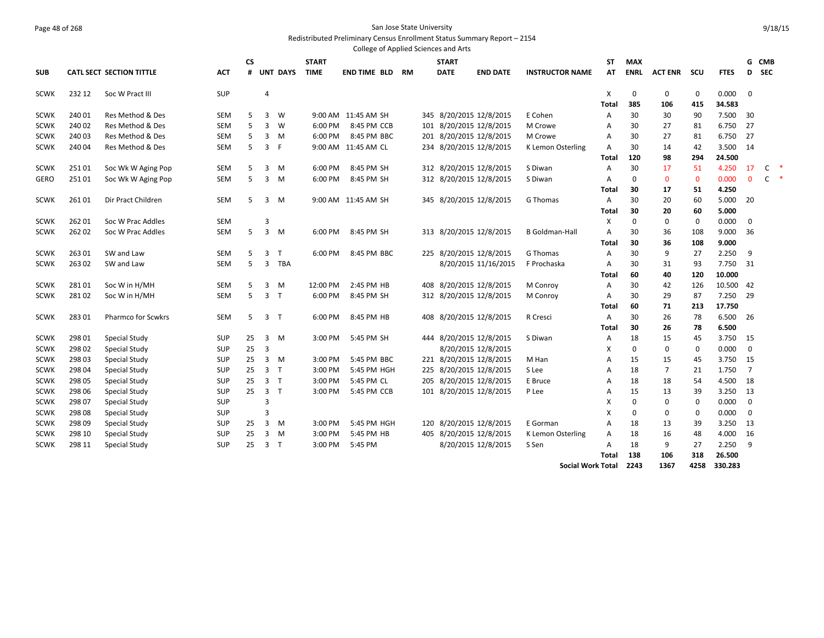#### Page 48 of 268 San Jose State University Redistributed Preliminary Census Enrollment Status Summary Report – 2154

|             |        |                                 |            |           |                |                 |              | College of Applied Sciences and Arts |           |     |              |                         |                        |           |             |                |             |             |                |              |                      |
|-------------|--------|---------------------------------|------------|-----------|----------------|-----------------|--------------|--------------------------------------|-----------|-----|--------------|-------------------------|------------------------|-----------|-------------|----------------|-------------|-------------|----------------|--------------|----------------------|
|             |        |                                 |            | <b>CS</b> |                |                 | <b>START</b> |                                      |           |     | <b>START</b> |                         |                        | <b>ST</b> | <b>MAX</b>  |                |             |             | G              | <b>CMB</b>   |                      |
| <b>SUB</b>  |        | <b>CATL SECT SECTION TITTLE</b> | ACT        | #         |                | <b>UNT DAYS</b> | <b>TIME</b>  | <b>END TIME BLD</b>                  | <b>RM</b> |     | <b>DATE</b>  | <b>END DATE</b>         | <b>INSTRUCTOR NAME</b> | AT        | <b>ENRL</b> | <b>ACT ENR</b> | scu         | <b>FTES</b> | D              | <b>SEC</b>   |                      |
| <b>SCWK</b> | 232 12 | Soc W Pract III                 | <b>SUP</b> |           | $\overline{4}$ |                 |              |                                      |           |     |              |                         |                        | X         | $\mathbf 0$ | $\mathbf 0$    | $\mathbf 0$ | 0.000       | $\mathbf 0$    |              |                      |
|             |        |                                 |            |           |                |                 |              |                                      |           |     |              |                         |                        | Total     | 385         | 106            | 415         | 34.583      |                |              |                      |
| <b>SCWK</b> | 240 01 | Res Method & Des                | <b>SEM</b> | 5         | 3              | W               |              | 9:00 AM 11:45 AM SH                  |           | 345 |              | 8/20/2015 12/8/2015     | E Cohen                | Α         | 30          | 30             | 90          | 7.500       | 30             |              |                      |
| <b>SCWK</b> | 240 02 | Res Method & Des                | SEM        | 5         | 3              | W               | 6:00 PM      | 8:45 PM CCB                          |           |     |              | 101 8/20/2015 12/8/2015 | M Crowe                | A         | 30          | 27             | 81          | 6.750       | 27             |              |                      |
| <b>SCWK</b> | 240 03 | Res Method & Des                | <b>SEM</b> | 5         | 3              | M               | 6:00 PM      | 8:45 PM BBC                          |           | 201 |              | 8/20/2015 12/8/2015     | M Crowe                | A         | 30          | 27             | 81          | 6.750       | 27             |              |                      |
| <b>SCWK</b> | 240 04 | Res Method & Des                | <b>SEM</b> | 5         | 3              | F               |              | 9:00 AM 11:45 AM CL                  |           |     |              | 234 8/20/2015 12/8/2015 | K Lemon Osterling      | Α         | 30          | 14             | 42          | 3.500       | 14             |              |                      |
|             |        |                                 |            |           |                |                 |              |                                      |           |     |              |                         |                        | Total     | 120         | 98             | 294         | 24.500      |                |              |                      |
| <b>SCWK</b> | 25101  | Soc Wk W Aging Pop              | <b>SEM</b> | 5         | 3              | M               | 6:00 PM      | 8:45 PM SH                           |           |     |              | 312 8/20/2015 12/8/2015 | S Diwan                | Α         | 30          | 17             | 51          | 4.250       | 17             | C            | $\ddot{\phantom{1}}$ |
| GERO        | 25101  | Soc Wk W Aging Pop              | <b>SEM</b> | 5         | 3              | M               | 6:00 PM      | 8:45 PM SH                           |           |     |              | 312 8/20/2015 12/8/2015 | S Diwan                | A         | $\mathbf 0$ | $\mathbf{0}$   | $\mathbf 0$ | 0.000       | $\Omega$       | $\mathsf{C}$ | $\ast$               |
|             |        |                                 |            |           |                |                 |              |                                      |           |     |              |                         |                        | Total     | 30          | 17             | 51          | 4.250       |                |              |                      |
| <b>SCWK</b> | 26101  | Dir Pract Children              | <b>SEM</b> | 5         | 3              | M               |              | 9:00 AM 11:45 AM SH                  |           |     |              | 345 8/20/2015 12/8/2015 | G Thomas               | Α         | 30          | 20             | 60          | 5.000       | -20            |              |                      |
|             |        |                                 |            |           |                |                 |              |                                      |           |     |              |                         |                        | Total     | 30          | 20             | 60          | 5.000       |                |              |                      |
| <b>SCWK</b> | 26201  | Soc W Prac Addles               | SEM        |           | 3              |                 |              |                                      |           |     |              |                         |                        | Х         | $\mathbf 0$ | 0              | 0           | 0.000       | $\mathbf 0$    |              |                      |
| <b>SCWK</b> | 26202  | Soc W Prac Addles               | <b>SEM</b> | 5         | $\overline{3}$ | M               | 6:00 PM      | 8:45 PM SH                           |           |     |              | 313 8/20/2015 12/8/2015 | <b>B</b> Goldman-Hall  | A         | 30          | 36             | 108         | 9.000       | 36             |              |                      |
|             |        |                                 |            |           |                |                 |              |                                      |           |     |              |                         |                        | Total     | 30          | 36             | 108         | 9.000       |                |              |                      |
| <b>SCWK</b> | 26301  | SW and Law                      | <b>SEM</b> | 5         | 3              | $\mathsf{T}$    | 6:00 PM      | 8:45 PM BBC                          |           |     |              | 225 8/20/2015 12/8/2015 | G Thomas               | Α         | 30          | 9              | 27          | 2.250       | 9              |              |                      |
| <b>SCWK</b> | 26302  | SW and Law                      | <b>SEM</b> | 5         | 3              | <b>TBA</b>      |              |                                      |           |     |              | 8/20/2015 11/16/2015    | F Prochaska            | A         | 30          | 31             | 93          | 7.750       | 31             |              |                      |
|             |        |                                 |            |           |                |                 |              |                                      |           |     |              |                         |                        | Total     | 60          | 40             | 120         | 10.000      |                |              |                      |
| <b>SCWK</b> | 28101  | Soc W in H/MH                   | <b>SEM</b> | 5         | 3              | M               | 12:00 PM     | 2:45 PM HB                           |           |     |              | 408 8/20/2015 12/8/2015 | M Conroy               | A         | 30          | 42             | 126         | 10.500 42   |                |              |                      |
| <b>SCWK</b> | 28102  | Soc W in H/MH                   | <b>SEM</b> | 5         | 3              | $\mathsf{T}$    | 6:00 PM      | 8:45 PM SH                           |           |     |              | 312 8/20/2015 12/8/2015 | M Conroy               | Α         | 30          | 29             | 87          | 7.250       | -29            |              |                      |
|             |        |                                 |            |           |                |                 |              |                                      |           |     |              |                         |                        | Total     | 60          | 71             | 213         | 17.750      |                |              |                      |
| <b>SCWK</b> | 28301  | <b>Pharmco for Scwkrs</b>       | <b>SEM</b> | 5         | 3              | $\mathsf{T}$    | 6:00 PM      | 8:45 PM HB                           |           |     |              | 408 8/20/2015 12/8/2015 | R Cresci               | Α         | 30          | 26             | 78          | 6.500       | -26            |              |                      |
|             |        |                                 |            |           |                |                 |              |                                      |           |     |              |                         |                        | Total     | 30          | 26             | 78          | 6.500       |                |              |                      |
| <b>SCWK</b> | 298 01 | Special Study                   | SUP        | 25        | 3              | M               | 3:00 PM      | 5:45 PM SH                           |           |     |              | 444 8/20/2015 12/8/2015 | S Diwan                | Α         | 18          | 15             | 45          | 3.750       | 15             |              |                      |
| <b>SCWK</b> | 298 02 | <b>Special Study</b>            | <b>SUP</b> | 25        | 3              |                 |              |                                      |           |     |              | 8/20/2015 12/8/2015     |                        | X         | $\mathbf 0$ | $\mathbf 0$    | 0           | 0.000       | $\mathbf 0$    |              |                      |
| <b>SCWK</b> | 298 03 | Special Study                   | <b>SUP</b> | 25        | 3 <sup>1</sup> | M               | 3:00 PM      | 5:45 PM BBC                          |           |     |              | 221 8/20/2015 12/8/2015 | M Han                  | A         | 15          | 15             | 45          | 3.750       | 15             |              |                      |
| <b>SCWK</b> | 298 04 | <b>Special Study</b>            | <b>SUP</b> | 25        | 3              | $\mathsf{T}$    | 3:00 PM      | 5:45 PM HGH                          |           | 225 |              | 8/20/2015 12/8/2015     | S Lee                  | A         | 18          | $\overline{7}$ | 21          | 1.750       | $\overline{7}$ |              |                      |
| <b>SCWK</b> | 298 05 | <b>Special Study</b>            | <b>SUP</b> | 25        | 3 <sub>T</sub> |                 | 3:00 PM      | 5:45 PM CL                           |           | 205 |              | 8/20/2015 12/8/2015     | E Bruce                | A         | 18          | 18             | 54          | 4.500       | 18             |              |                      |
| <b>SCWK</b> | 298 06 | Special Study                   | <b>SUP</b> | 25        | $\overline{3}$ | $\mathsf{T}$    | 3:00 PM      | 5:45 PM CCB                          |           |     |              | 101 8/20/2015 12/8/2015 | P Lee                  | Α         | 15          | 13             | 39          | 3.250       | 13             |              |                      |
| <b>SCWK</b> | 298 07 | <b>Special Study</b>            | <b>SUP</b> |           | 3              |                 |              |                                      |           |     |              |                         |                        | X         | $\Omega$    | $\mathbf 0$    | 0           | 0.000       | $\mathbf 0$    |              |                      |
| scwk        | 298 08 | Special Study                   | <b>SUP</b> |           | 3              |                 |              |                                      |           |     |              |                         |                        | X         | 0           | 0              | 0           | 0.000       | $\mathbf 0$    |              |                      |
| <b>SCWK</b> | 298 09 | <b>Special Study</b>            | <b>SUP</b> | 25        | 3              | M               | 3:00 PM      | 5:45 PM HGH                          |           |     |              | 120 8/20/2015 12/8/2015 | E Gorman               | A         | 18          | 13             | 39          | 3.250       | 13             |              |                      |
| <b>SCWK</b> | 298 10 | <b>Special Study</b>            | <b>SUP</b> | 25        | 3              | M               | 3:00 PM      | 5:45 PM HB                           |           |     |              | 405 8/20/2015 12/8/2015 | K Lemon Osterling      | A         | 18          | 16             | 48          | 4.000       | 16             |              |                      |
| <b>SCWK</b> | 298 11 | Special Study                   | <b>SUP</b> | 25        | 3              | $\top$          | 3:00 PM      | 5:45 PM                              |           |     |              | 8/20/2015 12/8/2015     | S Sen                  | Α         | 18          | 9              | 27          | 2.250       | 9              |              |                      |
|             |        |                                 |            |           |                |                 |              |                                      |           |     |              |                         |                        | Total     | 138         | 106            | 318         | 26.500      |                |              |                      |

**Social Work Total 2243 1367 4258 330.283**